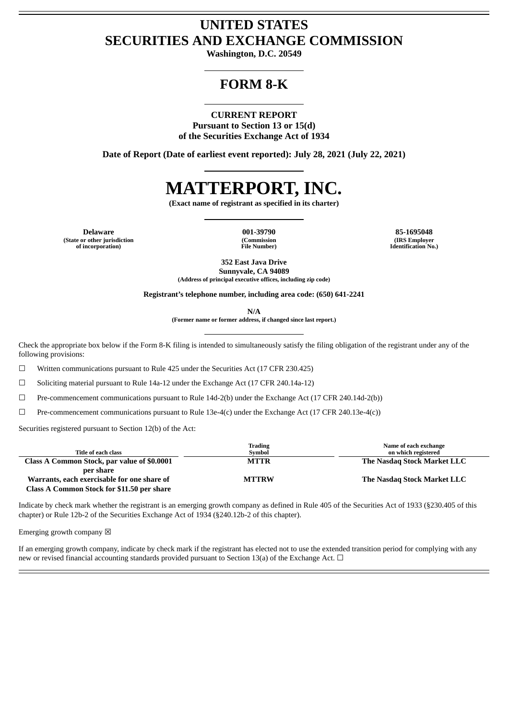# **UNITED STATES SECURITIES AND EXCHANGE COMMISSION**

**Washington, D.C. 20549**

# **FORM 8-K**

**CURRENT REPORT Pursuant to Section 13 or 15(d) of the Securities Exchange Act of 1934**

**Date of Report (Date of earliest event reported): July 28, 2021 (July 22, 2021)**

# **MATTERPORT, INC.**

**(Exact name of registrant as specified in its charter)**

**Delaware 001-39790 85-1695048 (State or other jurisdiction of incorporation)**

**(Commission File Number)**

**(IRS Employer Identification No.)**

**352 East Java Drive Sunnyvale, CA 94089 (Address of principal executive offices, including zip code)**

**Registrant's telephone number, including area code: (650) 641-2241**

**N/A**

**(Former name or former address, if changed since last report.)**

Check the appropriate box below if the Form 8-K filing is intended to simultaneously satisfy the filing obligation of the registrant under any of the following provisions:

☐ Written communications pursuant to Rule 425 under the Securities Act (17 CFR 230.425)

 $\Box$  Soliciting material pursuant to Rule 14a-12 under the Exchange Act (17 CFR 240.14a-12)

☐ Pre-commencement communications pursuant to Rule 14d-2(b) under the Exchange Act (17 CFR 240.14d-2(b))

☐ Pre-commencement communications pursuant to Rule 13e-4(c) under the Exchange Act (17 CFR 240.13e-4(c))

Securities registered pursuant to Section 12(b) of the Act:

|                                             | Trading      | Name of each exchange       |
|---------------------------------------------|--------------|-----------------------------|
| Title of each class                         | Svmbol       | on which registered         |
| Class A Common Stock, par value of \$0.0001 | <b>MTTR</b>  | The Nasdag Stock Market LLC |
| per share                                   |              |                             |
| Warrants, each exercisable for one share of | <b>MTTRW</b> | The Nasdag Stock Market LLC |
| Class A Common Stock for \$11.50 per share  |              |                             |

Indicate by check mark whether the registrant is an emerging growth company as defined in Rule 405 of the Securities Act of 1933 (§230.405 of this chapter) or Rule 12b-2 of the Securities Exchange Act of 1934 (§240.12b-2 of this chapter).

Emerging growth company  $\boxtimes$ 

If an emerging growth company, indicate by check mark if the registrant has elected not to use the extended transition period for complying with any new or revised financial accounting standards provided pursuant to Section 13(a) of the Exchange Act.  $\Box$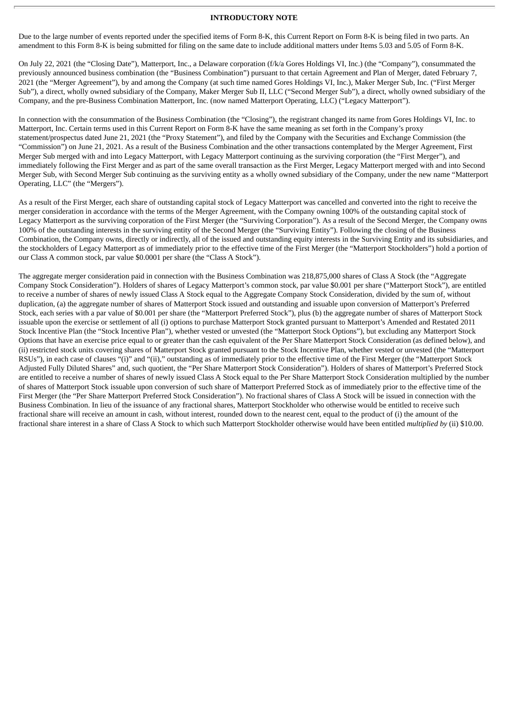# **INTRODUCTORY NOTE**

Due to the large number of events reported under the specified items of Form 8-K, this Current Report on Form 8-K is being filed in two parts. An amendment to this Form 8-K is being submitted for filing on the same date to include additional matters under Items 5.03 and 5.05 of Form 8-K.

On July 22, 2021 (the "Closing Date"), Matterport, Inc., a Delaware corporation (f/k/a Gores Holdings VI, Inc.) (the "Company"), consummated the previously announced business combination (the "Business Combination") pursuant to that certain Agreement and Plan of Merger, dated February 7, 2021 (the "Merger Agreement"), by and among the Company (at such time named Gores Holdings VI, Inc.), Maker Merger Sub, Inc. ("First Merger Sub"), a direct, wholly owned subsidiary of the Company, Maker Merger Sub II, LLC ("Second Merger Sub"), a direct, wholly owned subsidiary of the Company, and the pre-Business Combination Matterport, Inc. (now named Matterport Operating, LLC) ("Legacy Matterport").

In connection with the consummation of the Business Combination (the "Closing"), the registrant changed its name from Gores Holdings VI, Inc. to Matterport, Inc. Certain terms used in this Current Report on Form 8-K have the same meaning as set forth in the Company's proxy statement/prospectus dated June 21, 2021 (the "Proxy Statement"), and filed by the Company with the Securities and Exchange Commission (the "Commission") on June 21, 2021. As a result of the Business Combination and the other transactions contemplated by the Merger Agreement, First Merger Sub merged with and into Legacy Matterport, with Legacy Matterport continuing as the surviving corporation (the "First Merger"), and immediately following the First Merger and as part of the same overall transaction as the First Merger, Legacy Matterport merged with and into Second Merger Sub, with Second Merger Sub continuing as the surviving entity as a wholly owned subsidiary of the Company, under the new name "Matterport Operating, LLC" (the "Mergers").

As a result of the First Merger, each share of outstanding capital stock of Legacy Matterport was cancelled and converted into the right to receive the merger consideration in accordance with the terms of the Merger Agreement, with the Company owning 100% of the outstanding capital stock of Legacy Matterport as the surviving corporation of the First Merger (the "Surviving Corporation"). As a result of the Second Merger, the Company owns 100% of the outstanding interests in the surviving entity of the Second Merger (the "Surviving Entity"). Following the closing of the Business Combination, the Company owns, directly or indirectly, all of the issued and outstanding equity interests in the Surviving Entity and its subsidiaries, and the stockholders of Legacy Matterport as of immediately prior to the effective time of the First Merger (the "Matterport Stockholders") hold a portion of our Class A common stock, par value \$0.0001 per share (the "Class A Stock").

The aggregate merger consideration paid in connection with the Business Combination was 218,875,000 shares of Class A Stock (the "Aggregate Company Stock Consideration"). Holders of shares of Legacy Matterport's common stock, par value \$0.001 per share ("Matterport Stock"), are entitled to receive a number of shares of newly issued Class A Stock equal to the Aggregate Company Stock Consideration, divided by the sum of, without duplication, (a) the aggregate number of shares of Matterport Stock issued and outstanding and issuable upon conversion of Matterport's Preferred Stock, each series with a par value of \$0.001 per share (the "Matterport Preferred Stock"), plus (b) the aggregate number of shares of Matterport Stock issuable upon the exercise or settlement of all (i) options to purchase Matterport Stock granted pursuant to Matterport's Amended and Restated 2011 Stock Incentive Plan (the "Stock Incentive Plan"), whether vested or unvested (the "Matterport Stock Options"), but excluding any Matterport Stock Options that have an exercise price equal to or greater than the cash equivalent of the Per Share Matterport Stock Consideration (as defined below), and (ii) restricted stock units covering shares of Matterport Stock granted pursuant to the Stock Incentive Plan, whether vested or unvested (the "Matterport RSUs"), in each case of clauses "(i)" and "(ii)," outstanding as of immediately prior to the effective time of the First Merger (the "Matterport Stock Adjusted Fully Diluted Shares" and, such quotient, the "Per Share Matterport Stock Consideration"). Holders of shares of Matterport's Preferred Stock are entitled to receive a number of shares of newly issued Class A Stock equal to the Per Share Matterport Stock Consideration multiplied by the number of shares of Matterport Stock issuable upon conversion of such share of Matterport Preferred Stock as of immediately prior to the effective time of the First Merger (the "Per Share Matterport Preferred Stock Consideration"). No fractional shares of Class A Stock will be issued in connection with the Business Combination. In lieu of the issuance of any fractional shares, Matterport Stockholder who otherwise would be entitled to receive such fractional share will receive an amount in cash, without interest, rounded down to the nearest cent, equal to the product of (i) the amount of the fractional share interest in a share of Class A Stock to which such Matterport Stockholder otherwise would have been entitled *multiplied by* (ii) \$10.00.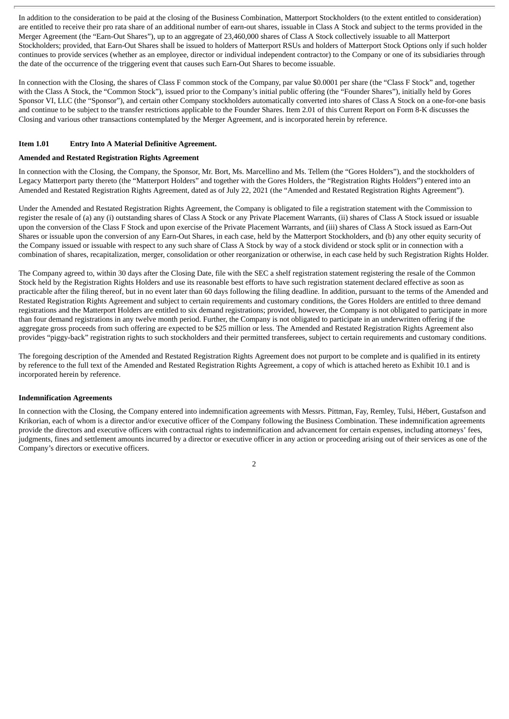In addition to the consideration to be paid at the closing of the Business Combination, Matterport Stockholders (to the extent entitled to consideration) are entitled to receive their pro rata share of an additional number of earn-out shares, issuable in Class A Stock and subject to the terms provided in the Merger Agreement (the "Earn-Out Shares"), up to an aggregate of 23,460,000 shares of Class A Stock collectively issuable to all Matterport Stockholders; provided, that Earn-Out Shares shall be issued to holders of Matterport RSUs and holders of Matterport Stock Options only if such holder continues to provide services (whether as an employee, director or individual independent contractor) to the Company or one of its subsidiaries through the date of the occurrence of the triggering event that causes such Earn-Out Shares to become issuable.

In connection with the Closing, the shares of Class F common stock of the Company, par value \$0.0001 per share (the "Class F Stock" and, together with the Class A Stock, the "Common Stock"), issued prior to the Company's initial public offering (the "Founder Shares"), initially held by Gores Sponsor VI, LLC (the "Sponsor"), and certain other Company stockholders automatically converted into shares of Class A Stock on a one-for-one basis and continue to be subject to the transfer restrictions applicable to the Founder Shares. Item 2.01 of this Current Report on Form 8-K discusses the Closing and various other transactions contemplated by the Merger Agreement, and is incorporated herein by reference.

# **Item 1.01 Entry Into A Material Definitive Agreement.**

# **Amended and Restated Registration Rights Agreement**

In connection with the Closing, the Company, the Sponsor, Mr. Bort, Ms. Marcellino and Ms. Tellem (the "Gores Holders"), and the stockholders of Legacy Matterport party thereto (the "Matterport Holders" and together with the Gores Holders, the "Registration Rights Holders") entered into an Amended and Restated Registration Rights Agreement, dated as of July 22, 2021 (the "Amended and Restated Registration Rights Agreement").

Under the Amended and Restated Registration Rights Agreement, the Company is obligated to file a registration statement with the Commission to register the resale of (a) any (i) outstanding shares of Class A Stock or any Private Placement Warrants, (ii) shares of Class A Stock issued or issuable upon the conversion of the Class F Stock and upon exercise of the Private Placement Warrants, and (iii) shares of Class A Stock issued as Earn-Out Shares or issuable upon the conversion of any Earn-Out Shares, in each case, held by the Matterport Stockholders, and (b) any other equity security of the Company issued or issuable with respect to any such share of Class A Stock by way of a stock dividend or stock split or in connection with a combination of shares, recapitalization, merger, consolidation or other reorganization or otherwise, in each case held by such Registration Rights Holder.

The Company agreed to, within 30 days after the Closing Date, file with the SEC a shelf registration statement registering the resale of the Common Stock held by the Registration Rights Holders and use its reasonable best efforts to have such registration statement declared effective as soon as practicable after the filing thereof, but in no event later than 60 days following the filing deadline. In addition, pursuant to the terms of the Amended and Restated Registration Rights Agreement and subject to certain requirements and customary conditions, the Gores Holders are entitled to three demand registrations and the Matterport Holders are entitled to six demand registrations; provided, however, the Company is not obligated to participate in more than four demand registrations in any twelve month period. Further, the Company is not obligated to participate in an underwritten offering if the aggregate gross proceeds from such offering are expected to be \$25 million or less. The Amended and Restated Registration Rights Agreement also provides "piggy-back" registration rights to such stockholders and their permitted transferees, subject to certain requirements and customary conditions.

The foregoing description of the Amended and Restated Registration Rights Agreement does not purport to be complete and is qualified in its entirety by reference to the full text of the Amended and Restated Registration Rights Agreement, a copy of which is attached hereto as Exhibit 10.1 and is incorporated herein by reference.

# **Indemnification Agreements**

In connection with the Closing, the Company entered into indemnification agreements with Messrs. Pittman, Fay, Remley, Tulsi, Hébert, Gustafson and Krikorian, each of whom is a director and/or executive officer of the Company following the Business Combination. These indemnification agreements provide the directors and executive officers with contractual rights to indemnification and advancement for certain expenses, including attorneys' fees, judgments, fines and settlement amounts incurred by a director or executive officer in any action or proceeding arising out of their services as one of the Company's directors or executive officers.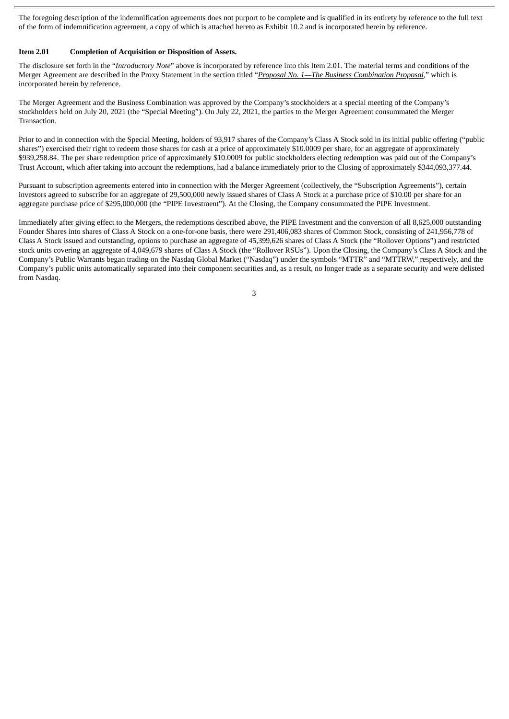The foregoing description of the indemnification agreements does not purport to be complete and is qualified in its entirety by reference to the full text of the form of indemnification agreement, a copy of which is attached hereto as Exhibit 10.2 and is incorporated herein by reference.

# **Item 2.01 Completion of Acquisition or Disposition of Assets.**

The disclosure set forth in the "*Introductory Note*" above is incorporated by reference into this Item 2.01. The material terms and conditions of the Merger Agreement are described in the Proxy Statement in the section titled "*Proposal No. 1—The Business Combination Proposal*," which is incorporated herein by reference.

The Merger Agreement and the Business Combination was approved by the Company's stockholders at a special meeting of the Company's stockholders held on July 20, 2021 (the "Special Meeting"). On July 22, 2021, the parties to the Merger Agreement consummated the Merger Transaction.

Prior to and in connection with the Special Meeting, holders of 93,917 shares of the Company's Class A Stock sold in its initial public offering ("public shares") exercised their right to redeem those shares for cash at a price of approximately \$10.0009 per share, for an aggregate of approximately \$939,258.84. The per share redemption price of approximately \$10.0009 for public stockholders electing redemption was paid out of the Company's Trust Account, which after taking into account the redemptions, had a balance immediately prior to the Closing of approximately \$344,093,377.44.

Pursuant to subscription agreements entered into in connection with the Merger Agreement (collectively, the "Subscription Agreements"), certain investors agreed to subscribe for an aggregate of 29,500,000 newly issued shares of Class A Stock at a purchase price of \$10.00 per share for an aggregate purchase price of \$295,000,000 (the "PIPE Investment"). At the Closing, the Company consummated the PIPE Investment.

Immediately after giving effect to the Mergers, the redemptions described above, the PIPE Investment and the conversion of all 8,625,000 outstanding Founder Shares into shares of Class A Stock on a one-for-one basis, there were 291,406,083 shares of Common Stock, consisting of 241,956,778 of Class A Stock issued and outstanding, options to purchase an aggregate of 45,399,626 shares of Class A Stock (the "Rollover Options") and restricted stock units covering an aggregate of 4,049,679 shares of Class A Stock (the "Rollover RSUs"). Upon the Closing, the Company's Class A Stock and the Company's Public Warrants began trading on the Nasdaq Global Market ("Nasdaq") under the symbols "MTTR" and "MTTRW," respectively, and the Company's public units automatically separated into their component securities and, as a result, no longer trade as a separate security and were delisted from Nasdaq.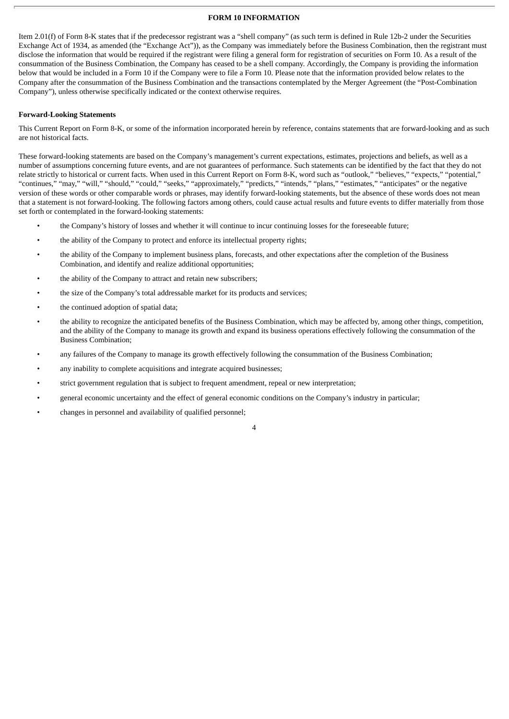# **FORM 10 INFORMATION**

Item 2.01(f) of Form 8-K states that if the predecessor registrant was a "shell company" (as such term is defined in Rule 12b-2 under the Securities Exchange Act of 1934, as amended (the "Exchange Act")), as the Company was immediately before the Business Combination, then the registrant must disclose the information that would be required if the registrant were filing a general form for registration of securities on Form 10. As a result of the consummation of the Business Combination, the Company has ceased to be a shell company. Accordingly, the Company is providing the information below that would be included in a Form 10 if the Company were to file a Form 10. Please note that the information provided below relates to the Company after the consummation of the Business Combination and the transactions contemplated by the Merger Agreement (the "Post-Combination Company"), unless otherwise specifically indicated or the context otherwise requires.

#### **Forward-Looking Statements**

This Current Report on Form 8-K, or some of the information incorporated herein by reference, contains statements that are forward-looking and as such are not historical facts.

These forward-looking statements are based on the Company's management's current expectations, estimates, projections and beliefs, as well as a number of assumptions concerning future events, and are not guarantees of performance. Such statements can be identified by the fact that they do not relate strictly to historical or current facts. When used in this Current Report on Form 8-K, word such as "outlook," "believes," "expects," "potential," "continues," "may," "will," "should," "could," "seeks," "approximately," "predicts," "intends," "plans," "estimates," "anticipates" or the negative version of these words or other comparable words or phrases, may identify forward-looking statements, but the absence of these words does not mean that a statement is not forward-looking. The following factors among others, could cause actual results and future events to differ materially from those set forth or contemplated in the forward-looking statements:

- the Company's history of losses and whether it will continue to incur continuing losses for the foreseeable future;
- the ability of the Company to protect and enforce its intellectual property rights;
- the ability of the Company to implement business plans, forecasts, and other expectations after the completion of the Business Combination, and identify and realize additional opportunities;
- the ability of the Company to attract and retain new subscribers;
- the size of the Company's total addressable market for its products and services;
- the continued adoption of spatial data;
- the ability to recognize the anticipated benefits of the Business Combination, which may be affected by, among other things, competition, and the ability of the Company to manage its growth and expand its business operations effectively following the consummation of the Business Combination;
- any failures of the Company to manage its growth effectively following the consummation of the Business Combination;
- any inability to complete acquisitions and integrate acquired businesses;
- strict government regulation that is subject to frequent amendment, repeal or new interpretation;
- general economic uncertainty and the effect of general economic conditions on the Company's industry in particular;
- changes in personnel and availability of qualified personnel;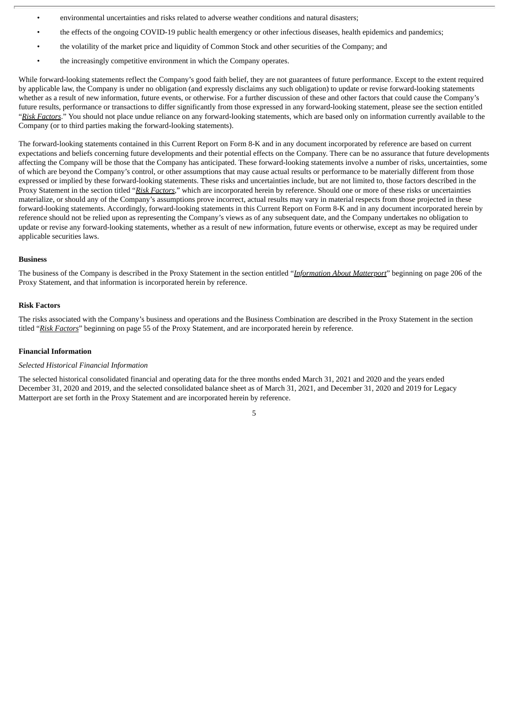- environmental uncertainties and risks related to adverse weather conditions and natural disasters;
- the effects of the ongoing COVID-19 public health emergency or other infectious diseases, health epidemics and pandemics;
- the volatility of the market price and liquidity of Common Stock and other securities of the Company; and
- the increasingly competitive environment in which the Company operates.

While forward-looking statements reflect the Company's good faith belief, they are not guarantees of future performance. Except to the extent required by applicable law, the Company is under no obligation (and expressly disclaims any such obligation) to update or revise forward-looking statements whether as a result of new information, future events, or otherwise. For a further discussion of these and other factors that could cause the Company's future results, performance or transactions to differ significantly from those expressed in any forward-looking statement, please see the section entitled "*Risk Factors*." You should not place undue reliance on any forward-looking statements, which are based only on information currently available to the Company (or to third parties making the forward-looking statements).

The forward-looking statements contained in this Current Report on Form 8-K and in any document incorporated by reference are based on current expectations and beliefs concerning future developments and their potential effects on the Company. There can be no assurance that future developments affecting the Company will be those that the Company has anticipated. These forward-looking statements involve a number of risks, uncertainties, some of which are beyond the Company's control, or other assumptions that may cause actual results or performance to be materially different from those expressed or implied by these forward-looking statements. These risks and uncertainties include, but are not limited to, those factors described in the Proxy Statement in the section titled "*Risk Factors*," which are incorporated herein by reference. Should one or more of these risks or uncertainties materialize, or should any of the Company's assumptions prove incorrect, actual results may vary in material respects from those projected in these forward-looking statements. Accordingly, forward-looking statements in this Current Report on Form 8-K and in any document incorporated herein by reference should not be relied upon as representing the Company's views as of any subsequent date, and the Company undertakes no obligation to update or revise any forward-looking statements, whether as a result of new information, future events or otherwise, except as may be required under applicable securities laws.

#### **Business**

The business of the Company is described in the Proxy Statement in the section entitled "*Information About Matterport*" beginning on page 206 of the Proxy Statement, and that information is incorporated herein by reference.

#### **Risk Factors**

The risks associated with the Company's business and operations and the Business Combination are described in the Proxy Statement in the section titled "*Risk Factors*" beginning on page 55 of the Proxy Statement, and are incorporated herein by reference.

#### **Financial Information**

#### *Selected Historical Financial Information*

The selected historical consolidated financial and operating data for the three months ended March 31, 2021 and 2020 and the years ended December 31, 2020 and 2019, and the selected consolidated balance sheet as of March 31, 2021, and December 31, 2020 and 2019 for Legacy Matterport are set forth in the Proxy Statement and are incorporated herein by reference.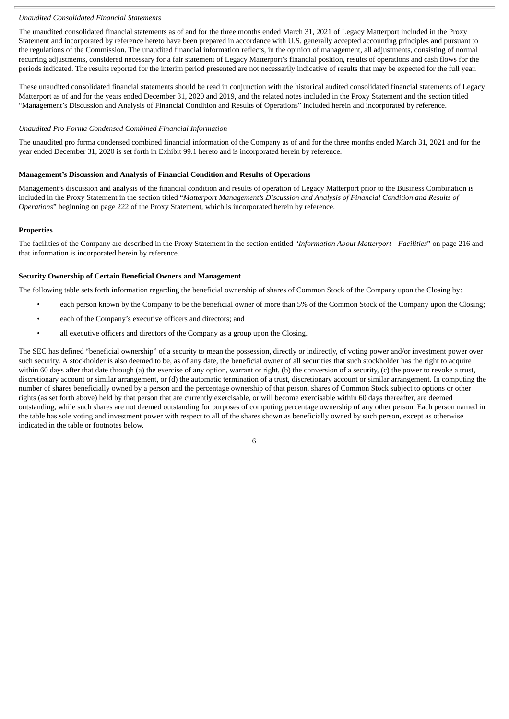# *Unaudited Consolidated Financial Statements*

The unaudited consolidated financial statements as of and for the three months ended March 31, 2021 of Legacy Matterport included in the Proxy Statement and incorporated by reference hereto have been prepared in accordance with U.S. generally accepted accounting principles and pursuant to the regulations of the Commission. The unaudited financial information reflects, in the opinion of management, all adjustments, consisting of normal recurring adjustments, considered necessary for a fair statement of Legacy Matterport's financial position, results of operations and cash flows for the periods indicated. The results reported for the interim period presented are not necessarily indicative of results that may be expected for the full year.

These unaudited consolidated financial statements should be read in conjunction with the historical audited consolidated financial statements of Legacy Matterport as of and for the years ended December 31, 2020 and 2019, and the related notes included in the Proxy Statement and the section titled "Management's Discussion and Analysis of Financial Condition and Results of Operations" included herein and incorporated by reference.

#### *Unaudited Pro Forma Condensed Combined Financial Information*

The unaudited pro forma condensed combined financial information of the Company as of and for the three months ended March 31, 2021 and for the year ended December 31, 2020 is set forth in Exhibit 99.1 hereto and is incorporated herein by reference.

#### **Management's Discussion and Analysis of Financial Condition and Results of Operations**

Management's discussion and analysis of the financial condition and results of operation of Legacy Matterport prior to the Business Combination is included in the Proxy Statement in the section titled "*Matterport Management's Discussion and Analysis of Financial Condition and Results of Operations*" beginning on page 222 of the Proxy Statement, which is incorporated herein by reference.

#### **Properties**

The facilities of the Company are described in the Proxy Statement in the section entitled "*Information About Matterport—Facilities*" on page 216 and that information is incorporated herein by reference.

#### **Security Ownership of Certain Beneficial Owners and Management**

The following table sets forth information regarding the beneficial ownership of shares of Common Stock of the Company upon the Closing by:

- each person known by the Company to be the beneficial owner of more than 5% of the Common Stock of the Company upon the Closing;
- each of the Company's executive officers and directors; and
- all executive officers and directors of the Company as a group upon the Closing.

The SEC has defined "beneficial ownership" of a security to mean the possession, directly or indirectly, of voting power and/or investment power over such security. A stockholder is also deemed to be, as of any date, the beneficial owner of all securities that such stockholder has the right to acquire within 60 days after that date through (a) the exercise of any option, warrant or right, (b) the conversion of a security, (c) the power to revoke a trust, discretionary account or similar arrangement, or (d) the automatic termination of a trust, discretionary account or similar arrangement. In computing the number of shares beneficially owned by a person and the percentage ownership of that person, shares of Common Stock subject to options or other rights (as set forth above) held by that person that are currently exercisable, or will become exercisable within 60 days thereafter, are deemed outstanding, while such shares are not deemed outstanding for purposes of computing percentage ownership of any other person. Each person named in the table has sole voting and investment power with respect to all of the shares shown as beneficially owned by such person, except as otherwise indicated in the table or footnotes below.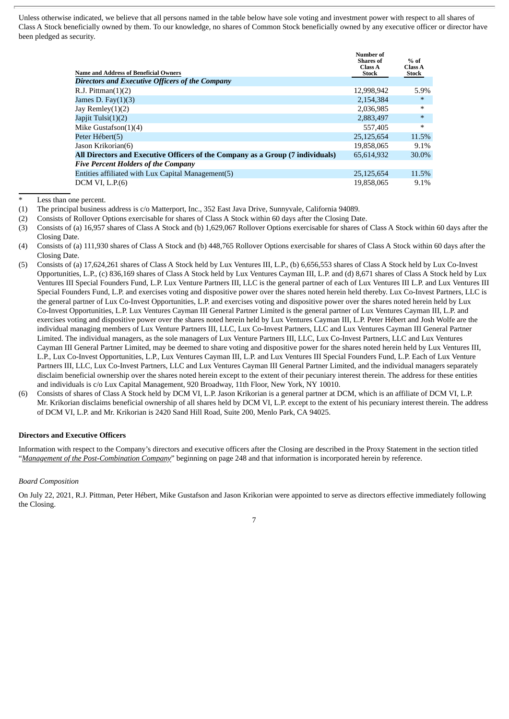Unless otherwise indicated, we believe that all persons named in the table below have sole voting and investment power with respect to all shares of Class A Stock beneficially owned by them. To our knowledge, no shares of Common Stock beneficially owned by any executive officer or director have been pledged as security.

| <b>Name and Address of Beneficial Owners</b>                                   | <b>Number of</b><br><b>Shares</b> of<br>Class A<br><b>Stock</b> | $%$ of<br>Class A<br>Stock |
|--------------------------------------------------------------------------------|-----------------------------------------------------------------|----------------------------|
| Directors and Executive Officers of the Company                                |                                                                 |                            |
| R.J. Pittman $(1)(2)$                                                          | 12,998,942                                                      | 5.9%                       |
| James D. Fay $(1)(3)$                                                          | 2,154,384                                                       | $\ast$                     |
| Jay Remley $(1)(2)$                                                            | 2,036,985                                                       | ∗                          |
| Japjit Tulsi $(1)(2)$                                                          | 2,883,497                                                       | $\ast$                     |
| Mike Gustafson $(1)(4)$                                                        | 557,405                                                         | ∗                          |
| Peter Hébert(5)                                                                | 25.125.654                                                      | 11.5%                      |
| Jason Krikorian(6)                                                             | 19,858,065                                                      | 9.1%                       |
| All Directors and Executive Officers of the Company as a Group (7 individuals) | 65,614,932                                                      | 30.0%                      |
| <b>Five Percent Holders of the Company</b>                                     |                                                                 |                            |
| Entities affiliated with Lux Capital Management(5)                             | 25,125,654                                                      | 11.5%                      |
| DCM VI, L.P. (6)                                                               | 19.858.065                                                      | 9.1%                       |

Less than one percent.

(1) The principal business address is c/o Matterport, Inc., 352 East Java Drive, Sunnyvale, California 94089.

(2) Consists of Rollover Options exercisable for shares of Class A Stock within 60 days after the Closing Date.

(3) Consists of (a) 16,957 shares of Class A Stock and (b) 1,629,067 Rollover Options exercisable for shares of Class A Stock within 60 days after the Closing Date.

(4) Consists of (a) 111,930 shares of Class A Stock and (b) 448,765 Rollover Options exercisable for shares of Class A Stock within 60 days after the Closing Date.

- (5) Consists of (a) 17,624,261 shares of Class A Stock held by Lux Ventures III, L.P., (b) 6,656,553 shares of Class A Stock held by Lux Co-Invest Opportunities, L.P., (c) 836,169 shares of Class A Stock held by Lux Ventures Cayman III, L.P. and (d) 8,671 shares of Class A Stock held by Lux Ventures III Special Founders Fund, L.P. Lux Venture Partners III, LLC is the general partner of each of Lux Ventures III L.P. and Lux Ventures III Special Founders Fund, L.P. and exercises voting and dispositive power over the shares noted herein held thereby. Lux Co-Invest Partners, LLC is the general partner of Lux Co-Invest Opportunities, L.P. and exercises voting and dispositive power over the shares noted herein held by Lux Co-Invest Opportunities, L.P. Lux Ventures Cayman III General Partner Limited is the general partner of Lux Ventures Cayman III, L.P. and exercises voting and dispositive power over the shares noted herein held by Lux Ventures Cayman III, L.P. Peter Hébert and Josh Wolfe are the individual managing members of Lux Venture Partners III, LLC, Lux Co-Invest Partners, LLC and Lux Ventures Cayman III General Partner Limited. The individual managers, as the sole managers of Lux Venture Partners III, LLC, Lux Co-Invest Partners, LLC and Lux Ventures Cayman III General Partner Limited, may be deemed to share voting and dispositive power for the shares noted herein held by Lux Ventures III, L.P., Lux Co-Invest Opportunities, L.P., Lux Ventures Cayman III, L.P. and Lux Ventures III Special Founders Fund, L.P. Each of Lux Venture Partners III, LLC, Lux Co-Invest Partners, LLC and Lux Ventures Cayman III General Partner Limited, and the individual managers separately disclaim beneficial ownership over the shares noted herein except to the extent of their pecuniary interest therein. The address for these entities and individuals is c/o Lux Capital Management, 920 Broadway, 11th Floor, New York, NY 10010.
- (6) Consists of shares of Class A Stock held by DCM VI, L.P. Jason Krikorian is a general partner at DCM, which is an affiliate of DCM VI, L.P. Mr. Krikorian disclaims beneficial ownership of all shares held by DCM VI, L.P. except to the extent of his pecuniary interest therein. The address of DCM VI, L.P. and Mr. Krikorian is 2420 Sand Hill Road, Suite 200, Menlo Park, CA 94025.

# **Directors and Executive Officers**

Information with respect to the Company's directors and executive officers after the Closing are described in the Proxy Statement in the section titled "*Management of the Post-Combination Company*" beginning on page 248 and that information is incorporated herein by reference.

# *Board Composition*

On July 22, 2021, R.J. Pittman, Peter Hébert, Mike Gustafson and Jason Krikorian were appointed to serve as directors effective immediately following the Closing.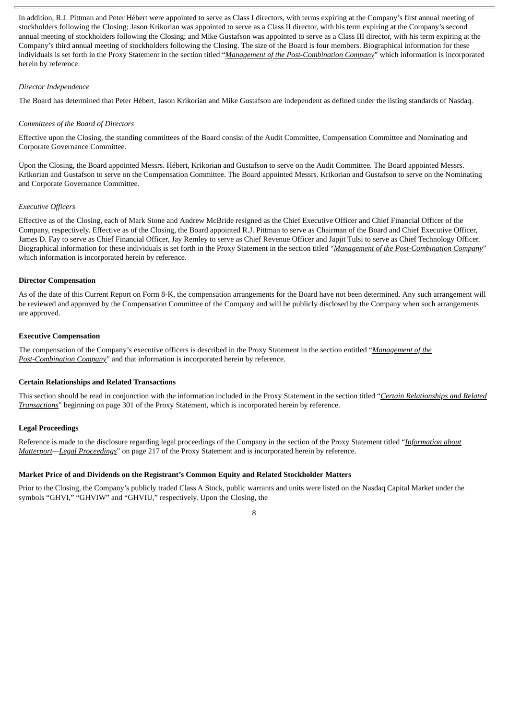In addition, R.J. Pittman and Peter Hébert were appointed to serve as Class I directors, with terms expiring at the Company's first annual meeting of stockholders following the Closing; Jason Krikorian was appointed to serve as a Class II director, with his term expiring at the Company's second annual meeting of stockholders following the Closing; and Mike Gustafson was appointed to serve as a Class III director, with his term expiring at the Company's third annual meeting of stockholders following the Closing. The size of the Board is four members. Biographical information for these individuals is set forth in the Proxy Statement in the section titled "*Management of the Post-Combination Company*" which information is incorporated herein by reference.

# *Director Independence*

The Board has determined that Peter Hébert, Jason Krikorian and Mike Gustafson are independent as defined under the listing standards of Nasdaq.

#### *Committees of the Board of Directors*

Effective upon the Closing, the standing committees of the Board consist of the Audit Committee, Compensation Committee and Nominating and Corporate Governance Committee.

Upon the Closing, the Board appointed Messrs. Hébert, Krikorian and Gustafson to serve on the Audit Committee. The Board appointed Messrs. Krikorian and Gustafson to serve on the Compensation Committee. The Board appointed Messrs. Krikorian and Gustafson to serve on the Nominating and Corporate Governance Committee.

# *Executive Officers*

Effective as of the Closing, each of Mark Stone and Andrew McBride resigned as the Chief Executive Officer and Chief Financial Officer of the Company, respectively. Effective as of the Closing, the Board appointed R.J. Pittman to serve as Chairman of the Board and Chief Executive Officer, James D. Fay to serve as Chief Financial Officer, Jay Remley to serve as Chief Revenue Officer and Japjit Tulsi to serve as Chief Technology Officer. Biographical information for these individuals is set forth in the Proxy Statement in the section titled "*Management of the Post-Combination Company*" which information is incorporated herein by reference.

#### **Director Compensation**

As of the date of this Current Report on Form 8-K, the compensation arrangements for the Board have not been determined. Any such arrangement will be reviewed and approved by the Compensation Committee of the Company and will be publicly disclosed by the Company when such arrangements are approved.

# **Executive Compensation**

The compensation of the Company's executive officers is described in the Proxy Statement in the section entitled "*Management of the Post-Combination Company*" and that information is incorporated herein by reference.

# **Certain Relationships and Related Transactions**

This section should be read in conjunction with the information included in the Proxy Statement in the section titled "*Certain Relationships and Related Transactions*" beginning on page 301 of the Proxy Statement, which is incorporated herein by reference.

#### **Legal Proceedings**

Reference is made to the disclosure regarding legal proceedings of the Company in the section of the Proxy Statement titled "*Information about Matterport—Legal Proceedings*" on page 217 of the Proxy Statement and is incorporated herein by reference.

# **Market Price of and Dividends on the Registrant's Common Equity and Related Stockholder Matters**

Prior to the Closing, the Company's publicly traded Class A Stock, public warrants and units were listed on the Nasdaq Capital Market under the symbols "GHVI," "GHVIW" and "GHVIU," respectively. Upon the Closing, the

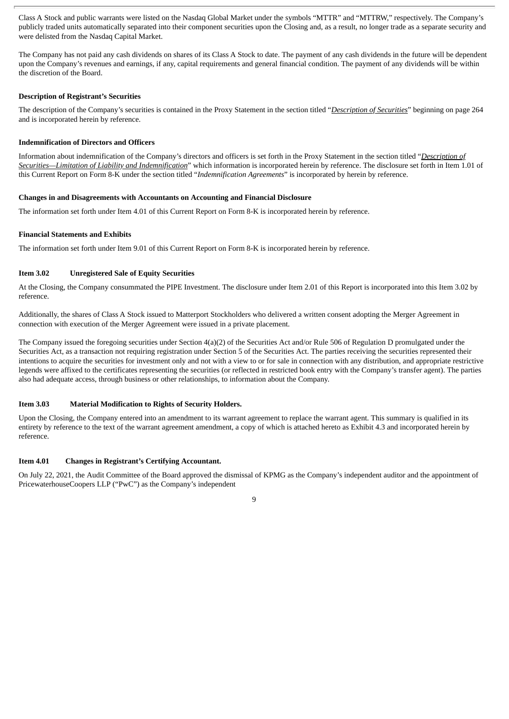Class A Stock and public warrants were listed on the Nasdaq Global Market under the symbols "MTTR" and "MTTRW," respectively. The Company's publicly traded units automatically separated into their component securities upon the Closing and, as a result, no longer trade as a separate security and were delisted from the Nasdaq Capital Market.

The Company has not paid any cash dividends on shares of its Class A Stock to date. The payment of any cash dividends in the future will be dependent upon the Company's revenues and earnings, if any, capital requirements and general financial condition. The payment of any dividends will be within the discretion of the Board.

# **Description of Registrant's Securities**

The description of the Company's securities is contained in the Proxy Statement in the section titled "*Description of Securities*" beginning on page 264 and is incorporated herein by reference.

# **Indemnification of Directors and Officers**

Information about indemnification of the Company's directors and officers is set forth in the Proxy Statement in the section titled "*Description of Securities—Limitation of Liability and Indemnification*" which information is incorporated herein by reference. The disclosure set forth in Item 1.01 of this Current Report on Form 8-K under the section titled "*Indemnification Agreements*" is incorporated by herein by reference.

#### **Changes in and Disagreements with Accountants on Accounting and Financial Disclosure**

The information set forth under Item 4.01 of this Current Report on Form 8-K is incorporated herein by reference.

#### **Financial Statements and Exhibits**

The information set forth under Item 9.01 of this Current Report on Form 8-K is incorporated herein by reference.

#### **Item 3.02 Unregistered Sale of Equity Securities**

At the Closing, the Company consummated the PIPE Investment. The disclosure under Item 2.01 of this Report is incorporated into this Item 3.02 by reference.

Additionally, the shares of Class A Stock issued to Matterport Stockholders who delivered a written consent adopting the Merger Agreement in connection with execution of the Merger Agreement were issued in a private placement.

The Company issued the foregoing securities under Section 4(a)(2) of the Securities Act and/or Rule 506 of Regulation D promulgated under the Securities Act, as a transaction not requiring registration under Section 5 of the Securities Act. The parties receiving the securities represented their intentions to acquire the securities for investment only and not with a view to or for sale in connection with any distribution, and appropriate restrictive legends were affixed to the certificates representing the securities (or reflected in restricted book entry with the Company's transfer agent). The parties also had adequate access, through business or other relationships, to information about the Company.

#### **Item 3.03 Material Modification to Rights of Security Holders.**

Upon the Closing, the Company entered into an amendment to its warrant agreement to replace the warrant agent. This summary is qualified in its entirety by reference to the text of the warrant agreement amendment, a copy of which is attached hereto as Exhibit 4.3 and incorporated herein by reference.

# **Item 4.01 Changes in Registrant's Certifying Accountant.**

On July 22, 2021, the Audit Committee of the Board approved the dismissal of KPMG as the Company's independent auditor and the appointment of PricewaterhouseCoopers LLP ("PwC") as the Company's independent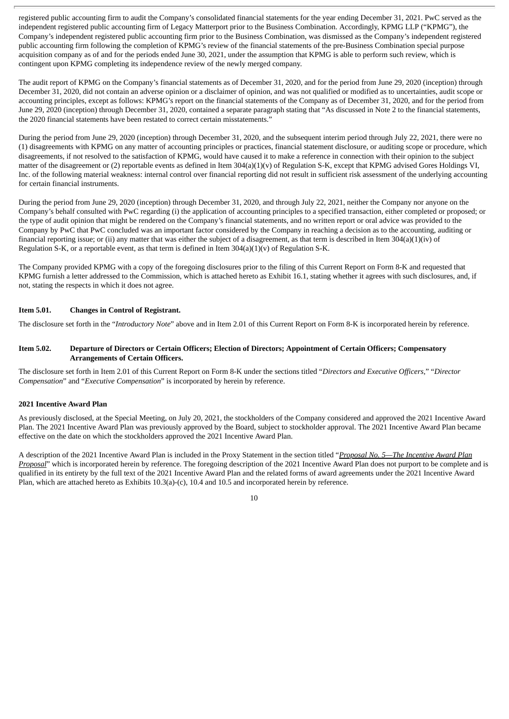registered public accounting firm to audit the Company's consolidated financial statements for the year ending December 31, 2021. PwC served as the independent registered public accounting firm of Legacy Matterport prior to the Business Combination. Accordingly, KPMG LLP ("KPMG"), the Company's independent registered public accounting firm prior to the Business Combination, was dismissed as the Company's independent registered public accounting firm following the completion of KPMG's review of the financial statements of the pre-Business Combination special purpose acquisition company as of and for the periods ended June 30, 2021, under the assumption that KPMG is able to perform such review, which is contingent upon KPMG completing its independence review of the newly merged company.

The audit report of KPMG on the Company's financial statements as of December 31, 2020, and for the period from June 29, 2020 (inception) through December 31, 2020, did not contain an adverse opinion or a disclaimer of opinion, and was not qualified or modified as to uncertainties, audit scope or accounting principles, except as follows: KPMG's report on the financial statements of the Company as of December 31, 2020, and for the period from June 29, 2020 (inception) through December 31, 2020, contained a separate paragraph stating that "As discussed in Note 2 to the financial statements, the 2020 financial statements have been restated to correct certain misstatements."

During the period from June 29, 2020 (inception) through December 31, 2020, and the subsequent interim period through July 22, 2021, there were no (1) disagreements with KPMG on any matter of accounting principles or practices, financial statement disclosure, or auditing scope or procedure, which disagreements, if not resolved to the satisfaction of KPMG, would have caused it to make a reference in connection with their opinion to the subject matter of the disagreement or (2) reportable events as defined in Item 304(a)(1)(v) of Regulation S-K, except that KPMG advised Gores Holdings VI, Inc. of the following material weakness: internal control over financial reporting did not result in sufficient risk assessment of the underlying accounting for certain financial instruments.

During the period from June 29, 2020 (inception) through December 31, 2020, and through July 22, 2021, neither the Company nor anyone on the Company's behalf consulted with PwC regarding (i) the application of accounting principles to a specified transaction, either completed or proposed; or the type of audit opinion that might be rendered on the Company's financial statements, and no written report or oral advice was provided to the Company by PwC that PwC concluded was an important factor considered by the Company in reaching a decision as to the accounting, auditing or financial reporting issue; or (ii) any matter that was either the subject of a disagreement, as that term is described in Item 304(a)(1)(iv) of Regulation S-K, or a reportable event, as that term is defined in Item  $304(a)(1)(v)$  of Regulation S-K.

The Company provided KPMG with a copy of the foregoing disclosures prior to the filing of this Current Report on Form 8-K and requested that KPMG furnish a letter addressed to the Commission, which is attached hereto as Exhibit 16.1, stating whether it agrees with such disclosures, and, if not, stating the respects in which it does not agree.

# **Item 5.01. Changes in Control of Registrant.**

The disclosure set forth in the "*Introductory Note*" above and in Item 2.01 of this Current Report on Form 8-K is incorporated herein by reference.

# Item 5.02. Departure of Directors or Certain Officers; Election of Directors; Appointment of Certain Officers; Compensatory **Arrangements of Certain Officers.**

The disclosure set forth in Item 2.01 of this Current Report on Form 8-K under the sections titled "*Directors and Executive Officers,*" "*Director Compensation*" and "*Executive Compensation*" is incorporated by herein by reference.

# **2021 Incentive Award Plan**

As previously disclosed, at the Special Meeting, on July 20, 2021, the stockholders of the Company considered and approved the 2021 Incentive Award Plan. The 2021 Incentive Award Plan was previously approved by the Board, subject to stockholder approval. The 2021 Incentive Award Plan became effective on the date on which the stockholders approved the 2021 Incentive Award Plan.

A description of the 2021 Incentive Award Plan is included in the Proxy Statement in the section titled "*Proposal No. 5—The Incentive Award Plan Proposal*" which is incorporated herein by reference. The foregoing description of the 2021 Incentive Award Plan does not purport to be complete and is qualified in its entirety by the full text of the 2021 Incentive Award Plan and the related forms of award agreements under the 2021 Incentive Award Plan, which are attached hereto as Exhibits 10.3(a)-(c), 10.4 and 10.5 and incorporated herein by reference.

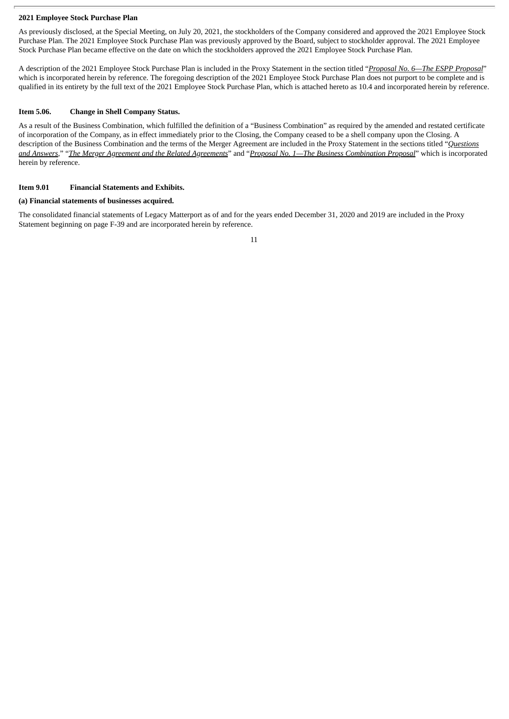# **2021 Employee Stock Purchase Plan**

As previously disclosed, at the Special Meeting, on July 20, 2021, the stockholders of the Company considered and approved the 2021 Employee Stock Purchase Plan. The 2021 Employee Stock Purchase Plan was previously approved by the Board, subject to stockholder approval. The 2021 Employee Stock Purchase Plan became effective on the date on which the stockholders approved the 2021 Employee Stock Purchase Plan.

A description of the 2021 Employee Stock Purchase Plan is included in the Proxy Statement in the section titled "*Proposal No. 6—The ESPP Proposal*" which is incorporated herein by reference. The foregoing description of the 2021 Employee Stock Purchase Plan does not purport to be complete and is qualified in its entirety by the full text of the 2021 Employee Stock Purchase Plan, which is attached hereto as 10.4 and incorporated herein by reference.

#### **Item 5.06. Change in Shell Company Status.**

As a result of the Business Combination, which fulfilled the definition of a "Business Combination" as required by the amended and restated certificate of incorporation of the Company, as in effect immediately prior to the Closing, the Company ceased to be a shell company upon the Closing. A description of the Business Combination and the terms of the Merger Agreement are included in the Proxy Statement in the sections titled "*Questions* and Answers," "The Merger Agreement and the Related Agreements" and "Proposal No. 1-The Business Combination Proposal" which is incorporated herein by reference.

# **Item 9.01 Financial Statements and Exhibits.**

# **(a) Financial statements of businesses acquired.**

The consolidated financial statements of Legacy Matterport as of and for the years ended December 31, 2020 and 2019 are included in the Proxy Statement beginning on page F-39 and are incorporated herein by reference.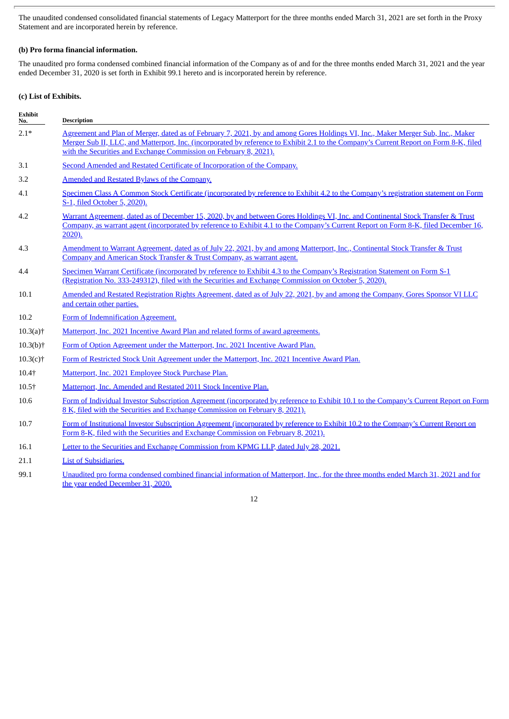The unaudited condensed consolidated financial statements of Legacy Matterport for the three months ended March 31, 2021 are set forth in the Proxy Statement and are incorporated herein by reference.

# **(b) Pro forma financial information.**

The unaudited pro forma condensed combined financial information of the Company as of and for the three months ended March 31, 2021 and the year ended December 31, 2020 is set forth in Exhibit 99.1 hereto and is incorporated herein by reference.

# **(c) List of Exhibits.**

| <b>Exhibit</b><br>No.                  | <b>Description</b>                                                                                                                                                                                                                                                                                                                            |
|----------------------------------------|-----------------------------------------------------------------------------------------------------------------------------------------------------------------------------------------------------------------------------------------------------------------------------------------------------------------------------------------------|
| $2.1*$                                 | Agreement and Plan of Merger, dated as of February 7, 2021, by and among Gores Holdings VI, Inc., Maker Merger Sub, Inc., Maker<br>Merger Sub II, LLC, and Matterport, Inc. (incorporated by reference to Exhibit 2.1 to the Company's Current Report on Form 8-K, filed<br>with the Securities and Exchange Commission on February 8, 2021). |
| 3.1                                    | Second Amended and Restated Certificate of Incorporation of the Company.                                                                                                                                                                                                                                                                      |
| 3.2                                    | Amended and Restated Bylaws of the Company.                                                                                                                                                                                                                                                                                                   |
| 4.1                                    | Specimen Class A Common Stock Certificate (incorporated by reference to Exhibit 4.2 to the Company's registration statement on Form<br>S-1, filed October 5, 2020).                                                                                                                                                                           |
| 4.2                                    | Warrant Agreement, dated as of December 15, 2020, by and between Gores Holdings VI, Inc. and Continental Stock Transfer & Trust<br>Company, as warrant agent (incorporated by reference to Exhibit 4.1 to the Company's Current Report on Form 8-K, filed December 16,<br>$2020$ ).                                                           |
| 4.3                                    | Amendment to Warrant Agreement, dated as of July 22, 2021, by and among Matterport, Inc., Continental Stock Transfer & Trust<br>Company and American Stock Transfer & Trust Company, as warrant agent.                                                                                                                                        |
| 4.4                                    | Specimen Warrant Certificate (incorporated by reference to Exhibit 4.3 to the Company's Registration Statement on Form S-1<br>(Registration No. 333-249312), filed with the Securities and Exchange Commission on October 5, 2020).                                                                                                           |
| 10.1                                   | Amended and Restated Registration Rights Agreement, dated as of July 22, 2021, by and among the Company, Gores Sponsor VI LLC<br>and certain other parties.                                                                                                                                                                                   |
| 10.2                                   | Form of Indemnification Agreement.                                                                                                                                                                                                                                                                                                            |
| $10.3(a)$ <sup>+</sup>                 | Matterport, Inc. 2021 Incentive Award Plan and related forms of award agreements.                                                                                                                                                                                                                                                             |
| $10.3(b)$ <sup>+</sup>                 | Form of Option Agreement under the Matterport, Inc. 2021 Incentive Award Plan.                                                                                                                                                                                                                                                                |
| $10.3(c)$ †                            | Form of Restricted Stock Unit Agreement under the Matterport, Inc. 2021 Incentive Award Plan.                                                                                                                                                                                                                                                 |
| $10.4$ <sup><math>\dagger</math></sup> | Matterport, Inc. 2021 Employee Stock Purchase Plan.                                                                                                                                                                                                                                                                                           |
| $10.5+$                                | Matterport, Inc. Amended and Restated 2011 Stock Incentive Plan.                                                                                                                                                                                                                                                                              |
| 10.6                                   | Form of Individual Investor Subscription Agreement (incorporated by reference to Exhibit 10.1 to the Company's Current Report on Form<br>8 K, filed with the Securities and Exchange Commission on February 8, 2021).                                                                                                                         |
| 10.7                                   | Form of Institutional Investor Subscription Agreement (incorporated by reference to Exhibit 10.2 to the Company's Current Report on<br>Form 8-K, filed with the Securities and Exchange Commission on February 8, 2021).                                                                                                                      |
| 16.1                                   | Letter to the Securities and Exchange Commission from KPMG LLP, dated July 28, 2021.                                                                                                                                                                                                                                                          |
| 21.1                                   | <b>List of Subsidiaries.</b>                                                                                                                                                                                                                                                                                                                  |
| <b>991</b>                             | Unaudited pro forma condensed combined financial information of Matterport. Inc., for the three months ended March 31, 2021 and for                                                                                                                                                                                                           |

99.1 Unaudited pro forma condensed combined financial [information](#page-173-0) of Matterport, Inc., for the three months ended March 31, 2021 and for the year ended December 31, 2020.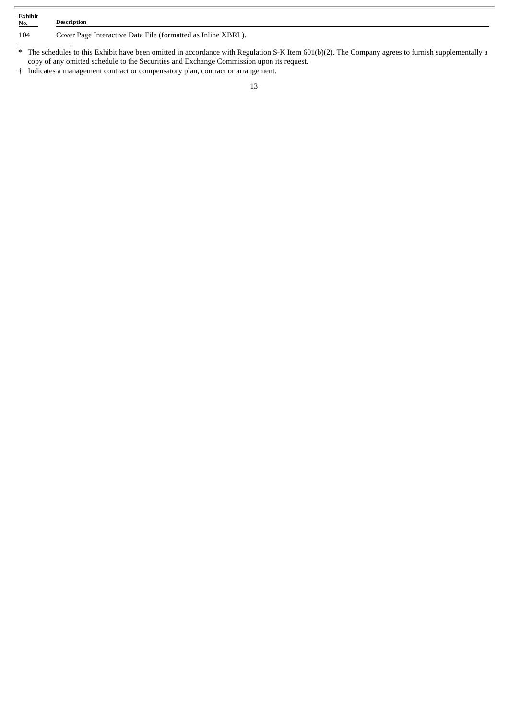| <b>Exhibit</b><br>No.<br><b>Contract Contract Contract Contract</b> | <b>Description</b>                                           |
|---------------------------------------------------------------------|--------------------------------------------------------------|
| 104                                                                 | Cover Page Interactive Data File (formatted as Inline XBRL). |

\* The schedules to this Exhibit have been omitted in accordance with Regulation S-K Item 601(b)(2). The Company agrees to furnish supplementally a copy of any omitted schedule to the Securities and Exchange Commission upon its request.

† Indicates a management contract or compensatory plan, contract or arrangement.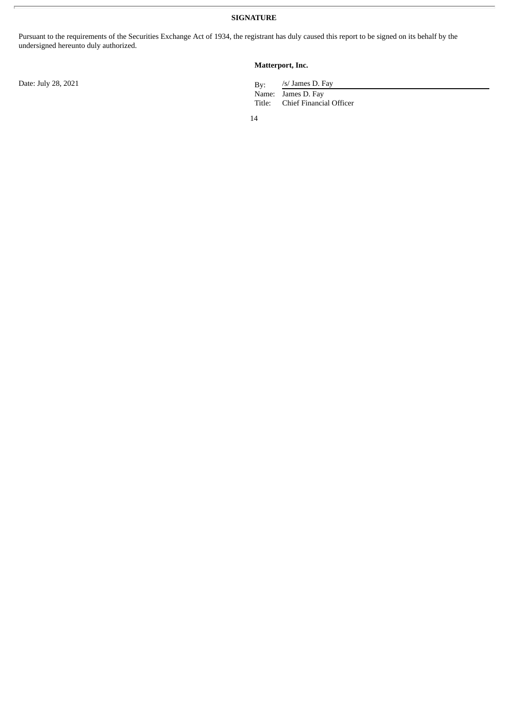Pursuant to the requirements of the Securities Exchange Act of 1934, the registrant has duly caused this report to be signed on its behalf by the undersigned hereunto duly authorized.

# **Matterport, Inc.**

/s/ James D. Fay

Name: James D. Fay Title: Chief Financial Officer

14

Date: July 28, 2021 By: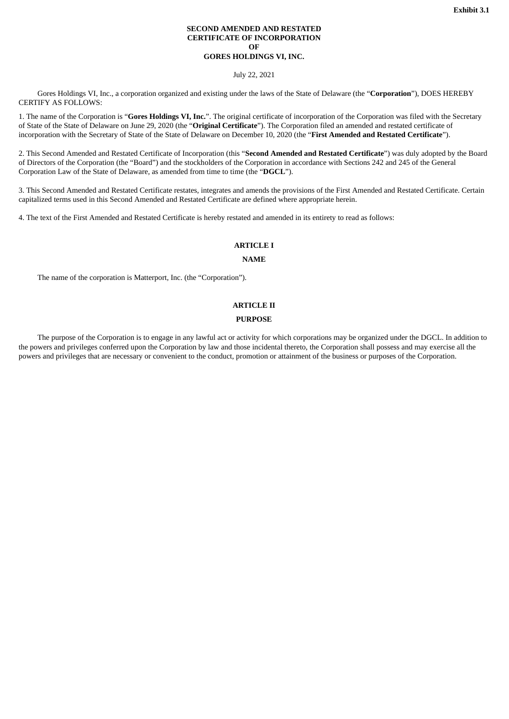#### **SECOND AMENDED AND RESTATED CERTIFICATE OF INCORPORATION OF GORES HOLDINGS VI, INC.**

July 22, 2021

<span id="page-15-0"></span>Gores Holdings VI, Inc., a corporation organized and existing under the laws of the State of Delaware (the "**Corporation**"), DOES HEREBY CERTIFY AS FOLLOWS:

1. The name of the Corporation is "**Gores Holdings VI, Inc.**". The original certificate of incorporation of the Corporation was filed with the Secretary of State of the State of Delaware on June 29, 2020 (the "**Original Certificate**"). The Corporation filed an amended and restated certificate of incorporation with the Secretary of State of the State of Delaware on December 10, 2020 (the "**First Amended and Restated Certificate**").

2. This Second Amended and Restated Certificate of Incorporation (this "**Second Amended and Restated Certificate**") was duly adopted by the Board of Directors of the Corporation (the "Board") and the stockholders of the Corporation in accordance with Sections 242 and 245 of the General Corporation Law of the State of Delaware, as amended from time to time (the "**DGCL**").

3. This Second Amended and Restated Certificate restates, integrates and amends the provisions of the First Amended and Restated Certificate. Certain capitalized terms used in this Second Amended and Restated Certificate are defined where appropriate herein.

4. The text of the First Amended and Restated Certificate is hereby restated and amended in its entirety to read as follows:

#### **ARTICLE I**

#### **NAME**

The name of the corporation is Matterport, Inc. (the "Corporation").

# **ARTICLE II**

# **PURPOSE**

The purpose of the Corporation is to engage in any lawful act or activity for which corporations may be organized under the DGCL. In addition to the powers and privileges conferred upon the Corporation by law and those incidental thereto, the Corporation shall possess and may exercise all the powers and privileges that are necessary or convenient to the conduct, promotion or attainment of the business or purposes of the Corporation.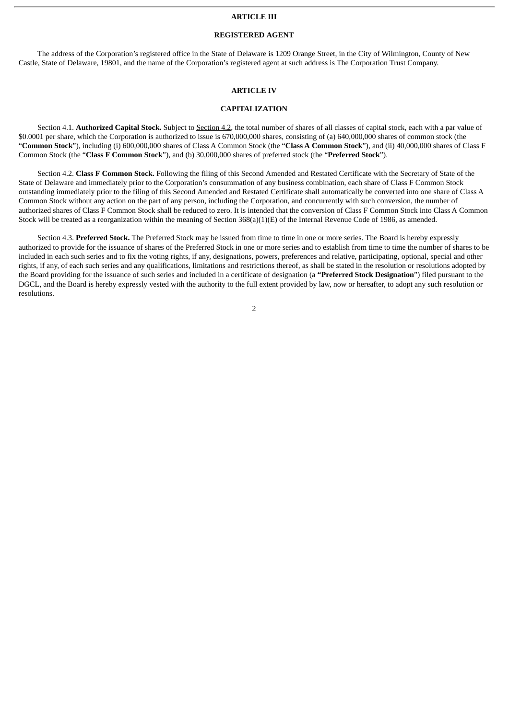#### **ARTICLE III**

# **REGISTERED AGENT**

The address of the Corporation's registered office in the State of Delaware is 1209 Orange Street, in the City of Wilmington, County of New Castle, State of Delaware, 19801, and the name of the Corporation's registered agent at such address is The Corporation Trust Company.

# **ARTICLE IV**

# **CAPITALIZATION**

Section 4.1. **Authorized Capital Stock.** Subject to Section 4.2, the total number of shares of all classes of capital stock, each with a par value of \$0.0001 per share, which the Corporation is authorized to issue is 670,000,000 shares, consisting of (a) 640,000,000 shares of common stock (the "**Common Stock**"), including (i) 600,000,000 shares of Class A Common Stock (the "**Class A Common Stock**"), and (ii) 40,000,000 shares of Class F Common Stock (the "**Class F Common Stock**"), and (b) 30,000,000 shares of preferred stock (the "**Preferred Stock**").

Section 4.2. **Class F Common Stock.** Following the filing of this Second Amended and Restated Certificate with the Secretary of State of the State of Delaware and immediately prior to the Corporation's consummation of any business combination, each share of Class F Common Stock outstanding immediately prior to the filing of this Second Amended and Restated Certificate shall automatically be converted into one share of Class A Common Stock without any action on the part of any person, including the Corporation, and concurrently with such conversion, the number of authorized shares of Class F Common Stock shall be reduced to zero. It is intended that the conversion of Class F Common Stock into Class A Common Stock will be treated as a reorganization within the meaning of Section  $368(a)(1)(E)$  of the Internal Revenue Code of 1986, as amended.

Section 4.3. **Preferred Stock.** The Preferred Stock may be issued from time to time in one or more series. The Board is hereby expressly authorized to provide for the issuance of shares of the Preferred Stock in one or more series and to establish from time to time the number of shares to be included in each such series and to fix the voting rights, if any, designations, powers, preferences and relative, participating, optional, special and other rights, if any, of each such series and any qualifications, limitations and restrictions thereof, as shall be stated in the resolution or resolutions adopted by the Board providing for the issuance of such series and included in a certificate of designation (a **"Preferred Stock Designation**") filed pursuant to the DGCL, and the Board is hereby expressly vested with the authority to the full extent provided by law, now or hereafter, to adopt any such resolution or resolutions.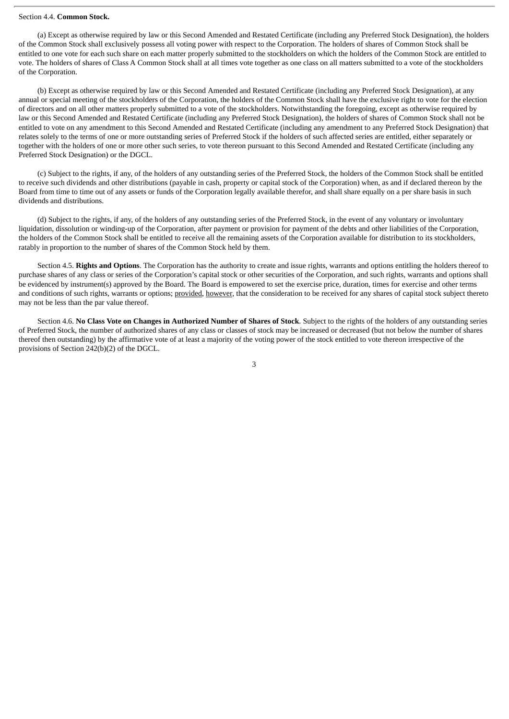#### Section 4.4. **Common Stock.**

(a) Except as otherwise required by law or this Second Amended and Restated Certificate (including any Preferred Stock Designation), the holders of the Common Stock shall exclusively possess all voting power with respect to the Corporation. The holders of shares of Common Stock shall be entitled to one vote for each such share on each matter properly submitted to the stockholders on which the holders of the Common Stock are entitled to vote. The holders of shares of Class A Common Stock shall at all times vote together as one class on all matters submitted to a vote of the stockholders of the Corporation.

(b) Except as otherwise required by law or this Second Amended and Restated Certificate (including any Preferred Stock Designation), at any annual or special meeting of the stockholders of the Corporation, the holders of the Common Stock shall have the exclusive right to vote for the election of directors and on all other matters properly submitted to a vote of the stockholders. Notwithstanding the foregoing, except as otherwise required by law or this Second Amended and Restated Certificate (including any Preferred Stock Designation), the holders of shares of Common Stock shall not be entitled to vote on any amendment to this Second Amended and Restated Certificate (including any amendment to any Preferred Stock Designation) that relates solely to the terms of one or more outstanding series of Preferred Stock if the holders of such affected series are entitled, either separately or together with the holders of one or more other such series, to vote thereon pursuant to this Second Amended and Restated Certificate (including any Preferred Stock Designation) or the DGCL.

(c) Subject to the rights, if any, of the holders of any outstanding series of the Preferred Stock, the holders of the Common Stock shall be entitled to receive such dividends and other distributions (payable in cash, property or capital stock of the Corporation) when, as and if declared thereon by the Board from time to time out of any assets or funds of the Corporation legally available therefor, and shall share equally on a per share basis in such dividends and distributions.

(d) Subject to the rights, if any, of the holders of any outstanding series of the Preferred Stock, in the event of any voluntary or involuntary liquidation, dissolution or winding-up of the Corporation, after payment or provision for payment of the debts and other liabilities of the Corporation, the holders of the Common Stock shall be entitled to receive all the remaining assets of the Corporation available for distribution to its stockholders, ratably in proportion to the number of shares of the Common Stock held by them.

Section 4.5. **Rights and Options**. The Corporation has the authority to create and issue rights, warrants and options entitling the holders thereof to purchase shares of any class or series of the Corporation's capital stock or other securities of the Corporation, and such rights, warrants and options shall be evidenced by instrument(s) approved by the Board. The Board is empowered to set the exercise price, duration, times for exercise and other terms and conditions of such rights, warrants or options; provided, however, that the consideration to be received for any shares of capital stock subject thereto may not be less than the par value thereof.

Section 4.6. No Class Vote on Changes in Authorized Number of Shares of Stock. Subject to the rights of the holders of any outstanding series of Preferred Stock, the number of authorized shares of any class or classes of stock may be increased or decreased (but not below the number of shares thereof then outstanding) by the affirmative vote of at least a majority of the voting power of the stock entitled to vote thereon irrespective of the provisions of Section 242(b)(2) of the DGCL.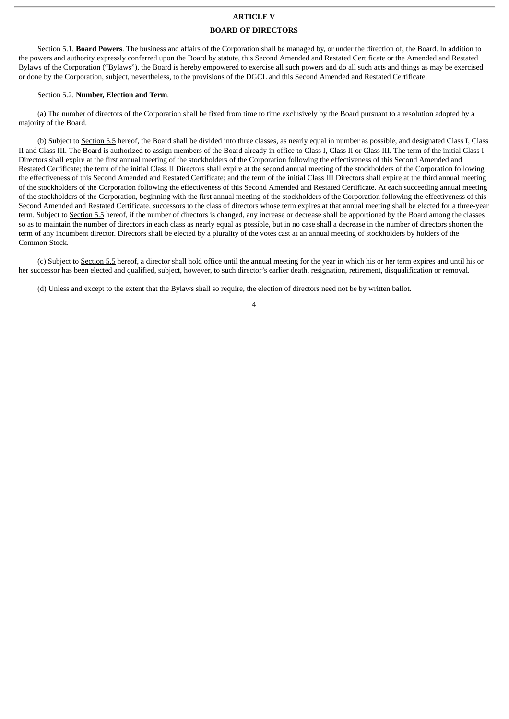# **ARTICLE V**

#### **BOARD OF DIRECTORS**

Section 5.1. **Board Powers**. The business and affairs of the Corporation shall be managed by, or under the direction of, the Board. In addition to the powers and authority expressly conferred upon the Board by statute, this Second Amended and Restated Certificate or the Amended and Restated Bylaws of the Corporation ("Bylaws"), the Board is hereby empowered to exercise all such powers and do all such acts and things as may be exercised or done by the Corporation, subject, nevertheless, to the provisions of the DGCL and this Second Amended and Restated Certificate.

#### Section 5.2. **Number, Election and Term**.

(a) The number of directors of the Corporation shall be fixed from time to time exclusively by the Board pursuant to a resolution adopted by a majority of the Board.

(b) Subject to Section 5.5 hereof, the Board shall be divided into three classes, as nearly equal in number as possible, and designated Class I, Class II and Class III. The Board is authorized to assign members of the Board already in office to Class I, Class II or Class III. The term of the initial Class I Directors shall expire at the first annual meeting of the stockholders of the Corporation following the effectiveness of this Second Amended and Restated Certificate; the term of the initial Class II Directors shall expire at the second annual meeting of the stockholders of the Corporation following the effectiveness of this Second Amended and Restated Certificate; and the term of the initial Class III Directors shall expire at the third annual meeting of the stockholders of the Corporation following the effectiveness of this Second Amended and Restated Certificate. At each succeeding annual meeting of the stockholders of the Corporation, beginning with the first annual meeting of the stockholders of the Corporation following the effectiveness of this Second Amended and Restated Certificate, successors to the class of directors whose term expires at that annual meeting shall be elected for a three-year term. Subject to Section 5.5 hereof, if the number of directors is changed, any increase or decrease shall be apportioned by the Board among the classes so as to maintain the number of directors in each class as nearly equal as possible, but in no case shall a decrease in the number of directors shorten the term of any incumbent director. Directors shall be elected by a plurality of the votes cast at an annual meeting of stockholders by holders of the Common Stock.

(c) Subject to Section 5.5 hereof, a director shall hold office until the annual meeting for the year in which his or her term expires and until his or her successor has been elected and qualified, subject, however, to such director's earlier death, resignation, retirement, disqualification or removal.

(d) Unless and except to the extent that the Bylaws shall so require, the election of directors need not be by written ballot.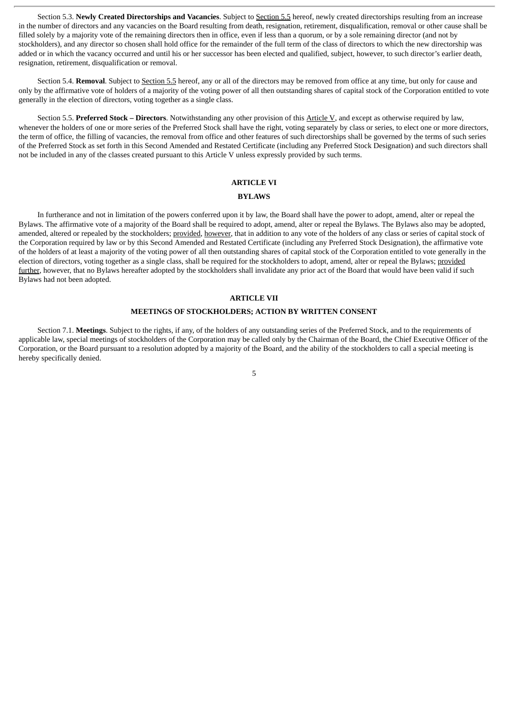Section 5.3. **Newly Created Directorships and Vacancies**. Subject to Section 5.5 hereof, newly created directorships resulting from an increase in the number of directors and any vacancies on the Board resulting from death, resignation, retirement, disqualification, removal or other cause shall be filled solely by a majority vote of the remaining directors then in office, even if less than a quorum, or by a sole remaining director (and not by stockholders), and any director so chosen shall hold office for the remainder of the full term of the class of directors to which the new directorship was added or in which the vacancy occurred and until his or her successor has been elected and qualified, subject, however, to such director's earlier death, resignation, retirement, disqualification or removal.

Section 5.4. **Removal**. Subject to Section 5.5 hereof, any or all of the directors may be removed from office at any time, but only for cause and only by the affirmative vote of holders of a majority of the voting power of all then outstanding shares of capital stock of the Corporation entitled to vote generally in the election of directors, voting together as a single class.

Section 5.5. **Preferred Stock – Directors**. Notwithstanding any other provision of this Article V, and except as otherwise required by law, whenever the holders of one or more series of the Preferred Stock shall have the right, voting separately by class or series, to elect one or more directors, the term of office, the filling of vacancies, the removal from office and other features of such directorships shall be governed by the terms of such series of the Preferred Stock as set forth in this Second Amended and Restated Certificate (including any Preferred Stock Designation) and such directors shall not be included in any of the classes created pursuant to this Article V unless expressly provided by such terms.

#### **ARTICLE VI**

#### **BYLAWS**

In furtherance and not in limitation of the powers conferred upon it by law, the Board shall have the power to adopt, amend, alter or repeal the Bylaws. The affirmative vote of a majority of the Board shall be required to adopt, amend, alter or repeal the Bylaws. The Bylaws also may be adopted, amended, altered or repealed by the stockholders; provided, however, that in addition to any vote of the holders of any class or series of capital stock of the Corporation required by law or by this Second Amended and Restated Certificate (including any Preferred Stock Designation), the affirmative vote of the holders of at least a majority of the voting power of all then outstanding shares of capital stock of the Corporation entitled to vote generally in the election of directors, voting together as a single class, shall be required for the stockholders to adopt, amend, alter or repeal the Bylaws; provided further, however, that no Bylaws hereafter adopted by the stockholders shall invalidate any prior act of the Board that would have been valid if such Bylaws had not been adopted.

# **ARTICLE VII**

#### **MEETINGS OF STOCKHOLDERS; ACTION BY WRITTEN CONSENT**

Section 7.1. **Meetings**. Subject to the rights, if any, of the holders of any outstanding series of the Preferred Stock, and to the requirements of applicable law, special meetings of stockholders of the Corporation may be called only by the Chairman of the Board, the Chief Executive Officer of the Corporation, or the Board pursuant to a resolution adopted by a majority of the Board, and the ability of the stockholders to call a special meeting is hereby specifically denied.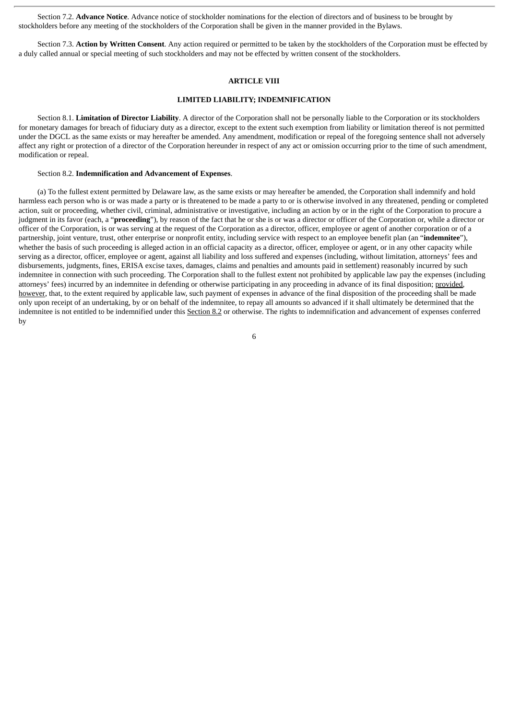Section 7.2. **Advance Notice**. Advance notice of stockholder nominations for the election of directors and of business to be brought by stockholders before any meeting of the stockholders of the Corporation shall be given in the manner provided in the Bylaws.

Section 7.3. **Action by Written Consent**. Any action required or permitted to be taken by the stockholders of the Corporation must be effected by a duly called annual or special meeting of such stockholders and may not be effected by written consent of the stockholders.

# **ARTICLE VIII**

#### **LIMITED LIABILITY; INDEMNIFICATION**

Section 8.1. **Limitation of Director Liability**. A director of the Corporation shall not be personally liable to the Corporation or its stockholders for monetary damages for breach of fiduciary duty as a director, except to the extent such exemption from liability or limitation thereof is not permitted under the DGCL as the same exists or may hereafter be amended. Any amendment, modification or repeal of the foregoing sentence shall not adversely affect any right or protection of a director of the Corporation hereunder in respect of any act or omission occurring prior to the time of such amendment, modification or repeal.

#### Section 8.2. **Indemnification and Advancement of Expenses**.

(a) To the fullest extent permitted by Delaware law, as the same exists or may hereafter be amended, the Corporation shall indemnify and hold harmless each person who is or was made a party or is threatened to be made a party to or is otherwise involved in any threatened, pending or completed action, suit or proceeding, whether civil, criminal, administrative or investigative, including an action by or in the right of the Corporation to procure a judgment in its favor (each, a "**proceeding**"), by reason of the fact that he or she is or was a director or officer of the Corporation or, while a director or officer of the Corporation, is or was serving at the request of the Corporation as a director, officer, employee or agent of another corporation or of a partnership, joint venture, trust, other enterprise or nonprofit entity, including service with respect to an employee benefit plan (an "**indemnitee**"), whether the basis of such proceeding is alleged action in an official capacity as a director, officer, employee or agent, or in any other capacity while serving as a director, officer, employee or agent, against all liability and loss suffered and expenses (including, without limitation, attorneys' fees and disbursements, judgments, fines, ERISA excise taxes, damages, claims and penalties and amounts paid in settlement) reasonably incurred by such indemnitee in connection with such proceeding. The Corporation shall to the fullest extent not prohibited by applicable law pay the expenses (including attorneys' fees) incurred by an indemnitee in defending or otherwise participating in any proceeding in advance of its final disposition; provided, however, that, to the extent required by applicable law, such payment of expenses in advance of the final disposition of the proceeding shall be made only upon receipt of an undertaking, by or on behalf of the indemnitee, to repay all amounts so advanced if it shall ultimately be determined that the indemnitee is not entitled to be indemnified under this Section 8.2 or otherwise. The rights to indemnification and advancement of expenses conferred by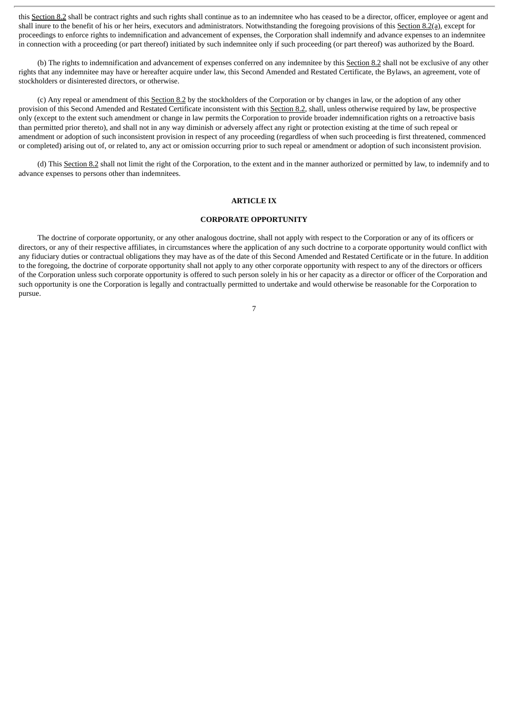this Section 8.2 shall be contract rights and such rights shall continue as to an indemnitee who has ceased to be a director, officer, employee or agent and shall inure to the benefit of his or her heirs, executors and administrators. Notwithstanding the foregoing provisions of this Section 8.2(a), except for proceedings to enforce rights to indemnification and advancement of expenses, the Corporation shall indemnify and advance expenses to an indemnitee in connection with a proceeding (or part thereof) initiated by such indemnitee only if such proceeding (or part thereof) was authorized by the Board.

(b) The rights to indemnification and advancement of expenses conferred on any indemnitee by this Section 8.2 shall not be exclusive of any other rights that any indemnitee may have or hereafter acquire under law, this Second Amended and Restated Certificate, the Bylaws, an agreement, vote of stockholders or disinterested directors, or otherwise.

(c) Any repeal or amendment of this Section 8.2 by the stockholders of the Corporation or by changes in law, or the adoption of any other provision of this Second Amended and Restated Certificate inconsistent with this Section 8.2, shall, unless otherwise required by law, be prospective only (except to the extent such amendment or change in law permits the Corporation to provide broader indemnification rights on a retroactive basis than permitted prior thereto), and shall not in any way diminish or adversely affect any right or protection existing at the time of such repeal or amendment or adoption of such inconsistent provision in respect of any proceeding (regardless of when such proceeding is first threatened, commenced or completed) arising out of, or related to, any act or omission occurring prior to such repeal or amendment or adoption of such inconsistent provision.

(d) This Section 8.2 shall not limit the right of the Corporation, to the extent and in the manner authorized or permitted by law, to indemnify and to advance expenses to persons other than indemnitees.

#### **ARTICLE IX**

# **CORPORATE OPPORTUNITY**

The doctrine of corporate opportunity, or any other analogous doctrine, shall not apply with respect to the Corporation or any of its officers or directors, or any of their respective affiliates, in circumstances where the application of any such doctrine to a corporate opportunity would conflict with any fiduciary duties or contractual obligations they may have as of the date of this Second Amended and Restated Certificate or in the future. In addition to the foregoing, the doctrine of corporate opportunity shall not apply to any other corporate opportunity with respect to any of the directors or officers of the Corporation unless such corporate opportunity is offered to such person solely in his or her capacity as a director or officer of the Corporation and such opportunity is one the Corporation is legally and contractually permitted to undertake and would otherwise be reasonable for the Corporation to pursue.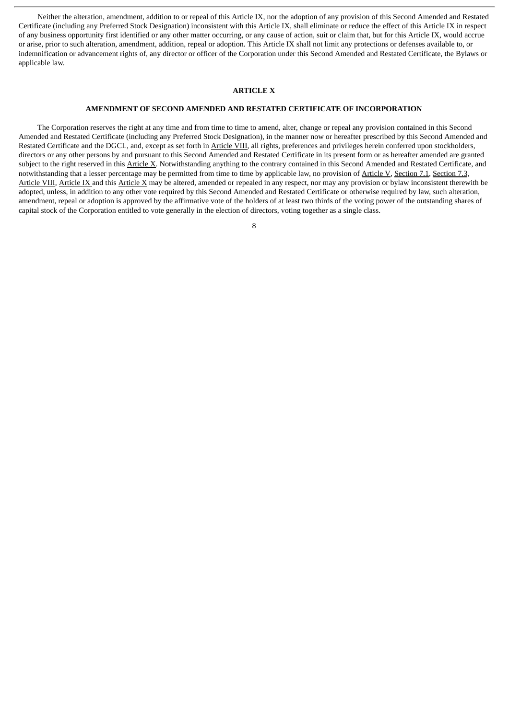Neither the alteration, amendment, addition to or repeal of this Article IX, nor the adoption of any provision of this Second Amended and Restated Certificate (including any Preferred Stock Designation) inconsistent with this Article IX, shall eliminate or reduce the effect of this Article IX in respect of any business opportunity first identified or any other matter occurring, or any cause of action, suit or claim that, but for this Article IX, would accrue or arise, prior to such alteration, amendment, addition, repeal or adoption. This Article IX shall not limit any protections or defenses available to, or indemnification or advancement rights of, any director or officer of the Corporation under this Second Amended and Restated Certificate, the Bylaws or applicable law.

#### **ARTICLE X**

# **AMENDMENT OF SECOND AMENDED AND RESTATED CERTIFICATE OF INCORPORATION**

The Corporation reserves the right at any time and from time to time to amend, alter, change or repeal any provision contained in this Second Amended and Restated Certificate (including any Preferred Stock Designation), in the manner now or hereafter prescribed by this Second Amended and Restated Certificate and the DGCL, and, except as set forth in Article VIII, all rights, preferences and privileges herein conferred upon stockholders, directors or any other persons by and pursuant to this Second Amended and Restated Certificate in its present form or as hereafter amended are granted subject to the right reserved in this Article X. Notwithstanding anything to the contrary contained in this Second Amended and Restated Certificate, and notwithstanding that a lesser percentage may be permitted from time to time by applicable law, no provision of Article V, Section 7.1, Section 7.3, Article VIII*,* Article IX and this Article X may be altered, amended or repealed in any respect, nor may any provision or bylaw inconsistent therewith be adopted, unless, in addition to any other vote required by this Second Amended and Restated Certificate or otherwise required by law, such alteration, amendment, repeal or adoption is approved by the affirmative vote of the holders of at least two thirds of the voting power of the outstanding shares of capital stock of the Corporation entitled to vote generally in the election of directors, voting together as a single class.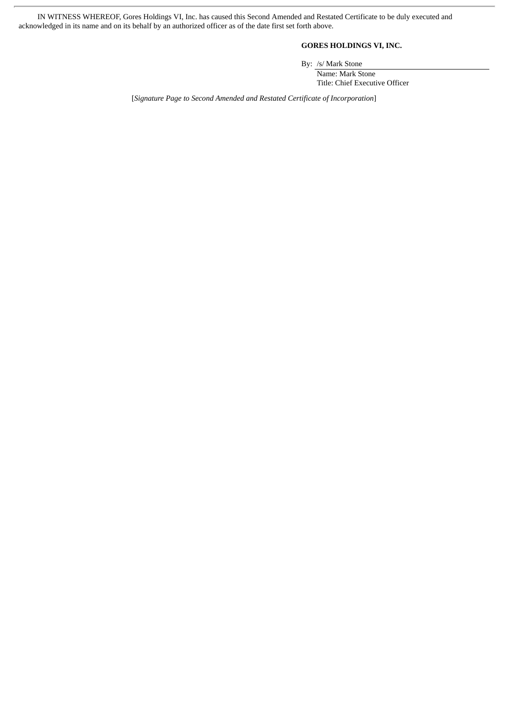IN WITNESS WHEREOF, Gores Holdings VI, Inc. has caused this Second Amended and Restated Certificate to be duly executed and acknowledged in its name and on its behalf by an authorized officer as of the date first set forth above.

# **GORES HOLDINGS VI, INC.**

By: /s/ Mark Stone

Name: Mark Stone Title: Chief Executive Officer

[*Signature Page to Second Amended and Restated Certificate of Incorporation*]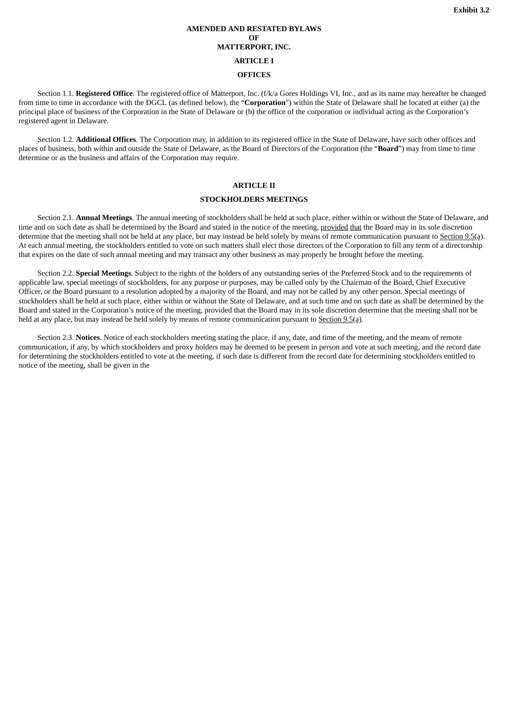# **AMENDED AND RESTATED BYLAWS OF MATTERPORT, INC. ARTICLE I OFFICES**

<span id="page-24-0"></span>Section 1.1. **Registered Office**. The registered office of Matterport, Inc. (f/k/a Gores Holdings VI, Inc., and as its name may hereafter be changed from time to time in accordance with the DGCL (as defined below), the "**Corporation**") within the State of Delaware shall be located at either (a) the principal place of business of the Corporation in the State of Delaware or (b) the office of the corporation or individual acting as the Corporation's registered agent in Delaware.

Section 1.2. **Additional Offices**. The Corporation may, in addition to its registered office in the State of Delaware, have such other offices and places of business, both within and outside the State of Delaware, as the Board of Directors of the Corporation (the "**Board**") may from time to time determine or as the business and affairs of the Corporation may require.

# **ARTICLE II**

#### **STOCKHOLDERS MEETINGS**

Section 2.1. **Annual Meetings**. The annual meeting of stockholders shall be held at such place, either within or without the State of Delaware, and time and on such date as shall be determined by the Board and stated in the notice of the meeting, provided that the Board may in its sole discretion determine that the meeting shall not be held at any place, but may instead be held solely by means of remote communication pursuant to Section 9.5(a). At each annual meeting, the stockholders entitled to vote on such matters shall elect those directors of the Corporation to fill any term of a directorship that expires on the date of such annual meeting and may transact any other business as may properly be brought before the meeting.

Section 2.2. **Special Meetings**. Subject to the rights of the holders of any outstanding series of the Preferred Stock and to the requirements of applicable law, special meetings of stockholders, for any purpose or purposes, may be called only by the Chairman of the Board, Chief Executive Officer, or the Board pursuant to a resolution adopted by a majority of the Board, and may not be called by any other person. Special meetings of stockholders shall be held at such place, either within or without the State of Delaware, and at such time and on such date as shall be determined by the Board and stated in the Corporation's notice of the meeting, provided that the Board may in its sole discretion determine that the meeting shall not be held at any place, but may instead be held solely by means of remote communication pursuant to Section 9.5(a).

Section 2.3. **Notices**. Notice of each stockholders meeting stating the place, if any, date, and time of the meeting, and the means of remote communication, if any, by which stockholders and proxy holders may be deemed to be present in person and vote at such meeting, and the record date for determining the stockholders entitled to vote at the meeting, if such date is different from the record date for determining stockholders entitled to notice of the meeting, shall be given in the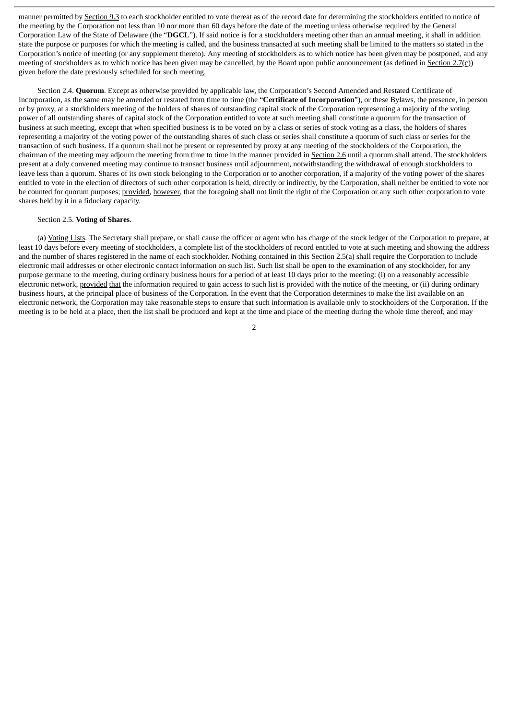manner permitted by Section 9.3 to each stockholder entitled to vote thereat as of the record date for determining the stockholders entitled to notice of the meeting by the Corporation not less than 10 nor more than 60 days before the date of the meeting unless otherwise required by the General Corporation Law of the State of Delaware (the "**DGCL**"). If said notice is for a stockholders meeting other than an annual meeting, it shall in addition state the purpose or purposes for which the meeting is called, and the business transacted at such meeting shall be limited to the matters so stated in the Corporation's notice of meeting (or any supplement thereto). Any meeting of stockholders as to which notice has been given may be postponed, and any meeting of stockholders as to which notice has been given may be cancelled, by the Board upon public announcement (as defined in Section 2.7(c)) given before the date previously scheduled for such meeting.

Section 2.4. **Quorum**. Except as otherwise provided by applicable law, the Corporation's Second Amended and Restated Certificate of Incorporation, as the same may be amended or restated from time to time (the "**Certificate of Incorporation**"), or these Bylaws, the presence, in person or by proxy, at a stockholders meeting of the holders of shares of outstanding capital stock of the Corporation representing a majority of the voting power of all outstanding shares of capital stock of the Corporation entitled to vote at such meeting shall constitute a quorum for the transaction of business at such meeting, except that when specified business is to be voted on by a class or series of stock voting as a class, the holders of shares representing a majority of the voting power of the outstanding shares of such class or series shall constitute a quorum of such class or series for the transaction of such business. If a quorum shall not be present or represented by proxy at any meeting of the stockholders of the Corporation, the chairman of the meeting may adjourn the meeting from time to time in the manner provided in Section 2.6 until a quorum shall attend. The stockholders present at a duly convened meeting may continue to transact business until adjournment, notwithstanding the withdrawal of enough stockholders to leave less than a quorum. Shares of its own stock belonging to the Corporation or to another corporation, if a majority of the voting power of the shares entitled to vote in the election of directors of such other corporation is held, directly or indirectly, by the Corporation, shall neither be entitled to vote nor be counted for quorum purposes; provided, however, that the foregoing shall not limit the right of the Corporation or any such other corporation to vote shares held by it in a fiduciary capacity.

#### Section 2.5. **Voting of Shares**.

(a) Voting Lists. The Secretary shall prepare, or shall cause the officer or agent who has charge of the stock ledger of the Corporation to prepare, at least 10 days before every meeting of stockholders, a complete list of the stockholders of record entitled to vote at such meeting and showing the address and the number of shares registered in the name of each stockholder. Nothing contained in this Section 2.5(a) shall require the Corporation to include electronic mail addresses or other electronic contact information on such list. Such list shall be open to the examination of any stockholder, for any purpose germane to the meeting, during ordinary business hours for a period of at least 10 days prior to the meeting: (i) on a reasonably accessible electronic network, provided that the information required to gain access to such list is provided with the notice of the meeting, or (ii) during ordinary business hours, at the principal place of business of the Corporation. In the event that the Corporation determines to make the list available on an electronic network, the Corporation may take reasonable steps to ensure that such information is available only to stockholders of the Corporation. If the meeting is to be held at a place, then the list shall be produced and kept at the time and place of the meeting during the whole time thereof, and may

 $\overline{2}$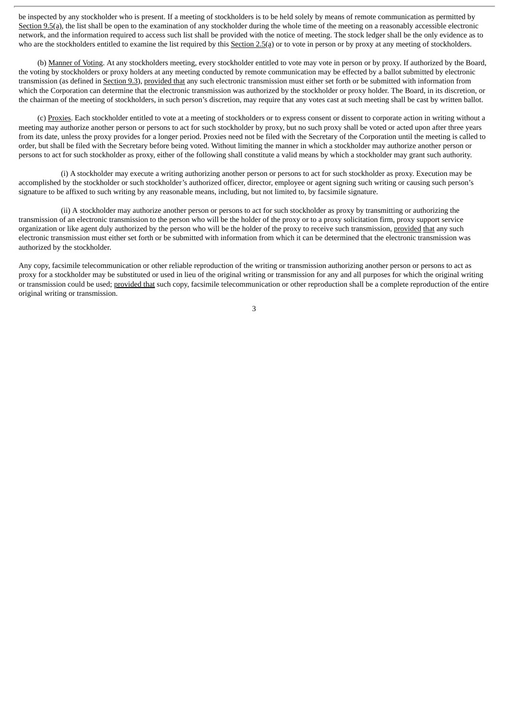be inspected by any stockholder who is present. If a meeting of stockholders is to be held solely by means of remote communication as permitted by Section 9.5(a), the list shall be open to the examination of any stockholder during the whole time of the meeting on a reasonably accessible electronic network, and the information required to access such list shall be provided with the notice of meeting. The stock ledger shall be the only evidence as to who are the stockholders entitled to examine the list required by this Section 2.5(a) or to vote in person or by proxy at any meeting of stockholders.

(b) Manner of Voting. At any stockholders meeting, every stockholder entitled to vote may vote in person or by proxy. If authorized by the Board, the voting by stockholders or proxy holders at any meeting conducted by remote communication may be effected by a ballot submitted by electronic transmission (as defined in Section 9.3), provided that any such electronic transmission must either set forth or be submitted with information from which the Corporation can determine that the electronic transmission was authorized by the stockholder or proxy holder. The Board, in its discretion, or the chairman of the meeting of stockholders, in such person's discretion, may require that any votes cast at such meeting shall be cast by written ballot.

(c) Proxies. Each stockholder entitled to vote at a meeting of stockholders or to express consent or dissent to corporate action in writing without a meeting may authorize another person or persons to act for such stockholder by proxy, but no such proxy shall be voted or acted upon after three years from its date, unless the proxy provides for a longer period. Proxies need not be filed with the Secretary of the Corporation until the meeting is called to order, but shall be filed with the Secretary before being voted. Without limiting the manner in which a stockholder may authorize another person or persons to act for such stockholder as proxy, either of the following shall constitute a valid means by which a stockholder may grant such authority.

(i) A stockholder may execute a writing authorizing another person or persons to act for such stockholder as proxy. Execution may be accomplished by the stockholder or such stockholder's authorized officer, director, employee or agent signing such writing or causing such person's signature to be affixed to such writing by any reasonable means, including, but not limited to, by facsimile signature.

(ii) A stockholder may authorize another person or persons to act for such stockholder as proxy by transmitting or authorizing the transmission of an electronic transmission to the person who will be the holder of the proxy or to a proxy solicitation firm, proxy support service organization or like agent duly authorized by the person who will be the holder of the proxy to receive such transmission, provided that any such electronic transmission must either set forth or be submitted with information from which it can be determined that the electronic transmission was authorized by the stockholder.

Any copy, facsimile telecommunication or other reliable reproduction of the writing or transmission authorizing another person or persons to act as proxy for a stockholder may be substituted or used in lieu of the original writing or transmission for any and all purposes for which the original writing or transmission could be used; provided that such copy, facsimile telecommunication or other reproduction shall be a complete reproduction of the entire original writing or transmission.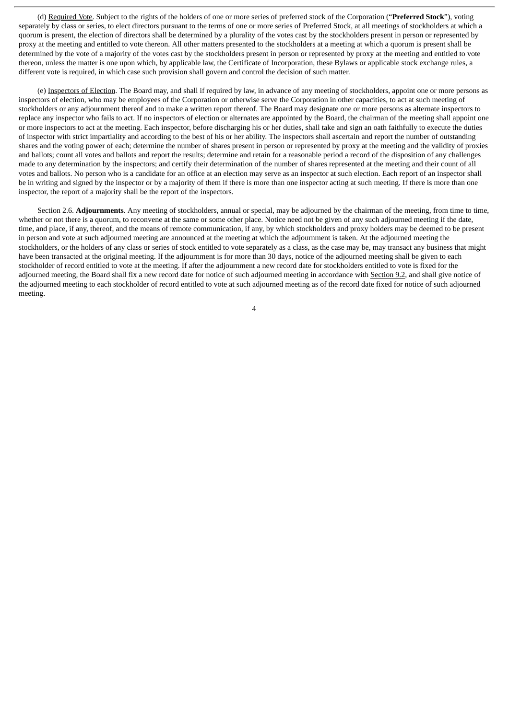(d) Required Vote. Subject to the rights of the holders of one or more series of preferred stock of the Corporation ("**Preferred Stock**"), voting separately by class or series, to elect directors pursuant to the terms of one or more series of Preferred Stock, at all meetings of stockholders at which a quorum is present, the election of directors shall be determined by a plurality of the votes cast by the stockholders present in person or represented by proxy at the meeting and entitled to vote thereon. All other matters presented to the stockholders at a meeting at which a quorum is present shall be determined by the vote of a majority of the votes cast by the stockholders present in person or represented by proxy at the meeting and entitled to vote thereon, unless the matter is one upon which, by applicable law, the Certificate of Incorporation, these Bylaws or applicable stock exchange rules, a different vote is required, in which case such provision shall govern and control the decision of such matter.

(e) Inspectors of Election. The Board may, and shall if required by law, in advance of any meeting of stockholders, appoint one or more persons as inspectors of election, who may be employees of the Corporation or otherwise serve the Corporation in other capacities, to act at such meeting of stockholders or any adjournment thereof and to make a written report thereof. The Board may designate one or more persons as alternate inspectors to replace any inspector who fails to act. If no inspectors of election or alternates are appointed by the Board, the chairman of the meeting shall appoint one or more inspectors to act at the meeting. Each inspector, before discharging his or her duties, shall take and sign an oath faithfully to execute the duties of inspector with strict impartiality and according to the best of his or her ability. The inspectors shall ascertain and report the number of outstanding shares and the voting power of each; determine the number of shares present in person or represented by proxy at the meeting and the validity of proxies and ballots; count all votes and ballots and report the results; determine and retain for a reasonable period a record of the disposition of any challenges made to any determination by the inspectors; and certify their determination of the number of shares represented at the meeting and their count of all votes and ballots. No person who is a candidate for an office at an election may serve as an inspector at such election. Each report of an inspector shall be in writing and signed by the inspector or by a majority of them if there is more than one inspector acting at such meeting. If there is more than one inspector, the report of a majority shall be the report of the inspectors.

Section 2.6. **Adjournments**. Any meeting of stockholders, annual or special, may be adjourned by the chairman of the meeting, from time to time, whether or not there is a quorum, to reconvene at the same or some other place. Notice need not be given of any such adjourned meeting if the date, time, and place, if any, thereof, and the means of remote communication, if any, by which stockholders and proxy holders may be deemed to be present in person and vote at such adjourned meeting are announced at the meeting at which the adjournment is taken. At the adjourned meeting the stockholders, or the holders of any class or series of stock entitled to vote separately as a class, as the case may be, may transact any business that might have been transacted at the original meeting. If the adjournment is for more than 30 days, notice of the adjourned meeting shall be given to each stockholder of record entitled to vote at the meeting. If after the adjournment a new record date for stockholders entitled to vote is fixed for the adjourned meeting, the Board shall fix a new record date for notice of such adjourned meeting in accordance with Section 9.2, and shall give notice of the adjourned meeting to each stockholder of record entitled to vote at such adjourned meeting as of the record date fixed for notice of such adjourned meeting.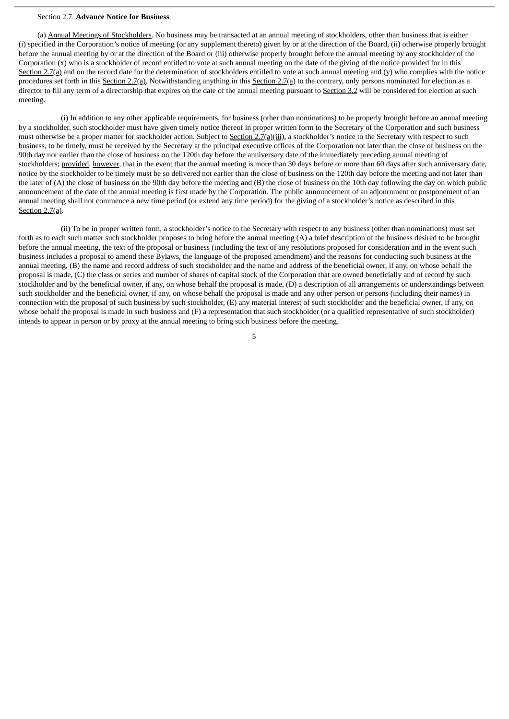#### Section 2.7. **Advance Notice for Business**.

(a) Annual Meetings of Stockholders. No business may be transacted at an annual meeting of stockholders, other than business that is either (i) specified in the Corporation's notice of meeting (or any supplement thereto) given by or at the direction of the Board, (ii) otherwise properly brought before the annual meeting by or at the direction of the Board or (iii) otherwise properly brought before the annual meeting by any stockholder of the Corporation (x) who is a stockholder of record entitled to vote at such annual meeting on the date of the giving of the notice provided for in this Section 2.7(a) and on the record date for the determination of stockholders entitled to vote at such annual meeting and (y) who complies with the notice procedures set forth in this Section 2.7(a). Notwithstanding anything in this Section 2.7(a) to the contrary, only persons nominated for election as a director to fill any term of a directorship that expires on the date of the annual meeting pursuant to Section 3.2 will be considered for election at such meeting.

(i) In addition to any other applicable requirements, for business (other than nominations) to be properly brought before an annual meeting by a stockholder, such stockholder must have given timely notice thereof in proper written form to the Secretary of the Corporation and such business must otherwise be a proper matter for stockholder action. Subject to Section 2.7(a)(iii), a stockholder's notice to the Secretary with respect to such business, to be timely, must be received by the Secretary at the principal executive offices of the Corporation not later than the close of business on the 90th day nor earlier than the close of business on the 120th day before the anniversary date of the immediately preceding annual meeting of stockholders; provided, however, that in the event that the annual meeting is more than 30 days before or more than 60 days after such anniversary date, notice by the stockholder to be timely must be so delivered not earlier than the close of business on the 120th day before the meeting and not later than the later of (A) the close of business on the 90th day before the meeting and (B) the close of business on the 10th day following the day on which public announcement of the date of the annual meeting is first made by the Corporation. The public announcement of an adjournment or postponement of an annual meeting shall not commence a new time period (or extend any time period) for the giving of a stockholder's notice as described in this Section 2.7(a).

(ii) To be in proper written form, a stockholder's notice to the Secretary with respect to any business (other than nominations) must set forth as to each such matter such stockholder proposes to bring before the annual meeting (A) a brief description of the business desired to be brought before the annual meeting, the text of the proposal or business (including the text of any resolutions proposed for consideration and in the event such business includes a proposal to amend these Bylaws, the language of the proposed amendment) and the reasons for conducting such business at the annual meeting, (B) the name and record address of such stockholder and the name and address of the beneficial owner, if any, on whose behalf the proposal is made, (C) the class or series and number of shares of capital stock of the Corporation that are owned beneficially and of record by such stockholder and by the beneficial owner, if any, on whose behalf the proposal is made, (D) a description of all arrangements or understandings between such stockholder and the beneficial owner, if any, on whose behalf the proposal is made and any other person or persons (including their names) in connection with the proposal of such business by such stockholder, (E) any material interest of such stockholder and the beneficial owner, if any, on whose behalf the proposal is made in such business and (F) a representation that such stockholder (or a qualified representative of such stockholder) intends to appear in person or by proxy at the annual meeting to bring such business before the meeting.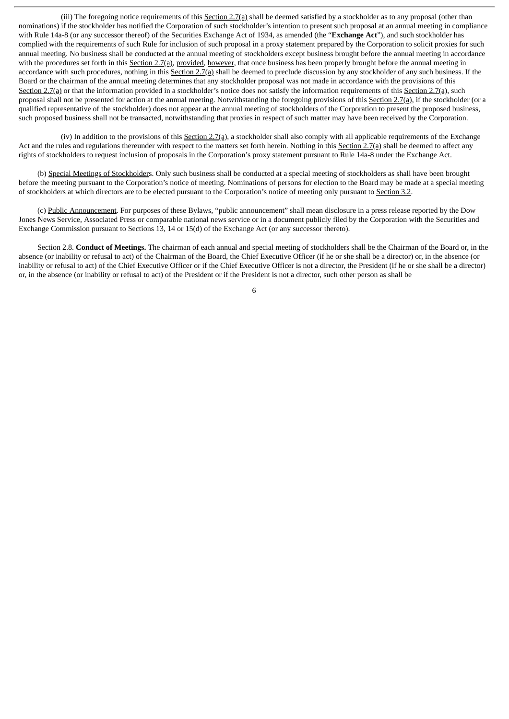(iii) The foregoing notice requirements of this Section 2.7(a) shall be deemed satisfied by a stockholder as to any proposal (other than nominations) if the stockholder has notified the Corporation of such stockholder's intention to present such proposal at an annual meeting in compliance with Rule 14a-8 (or any successor thereof) of the Securities Exchange Act of 1934, as amended (the "**Exchange Act**"), and such stockholder has complied with the requirements of such Rule for inclusion of such proposal in a proxy statement prepared by the Corporation to solicit proxies for such annual meeting. No business shall be conducted at the annual meeting of stockholders except business brought before the annual meeting in accordance with the procedures set forth in this Section 2.7(a), provided, however, that once business has been properly brought before the annual meeting in accordance with such procedures, nothing in this Section 2.7(a) shall be deemed to preclude discussion by any stockholder of any such business. If the Board or the chairman of the annual meeting determines that any stockholder proposal was not made in accordance with the provisions of this Section 2.7(a) or that the information provided in a stockholder's notice does not satisfy the information requirements of this Section 2.7(a), such proposal shall not be presented for action at the annual meeting. Notwithstanding the foregoing provisions of this Section 2.7(a), if the stockholder (or a qualified representative of the stockholder) does not appear at the annual meeting of stockholders of the Corporation to present the proposed business, such proposed business shall not be transacted, notwithstanding that proxies in respect of such matter may have been received by the Corporation.

(iv) In addition to the provisions of this Section 2.7(a), a stockholder shall also comply with all applicable requirements of the Exchange Act and the rules and regulations thereunder with respect to the matters set forth herein. Nothing in this Section 2.7(a) shall be deemed to affect any rights of stockholders to request inclusion of proposals in the Corporation's proxy statement pursuant to Rule 14a-8 under the Exchange Act.

(b) Special Meetings of Stockholders. Only such business shall be conducted at a special meeting of stockholders as shall have been brought before the meeting pursuant to the Corporation's notice of meeting. Nominations of persons for election to the Board may be made at a special meeting of stockholders at which directors are to be elected pursuant to the Corporation's notice of meeting only pursuant to Section 3.2.

(c) Public Announcement. For purposes of these Bylaws, "public announcement" shall mean disclosure in a press release reported by the Dow Jones News Service, Associated Press or comparable national news service or in a document publicly filed by the Corporation with the Securities and Exchange Commission pursuant to Sections 13, 14 or 15(d) of the Exchange Act (or any successor thereto).

Section 2.8. **Conduct of Meetings.** The chairman of each annual and special meeting of stockholders shall be the Chairman of the Board or, in the absence (or inability or refusal to act) of the Chairman of the Board, the Chief Executive Officer (if he or she shall be a director) or, in the absence (or inability or refusal to act) of the Chief Executive Officer or if the Chief Executive Officer is not a director, the President (if he or she shall be a director) or, in the absence (or inability or refusal to act) of the President or if the President is not a director, such other person as shall be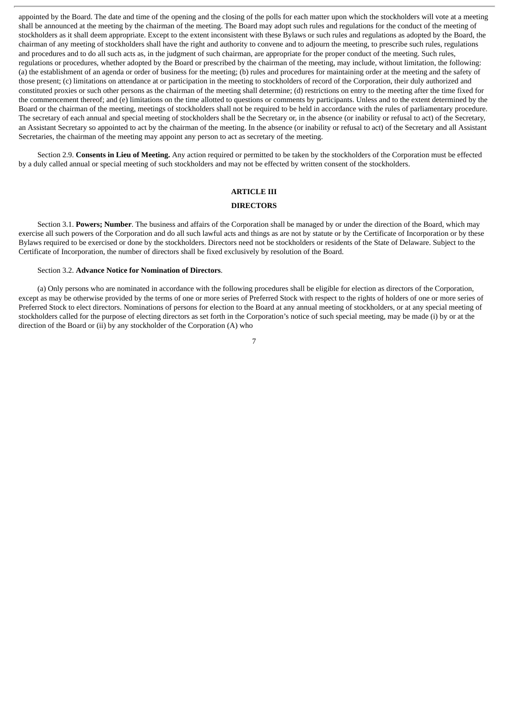appointed by the Board. The date and time of the opening and the closing of the polls for each matter upon which the stockholders will vote at a meeting shall be announced at the meeting by the chairman of the meeting. The Board may adopt such rules and regulations for the conduct of the meeting of stockholders as it shall deem appropriate. Except to the extent inconsistent with these Bylaws or such rules and regulations as adopted by the Board, the chairman of any meeting of stockholders shall have the right and authority to convene and to adjourn the meeting, to prescribe such rules, regulations and procedures and to do all such acts as, in the judgment of such chairman, are appropriate for the proper conduct of the meeting. Such rules, regulations or procedures, whether adopted by the Board or prescribed by the chairman of the meeting, may include, without limitation, the following: (a) the establishment of an agenda or order of business for the meeting; (b) rules and procedures for maintaining order at the meeting and the safety of those present; (c) limitations on attendance at or participation in the meeting to stockholders of record of the Corporation, their duly authorized and constituted proxies or such other persons as the chairman of the meeting shall determine; (d) restrictions on entry to the meeting after the time fixed for the commencement thereof; and (e) limitations on the time allotted to questions or comments by participants. Unless and to the extent determined by the Board or the chairman of the meeting, meetings of stockholders shall not be required to be held in accordance with the rules of parliamentary procedure. The secretary of each annual and special meeting of stockholders shall be the Secretary or, in the absence (or inability or refusal to act) of the Secretary, an Assistant Secretary so appointed to act by the chairman of the meeting. In the absence (or inability or refusal to act) of the Secretary and all Assistant Secretaries, the chairman of the meeting may appoint any person to act as secretary of the meeting.

Section 2.9. **Consents in Lieu of Meeting.** Any action required or permitted to be taken by the stockholders of the Corporation must be effected by a duly called annual or special meeting of such stockholders and may not be effected by written consent of the stockholders.

# **ARTICLE III**

# **DIRECTORS**

Section 3.1. **Powers; Number**. The business and affairs of the Corporation shall be managed by or under the direction of the Board, which may exercise all such powers of the Corporation and do all such lawful acts and things as are not by statute or by the Certificate of Incorporation or by these Bylaws required to be exercised or done by the stockholders. Directors need not be stockholders or residents of the State of Delaware. Subject to the Certificate of Incorporation, the number of directors shall be fixed exclusively by resolution of the Board.

#### Section 3.2. **Advance Notice for Nomination of Directors**.

(a) Only persons who are nominated in accordance with the following procedures shall be eligible for election as directors of the Corporation, except as may be otherwise provided by the terms of one or more series of Preferred Stock with respect to the rights of holders of one or more series of Preferred Stock to elect directors. Nominations of persons for election to the Board at any annual meeting of stockholders, or at any special meeting of stockholders called for the purpose of electing directors as set forth in the Corporation's notice of such special meeting, may be made (i) by or at the direction of the Board or (ii) by any stockholder of the Corporation (A) who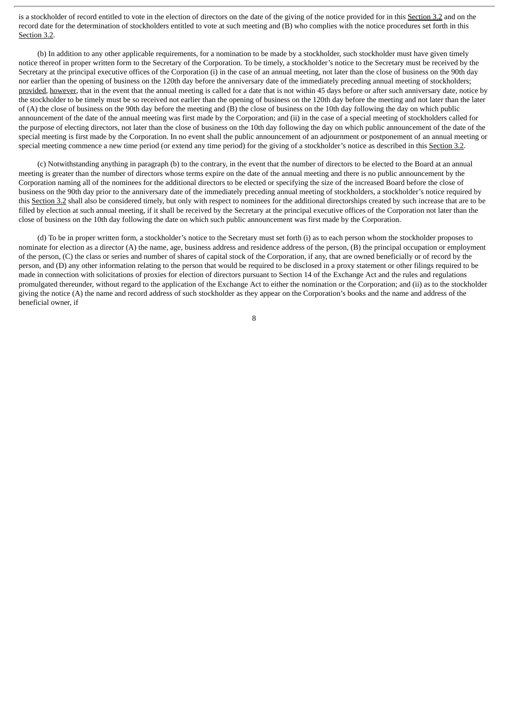is a stockholder of record entitled to vote in the election of directors on the date of the giving of the notice provided for in this Section 3.2 and on the record date for the determination of stockholders entitled to vote at such meeting and (B) who complies with the notice procedures set forth in this Section 3.2.

(b) In addition to any other applicable requirements, for a nomination to be made by a stockholder, such stockholder must have given timely notice thereof in proper written form to the Secretary of the Corporation. To be timely, a stockholder's notice to the Secretary must be received by the Secretary at the principal executive offices of the Corporation (i) in the case of an annual meeting, not later than the close of business on the 90th day nor earlier than the opening of business on the 120th day before the anniversary date of the immediately preceding annual meeting of stockholders; provided, however, that in the event that the annual meeting is called for a date that is not within 45 days before or after such anniversary date, notice by the stockholder to be timely must be so received not earlier than the opening of business on the 120th day before the meeting and not later than the later of (A) the close of business on the 90th day before the meeting and (B) the close of business on the 10th day following the day on which public announcement of the date of the annual meeting was first made by the Corporation; and (ii) in the case of a special meeting of stockholders called for the purpose of electing directors, not later than the close of business on the 10th day following the day on which public announcement of the date of the special meeting is first made by the Corporation. In no event shall the public announcement of an adjournment or postponement of an annual meeting or special meeting commence a new time period (or extend any time period) for the giving of a stockholder's notice as described in this Section 3.2.

(c) Notwithstanding anything in paragraph (b) to the contrary, in the event that the number of directors to be elected to the Board at an annual meeting is greater than the number of directors whose terms expire on the date of the annual meeting and there is no public announcement by the Corporation naming all of the nominees for the additional directors to be elected or specifying the size of the increased Board before the close of business on the 90th day prior to the anniversary date of the immediately preceding annual meeting of stockholders, a stockholder's notice required by this Section 3.2 shall also be considered timely, but only with respect to nominees for the additional directorships created by such increase that are to be filled by election at such annual meeting, if it shall be received by the Secretary at the principal executive offices of the Corporation not later than the close of business on the 10th day following the date on which such public announcement was first made by the Corporation.

(d) To be in proper written form, a stockholder's notice to the Secretary must set forth (i) as to each person whom the stockholder proposes to nominate for election as a director (A) the name, age, business address and residence address of the person, (B) the principal occupation or employment of the person, (C) the class or series and number of shares of capital stock of the Corporation, if any, that are owned beneficially or of record by the person, and (D) any other information relating to the person that would be required to be disclosed in a proxy statement or other filings required to be made in connection with solicitations of proxies for election of directors pursuant to Section 14 of the Exchange Act and the rules and regulations promulgated thereunder, without regard to the application of the Exchange Act to either the nomination or the Corporation; and (ii) as to the stockholder giving the notice (A) the name and record address of such stockholder as they appear on the Corporation's books and the name and address of the beneficial owner, if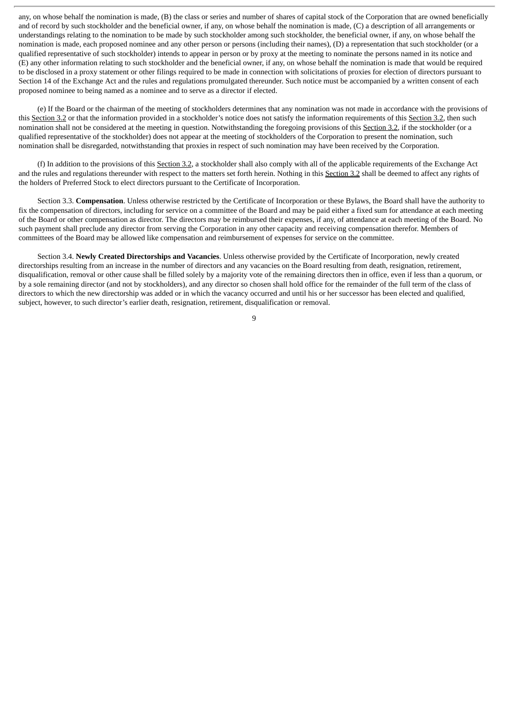any, on whose behalf the nomination is made, (B) the class or series and number of shares of capital stock of the Corporation that are owned beneficially and of record by such stockholder and the beneficial owner, if any, on whose behalf the nomination is made, (C) a description of all arrangements or understandings relating to the nomination to be made by such stockholder among such stockholder, the beneficial owner, if any, on whose behalf the nomination is made, each proposed nominee and any other person or persons (including their names), (D) a representation that such stockholder (or a qualified representative of such stockholder) intends to appear in person or by proxy at the meeting to nominate the persons named in its notice and (E) any other information relating to such stockholder and the beneficial owner, if any, on whose behalf the nomination is made that would be required to be disclosed in a proxy statement or other filings required to be made in connection with solicitations of proxies for election of directors pursuant to Section 14 of the Exchange Act and the rules and regulations promulgated thereunder. Such notice must be accompanied by a written consent of each proposed nominee to being named as a nominee and to serve as a director if elected.

(e) If the Board or the chairman of the meeting of stockholders determines that any nomination was not made in accordance with the provisions of this Section 3.2 or that the information provided in a stockholder's notice does not satisfy the information requirements of this Section 3.2, then such nomination shall not be considered at the meeting in question. Notwithstanding the foregoing provisions of this Section 3.2, if the stockholder (or a qualified representative of the stockholder) does not appear at the meeting of stockholders of the Corporation to present the nomination, such nomination shall be disregarded, notwithstanding that proxies in respect of such nomination may have been received by the Corporation.

(f) In addition to the provisions of this Section 3.2, a stockholder shall also comply with all of the applicable requirements of the Exchange Act and the rules and regulations thereunder with respect to the matters set forth herein. Nothing in this Section 3.2 shall be deemed to affect any rights of the holders of Preferred Stock to elect directors pursuant to the Certificate of Incorporation.

Section 3.3. **Compensation**. Unless otherwise restricted by the Certificate of Incorporation or these Bylaws, the Board shall have the authority to fix the compensation of directors, including for service on a committee of the Board and may be paid either a fixed sum for attendance at each meeting of the Board or other compensation as director. The directors may be reimbursed their expenses, if any, of attendance at each meeting of the Board. No such payment shall preclude any director from serving the Corporation in any other capacity and receiving compensation therefor. Members of committees of the Board may be allowed like compensation and reimbursement of expenses for service on the committee.

Section 3.4. **Newly Created Directorships and Vacancies**. Unless otherwise provided by the Certificate of Incorporation, newly created directorships resulting from an increase in the number of directors and any vacancies on the Board resulting from death, resignation, retirement, disqualification, removal or other cause shall be filled solely by a majority vote of the remaining directors then in office, even if less than a quorum, or by a sole remaining director (and not by stockholders), and any director so chosen shall hold office for the remainder of the full term of the class of directors to which the new directorship was added or in which the vacancy occurred and until his or her successor has been elected and qualified, subject, however, to such director's earlier death, resignation, retirement, disqualification or removal.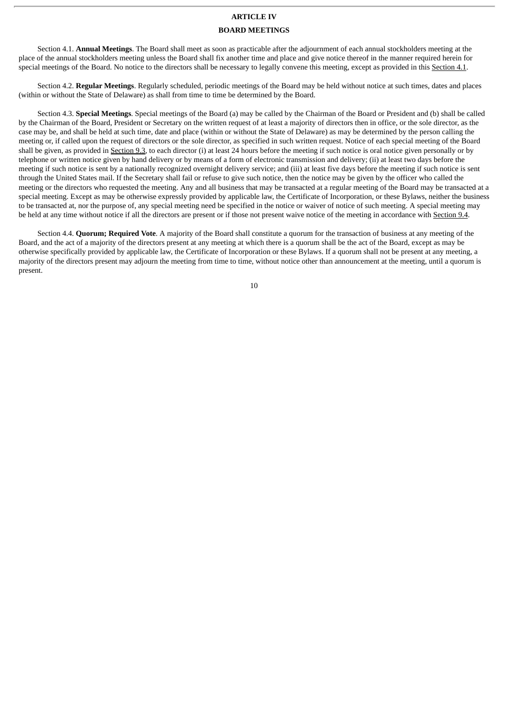#### **ARTICLE IV**

#### **BOARD MEETINGS**

Section 4.1. **Annual Meetings**. The Board shall meet as soon as practicable after the adjournment of each annual stockholders meeting at the place of the annual stockholders meeting unless the Board shall fix another time and place and give notice thereof in the manner required herein for special meetings of the Board. No notice to the directors shall be necessary to legally convene this meeting, except as provided in this Section 4.1.

Section 4.2. **Regular Meetings**. Regularly scheduled, periodic meetings of the Board may be held without notice at such times, dates and places (within or without the State of Delaware) as shall from time to time be determined by the Board.

Section 4.3. **Special Meetings**. Special meetings of the Board (a) may be called by the Chairman of the Board or President and (b) shall be called by the Chairman of the Board, President or Secretary on the written request of at least a majority of directors then in office, or the sole director, as the case may be, and shall be held at such time, date and place (within or without the State of Delaware) as may be determined by the person calling the meeting or, if called upon the request of directors or the sole director, as specified in such written request. Notice of each special meeting of the Board shall be given, as provided in Section 9.3, to each director (i) at least 24 hours before the meeting if such notice is oral notice given personally or by telephone or written notice given by hand delivery or by means of a form of electronic transmission and delivery; (ii) at least two days before the meeting if such notice is sent by a nationally recognized overnight delivery service; and (iii) at least five days before the meeting if such notice is sent through the United States mail. If the Secretary shall fail or refuse to give such notice, then the notice may be given by the officer who called the meeting or the directors who requested the meeting. Any and all business that may be transacted at a regular meeting of the Board may be transacted at a special meeting. Except as may be otherwise expressly provided by applicable law, the Certificate of Incorporation, or these Bylaws, neither the business to be transacted at, nor the purpose of, any special meeting need be specified in the notice or waiver of notice of such meeting. A special meeting may be held at any time without notice if all the directors are present or if those not present waive notice of the meeting in accordance with Section 9.4.

Section 4.4. **Quorum; Required Vote**. A majority of the Board shall constitute a quorum for the transaction of business at any meeting of the Board, and the act of a majority of the directors present at any meeting at which there is a quorum shall be the act of the Board, except as may be otherwise specifically provided by applicable law, the Certificate of Incorporation or these Bylaws. If a quorum shall not be present at any meeting, a majority of the directors present may adjourn the meeting from time to time, without notice other than announcement at the meeting, until a quorum is present.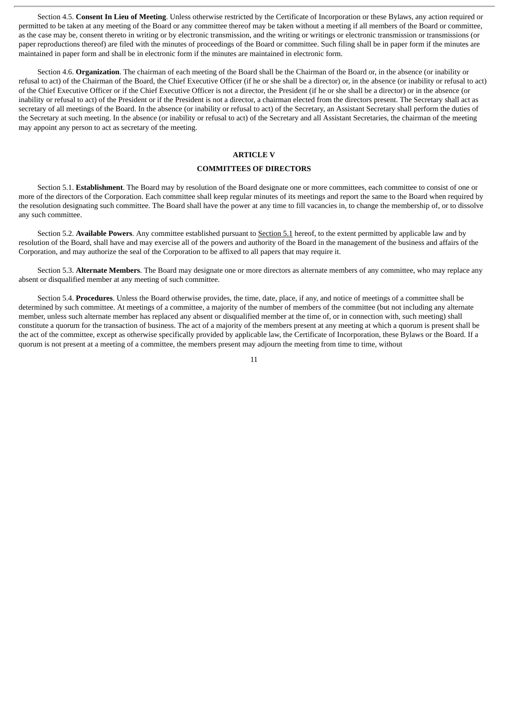Section 4.5. **Consent In Lieu of Meeting**. Unless otherwise restricted by the Certificate of Incorporation or these Bylaws, any action required or permitted to be taken at any meeting of the Board or any committee thereof may be taken without a meeting if all members of the Board or committee, as the case may be, consent thereto in writing or by electronic transmission, and the writing or writings or electronic transmission or transmissions (or paper reproductions thereof) are filed with the minutes of proceedings of the Board or committee. Such filing shall be in paper form if the minutes are maintained in paper form and shall be in electronic form if the minutes are maintained in electronic form.

Section 4.6. **Organization**. The chairman of each meeting of the Board shall be the Chairman of the Board or, in the absence (or inability or refusal to act) of the Chairman of the Board, the Chief Executive Officer (if he or she shall be a director) or, in the absence (or inability or refusal to act) of the Chief Executive Officer or if the Chief Executive Officer is not a director, the President (if he or she shall be a director) or in the absence (or inability or refusal to act) of the President or if the President is not a director, a chairman elected from the directors present. The Secretary shall act as secretary of all meetings of the Board. In the absence (or inability or refusal to act) of the Secretary, an Assistant Secretary shall perform the duties of the Secretary at such meeting. In the absence (or inability or refusal to act) of the Secretary and all Assistant Secretaries, the chairman of the meeting may appoint any person to act as secretary of the meeting.

# **ARTICLE V**

#### **COMMITTEES OF DIRECTORS**

Section 5.1. **Establishment**. The Board may by resolution of the Board designate one or more committees, each committee to consist of one or more of the directors of the Corporation. Each committee shall keep regular minutes of its meetings and report the same to the Board when required by the resolution designating such committee. The Board shall have the power at any time to fill vacancies in, to change the membership of, or to dissolve any such committee.

Section 5.2. **Available Powers**. Any committee established pursuant to Section 5.1 hereof, to the extent permitted by applicable law and by resolution of the Board, shall have and may exercise all of the powers and authority of the Board in the management of the business and affairs of the Corporation, and may authorize the seal of the Corporation to be affixed to all papers that may require it.

Section 5.3. **Alternate Members**. The Board may designate one or more directors as alternate members of any committee, who may replace any absent or disqualified member at any meeting of such committee.

Section 5.4. **Procedures**. Unless the Board otherwise provides, the time, date, place, if any, and notice of meetings of a committee shall be determined by such committee. At meetings of a committee, a majority of the number of members of the committee (but not including any alternate member, unless such alternate member has replaced any absent or disqualified member at the time of, or in connection with, such meeting) shall constitute a quorum for the transaction of business. The act of a majority of the members present at any meeting at which a quorum is present shall be the act of the committee, except as otherwise specifically provided by applicable law, the Certificate of Incorporation, these Bylaws or the Board. If a quorum is not present at a meeting of a committee, the members present may adjourn the meeting from time to time, without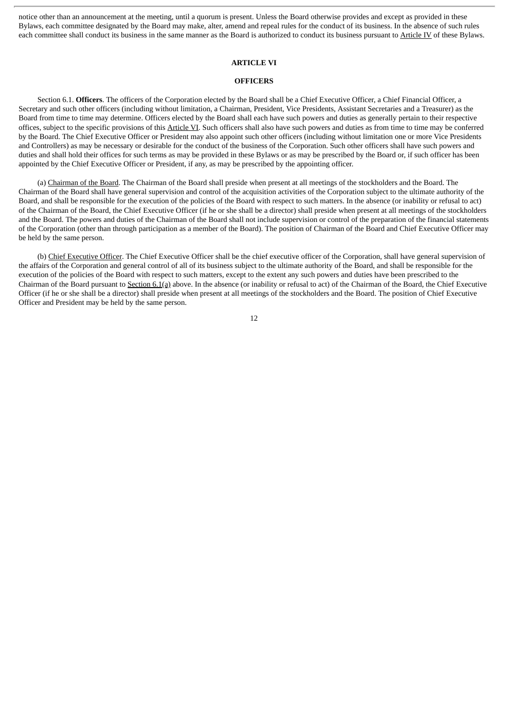notice other than an announcement at the meeting, until a quorum is present. Unless the Board otherwise provides and except as provided in these Bylaws, each committee designated by the Board may make, alter, amend and repeal rules for the conduct of its business. In the absence of such rules each committee shall conduct its business in the same manner as the Board is authorized to conduct its business pursuant to Article IV of these Bylaws.

# **ARTICLE VI**

#### **OFFICERS**

Section 6.1. **Officers**. The officers of the Corporation elected by the Board shall be a Chief Executive Officer, a Chief Financial Officer, a Secretary and such other officers (including without limitation, a Chairman, President, Vice Presidents, Assistant Secretaries and a Treasurer) as the Board from time to time may determine. Officers elected by the Board shall each have such powers and duties as generally pertain to their respective offices, subject to the specific provisions of this Article VI. Such officers shall also have such powers and duties as from time to time may be conferred by the Board. The Chief Executive Officer or President may also appoint such other officers (including without limitation one or more Vice Presidents and Controllers) as may be necessary or desirable for the conduct of the business of the Corporation. Such other officers shall have such powers and duties and shall hold their offices for such terms as may be provided in these Bylaws or as may be prescribed by the Board or, if such officer has been appointed by the Chief Executive Officer or President, if any, as may be prescribed by the appointing officer.

(a) Chairman of the Board. The Chairman of the Board shall preside when present at all meetings of the stockholders and the Board. The Chairman of the Board shall have general supervision and control of the acquisition activities of the Corporation subject to the ultimate authority of the Board, and shall be responsible for the execution of the policies of the Board with respect to such matters. In the absence (or inability or refusal to act) of the Chairman of the Board, the Chief Executive Officer (if he or she shall be a director) shall preside when present at all meetings of the stockholders and the Board. The powers and duties of the Chairman of the Board shall not include supervision or control of the preparation of the financial statements of the Corporation (other than through participation as a member of the Board). The position of Chairman of the Board and Chief Executive Officer may be held by the same person.

(b) Chief Executive Officer. The Chief Executive Officer shall be the chief executive officer of the Corporation, shall have general supervision of the affairs of the Corporation and general control of all of its business subject to the ultimate authority of the Board, and shall be responsible for the execution of the policies of the Board with respect to such matters, except to the extent any such powers and duties have been prescribed to the Chairman of the Board pursuant to Section 6.1(a) above. In the absence (or inability or refusal to act) of the Chairman of the Board, the Chief Executive Officer (if he or she shall be a director) shall preside when present at all meetings of the stockholders and the Board. The position of Chief Executive Officer and President may be held by the same person.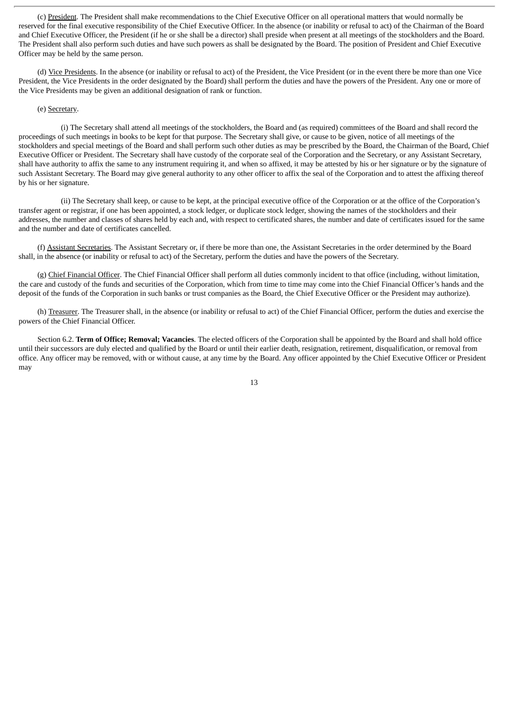(c) President. The President shall make recommendations to the Chief Executive Officer on all operational matters that would normally be reserved for the final executive responsibility of the Chief Executive Officer. In the absence (or inability or refusal to act) of the Chairman of the Board and Chief Executive Officer, the President (if he or she shall be a director) shall preside when present at all meetings of the stockholders and the Board. The President shall also perform such duties and have such powers as shall be designated by the Board. The position of President and Chief Executive Officer may be held by the same person.

(d) Vice Presidents. In the absence (or inability or refusal to act) of the President, the Vice President (or in the event there be more than one Vice President, the Vice Presidents in the order designated by the Board) shall perform the duties and have the powers of the President. Any one or more of the Vice Presidents may be given an additional designation of rank or function.

#### (e) Secretary.

(i) The Secretary shall attend all meetings of the stockholders, the Board and (as required) committees of the Board and shall record the proceedings of such meetings in books to be kept for that purpose. The Secretary shall give, or cause to be given, notice of all meetings of the stockholders and special meetings of the Board and shall perform such other duties as may be prescribed by the Board, the Chairman of the Board, Chief Executive Officer or President. The Secretary shall have custody of the corporate seal of the Corporation and the Secretary, or any Assistant Secretary, shall have authority to affix the same to any instrument requiring it, and when so affixed, it may be attested by his or her signature or by the signature of such Assistant Secretary. The Board may give general authority to any other officer to affix the seal of the Corporation and to attest the affixing thereof by his or her signature.

(ii) The Secretary shall keep, or cause to be kept, at the principal executive office of the Corporation or at the office of the Corporation's transfer agent or registrar, if one has been appointed, a stock ledger, or duplicate stock ledger, showing the names of the stockholders and their addresses, the number and classes of shares held by each and, with respect to certificated shares, the number and date of certificates issued for the same and the number and date of certificates cancelled.

(f) Assistant Secretaries. The Assistant Secretary or, if there be more than one, the Assistant Secretaries in the order determined by the Board shall, in the absence (or inability or refusal to act) of the Secretary, perform the duties and have the powers of the Secretary.

(g) Chief Financial Officer. The Chief Financial Officer shall perform all duties commonly incident to that office (including, without limitation, the care and custody of the funds and securities of the Corporation, which from time to time may come into the Chief Financial Officer's hands and the deposit of the funds of the Corporation in such banks or trust companies as the Board, the Chief Executive Officer or the President may authorize).

(h) Treasurer. The Treasurer shall, in the absence (or inability or refusal to act) of the Chief Financial Officer, perform the duties and exercise the powers of the Chief Financial Officer.

Section 6.2. **Term of Office; Removal; Vacancies**. The elected officers of the Corporation shall be appointed by the Board and shall hold office until their successors are duly elected and qualified by the Board or until their earlier death, resignation, retirement, disqualification, or removal from office. Any officer may be removed, with or without cause, at any time by the Board. Any officer appointed by the Chief Executive Officer or President may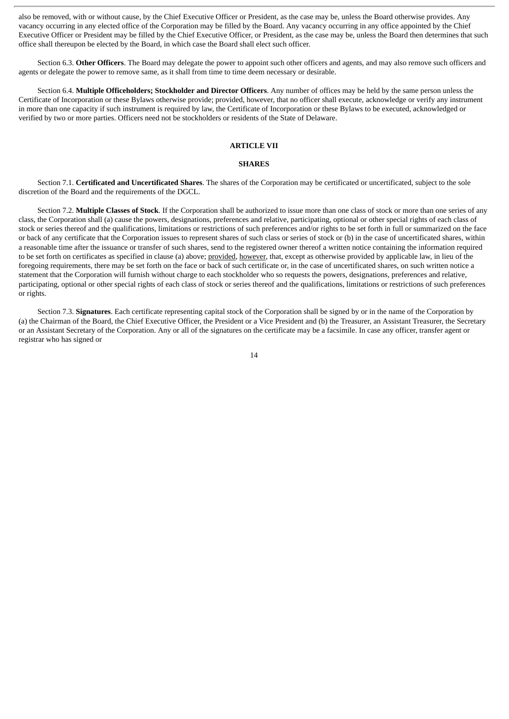also be removed, with or without cause, by the Chief Executive Officer or President, as the case may be, unless the Board otherwise provides. Any vacancy occurring in any elected office of the Corporation may be filled by the Board. Any vacancy occurring in any office appointed by the Chief Executive Officer or President may be filled by the Chief Executive Officer, or President, as the case may be, unless the Board then determines that such office shall thereupon be elected by the Board, in which case the Board shall elect such officer.

Section 6.3. **Other Officers**. The Board may delegate the power to appoint such other officers and agents, and may also remove such officers and agents or delegate the power to remove same, as it shall from time to time deem necessary or desirable.

Section 6.4. **Multiple Officeholders; Stockholder and Director Officers**. Any number of offices may be held by the same person unless the Certificate of Incorporation or these Bylaws otherwise provide; provided, however, that no officer shall execute, acknowledge or verify any instrument in more than one capacity if such instrument is required by law, the Certificate of Incorporation or these Bylaws to be executed, acknowledged or verified by two or more parties. Officers need not be stockholders or residents of the State of Delaware.

### **ARTICLE VII**

### **SHARES**

Section 7.1. **Certificated and Uncertificated Shares**. The shares of the Corporation may be certificated or uncertificated, subject to the sole discretion of the Board and the requirements of the DGCL.

Section 7.2. **Multiple Classes of Stock**. If the Corporation shall be authorized to issue more than one class of stock or more than one series of any class, the Corporation shall (a) cause the powers, designations, preferences and relative, participating, optional or other special rights of each class of stock or series thereof and the qualifications, limitations or restrictions of such preferences and/or rights to be set forth in full or summarized on the face or back of any certificate that the Corporation issues to represent shares of such class or series of stock or (b) in the case of uncertificated shares, within a reasonable time after the issuance or transfer of such shares, send to the registered owner thereof a written notice containing the information required to be set forth on certificates as specified in clause (a) above; provided, however, that, except as otherwise provided by applicable law, in lieu of the foregoing requirements, there may be set forth on the face or back of such certificate or, in the case of uncertificated shares, on such written notice a statement that the Corporation will furnish without charge to each stockholder who so requests the powers, designations, preferences and relative, participating, optional or other special rights of each class of stock or series thereof and the qualifications, limitations or restrictions of such preferences or rights.

Section 7.3. **Signatures**. Each certificate representing capital stock of the Corporation shall be signed by or in the name of the Corporation by (a) the Chairman of the Board, the Chief Executive Officer, the President or a Vice President and (b) the Treasurer, an Assistant Treasurer, the Secretary or an Assistant Secretary of the Corporation. Any or all of the signatures on the certificate may be a facsimile. In case any officer, transfer agent or registrar who has signed or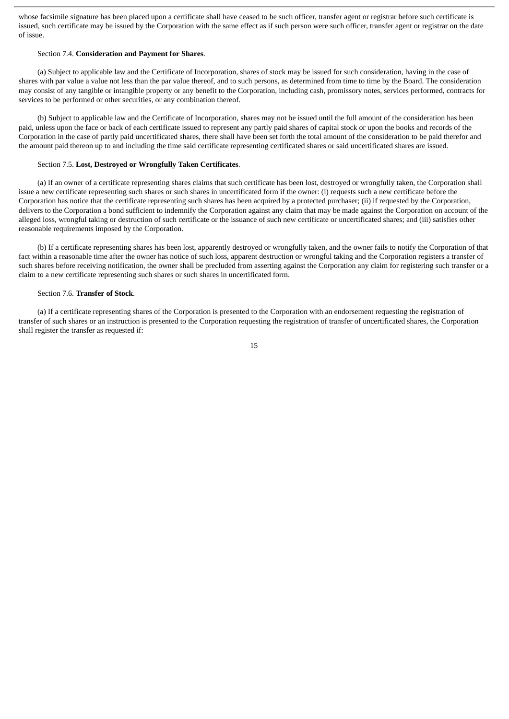whose facsimile signature has been placed upon a certificate shall have ceased to be such officer, transfer agent or registrar before such certificate is issued, such certificate may be issued by the Corporation with the same effect as if such person were such officer, transfer agent or registrar on the date of issue.

### Section 7.4. **Consideration and Payment for Shares**.

(a) Subject to applicable law and the Certificate of Incorporation, shares of stock may be issued for such consideration, having in the case of shares with par value a value not less than the par value thereof, and to such persons, as determined from time to time by the Board. The consideration may consist of any tangible or intangible property or any benefit to the Corporation, including cash, promissory notes, services performed, contracts for services to be performed or other securities, or any combination thereof.

(b) Subject to applicable law and the Certificate of Incorporation, shares may not be issued until the full amount of the consideration has been paid, unless upon the face or back of each certificate issued to represent any partly paid shares of capital stock or upon the books and records of the Corporation in the case of partly paid uncertificated shares, there shall have been set forth the total amount of the consideration to be paid therefor and the amount paid thereon up to and including the time said certificate representing certificated shares or said uncertificated shares are issued.

### Section 7.5. **Lost, Destroyed or Wrongfully Taken Certificates**.

(a) If an owner of a certificate representing shares claims that such certificate has been lost, destroyed or wrongfully taken, the Corporation shall issue a new certificate representing such shares or such shares in uncertificated form if the owner: (i) requests such a new certificate before the Corporation has notice that the certificate representing such shares has been acquired by a protected purchaser; (ii) if requested by the Corporation, delivers to the Corporation a bond sufficient to indemnify the Corporation against any claim that may be made against the Corporation on account of the alleged loss, wrongful taking or destruction of such certificate or the issuance of such new certificate or uncertificated shares; and (iii) satisfies other reasonable requirements imposed by the Corporation.

(b) If a certificate representing shares has been lost, apparently destroyed or wrongfully taken, and the owner fails to notify the Corporation of that fact within a reasonable time after the owner has notice of such loss, apparent destruction or wrongful taking and the Corporation registers a transfer of such shares before receiving notification, the owner shall be precluded from asserting against the Corporation any claim for registering such transfer or a claim to a new certificate representing such shares or such shares in uncertificated form.

### Section 7.6. **Transfer of Stock**.

(a) If a certificate representing shares of the Corporation is presented to the Corporation with an endorsement requesting the registration of transfer of such shares or an instruction is presented to the Corporation requesting the registration of transfer of uncertificated shares, the Corporation shall register the transfer as requested if: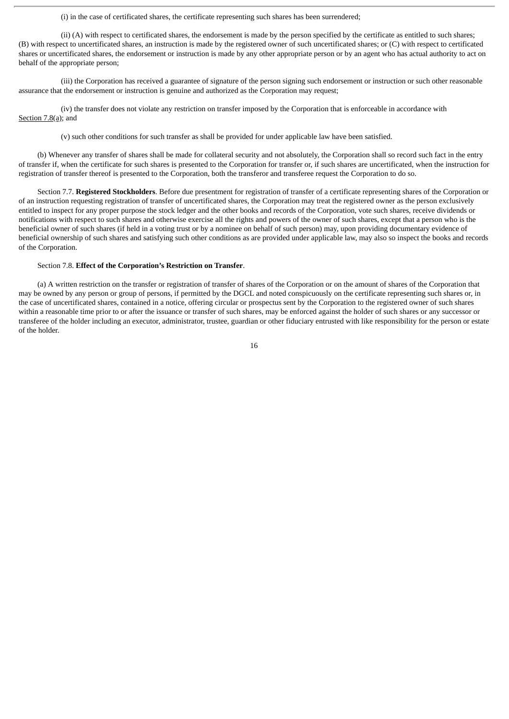(i) in the case of certificated shares, the certificate representing such shares has been surrendered;

(ii) (A) with respect to certificated shares, the endorsement is made by the person specified by the certificate as entitled to such shares; (B) with respect to uncertificated shares, an instruction is made by the registered owner of such uncertificated shares; or (C) with respect to certificated shares or uncertificated shares, the endorsement or instruction is made by any other appropriate person or by an agent who has actual authority to act on behalf of the appropriate person;

(iii) the Corporation has received a guarantee of signature of the person signing such endorsement or instruction or such other reasonable assurance that the endorsement or instruction is genuine and authorized as the Corporation may request;

(iv) the transfer does not violate any restriction on transfer imposed by the Corporation that is enforceable in accordance with Section 7.8(a); and

(v) such other conditions for such transfer as shall be provided for under applicable law have been satisfied.

(b) Whenever any transfer of shares shall be made for collateral security and not absolutely, the Corporation shall so record such fact in the entry of transfer if, when the certificate for such shares is presented to the Corporation for transfer or, if such shares are uncertificated, when the instruction for registration of transfer thereof is presented to the Corporation, both the transferor and transferee request the Corporation to do so.

Section 7.7. **Registered Stockholders**. Before due presentment for registration of transfer of a certificate representing shares of the Corporation or of an instruction requesting registration of transfer of uncertificated shares, the Corporation may treat the registered owner as the person exclusively entitled to inspect for any proper purpose the stock ledger and the other books and records of the Corporation, vote such shares, receive dividends or notifications with respect to such shares and otherwise exercise all the rights and powers of the owner of such shares, except that a person who is the beneficial owner of such shares (if held in a voting trust or by a nominee on behalf of such person) may, upon providing documentary evidence of beneficial ownership of such shares and satisfying such other conditions as are provided under applicable law, may also so inspect the books and records of the Corporation.

### Section 7.8. **Effect of the Corporation's Restriction on Transfer**.

(a) A written restriction on the transfer or registration of transfer of shares of the Corporation or on the amount of shares of the Corporation that may be owned by any person or group of persons, if permitted by the DGCL and noted conspicuously on the certificate representing such shares or, in the case of uncertificated shares, contained in a notice, offering circular or prospectus sent by the Corporation to the registered owner of such shares within a reasonable time prior to or after the issuance or transfer of such shares, may be enforced against the holder of such shares or any successor or transferee of the holder including an executor, administrator, trustee, guardian or other fiduciary entrusted with like responsibility for the person or estate of the holder.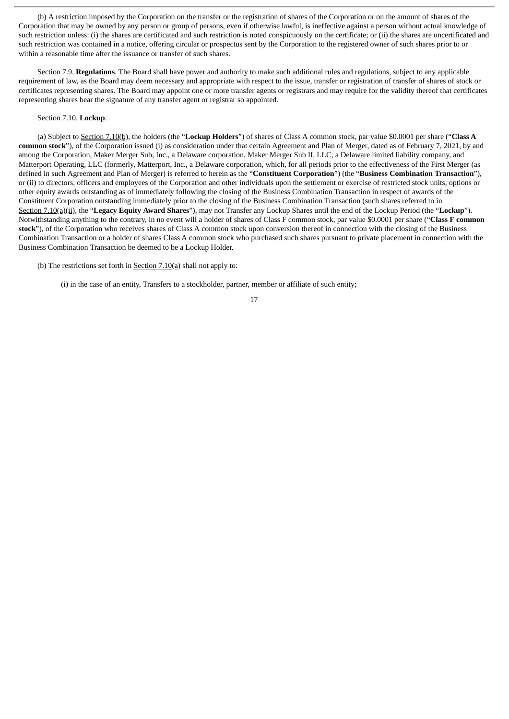(b) A restriction imposed by the Corporation on the transfer or the registration of shares of the Corporation or on the amount of shares of the Corporation that may be owned by any person or group of persons, even if otherwise lawful, is ineffective against a person without actual knowledge of such restriction unless: (i) the shares are certificated and such restriction is noted conspicuously on the certificate; or (ii) the shares are uncertificated and such restriction was contained in a notice, offering circular or prospectus sent by the Corporation to the registered owner of such shares prior to or within a reasonable time after the issuance or transfer of such shares.

Section 7.9. **Regulations**. The Board shall have power and authority to make such additional rules and regulations, subject to any applicable requirement of law, as the Board may deem necessary and appropriate with respect to the issue, transfer or registration of transfer of shares of stock or certificates representing shares. The Board may appoint one or more transfer agents or registrars and may require for the validity thereof that certificates representing shares bear the signature of any transfer agent or registrar so appointed.

#### Section 7.10. **Lockup**.

(a) Subject to Section 7.10(b), the holders (the "**Lockup Holders**") of shares of Class A common stock, par value \$0.0001 per share ("**Class A common stock**"), of the Corporation issued (i) as consideration under that certain Agreement and Plan of Merger, dated as of February 7, 2021, by and among the Corporation, Maker Merger Sub, Inc., a Delaware corporation, Maker Merger Sub II, LLC, a Delaware limited liability company, and Matterport Operating, LLC (formerly, Matterport, Inc., a Delaware corporation, which, for all periods prior to the effectiveness of the First Merger (as defined in such Agreement and Plan of Merger) is referred to herein as the "**Constituent Corporation**") (the "**Business Combination Transaction**"), or (ii) to directors, officers and employees of the Corporation and other individuals upon the settlement or exercise of restricted stock units, options or other equity awards outstanding as of immediately following the closing of the Business Combination Transaction in respect of awards of the Constituent Corporation outstanding immediately prior to the closing of the Business Combination Transaction (such shares referred to in Section 7.10(a)(ii), the "**Legacy Equity Award Shares**"), may not Transfer any Lockup Shares until the end of the Lockup Period (the "**Lockup**"). Notwithstanding anything to the contrary, in no event will a holder of shares of Class F common stock, par value \$0.0001 per share ("**Class F common** stock"), of the Corporation who receives shares of Class A common stock upon conversion thereof in connection with the closing of the Business Combination Transaction or a holder of shares Class A common stock who purchased such shares pursuant to private placement in connection with the Business Combination Transaction be deemed to be a Lockup Holder.

(b) The restrictions set forth in Section  $7.10(a)$  shall not apply to:

(i) in the case of an entity, Transfers to a stockholder, partner, member or affiliate of such entity;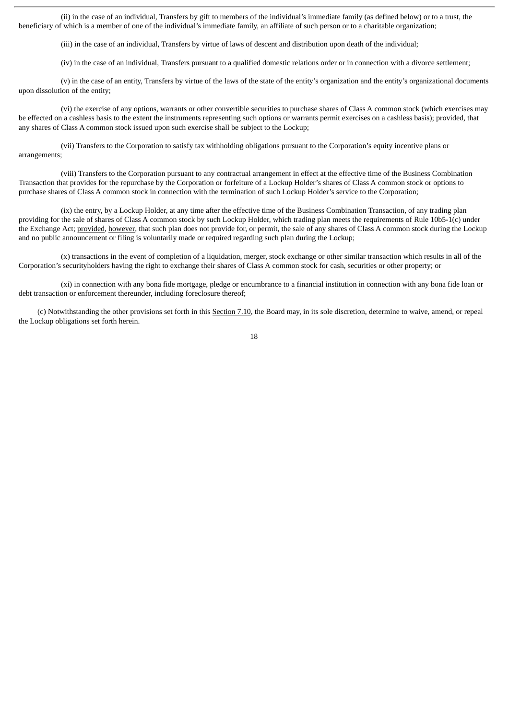(ii) in the case of an individual, Transfers by gift to members of the individual's immediate family (as defined below) or to a trust, the beneficiary of which is a member of one of the individual's immediate family, an affiliate of such person or to a charitable organization;

(iii) in the case of an individual, Transfers by virtue of laws of descent and distribution upon death of the individual;

(iv) in the case of an individual, Transfers pursuant to a qualified domestic relations order or in connection with a divorce settlement;

(v) in the case of an entity, Transfers by virtue of the laws of the state of the entity's organization and the entity's organizational documents upon dissolution of the entity;

(vi) the exercise of any options, warrants or other convertible securities to purchase shares of Class A common stock (which exercises may be effected on a cashless basis to the extent the instruments representing such options or warrants permit exercises on a cashless basis); provided, that any shares of Class A common stock issued upon such exercise shall be subject to the Lockup;

(vii) Transfers to the Corporation to satisfy tax withholding obligations pursuant to the Corporation's equity incentive plans or arrangements;

(viii) Transfers to the Corporation pursuant to any contractual arrangement in effect at the effective time of the Business Combination Transaction that provides for the repurchase by the Corporation or forfeiture of a Lockup Holder's shares of Class A common stock or options to purchase shares of Class A common stock in connection with the termination of such Lockup Holder's service to the Corporation;

(ix) the entry, by a Lockup Holder, at any time after the effective time of the Business Combination Transaction, of any trading plan providing for the sale of shares of Class A common stock by such Lockup Holder, which trading plan meets the requirements of Rule 10b5-1(c) under the Exchange Act; provided, however, that such plan does not provide for, or permit, the sale of any shares of Class A common stock during the Lockup and no public announcement or filing is voluntarily made or required regarding such plan during the Lockup;

(x) transactions in the event of completion of a liquidation, merger, stock exchange or other similar transaction which results in all of the Corporation's securityholders having the right to exchange their shares of Class A common stock for cash, securities or other property; or

(xi) in connection with any bona fide mortgage, pledge or encumbrance to a financial institution in connection with any bona fide loan or debt transaction or enforcement thereunder, including foreclosure thereof;

(c) Notwithstanding the other provisions set forth in this Section 7.10, the Board may, in its sole discretion, determine to waive, amend, or repeal the Lockup obligations set forth herein.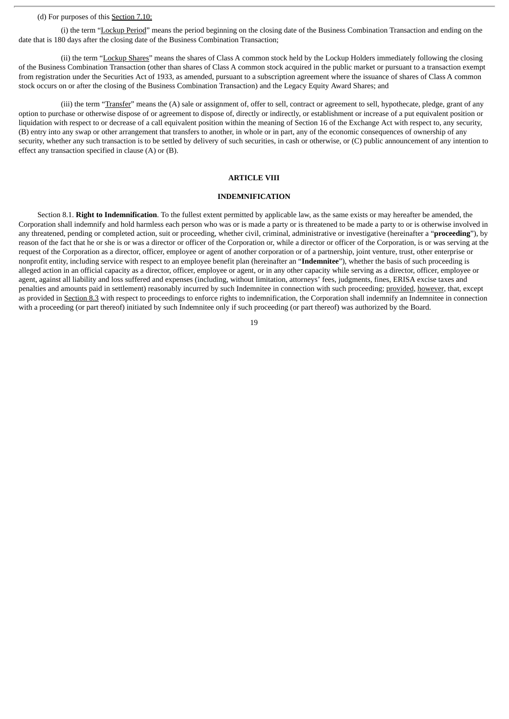## (d) For purposes of this Section 7.10:

(i) the term "Lockup Period" means the period beginning on the closing date of the Business Combination Transaction and ending on the date that is 180 days after the closing date of the Business Combination Transaction;

(ii) the term "Lockup Shares" means the shares of Class A common stock held by the Lockup Holders immediately following the closing of the Business Combination Transaction (other than shares of Class A common stock acquired in the public market or pursuant to a transaction exempt from registration under the Securities Act of 1933, as amended, pursuant to a subscription agreement where the issuance of shares of Class A common stock occurs on or after the closing of the Business Combination Transaction) and the Legacy Equity Award Shares; and

(iii) the term "Transfer" means the (A) sale or assignment of, offer to sell, contract or agreement to sell, hypothecate, pledge, grant of any option to purchase or otherwise dispose of or agreement to dispose of, directly or indirectly, or establishment or increase of a put equivalent position or liquidation with respect to or decrease of a call equivalent position within the meaning of Section 16 of the Exchange Act with respect to, any security, (B) entry into any swap or other arrangement that transfers to another, in whole or in part, any of the economic consequences of ownership of any security, whether any such transaction is to be settled by delivery of such securities, in cash or otherwise, or (C) public announcement of any intention to effect any transaction specified in clause (A) or (B).

#### **ARTICLE VIII**

### **INDEMNIFICATION**

Section 8.1. **Right to Indemnification**. To the fullest extent permitted by applicable law, as the same exists or may hereafter be amended, the Corporation shall indemnify and hold harmless each person who was or is made a party or is threatened to be made a party to or is otherwise involved in any threatened, pending or completed action, suit or proceeding, whether civil, criminal, administrative or investigative (hereinafter a "**proceeding**"), by reason of the fact that he or she is or was a director or officer of the Corporation or, while a director or officer of the Corporation, is or was serving at the request of the Corporation as a director, officer, employee or agent of another corporation or of a partnership, joint venture, trust, other enterprise or nonprofit entity, including service with respect to an employee benefit plan (hereinafter an "**Indemnitee**"), whether the basis of such proceeding is alleged action in an official capacity as a director, officer, employee or agent, or in any other capacity while serving as a director, officer, employee or agent, against all liability and loss suffered and expenses (including, without limitation, attorneys' fees, judgments, fines, ERISA excise taxes and penalties and amounts paid in settlement) reasonably incurred by such Indemnitee in connection with such proceeding; provided, however, that, except as provided in Section 8.3 with respect to proceedings to enforce rights to indemnification, the Corporation shall indemnify an Indemnitee in connection with a proceeding (or part thereof) initiated by such Indemnitee only if such proceeding (or part thereof) was authorized by the Board.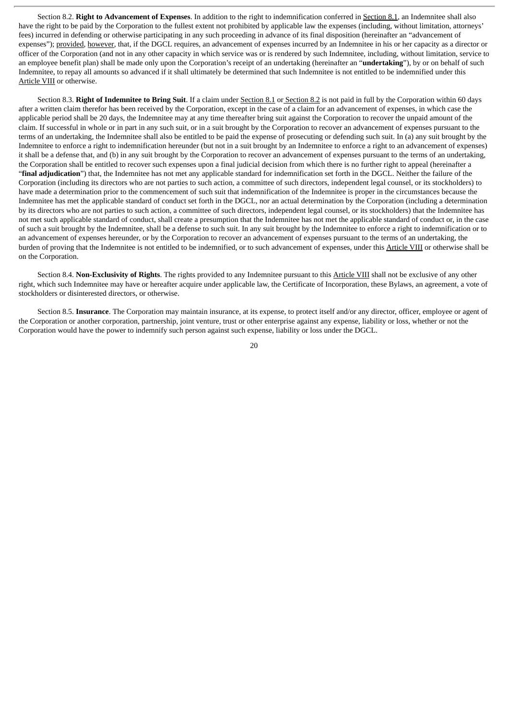Section 8.2. **Right to Advancement of Expenses**. In addition to the right to indemnification conferred in Section 8.1, an Indemnitee shall also have the right to be paid by the Corporation to the fullest extent not prohibited by applicable law the expenses (including, without limitation, attorneys' fees) incurred in defending or otherwise participating in any such proceeding in advance of its final disposition (hereinafter an "advancement of expenses"); provided, however, that, if the DGCL requires, an advancement of expenses incurred by an Indemnitee in his or her capacity as a director or officer of the Corporation (and not in any other capacity in which service was or is rendered by such Indemnitee, including, without limitation, service to an employee benefit plan) shall be made only upon the Corporation's receipt of an undertaking (hereinafter an "**undertaking**"), by or on behalf of such Indemnitee, to repay all amounts so advanced if it shall ultimately be determined that such Indemnitee is not entitled to be indemnified under this Article VIII or otherwise.

Section 8.3. **Right of Indemnitee to Bring Suit**. If a claim under Section 8.1 or Section 8.2 is not paid in full by the Corporation within 60 days after a written claim therefor has been received by the Corporation, except in the case of a claim for an advancement of expenses, in which case the applicable period shall be 20 days, the Indemnitee may at any time thereafter bring suit against the Corporation to recover the unpaid amount of the claim. If successful in whole or in part in any such suit, or in a suit brought by the Corporation to recover an advancement of expenses pursuant to the terms of an undertaking, the Indemnitee shall also be entitled to be paid the expense of prosecuting or defending such suit. In (a) any suit brought by the Indemnitee to enforce a right to indemnification hereunder (but not in a suit brought by an Indemnitee to enforce a right to an advancement of expenses) it shall be a defense that, and (b) in any suit brought by the Corporation to recover an advancement of expenses pursuant to the terms of an undertaking, the Corporation shall be entitled to recover such expenses upon a final judicial decision from which there is no further right to appeal (hereinafter a "**final adjudication**") that, the Indemnitee has not met any applicable standard for indemnification set forth in the DGCL. Neither the failure of the Corporation (including its directors who are not parties to such action, a committee of such directors, independent legal counsel, or its stockholders) to have made a determination prior to the commencement of such suit that indemnification of the Indemnitee is proper in the circumstances because the Indemnitee has met the applicable standard of conduct set forth in the DGCL, nor an actual determination by the Corporation (including a determination by its directors who are not parties to such action, a committee of such directors, independent legal counsel, or its stockholders) that the Indemnitee has not met such applicable standard of conduct, shall create a presumption that the Indemnitee has not met the applicable standard of conduct or, in the case of such a suit brought by the Indemnitee, shall be a defense to such suit. In any suit brought by the Indemnitee to enforce a right to indemnification or to an advancement of expenses hereunder, or by the Corporation to recover an advancement of expenses pursuant to the terms of an undertaking, the burden of proving that the Indemnitee is not entitled to be indemnified, or to such advancement of expenses, under this Article VIII or otherwise shall be on the Corporation.

Section 8.4. **Non-Exclusivity of Rights**. The rights provided to any Indemnitee pursuant to this Article VIII shall not be exclusive of any other right, which such Indemnitee may have or hereafter acquire under applicable law, the Certificate of Incorporation, these Bylaws, an agreement, a vote of stockholders or disinterested directors, or otherwise.

Section 8.5. **Insurance**. The Corporation may maintain insurance, at its expense, to protect itself and/or any director, officer, employee or agent of the Corporation or another corporation, partnership, joint venture, trust or other enterprise against any expense, liability or loss, whether or not the Corporation would have the power to indemnify such person against such expense, liability or loss under the DGCL.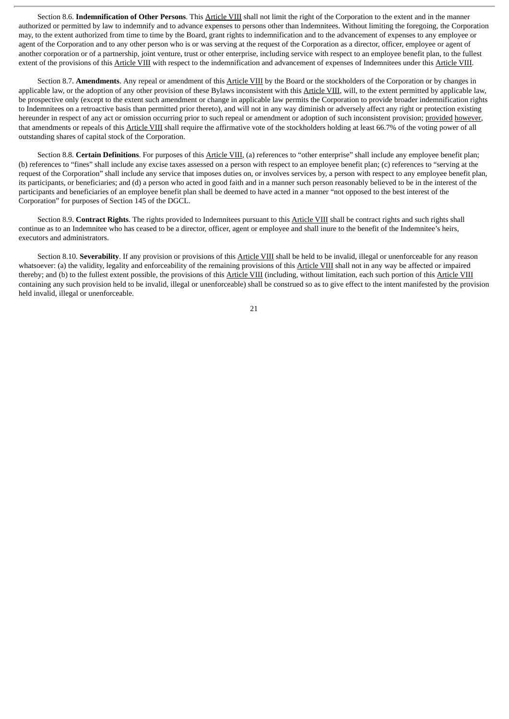Section 8.6. **Indemnification of Other Persons**. This Article VIII shall not limit the right of the Corporation to the extent and in the manner authorized or permitted by law to indemnify and to advance expenses to persons other than Indemnitees. Without limiting the foregoing, the Corporation may, to the extent authorized from time to time by the Board, grant rights to indemnification and to the advancement of expenses to any employee or agent of the Corporation and to any other person who is or was serving at the request of the Corporation as a director, officer, employee or agent of another corporation or of a partnership, joint venture, trust or other enterprise, including service with respect to an employee benefit plan, to the fullest extent of the provisions of this Article VIII with respect to the indemnification and advancement of expenses of Indemnitees under this Article VIII.

Section 8.7. **Amendments**. Any repeal or amendment of this Article VIII by the Board or the stockholders of the Corporation or by changes in applicable law, or the adoption of any other provision of these Bylaws inconsistent with this Article VIII, will, to the extent permitted by applicable law, be prospective only (except to the extent such amendment or change in applicable law permits the Corporation to provide broader indemnification rights to Indemnitees on a retroactive basis than permitted prior thereto), and will not in any way diminish or adversely affect any right or protection existing hereunder in respect of any act or omission occurring prior to such repeal or amendment or adoption of such inconsistent provision; provided however, that amendments or repeals of this Article VIII shall require the affirmative vote of the stockholders holding at least 66.7% of the voting power of all outstanding shares of capital stock of the Corporation.

Section 8.8. **Certain Definitions**. For purposes of this Article VIII, (a) references to "other enterprise" shall include any employee benefit plan; (b) references to "fines" shall include any excise taxes assessed on a person with respect to an employee benefit plan; (c) references to "serving at the request of the Corporation" shall include any service that imposes duties on, or involves services by, a person with respect to any employee benefit plan, its participants, or beneficiaries; and (d) a person who acted in good faith and in a manner such person reasonably believed to be in the interest of the participants and beneficiaries of an employee benefit plan shall be deemed to have acted in a manner "not opposed to the best interest of the Corporation" for purposes of Section 145 of the DGCL.

Section 8.9. **Contract Rights**. The rights provided to Indemnitees pursuant to this Article VIII shall be contract rights and such rights shall continue as to an Indemnitee who has ceased to be a director, officer, agent or employee and shall inure to the benefit of the Indemnitee's heirs, executors and administrators.

Section 8.10. **Severability**. If any provision or provisions of this Article VIII shall be held to be invalid, illegal or unenforceable for any reason whatsoever: (a) the validity, legality and enforceability of the remaining provisions of this Article VIII shall not in any way be affected or impaired thereby; and (b) to the fullest extent possible, the provisions of this Article VIII (including, without limitation, each such portion of this Article VIII containing any such provision held to be invalid, illegal or unenforceable) shall be construed so as to give effect to the intent manifested by the provision held invalid, illegal or unenforceable.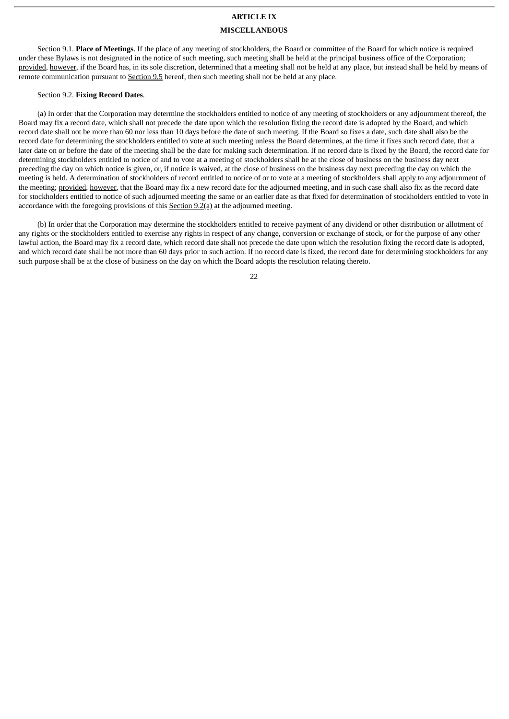## **ARTICLE IX**

#### **MISCELLANEOUS**

Section 9.1. **Place of Meetings**. If the place of any meeting of stockholders, the Board or committee of the Board for which notice is required under these Bylaws is not designated in the notice of such meeting, such meeting shall be held at the principal business office of the Corporation; provided, however, if the Board has, in its sole discretion, determined that a meeting shall not be held at any place, but instead shall be held by means of remote communication pursuant to Section 9.5 hereof, then such meeting shall not be held at any place.

#### Section 9.2. **Fixing Record Dates**.

(a) In order that the Corporation may determine the stockholders entitled to notice of any meeting of stockholders or any adjournment thereof, the Board may fix a record date, which shall not precede the date upon which the resolution fixing the record date is adopted by the Board, and which record date shall not be more than 60 nor less than 10 days before the date of such meeting. If the Board so fixes a date, such date shall also be the record date for determining the stockholders entitled to vote at such meeting unless the Board determines, at the time it fixes such record date, that a later date on or before the date of the meeting shall be the date for making such determination. If no record date is fixed by the Board, the record date for determining stockholders entitled to notice of and to vote at a meeting of stockholders shall be at the close of business on the business day next preceding the day on which notice is given, or, if notice is waived, at the close of business on the business day next preceding the day on which the meeting is held. A determination of stockholders of record entitled to notice of or to vote at a meeting of stockholders shall apply to any adjournment of the meeting; provided, however, that the Board may fix a new record date for the adjourned meeting, and in such case shall also fix as the record date for stockholders entitled to notice of such adjourned meeting the same or an earlier date as that fixed for determination of stockholders entitled to vote in accordance with the foregoing provisions of this Section 9.2(a) at the adjourned meeting.

(b) In order that the Corporation may determine the stockholders entitled to receive payment of any dividend or other distribution or allotment of any rights or the stockholders entitled to exercise any rights in respect of any change, conversion or exchange of stock, or for the purpose of any other lawful action, the Board may fix a record date, which record date shall not precede the date upon which the resolution fixing the record date is adopted, and which record date shall be not more than 60 days prior to such action. If no record date is fixed, the record date for determining stockholders for any such purpose shall be at the close of business on the day on which the Board adopts the resolution relating thereto.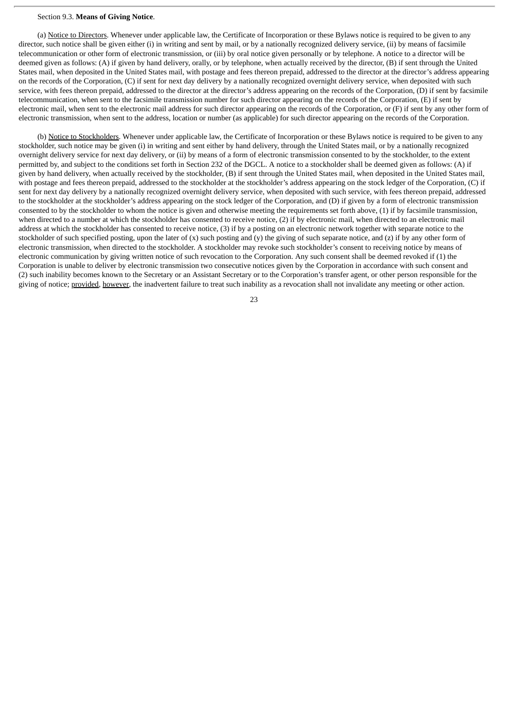### Section 9.3. **Means of Giving Notice**.

(a) Notice to Directors. Whenever under applicable law, the Certificate of Incorporation or these Bylaws notice is required to be given to any director, such notice shall be given either (i) in writing and sent by mail, or by a nationally recognized delivery service, (ii) by means of facsimile telecommunication or other form of electronic transmission, or (iii) by oral notice given personally or by telephone. A notice to a director will be deemed given as follows: (A) if given by hand delivery, orally, or by telephone, when actually received by the director, (B) if sent through the United States mail, when deposited in the United States mail, with postage and fees thereon prepaid, addressed to the director at the director's address appearing on the records of the Corporation, (C) if sent for next day delivery by a nationally recognized overnight delivery service, when deposited with such service, with fees thereon prepaid, addressed to the director at the director's address appearing on the records of the Corporation, (D) if sent by facsimile telecommunication, when sent to the facsimile transmission number for such director appearing on the records of the Corporation, (E) if sent by electronic mail, when sent to the electronic mail address for such director appearing on the records of the Corporation, or (F) if sent by any other form of electronic transmission, when sent to the address, location or number (as applicable) for such director appearing on the records of the Corporation.

(b) Notice to Stockholders. Whenever under applicable law, the Certificate of Incorporation or these Bylaws notice is required to be given to any stockholder, such notice may be given (i) in writing and sent either by hand delivery, through the United States mail, or by a nationally recognized overnight delivery service for next day delivery, or (ii) by means of a form of electronic transmission consented to by the stockholder, to the extent permitted by, and subject to the conditions set forth in Section 232 of the DGCL. A notice to a stockholder shall be deemed given as follows: (A) if given by hand delivery, when actually received by the stockholder, (B) if sent through the United States mail, when deposited in the United States mail, with postage and fees thereon prepaid, addressed to the stockholder at the stockholder's address appearing on the stock ledger of the Corporation, (C) if sent for next day delivery by a nationally recognized overnight delivery service, when deposited with such service, with fees thereon prepaid, addressed to the stockholder at the stockholder's address appearing on the stock ledger of the Corporation, and (D) if given by a form of electronic transmission consented to by the stockholder to whom the notice is given and otherwise meeting the requirements set forth above, (1) if by facsimile transmission, when directed to a number at which the stockholder has consented to receive notice, (2) if by electronic mail, when directed to an electronic mail address at which the stockholder has consented to receive notice, (3) if by a posting on an electronic network together with separate notice to the stockholder of such specified posting, upon the later of  $(x)$  such posting and  $(y)$  the giving of such separate notice, and  $(z)$  if by any other form of electronic transmission, when directed to the stockholder. A stockholder may revoke such stockholder's consent to receiving notice by means of electronic communication by giving written notice of such revocation to the Corporation. Any such consent shall be deemed revoked if (1) the Corporation is unable to deliver by electronic transmission two consecutive notices given by the Corporation in accordance with such consent and (2) such inability becomes known to the Secretary or an Assistant Secretary or to the Corporation's transfer agent, or other person responsible for the giving of notice; provided, however, the inadvertent failure to treat such inability as a revocation shall not invalidate any meeting or other action.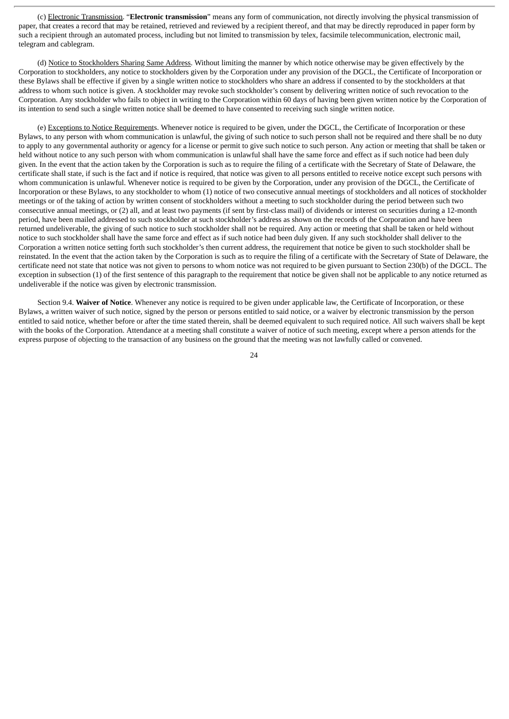(c) Electronic Transmission. "**Electronic transmission**" means any form of communication, not directly involving the physical transmission of paper, that creates a record that may be retained, retrieved and reviewed by a recipient thereof, and that may be directly reproduced in paper form by such a recipient through an automated process, including but not limited to transmission by telex, facsimile telecommunication, electronic mail, telegram and cablegram.

(d) Notice to Stockholders Sharing Same Address. Without limiting the manner by which notice otherwise may be given effectively by the Corporation to stockholders, any notice to stockholders given by the Corporation under any provision of the DGCL, the Certificate of Incorporation or these Bylaws shall be effective if given by a single written notice to stockholders who share an address if consented to by the stockholders at that address to whom such notice is given. A stockholder may revoke such stockholder's consent by delivering written notice of such revocation to the Corporation. Any stockholder who fails to object in writing to the Corporation within 60 days of having been given written notice by the Corporation of its intention to send such a single written notice shall be deemed to have consented to receiving such single written notice.

(e) Exceptions to Notice Requirements. Whenever notice is required to be given, under the DGCL, the Certificate of Incorporation or these Bylaws, to any person with whom communication is unlawful, the giving of such notice to such person shall not be required and there shall be no duty to apply to any governmental authority or agency for a license or permit to give such notice to such person. Any action or meeting that shall be taken or held without notice to any such person with whom communication is unlawful shall have the same force and effect as if such notice had been duly given. In the event that the action taken by the Corporation is such as to require the filing of a certificate with the Secretary of State of Delaware, the certificate shall state, if such is the fact and if notice is required, that notice was given to all persons entitled to receive notice except such persons with whom communication is unlawful. Whenever notice is required to be given by the Corporation, under any provision of the DGCL, the Certificate of Incorporation or these Bylaws, to any stockholder to whom (1) notice of two consecutive annual meetings of stockholders and all notices of stockholder meetings or of the taking of action by written consent of stockholders without a meeting to such stockholder during the period between such two consecutive annual meetings, or (2) all, and at least two payments (if sent by first-class mail) of dividends or interest on securities during a 12-month period, have been mailed addressed to such stockholder at such stockholder's address as shown on the records of the Corporation and have been returned undeliverable, the giving of such notice to such stockholder shall not be required. Any action or meeting that shall be taken or held without notice to such stockholder shall have the same force and effect as if such notice had been duly given. If any such stockholder shall deliver to the Corporation a written notice setting forth such stockholder's then current address, the requirement that notice be given to such stockholder shall be reinstated. In the event that the action taken by the Corporation is such as to require the filing of a certificate with the Secretary of State of Delaware, the certificate need not state that notice was not given to persons to whom notice was not required to be given pursuant to Section 230(b) of the DGCL. The exception in subsection (1) of the first sentence of this paragraph to the requirement that notice be given shall not be applicable to any notice returned as undeliverable if the notice was given by electronic transmission.

Section 9.4. **Waiver of Notice**. Whenever any notice is required to be given under applicable law, the Certificate of Incorporation, or these Bylaws, a written waiver of such notice, signed by the person or persons entitled to said notice, or a waiver by electronic transmission by the person entitled to said notice, whether before or after the time stated therein, shall be deemed equivalent to such required notice. All such waivers shall be kept with the books of the Corporation. Attendance at a meeting shall constitute a waiver of notice of such meeting, except where a person attends for the express purpose of objecting to the transaction of any business on the ground that the meeting was not lawfully called or convened.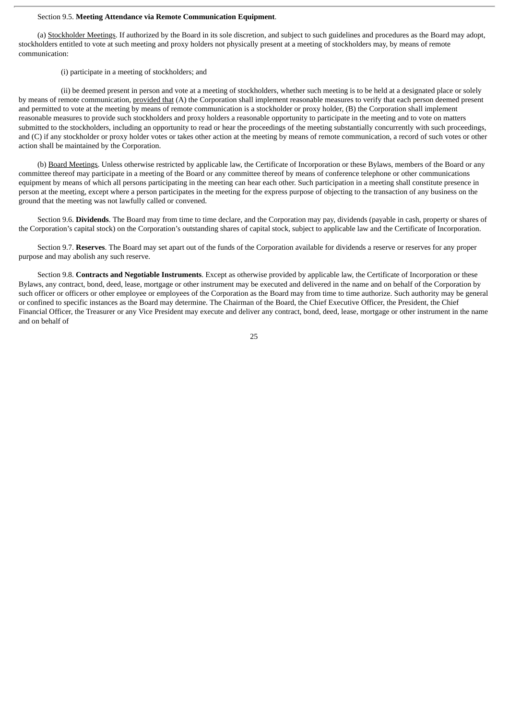### Section 9.5. **Meeting Attendance via Remote Communication Equipment**.

(a) Stockholder Meetings. If authorized by the Board in its sole discretion, and subject to such guidelines and procedures as the Board may adopt, stockholders entitled to vote at such meeting and proxy holders not physically present at a meeting of stockholders may, by means of remote communication:

(i) participate in a meeting of stockholders; and

(ii) be deemed present in person and vote at a meeting of stockholders, whether such meeting is to be held at a designated place or solely by means of remote communication, provided that (A) the Corporation shall implement reasonable measures to verify that each person deemed present and permitted to vote at the meeting by means of remote communication is a stockholder or proxy holder, (B) the Corporation shall implement reasonable measures to provide such stockholders and proxy holders a reasonable opportunity to participate in the meeting and to vote on matters submitted to the stockholders, including an opportunity to read or hear the proceedings of the meeting substantially concurrently with such proceedings, and (C) if any stockholder or proxy holder votes or takes other action at the meeting by means of remote communication, a record of such votes or other action shall be maintained by the Corporation.

(b) Board Meetings. Unless otherwise restricted by applicable law, the Certificate of Incorporation or these Bylaws, members of the Board or any committee thereof may participate in a meeting of the Board or any committee thereof by means of conference telephone or other communications equipment by means of which all persons participating in the meeting can hear each other. Such participation in a meeting shall constitute presence in person at the meeting, except where a person participates in the meeting for the express purpose of objecting to the transaction of any business on the ground that the meeting was not lawfully called or convened.

Section 9.6. **Dividends**. The Board may from time to time declare, and the Corporation may pay, dividends (payable in cash, property or shares of the Corporation's capital stock) on the Corporation's outstanding shares of capital stock, subject to applicable law and the Certificate of Incorporation.

Section 9.7. **Reserves**. The Board may set apart out of the funds of the Corporation available for dividends a reserve or reserves for any proper purpose and may abolish any such reserve.

Section 9.8. **Contracts and Negotiable Instruments**. Except as otherwise provided by applicable law, the Certificate of Incorporation or these Bylaws, any contract, bond, deed, lease, mortgage or other instrument may be executed and delivered in the name and on behalf of the Corporation by such officer or officers or other employee or employees of the Corporation as the Board may from time to time authorize. Such authority may be general or confined to specific instances as the Board may determine. The Chairman of the Board, the Chief Executive Officer, the President, the Chief Financial Officer, the Treasurer or any Vice President may execute and deliver any contract, bond, deed, lease, mortgage or other instrument in the name and on behalf of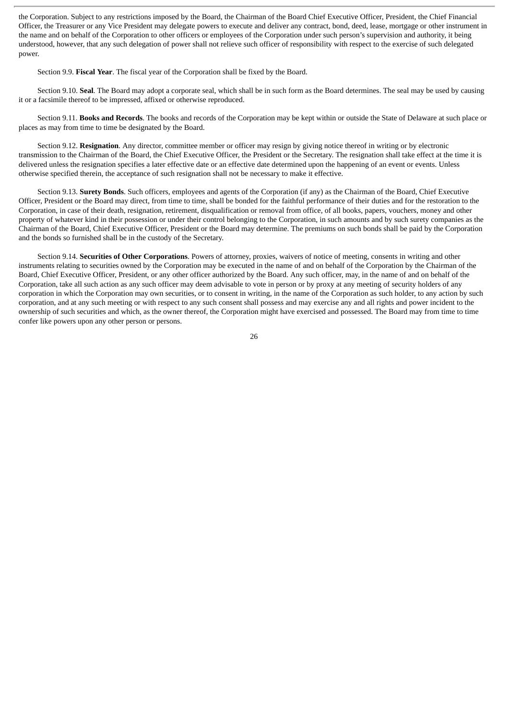the Corporation. Subject to any restrictions imposed by the Board, the Chairman of the Board Chief Executive Officer, President, the Chief Financial Officer, the Treasurer or any Vice President may delegate powers to execute and deliver any contract, bond, deed, lease, mortgage or other instrument in the name and on behalf of the Corporation to other officers or employees of the Corporation under such person's supervision and authority, it being understood, however, that any such delegation of power shall not relieve such officer of responsibility with respect to the exercise of such delegated power.

Section 9.9. **Fiscal Year**. The fiscal year of the Corporation shall be fixed by the Board.

Section 9.10. **Seal**. The Board may adopt a corporate seal, which shall be in such form as the Board determines. The seal may be used by causing it or a facsimile thereof to be impressed, affixed or otherwise reproduced.

Section 9.11. **Books and Records**. The books and records of the Corporation may be kept within or outside the State of Delaware at such place or places as may from time to time be designated by the Board.

Section 9.12. **Resignation**. Any director, committee member or officer may resign by giving notice thereof in writing or by electronic transmission to the Chairman of the Board, the Chief Executive Officer, the President or the Secretary. The resignation shall take effect at the time it is delivered unless the resignation specifies a later effective date or an effective date determined upon the happening of an event or events. Unless otherwise specified therein, the acceptance of such resignation shall not be necessary to make it effective.

Section 9.13. **Surety Bonds**. Such officers, employees and agents of the Corporation (if any) as the Chairman of the Board, Chief Executive Officer, President or the Board may direct, from time to time, shall be bonded for the faithful performance of their duties and for the restoration to the Corporation, in case of their death, resignation, retirement, disqualification or removal from office, of all books, papers, vouchers, money and other property of whatever kind in their possession or under their control belonging to the Corporation, in such amounts and by such surety companies as the Chairman of the Board, Chief Executive Officer, President or the Board may determine. The premiums on such bonds shall be paid by the Corporation and the bonds so furnished shall be in the custody of the Secretary.

Section 9.14. **Securities of Other Corporations**. Powers of attorney, proxies, waivers of notice of meeting, consents in writing and other instruments relating to securities owned by the Corporation may be executed in the name of and on behalf of the Corporation by the Chairman of the Board, Chief Executive Officer, President, or any other officer authorized by the Board. Any such officer, may, in the name of and on behalf of the Corporation, take all such action as any such officer may deem advisable to vote in person or by proxy at any meeting of security holders of any corporation in which the Corporation may own securities, or to consent in writing, in the name of the Corporation as such holder, to any action by such corporation, and at any such meeting or with respect to any such consent shall possess and may exercise any and all rights and power incident to the ownership of such securities and which, as the owner thereof, the Corporation might have exercised and possessed. The Board may from time to time confer like powers upon any other person or persons.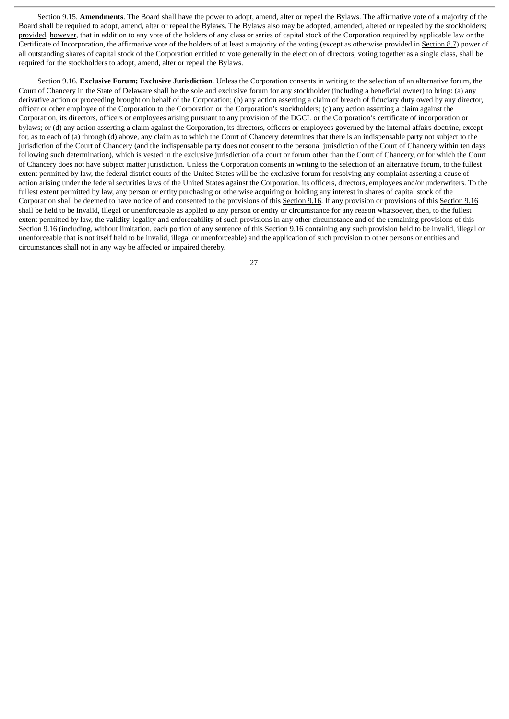Section 9.15. **Amendments**. The Board shall have the power to adopt, amend, alter or repeal the Bylaws. The affirmative vote of a majority of the Board shall be required to adopt, amend, alter or repeal the Bylaws. The Bylaws also may be adopted, amended, altered or repealed by the stockholders; provided, however, that in addition to any vote of the holders of any class or series of capital stock of the Corporation required by applicable law or the Certificate of Incorporation, the affirmative vote of the holders of at least a majority of the voting (except as otherwise provided in Section 8.7) power of all outstanding shares of capital stock of the Corporation entitled to vote generally in the election of directors, voting together as a single class, shall be required for the stockholders to adopt, amend, alter or repeal the Bylaws.

Section 9.16. **Exclusive Forum; Exclusive Jurisdiction**. Unless the Corporation consents in writing to the selection of an alternative forum, the Court of Chancery in the State of Delaware shall be the sole and exclusive forum for any stockholder (including a beneficial owner) to bring: (a) any derivative action or proceeding brought on behalf of the Corporation; (b) any action asserting a claim of breach of fiduciary duty owed by any director, officer or other employee of the Corporation to the Corporation or the Corporation's stockholders; (c) any action asserting a claim against the Corporation, its directors, officers or employees arising pursuant to any provision of the DGCL or the Corporation's certificate of incorporation or bylaws; or (d) any action asserting a claim against the Corporation, its directors, officers or employees governed by the internal affairs doctrine, except for, as to each of (a) through (d) above, any claim as to which the Court of Chancery determines that there is an indispensable party not subject to the jurisdiction of the Court of Chancery (and the indispensable party does not consent to the personal jurisdiction of the Court of Chancery within ten days following such determination), which is vested in the exclusive jurisdiction of a court or forum other than the Court of Chancery, or for which the Court of Chancery does not have subject matter jurisdiction. Unless the Corporation consents in writing to the selection of an alternative forum, to the fullest extent permitted by law, the federal district courts of the United States will be the exclusive forum for resolving any complaint asserting a cause of action arising under the federal securities laws of the United States against the Corporation, its officers, directors, employees and/or underwriters. To the fullest extent permitted by law, any person or entity purchasing or otherwise acquiring or holding any interest in shares of capital stock of the Corporation shall be deemed to have notice of and consented to the provisions of this Section 9.16. If any provision or provisions of this Section 9.16 shall be held to be invalid, illegal or unenforceable as applied to any person or entity or circumstance for any reason whatsoever, then, to the fullest extent permitted by law, the validity, legality and enforceability of such provisions in any other circumstance and of the remaining provisions of this Section 9.16 (including, without limitation, each portion of any sentence of this Section 9.16 containing any such provision held to be invalid, illegal or unenforceable that is not itself held to be invalid, illegal or unenforceable) and the application of such provision to other persons or entities and circumstances shall not in any way be affected or impaired thereby.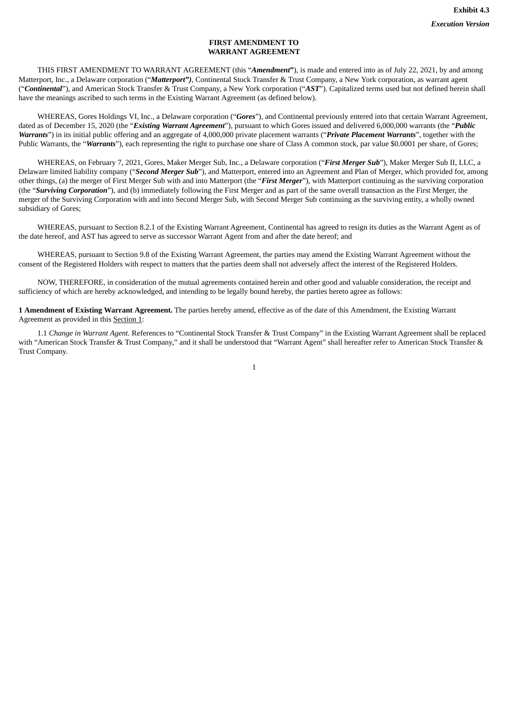## **FIRST AMENDMENT TO WARRANT AGREEMENT**

THIS FIRST AMENDMENT TO WARRANT AGREEMENT (this "*Amendment***"**), is made and entered into as of July 22, 2021, by and among Matterport, Inc., a Delaware corporation ("*Matterport")*, Continental Stock Transfer & Trust Company, a New York corporation, as warrant agent ("*Continental*"), and American Stock Transfer & Trust Company, a New York corporation ("*AST*"). Capitalized terms used but not defined herein shall have the meanings ascribed to such terms in the Existing Warrant Agreement (as defined below).

WHEREAS, Gores Holdings VI, Inc., a Delaware corporation ("*Gores*"), and Continental previously entered into that certain Warrant Agreement, dated as of December 15, 2020 (the "*Existing Warrant Agreement*"), pursuant to which Gores issued and delivered 6,000,000 warrants (the "*Public Warrants*") in its initial public offering and an aggregate of 4,000,000 private placement warrants ("*Private Placement Warrants*", together with the Public Warrants, the "*Warrants*"), each representing the right to purchase one share of Class A common stock, par value \$0.0001 per share, of Gores;

WHEREAS, on February 7, 2021, Gores, Maker Merger Sub, Inc., a Delaware corporation ("*First Merger Sub*"), Maker Merger Sub II, LLC, a Delaware limited liability company ("*Second Merger Sub*"), and Matterport, entered into an Agreement and Plan of Merger, which provided for, among other things, (a) the merger of First Merger Sub with and into Matterport (the "*First Merger*"), with Matterport continuing as the surviving corporation (the "*Surviving Corporation*"), and (b) immediately following the First Merger and as part of the same overall transaction as the First Merger, the merger of the Surviving Corporation with and into Second Merger Sub, with Second Merger Sub continuing as the surviving entity, a wholly owned subsidiary of Gores;

WHEREAS, pursuant to Section 8.2.1 of the Existing Warrant Agreement, Continental has agreed to resign its duties as the Warrant Agent as of the date hereof, and AST has agreed to serve as successor Warrant Agent from and after the date hereof; and

WHEREAS, pursuant to Section 9.8 of the Existing Warrant Agreement, the parties may amend the Existing Warrant Agreement without the consent of the Registered Holders with respect to matters that the parties deem shall not adversely affect the interest of the Registered Holders.

NOW, THEREFORE, in consideration of the mutual agreements contained herein and other good and valuable consideration, the receipt and sufficiency of which are hereby acknowledged, and intending to be legally bound hereby, the parties hereto agree as follows:

**1 Amendment of Existing Warrant Agreement.** The parties hereby amend, effective as of the date of this Amendment, the Existing Warrant Agreement as provided in this Section 1:

1.1 *Change in Warrant Agent*. References to "Continental Stock Transfer & Trust Company" in the Existing Warrant Agreement shall be replaced with "American Stock Transfer & Trust Company," and it shall be understood that "Warrant Agent" shall hereafter refer to American Stock Transfer & Trust Company.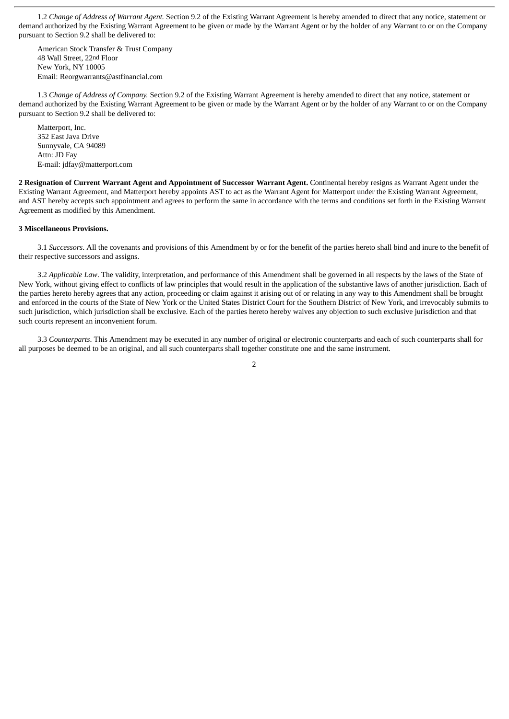1.2 *Change of Address of Warrant Agent.* Section 9.2 of the Existing Warrant Agreement is hereby amended to direct that any notice, statement or demand authorized by the Existing Warrant Agreement to be given or made by the Warrant Agent or by the holder of any Warrant to or on the Company pursuant to Section 9.2 shall be delivered to:

American Stock Transfer & Trust Company 48 Wall Street, 22nd Floor New York, NY 10005 Email: Reorgwarrants@astfinancial.com

1.3 *Change of Address of Company.* Section 9.2 of the Existing Warrant Agreement is hereby amended to direct that any notice, statement or demand authorized by the Existing Warrant Agreement to be given or made by the Warrant Agent or by the holder of any Warrant to or on the Company pursuant to Section 9.2 shall be delivered to:

Matterport, Inc. 352 East Java Drive Sunnyvale, CA 94089 Attn: JD Fay E-mail: jdfay@matterport.com

**2 Resignation of Current Warrant Agent and Appointment of Successor Warrant Agent.** Continental hereby resigns as Warrant Agent under the Existing Warrant Agreement, and Matterport hereby appoints AST to act as the Warrant Agent for Matterport under the Existing Warrant Agreement, and AST hereby accepts such appointment and agrees to perform the same in accordance with the terms and conditions set forth in the Existing Warrant Agreement as modified by this Amendment.

#### **3 Miscellaneous Provisions.**

3.1 *Successors*. All the covenants and provisions of this Amendment by or for the benefit of the parties hereto shall bind and inure to the benefit of their respective successors and assigns.

3.2 *Applicable Law*. The validity, interpretation, and performance of this Amendment shall be governed in all respects by the laws of the State of New York, without giving effect to conflicts of law principles that would result in the application of the substantive laws of another jurisdiction. Each of the parties hereto hereby agrees that any action, proceeding or claim against it arising out of or relating in any way to this Amendment shall be brought and enforced in the courts of the State of New York or the United States District Court for the Southern District of New York, and irrevocably submits to such jurisdiction, which jurisdiction shall be exclusive. Each of the parties hereto hereby waives any objection to such exclusive jurisdiction and that such courts represent an inconvenient forum.

3.3 *Counterparts*. This Amendment may be executed in any number of original or electronic counterparts and each of such counterparts shall for all purposes be deemed to be an original, and all such counterparts shall together constitute one and the same instrument.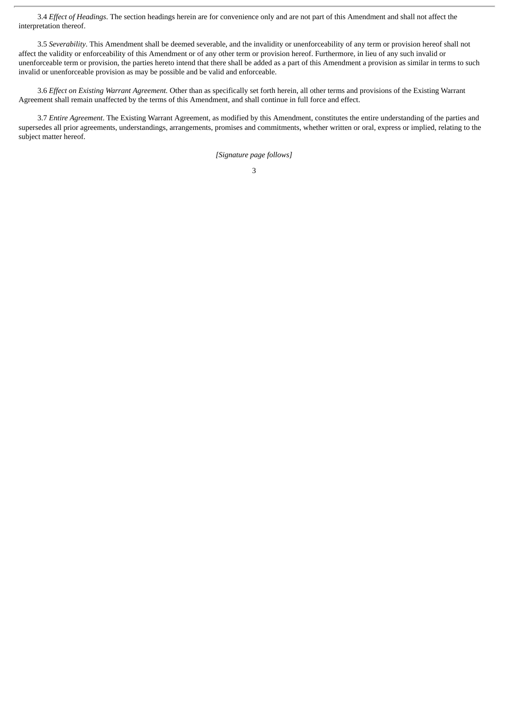3.4 *Effect of Headings*. The section headings herein are for convenience only and are not part of this Amendment and shall not affect the interpretation thereof.

3.5 *Severability*. This Amendment shall be deemed severable, and the invalidity or unenforceability of any term or provision hereof shall not affect the validity or enforceability of this Amendment or of any other term or provision hereof. Furthermore, in lieu of any such invalid or unenforceable term or provision, the parties hereto intend that there shall be added as a part of this Amendment a provision as similar in terms to such invalid or unenforceable provision as may be possible and be valid and enforceable.

3.6 *Effect on Existing Warrant Agreement.* Other than as specifically set forth herein, all other terms and provisions of the Existing Warrant Agreement shall remain unaffected by the terms of this Amendment, and shall continue in full force and effect.

3.7 *Entire Agreement*. The Existing Warrant Agreement, as modified by this Amendment, constitutes the entire understanding of the parties and supersedes all prior agreements, understandings, arrangements, promises and commitments, whether written or oral, express or implied, relating to the subject matter hereof.

*[Signature page follows]*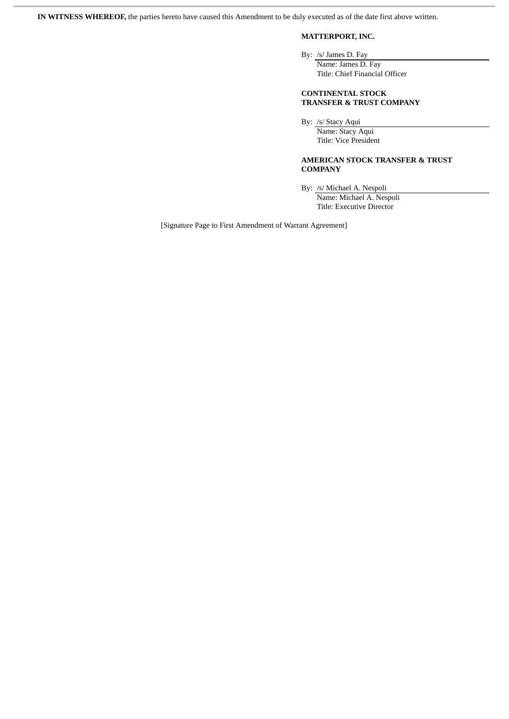**IN WITNESS WHEREOF,** the parties hereto have caused this Amendment to be duly executed as of the date first above written.

# **MATTERPORT, INC.**

By: /s/ James D. Fay

Name: James D. Fay Title: Chief Financial Officer

**CONTINENTAL STOCK TRANSFER & TRUST COMPANY**

By: /s/ Stacy Aqui

Name: Stacy Aqui Title: Vice President

### **AMERICAN STOCK TRANSFER & TRUST COMPANY**

By: /s/ Michael A. Nespoli

Name: Michael A. Nespoli Title: Executive Director

[Signature Page to First Amendment of Warrant Agreement]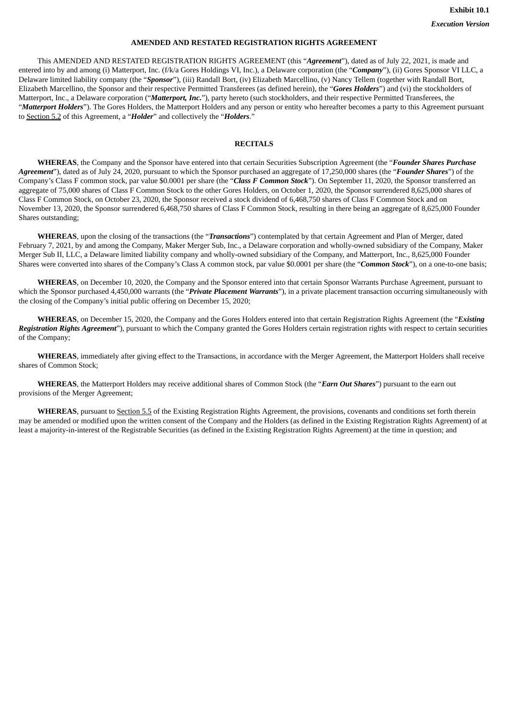## **AMENDED AND RESTATED REGISTRATION RIGHTS AGREEMENT**

This AMENDED AND RESTATED REGISTRATION RIGHTS AGREEMENT (this "*Agreement*"), dated as of July 22, 2021, is made and entered into by and among (i) Matterport, Inc. (f/k/a Gores Holdings VI, Inc.), a Delaware corporation (the "*Company*"), (ii) Gores Sponsor VI LLC, a Delaware limited liability company (the "*Sponsor*"), (iii) Randall Bort, (iv) Elizabeth Marcellino, (v) Nancy Tellem (together with Randall Bort, Elizabeth Marcellino, the Sponsor and their respective Permitted Transferees (as defined herein), the "*Gores Holders*") and (vi) the stockholders of Matterport, Inc., a Delaware corporation ("*Matterport, Inc.*"), party hereto (such stockholders, and their respective Permitted Transferees, the "*Matterport Holders*"). The Gores Holders, the Matterport Holders and any person or entity who hereafter becomes a party to this Agreement pursuant to Section 5.2 of this Agreement, a "*Holder*" and collectively the "*Holders*."

# **RECITALS**

**WHEREAS**, the Company and the Sponsor have entered into that certain Securities Subscription Agreement (the "*Founder Shares Purchase Agreement*"), dated as of July 24, 2020, pursuant to which the Sponsor purchased an aggregate of 17,250,000 shares (the "*Founder Shares*") of the Company's Class F common stock, par value \$0.0001 per share (the "*Class F Common Stock*"). On September 11, 2020, the Sponsor transferred an aggregate of 75,000 shares of Class F Common Stock to the other Gores Holders, on October 1, 2020, the Sponsor surrendered 8,625,000 shares of Class F Common Stock, on October 23, 2020, the Sponsor received a stock dividend of 6,468,750 shares of Class F Common Stock and on November 13, 2020, the Sponsor surrendered 6,468,750 shares of Class F Common Stock, resulting in there being an aggregate of 8,625,000 Founder Shares outstanding;

**WHEREAS**, upon the closing of the transactions (the "*Transactions*") contemplated by that certain Agreement and Plan of Merger, dated February 7, 2021, by and among the Company, Maker Merger Sub, Inc., a Delaware corporation and wholly-owned subsidiary of the Company, Maker Merger Sub II, LLC, a Delaware limited liability company and wholly-owned subsidiary of the Company, and Matterport, Inc., 8,625,000 Founder Shares were converted into shares of the Company's Class A common stock, par value \$0.0001 per share (the "*Common Stock*"), on a one-to-one basis;

**WHEREAS**, on December 10, 2020, the Company and the Sponsor entered into that certain Sponsor Warrants Purchase Agreement, pursuant to which the Sponsor purchased 4,450,000 warrants (the "*Private Placement Warrants*"), in a private placement transaction occurring simultaneously with the closing of the Company's initial public offering on December 15, 2020;

**WHEREAS**, on December 15, 2020, the Company and the Gores Holders entered into that certain Registration Rights Agreement (the "*Existing Registration Rights Agreement*"), pursuant to which the Company granted the Gores Holders certain registration rights with respect to certain securities of the Company;

**WHEREAS**, immediately after giving effect to the Transactions, in accordance with the Merger Agreement, the Matterport Holders shall receive shares of Common Stock;

**WHEREAS**, the Matterport Holders may receive additional shares of Common Stock (the "*Earn Out Shares*") pursuant to the earn out provisions of the Merger Agreement;

**WHEREAS**, pursuant to Section 5.5 of the Existing Registration Rights Agreement, the provisions, covenants and conditions set forth therein may be amended or modified upon the written consent of the Company and the Holders (as defined in the Existing Registration Rights Agreement) of at least a majority-in-interest of the Registrable Securities (as defined in the Existing Registration Rights Agreement) at the time in question; and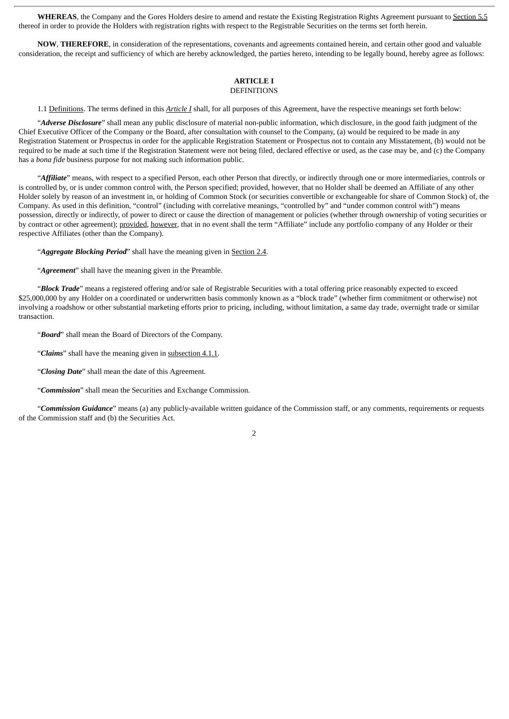**WHEREAS**, the Company and the Gores Holders desire to amend and restate the Existing Registration Rights Agreement pursuant to Section 5.5 thereof in order to provide the Holders with registration rights with respect to the Registrable Securities on the terms set forth herein.

**NOW**, **THEREFORE**, in consideration of the representations, covenants and agreements contained herein, and certain other good and valuable consideration, the receipt and sufficiency of which are hereby acknowledged, the parties hereto, intending to be legally bound, hereby agree as follows:

#### **ARTICLE I DEFINITIONS**

1.1 Definitions. The terms defined in this *Article I* shall, for all purposes of this Agreement, have the respective meanings set forth below:

"*Adverse Disclosure*" shall mean any public disclosure of material non-public information, which disclosure, in the good faith judgment of the Chief Executive Officer of the Company or the Board, after consultation with counsel to the Company, (a) would be required to be made in any Registration Statement or Prospectus in order for the applicable Registration Statement or Prospectus not to contain any Misstatement, (b) would not be required to be made at such time if the Registration Statement were not being filed, declared effective or used, as the case may be, and (c) the Company has a *bona fide* business purpose for not making such information public.

"*Affiliate*" means, with respect to a specified Person, each other Person that directly, or indirectly through one or more intermediaries, controls or is controlled by, or is under common control with, the Person specified; provided, however, that no Holder shall be deemed an Affiliate of any other Holder solely by reason of an investment in, or holding of Common Stock (or securities convertible or exchangeable for share of Common Stock) of, the Company. As used in this definition, "control" (including with correlative meanings, "controlled by" and "under common control with") means possession, directly or indirectly, of power to direct or cause the direction of management or policies (whether through ownership of voting securities or by contract or other agreement); provided, however, that in no event shall the term "Affiliate" include any portfolio company of any Holder or their respective Affiliates (other than the Company).

"*Aggregate Blocking Period*" shall have the meaning given in Section 2.4.

"*Agreement*" shall have the meaning given in the Preamble.

"*Block Trade*" means a registered offering and/or sale of Registrable Securities with a total offering price reasonably expected to exceed \$25,000,000 by any Holder on a coordinated or underwritten basis commonly known as a "block trade" (whether firm commitment or otherwise) not involving a roadshow or other substantial marketing efforts prior to pricing, including, without limitation, a same day trade, overnight trade or similar transaction.

"*Board*" shall mean the Board of Directors of the Company.

"*Claims*" shall have the meaning given in subsection 4.1.1.

"*Closing Date*" shall mean the date of this Agreement.

"*Commission*" shall mean the Securities and Exchange Commission.

"*Commission Guidance*" means (a) any publicly-available written guidance of the Commission staff, or any comments, requirements or requests of the Commission staff and (b) the Securities Act.

 $\overline{2}$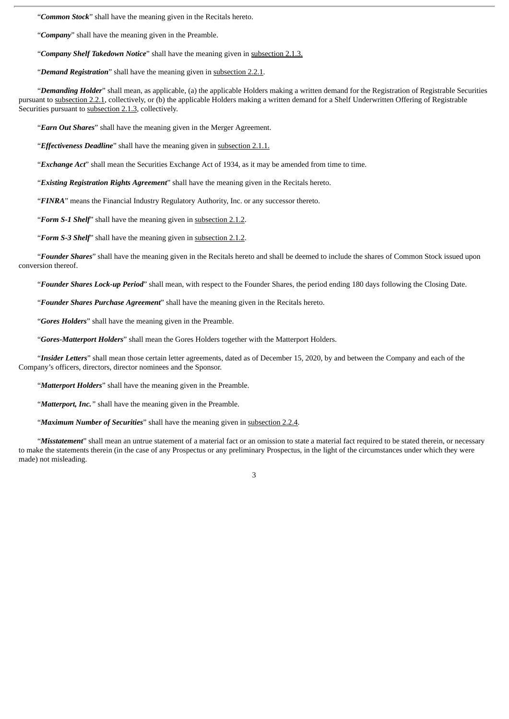"*Common Stock*" shall have the meaning given in the Recitals hereto.

"*Company*" shall have the meaning given in the Preamble.

"*Company Shelf Takedown Notice*" shall have the meaning given in subsection 2.1.3.

"*Demand Registration*" shall have the meaning given in subsection 2.2.1.

"*Demanding Holder*" shall mean, as applicable, (a) the applicable Holders making a written demand for the Registration of Registrable Securities pursuant to subsection 2.2.1, collectively, or (b) the applicable Holders making a written demand for a Shelf Underwritten Offering of Registrable Securities pursuant to subsection 2.1.3, collectively.

"*Earn Out Shares*" shall have the meaning given in the Merger Agreement.

"*Effectiveness Deadline*" shall have the meaning given in subsection 2.1.1.

"*Exchange Act*" shall mean the Securities Exchange Act of 1934, as it may be amended from time to time.

"*Existing Registration Rights Agreement*" shall have the meaning given in the Recitals hereto.

"*FINRA*" means the Financial Industry Regulatory Authority, Inc. or any successor thereto.

"*Form S-1 Shelf*" shall have the meaning given in subsection 2.1.2.

"*Form S-3 Shelf*" shall have the meaning given in subsection 2.1.2.

"*Founder Shares*" shall have the meaning given in the Recitals hereto and shall be deemed to include the shares of Common Stock issued upon conversion thereof.

"*Founder Shares Lock-up Period*" shall mean, with respect to the Founder Shares, the period ending 180 days following the Closing Date.

"*Founder Shares Purchase Agreement*" shall have the meaning given in the Recitals hereto.

"*Gores Holders*" shall have the meaning given in the Preamble.

"*Gores-Matterport Holders*" shall mean the Gores Holders together with the Matterport Holders.

"*Insider Letters*" shall mean those certain letter agreements, dated as of December 15, 2020, by and between the Company and each of the Company's officers, directors, director nominees and the Sponsor.

"*Matterport Holders*" shall have the meaning given in the Preamble.

"*Matterport, Inc."* shall have the meaning given in the Preamble.

"*Maximum Number of Securities*" shall have the meaning given in subsection 2.2.4.

"*Misstatement*" shall mean an untrue statement of a material fact or an omission to state a material fact required to be stated therein, or necessary to make the statements therein (in the case of any Prospectus or any preliminary Prospectus, in the light of the circumstances under which they were made) not misleading.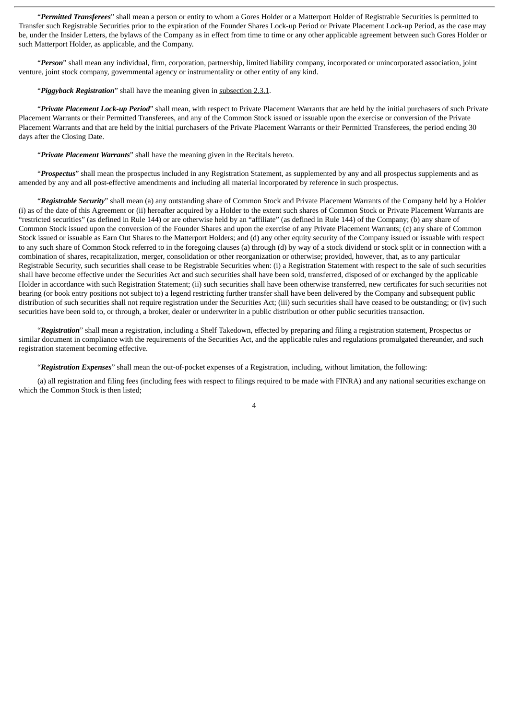"*Permitted Transferees*" shall mean a person or entity to whom a Gores Holder or a Matterport Holder of Registrable Securities is permitted to Transfer such Registrable Securities prior to the expiration of the Founder Shares Lock-up Period or Private Placement Lock-up Period, as the case may be, under the Insider Letters, the bylaws of the Company as in effect from time to time or any other applicable agreement between such Gores Holder or such Matterport Holder, as applicable, and the Company.

"*Person*" shall mean any individual, firm, corporation, partnership, limited liability company, incorporated or unincorporated association, joint venture, joint stock company, governmental agency or instrumentality or other entity of any kind.

### "*Piggyback Registration*" shall have the meaning given in subsection 2.3.1.

"*Private Placement Lock-up Period*" shall mean, with respect to Private Placement Warrants that are held by the initial purchasers of such Private Placement Warrants or their Permitted Transferees, and any of the Common Stock issued or issuable upon the exercise or conversion of the Private Placement Warrants and that are held by the initial purchasers of the Private Placement Warrants or their Permitted Transferees, the period ending 30 days after the Closing Date.

### "*Private Placement Warrants*" shall have the meaning given in the Recitals hereto.

"*Prospectus*" shall mean the prospectus included in any Registration Statement, as supplemented by any and all prospectus supplements and as amended by any and all post-effective amendments and including all material incorporated by reference in such prospectus.

"*Registrable Security*" shall mean (a) any outstanding share of Common Stock and Private Placement Warrants of the Company held by a Holder (i) as of the date of this Agreement or (ii) hereafter acquired by a Holder to the extent such shares of Common Stock or Private Placement Warrants are "restricted securities" (as defined in Rule 144) or are otherwise held by an "affiliate" (as defined in Rule 144) of the Company; (b) any share of Common Stock issued upon the conversion of the Founder Shares and upon the exercise of any Private Placement Warrants; (c) any share of Common Stock issued or issuable as Earn Out Shares to the Matterport Holders; and (d) any other equity security of the Company issued or issuable with respect to any such share of Common Stock referred to in the foregoing clauses (a) through (d) by way of a stock dividend or stock split or in connection with a combination of shares, recapitalization, merger, consolidation or other reorganization or otherwise; provided, however, that, as to any particular Registrable Security, such securities shall cease to be Registrable Securities when: (i) a Registration Statement with respect to the sale of such securities shall have become effective under the Securities Act and such securities shall have been sold, transferred, disposed of or exchanged by the applicable Holder in accordance with such Registration Statement; (ii) such securities shall have been otherwise transferred, new certificates for such securities not bearing (or book entry positions not subject to) a legend restricting further transfer shall have been delivered by the Company and subsequent public distribution of such securities shall not require registration under the Securities Act; (iii) such securities shall have ceased to be outstanding; or (iv) such securities have been sold to, or through, a broker, dealer or underwriter in a public distribution or other public securities transaction.

"*Registration*" shall mean a registration, including a Shelf Takedown, effected by preparing and filing a registration statement, Prospectus or similar document in compliance with the requirements of the Securities Act, and the applicable rules and regulations promulgated thereunder, and such registration statement becoming effective.

"*Registration Expenses*" shall mean the out-of-pocket expenses of a Registration, including, without limitation, the following:

(a) all registration and filing fees (including fees with respect to filings required to be made with FINRA) and any national securities exchange on which the Common Stock is then listed;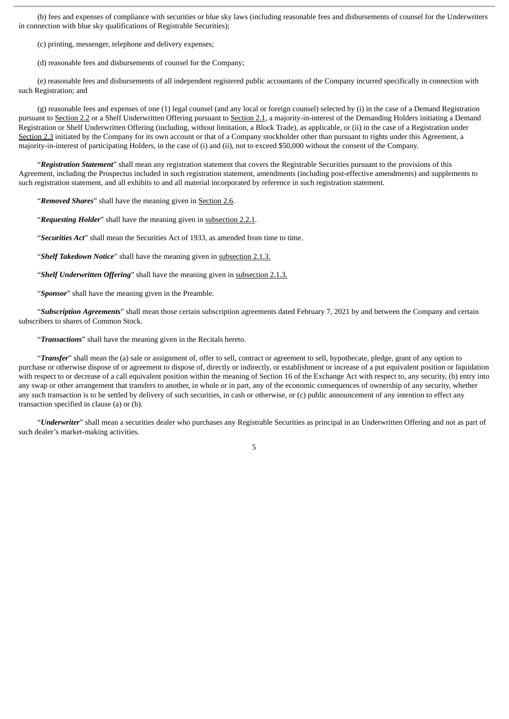(b) fees and expenses of compliance with securities or blue sky laws (including reasonable fees and disbursements of counsel for the Underwriters in connection with blue sky qualifications of Registrable Securities);

(c) printing, messenger, telephone and delivery expenses;

(d) reasonable fees and disbursements of counsel for the Company;

(e) reasonable fees and disbursements of all independent registered public accountants of the Company incurred specifically in connection with such Registration; and

(g) reasonable fees and expenses of one (1) legal counsel (and any local or foreign counsel) selected by (i) in the case of a Demand Registration pursuant to Section 2.2 or a Shelf Underwritten Offering pursuant to Section 2.1, a majority-in-interest of the Demanding Holders initiating a Demand Registration or Shelf Underwritten Offering (including, without limitation, a Block Trade), as applicable, or (ii) in the case of a Registration under Section 2.3 initiated by the Company for its own account or that of a Company stockholder other than pursuant to rights under this Agreement, a majority-in-interest of participating Holders, in the case of (i) and (ii), not to exceed \$50,000 without the consent of the Company.

"*Registration Statement*" shall mean any registration statement that covers the Registrable Securities pursuant to the provisions of this Agreement, including the Prospectus included in such registration statement, amendments (including post-effective amendments) and supplements to such registration statement, and all exhibits to and all material incorporated by reference in such registration statement.

"*Removed Shares*" shall have the meaning given in Section 2.6.

"*Requesting Holder*" shall have the meaning given in subsection 2.2.1.

"*Securities Act*" shall mean the Securities Act of 1933, as amended from time to time.

"*Shelf Takedown Notice*" shall have the meaning given in subsection 2.1.3.

"*Shelf Underwritten Offering*" shall have the meaning given in subsection 2.1.3.

"*Sponsor*" shall have the meaning given in the Preamble.

"*Subscription Agreements*" shall mean those certain subscription agreements dated February 7, 2021 by and between the Company and certain subscribers to shares of Common Stock.

"*Transactions*" shall have the meaning given in the Recitals hereto.

"*Transfer*" shall mean the (a) sale or assignment of, offer to sell, contract or agreement to sell, hypothecate, pledge, grant of any option to purchase or otherwise dispose of or agreement to dispose of, directly or indirectly, or establishment or increase of a put equivalent position or liquidation with respect to or decrease of a call equivalent position within the meaning of Section 16 of the Exchange Act with respect to, any security, (b) entry into any swap or other arrangement that transfers to another, in whole or in part, any of the economic consequences of ownership of any security, whether any such transaction is to be settled by delivery of such securities, in cash or otherwise, or (c) public announcement of any intention to effect any transaction specified in clause (a) or (b).

"*Underwriter*" shall mean a securities dealer who purchases any Registrable Securities as principal in an Underwritten Offering and not as part of such dealer's market-making activities.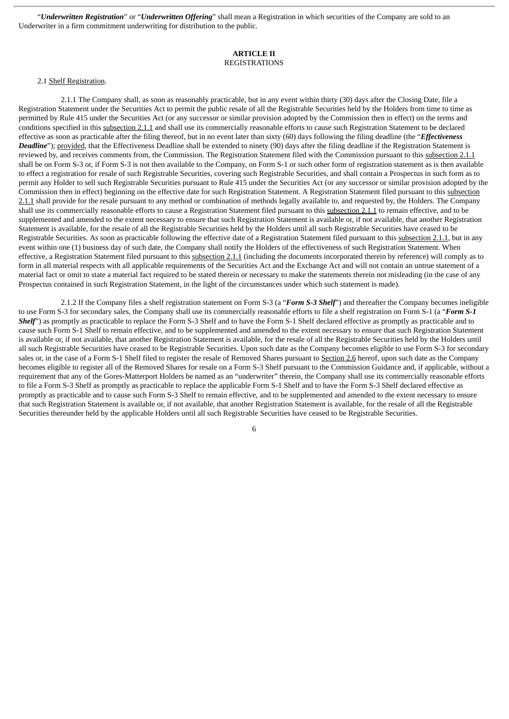"*Underwritten Registration*" or "*Underwritten Offering*" shall mean a Registration in which securities of the Company are sold to an Underwriter in a firm commitment underwriting for distribution to the public.

### **ARTICLE II** REGISTRATIONS

#### 2.1 Shelf Registration.

2.1.1 The Company shall, as soon as reasonably practicable, but in any event within thirty (30) days after the Closing Date, file a Registration Statement under the Securities Act to permit the public resale of all the Registrable Securities held by the Holders from time to time as permitted by Rule 415 under the Securities Act (or any successor or similar provision adopted by the Commission then in effect) on the terms and conditions specified in this subsection 2.1.1 and shall use its commercially reasonable efforts to cause such Registration Statement to be declared effective as soon as practicable after the filing thereof, but in no event later than sixty (60) days following the filing deadline (the "*Effectiveness Deadline*"); provided, that the Effectiveness Deadline shall be extended to ninety (90) days after the filing deadline if the Registration Statement is reviewed by, and receives comments from, the Commission. The Registration Statement filed with the Commission pursuant to this subsection 2.1.1 shall be on Form S-3 or, if Form S-3 is not then available to the Company, on Form S-1 or such other form of registration statement as is then available to effect a registration for resale of such Registrable Securities, covering such Registrable Securities, and shall contain a Prospectus in such form as to permit any Holder to sell such Registrable Securities pursuant to Rule 415 under the Securities Act (or any successor or similar provision adopted by the Commission then in effect) beginning on the effective date for such Registration Statement. A Registration Statement filed pursuant to this subsection 2.1.1 shall provide for the resale pursuant to any method or combination of methods legally available to, and requested by, the Holders. The Company shall use its commercially reasonable efforts to cause a Registration Statement filed pursuant to this subsection 2.1.1 to remain effective, and to be supplemented and amended to the extent necessary to ensure that such Registration Statement is available or, if not available, that another Registration Statement is available, for the resale of all the Registrable Securities held by the Holders until all such Registrable Securities have ceased to be Registrable Securities. As soon as practicable following the effective date of a Registration Statement filed pursuant to this subsection 2.1.1, but in any event within one (1) business day of such date, the Company shall notify the Holders of the effectiveness of such Registration Statement. When effective, a Registration Statement filed pursuant to this subsection 2.1.1 (including the documents incorporated therein by reference) will comply as to form in all material respects with all applicable requirements of the Securities Act and the Exchange Act and will not contain an untrue statement of a material fact or omit to state a material fact required to be stated therein or necessary to make the statements therein not misleading (in the case of any Prospectus contained in such Registration Statement, in the light of the circumstances under which such statement is made).

2.1.2 If the Company files a shelf registration statement on Form S-3 (a "*Form S-3 Shelf*") and thereafter the Company becomes ineligible to use Form S-3 for secondary sales, the Company shall use its commercially reasonable efforts to file a shelf registration on Form S-1 (a "*Form S-1* **Shelf**") as promptly as practicable to replace the Form S-3 Shelf and to have the Form S-1 Shelf declared effective as promptly as practicable and to cause such Form S-1 Shelf to remain effective, and to be supplemented and amended to the extent necessary to ensure that such Registration Statement is available or, if not available, that another Registration Statement is available, for the resale of all the Registrable Securities held by the Holders until all such Registrable Securities have ceased to be Registrable Securities. Upon such date as the Company becomes eligible to use Form S-3 for secondary sales or, in the case of a Form S-1 Shelf filed to register the resale of Removed Shares pursuant to Section 2.6 hereof, upon such date as the Company becomes eligible to register all of the Removed Shares for resale on a Form S-3 Shelf pursuant to the Commission Guidance and, if applicable, without a requirement that any of the Gores-Matterport Holders be named as an "underwriter" therein, the Company shall use its commercially reasonable efforts to file a Form S-3 Shelf as promptly as practicable to replace the applicable Form S-1 Shelf and to have the Form S-3 Shelf declared effective as promptly as practicable and to cause such Form S-3 Shelf to remain effective, and to be supplemented and amended to the extent necessary to ensure that such Registration Statement is available or, if not available, that another Registration Statement is available, for the resale of all the Registrable Securities thereunder held by the applicable Holders until all such Registrable Securities have ceased to be Registrable Securities.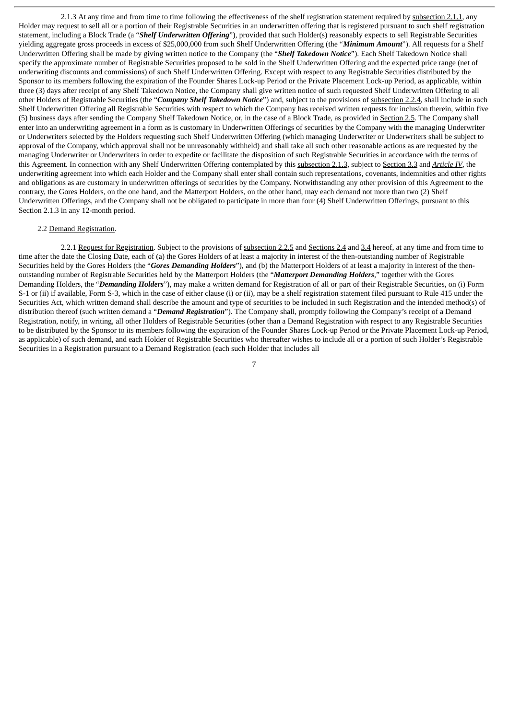2.1.3 At any time and from time to time following the effectiveness of the shelf registration statement required by subsection 2.1.1, any Holder may request to sell all or a portion of their Registrable Securities in an underwritten offering that is registered pursuant to such shelf registration statement, including a Block Trade (a "*Shelf Underwritten Offering*"), provided that such Holder(s) reasonably expects to sell Registrable Securities yielding aggregate gross proceeds in excess of \$25,000,000 from such Shelf Underwritten Offering (the "*Minimum Amount*"). All requests for a Shelf Underwritten Offering shall be made by giving written notice to the Company (the "*Shelf Takedown Notice*"). Each Shelf Takedown Notice shall specify the approximate number of Registrable Securities proposed to be sold in the Shelf Underwritten Offering and the expected price range (net of underwriting discounts and commissions) of such Shelf Underwritten Offering. Except with respect to any Registrable Securities distributed by the Sponsor to its members following the expiration of the Founder Shares Lock-up Period or the Private Placement Lock-up Period, as applicable, within three (3) days after receipt of any Shelf Takedown Notice, the Company shall give written notice of such requested Shelf Underwritten Offering to all other Holders of Registrable Securities (the "*Company Shelf Takedown Notice*") and, subject to the provisions of subsection 2.2.4, shall include in such Shelf Underwritten Offering all Registrable Securities with respect to which the Company has received written requests for inclusion therein, within five (5) business days after sending the Company Shelf Takedown Notice, or, in the case of a Block Trade, as provided in Section 2.5. The Company shall enter into an underwriting agreement in a form as is customary in Underwritten Offerings of securities by the Company with the managing Underwriter or Underwriters selected by the Holders requesting such Shelf Underwritten Offering (which managing Underwriter or Underwriters shall be subject to approval of the Company, which approval shall not be unreasonably withheld) and shall take all such other reasonable actions as are requested by the managing Underwriter or Underwriters in order to expedite or facilitate the disposition of such Registrable Securities in accordance with the terms of this Agreement. In connection with any Shelf Underwritten Offering contemplated by this subsection 2.1.3, subject to Section 3.3 and *Article IV*, the underwriting agreement into which each Holder and the Company shall enter shall contain such representations, covenants, indemnities and other rights and obligations as are customary in underwritten offerings of securities by the Company. Notwithstanding any other provision of this Agreement to the contrary, the Gores Holders, on the one hand, and the Matterport Holders, on the other hand, may each demand not more than two (2) Shelf Underwritten Offerings, and the Company shall not be obligated to participate in more than four (4) Shelf Underwritten Offerings, pursuant to this Section 2.1.3 in any 12-month period.

### 2.2 Demand Registration.

2.2.1 Request for Registration. Subject to the provisions of subsection 2.2.5 and Sections 2.4 and 3.4 hereof, at any time and from time to time after the date the Closing Date, each of (a) the Gores Holders of at least a majority in interest of the then-outstanding number of Registrable Securities held by the Gores Holders (the "*Gores Demanding Holders*"), and (b) the Matterport Holders of at least a majority in interest of the thenoutstanding number of Registrable Securities held by the Matterport Holders (the "*Matterport Demanding Holders*," together with the Gores Demanding Holders, the "*Demanding Holders*"), may make a written demand for Registration of all or part of their Registrable Securities, on (i) Form S-1 or (ii) if available, Form S-3, which in the case of either clause (i) or (ii), may be a shelf registration statement filed pursuant to Rule 415 under the Securities Act, which written demand shall describe the amount and type of securities to be included in such Registration and the intended method(s) of distribution thereof (such written demand a "*Demand Registration*"). The Company shall, promptly following the Company's receipt of a Demand Registration, notify, in writing, all other Holders of Registrable Securities (other than a Demand Registration with respect to any Registrable Securities to be distributed by the Sponsor to its members following the expiration of the Founder Shares Lock-up Period or the Private Placement Lock-up Period, as applicable) of such demand, and each Holder of Registrable Securities who thereafter wishes to include all or a portion of such Holder's Registrable Securities in a Registration pursuant to a Demand Registration (each such Holder that includes all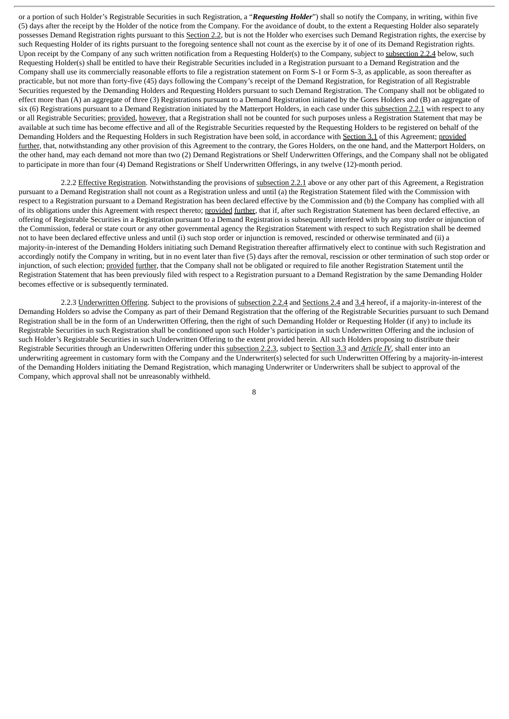or a portion of such Holder's Registrable Securities in such Registration, a "*Requesting Holder*") shall so notify the Company, in writing, within five (5) days after the receipt by the Holder of the notice from the Company. For the avoidance of doubt, to the extent a Requesting Holder also separately possesses Demand Registration rights pursuant to this Section 2.2, but is not the Holder who exercises such Demand Registration rights, the exercise by such Requesting Holder of its rights pursuant to the foregoing sentence shall not count as the exercise by it of one of its Demand Registration rights. Upon receipt by the Company of any such written notification from a Requesting Holder(s) to the Company, subject to subsection 2.2.4 below, such Requesting Holder(s) shall be entitled to have their Registrable Securities included in a Registration pursuant to a Demand Registration and the Company shall use its commercially reasonable efforts to file a registration statement on Form S-1 or Form S-3, as applicable, as soon thereafter as practicable, but not more than forty-five (45) days following the Company's receipt of the Demand Registration, for Registration of all Registrable Securities requested by the Demanding Holders and Requesting Holders pursuant to such Demand Registration. The Company shall not be obligated to effect more than (A) an aggregate of three (3) Registrations pursuant to a Demand Registration initiated by the Gores Holders and (B) an aggregate of six (6) Registrations pursuant to a Demand Registration initiated by the Matterport Holders, in each case under this subsection 2.2.1 with respect to any or all Registrable Securities; provided, however, that a Registration shall not be counted for such purposes unless a Registration Statement that may be available at such time has become effective and all of the Registrable Securities requested by the Requesting Holders to be registered on behalf of the Demanding Holders and the Requesting Holders in such Registration have been sold, in accordance with Section 3.1 of this Agreement; provided further, that, notwithstanding any other provision of this Agreement to the contrary, the Gores Holders, on the one hand, and the Matterport Holders, on the other hand, may each demand not more than two (2) Demand Registrations or Shelf Underwritten Offerings, and the Company shall not be obligated to participate in more than four (4) Demand Registrations or Shelf Underwritten Offerings, in any twelve (12)-month period.

2.2.2 Effective Registration. Notwithstanding the provisions of subsection 2.2.1 above or any other part of this Agreement, a Registration pursuant to a Demand Registration shall not count as a Registration unless and until (a) the Registration Statement filed with the Commission with respect to a Registration pursuant to a Demand Registration has been declared effective by the Commission and (b) the Company has complied with all of its obligations under this Agreement with respect thereto; provided further, that if, after such Registration Statement has been declared effective, an offering of Registrable Securities in a Registration pursuant to a Demand Registration is subsequently interfered with by any stop order or injunction of the Commission, federal or state court or any other governmental agency the Registration Statement with respect to such Registration shall be deemed not to have been declared effective unless and until (i) such stop order or injunction is removed, rescinded or otherwise terminated and (ii) a majority-in-interest of the Demanding Holders initiating such Demand Registration thereafter affirmatively elect to continue with such Registration and accordingly notify the Company in writing, but in no event later than five (5) days after the removal, rescission or other termination of such stop order or injunction, of such election; provided further, that the Company shall not be obligated or required to file another Registration Statement until the Registration Statement that has been previously filed with respect to a Registration pursuant to a Demand Registration by the same Demanding Holder becomes effective or is subsequently terminated.

2.2.3 Underwritten Offering. Subject to the provisions of subsection 2.2.4 and Sections 2.4 and 3.4 hereof, if a majority-in-interest of the Demanding Holders so advise the Company as part of their Demand Registration that the offering of the Registrable Securities pursuant to such Demand Registration shall be in the form of an Underwritten Offering, then the right of such Demanding Holder or Requesting Holder (if any) to include its Registrable Securities in such Registration shall be conditioned upon such Holder's participation in such Underwritten Offering and the inclusion of such Holder's Registrable Securities in such Underwritten Offering to the extent provided herein. All such Holders proposing to distribute their Registrable Securities through an Underwritten Offering under this subsection 2.2.3, subject to Section 3.3 and *Article IV*, shall enter into an underwriting agreement in customary form with the Company and the Underwriter(s) selected for such Underwritten Offering by a majority-in-interest of the Demanding Holders initiating the Demand Registration, which managing Underwriter or Underwriters shall be subject to approval of the Company, which approval shall not be unreasonably withheld.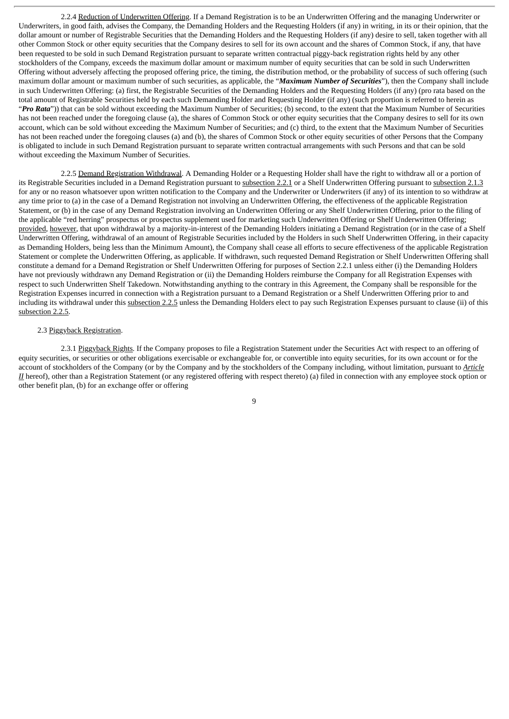2.2.4 Reduction of Underwritten Offering. If a Demand Registration is to be an Underwritten Offering and the managing Underwriter or Underwriters, in good faith, advises the Company, the Demanding Holders and the Requesting Holders (if any) in writing, in its or their opinion, that the dollar amount or number of Registrable Securities that the Demanding Holders and the Requesting Holders (if any) desire to sell, taken together with all other Common Stock or other equity securities that the Company desires to sell for its own account and the shares of Common Stock, if any, that have been requested to be sold in such Demand Registration pursuant to separate written contractual piggy-back registration rights held by any other stockholders of the Company, exceeds the maximum dollar amount or maximum number of equity securities that can be sold in such Underwritten Offering without adversely affecting the proposed offering price, the timing, the distribution method, or the probability of success of such offering (such maximum dollar amount or maximum number of such securities, as applicable, the "*Maximum Number of Securities*"), then the Company shall include in such Underwritten Offering: (a) first, the Registrable Securities of the Demanding Holders and the Requesting Holders (if any) (pro rata based on the total amount of Registrable Securities held by each such Demanding Holder and Requesting Holder (if any) (such proportion is referred to herein as "*Pro Rata*")) that can be sold without exceeding the Maximum Number of Securities; (b) second, to the extent that the Maximum Number of Securities has not been reached under the foregoing clause (a), the shares of Common Stock or other equity securities that the Company desires to sell for its own account, which can be sold without exceeding the Maximum Number of Securities; and (c) third, to the extent that the Maximum Number of Securities has not been reached under the foregoing clauses (a) and (b), the shares of Common Stock or other equity securities of other Persons that the Company is obligated to include in such Demand Registration pursuant to separate written contractual arrangements with such Persons and that can be sold without exceeding the Maximum Number of Securities.

2.2.5 Demand Registration Withdrawal. A Demanding Holder or a Requesting Holder shall have the right to withdraw all or a portion of its Registrable Securities included in a Demand Registration pursuant to subsection 2.2.1 or a Shelf Underwritten Offering pursuant to subsection 2.1.3 for any or no reason whatsoever upon written notification to the Company and the Underwriter or Underwriters (if any) of its intention to so withdraw at any time prior to (a) in the case of a Demand Registration not involving an Underwritten Offering, the effectiveness of the applicable Registration Statement, or (b) in the case of any Demand Registration involving an Underwritten Offering or any Shelf Underwritten Offering, prior to the filing of the applicable "red herring" prospectus or prospectus supplement used for marketing such Underwritten Offering or Shelf Underwritten Offering; provided, however, that upon withdrawal by a majority-in-interest of the Demanding Holders initiating a Demand Registration (or in the case of a Shelf Underwritten Offering, withdrawal of an amount of Registrable Securities included by the Holders in such Shelf Underwritten Offering, in their capacity as Demanding Holders, being less than the Minimum Amount), the Company shall cease all efforts to secure effectiveness of the applicable Registration Statement or complete the Underwritten Offering, as applicable. If withdrawn, such requested Demand Registration or Shelf Underwritten Offering shall constitute a demand for a Demand Registration or Shelf Underwritten Offering for purposes of Section 2.2.1 unless either (i) the Demanding Holders have not previously withdrawn any Demand Registration or (ii) the Demanding Holders reimburse the Company for all Registration Expenses with respect to such Underwritten Shelf Takedown. Notwithstanding anything to the contrary in this Agreement, the Company shall be responsible for the Registration Expenses incurred in connection with a Registration pursuant to a Demand Registration or a Shelf Underwritten Offering prior to and including its withdrawal under this subsection 2.2.5 unless the Demanding Holders elect to pay such Registration Expenses pursuant to clause (ii) of this subsection 2.2.5.

#### 2.3 Piggyback Registration.

2.3.1 Piggyback Rights. If the Company proposes to file a Registration Statement under the Securities Act with respect to an offering of equity securities, or securities or other obligations exercisable or exchangeable for, or convertible into equity securities, for its own account or for the account of stockholders of the Company (or by the Company and by the stockholders of the Company including, without limitation, pursuant to *Article II* hereof), other than a Registration Statement (or any registered offering with respect thereto) (a) filed in connection with any employee stock option or other benefit plan, (b) for an exchange offer or offering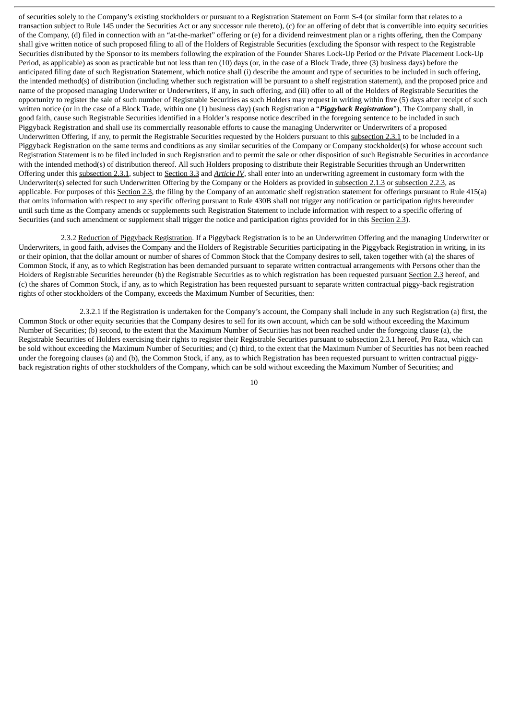of securities solely to the Company's existing stockholders or pursuant to a Registration Statement on Form S-4 (or similar form that relates to a transaction subject to Rule 145 under the Securities Act or any successor rule thereto), (c) for an offering of debt that is convertible into equity securities of the Company, (d) filed in connection with an "at-the-market" offering or (e) for a dividend reinvestment plan or a rights offering, then the Company shall give written notice of such proposed filing to all of the Holders of Registrable Securities (excluding the Sponsor with respect to the Registrable Securities distributed by the Sponsor to its members following the expiration of the Founder Shares Lock-Up Period or the Private Placement Lock-Up Period, as applicable) as soon as practicable but not less than ten (10) days (or, in the case of a Block Trade, three (3) business days) before the anticipated filing date of such Registration Statement, which notice shall (i) describe the amount and type of securities to be included in such offering, the intended method(s) of distribution (including whether such registration will be pursuant to a shelf registration statement), and the proposed price and name of the proposed managing Underwriter or Underwriters, if any, in such offering, and (iii) offer to all of the Holders of Registrable Securities the opportunity to register the sale of such number of Registrable Securities as such Holders may request in writing within five (5) days after receipt of such written notice (or in the case of a Block Trade, within one (1) business day) (such Registration a "*Piggyback Registration*"). The Company shall, in good faith, cause such Registrable Securities identified in a Holder's response notice described in the foregoing sentence to be included in such Piggyback Registration and shall use its commercially reasonable efforts to cause the managing Underwriter or Underwriters of a proposed Underwritten Offering, if any, to permit the Registrable Securities requested by the Holders pursuant to this subsection 2.3.1 to be included in a Piggyback Registration on the same terms and conditions as any similar securities of the Company or Company stockholder(s) for whose account such Registration Statement is to be filed included in such Registration and to permit the sale or other disposition of such Registrable Securities in accordance with the intended method(s) of distribution thereof. All such Holders proposing to distribute their Registrable Securities through an Underwritten Offering under this subsection 2.3.1, subject to Section 3.3 and *Article IV*, shall enter into an underwriting agreement in customary form with the Underwriter(s) selected for such Underwritten Offering by the Company or the Holders as provided in subsection 2.1.3 or subsection 2.2.3, as applicable. For purposes of this Section 2.3, the filing by the Company of an automatic shelf registration statement for offerings pursuant to Rule 415(a) that omits information with respect to any specific offering pursuant to Rule 430B shall not trigger any notification or participation rights hereunder until such time as the Company amends or supplements such Registration Statement to include information with respect to a specific offering of Securities (and such amendment or supplement shall trigger the notice and participation rights provided for in this Section 2.3).

2.3.2 Reduction of Piggyback Registration. If a Piggyback Registration is to be an Underwritten Offering and the managing Underwriter or Underwriters, in good faith, advises the Company and the Holders of Registrable Securities participating in the Piggyback Registration in writing, in its or their opinion, that the dollar amount or number of shares of Common Stock that the Company desires to sell, taken together with (a) the shares of Common Stock, if any, as to which Registration has been demanded pursuant to separate written contractual arrangements with Persons other than the Holders of Registrable Securities hereunder (b) the Registrable Securities as to which registration has been requested pursuant Section 2.3 hereof, and (c) the shares of Common Stock, if any, as to which Registration has been requested pursuant to separate written contractual piggy-back registration rights of other stockholders of the Company, exceeds the Maximum Number of Securities, then:

2.3.2.1 if the Registration is undertaken for the Company's account, the Company shall include in any such Registration (a) first, the Common Stock or other equity securities that the Company desires to sell for its own account, which can be sold without exceeding the Maximum Number of Securities; (b) second, to the extent that the Maximum Number of Securities has not been reached under the foregoing clause (a), the Registrable Securities of Holders exercising their rights to register their Registrable Securities pursuant to subsection 2.3.1 hereof, Pro Rata, which can be sold without exceeding the Maximum Number of Securities; and (c) third, to the extent that the Maximum Number of Securities has not been reached under the foregoing clauses (a) and (b), the Common Stock, if any, as to which Registration has been requested pursuant to written contractual piggyback registration rights of other stockholders of the Company, which can be sold without exceeding the Maximum Number of Securities; and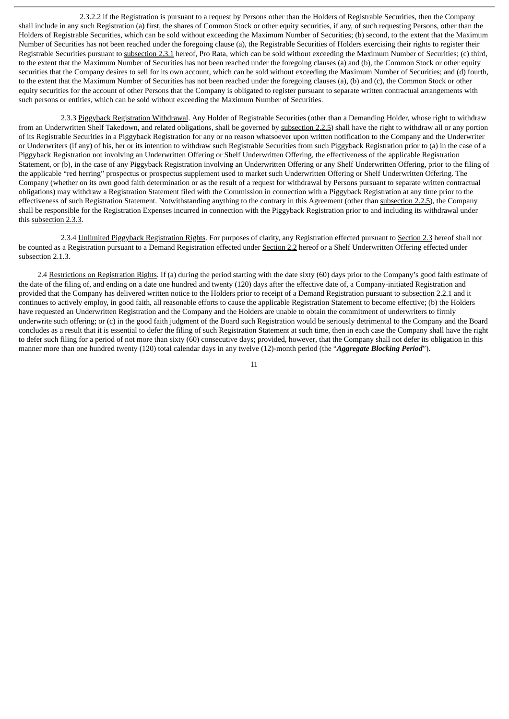2.3.2.2 if the Registration is pursuant to a request by Persons other than the Holders of Registrable Securities, then the Company shall include in any such Registration (a) first, the shares of Common Stock or other equity securities, if any, of such requesting Persons, other than the Holders of Registrable Securities, which can be sold without exceeding the Maximum Number of Securities; (b) second, to the extent that the Maximum Number of Securities has not been reached under the foregoing clause (a), the Registrable Securities of Holders exercising their rights to register their Registrable Securities pursuant to subsection 2.3.1 hereof, Pro Rata, which can be sold without exceeding the Maximum Number of Securities; (c) third, to the extent that the Maximum Number of Securities has not been reached under the foregoing clauses (a) and (b), the Common Stock or other equity securities that the Company desires to sell for its own account, which can be sold without exceeding the Maximum Number of Securities; and (d) fourth, to the extent that the Maximum Number of Securities has not been reached under the foregoing clauses (a), (b) and (c), the Common Stock or other equity securities for the account of other Persons that the Company is obligated to register pursuant to separate written contractual arrangements with such persons or entities, which can be sold without exceeding the Maximum Number of Securities.

2.3.3 Piggyback Registration Withdrawal. Any Holder of Registrable Securities (other than a Demanding Holder, whose right to withdraw from an Underwritten Shelf Takedown, and related obligations, shall be governed by subsection 2.2.5) shall have the right to withdraw all or any portion of its Registrable Securities in a Piggyback Registration for any or no reason whatsoever upon written notification to the Company and the Underwriter or Underwriters (if any) of his, her or its intention to withdraw such Registrable Securities from such Piggyback Registration prior to (a) in the case of a Piggyback Registration not involving an Underwritten Offering or Shelf Underwritten Offering, the effectiveness of the applicable Registration Statement, or (b), in the case of any Piggyback Registration involving an Underwritten Offering or any Shelf Underwritten Offering, prior to the filing of the applicable "red herring" prospectus or prospectus supplement used to market such Underwritten Offering or Shelf Underwritten Offering. The Company (whether on its own good faith determination or as the result of a request for withdrawal by Persons pursuant to separate written contractual obligations) may withdraw a Registration Statement filed with the Commission in connection with a Piggyback Registration at any time prior to the effectiveness of such Registration Statement. Notwithstanding anything to the contrary in this Agreement (other than subsection 2.2.5), the Company shall be responsible for the Registration Expenses incurred in connection with the Piggyback Registration prior to and including its withdrawal under this subsection 2.3.3.

2.3.4 Unlimited Piggyback Registration Rights. For purposes of clarity, any Registration effected pursuant to Section 2.3 hereof shall not be counted as a Registration pursuant to a Demand Registration effected under Section 2.2 hereof or a Shelf Underwritten Offering effected under subsection 2.1.3.

2.4 Restrictions on Registration Rights. If (a) during the period starting with the date sixty (60) days prior to the Company's good faith estimate of the date of the filing of, and ending on a date one hundred and twenty (120) days after the effective date of, a Company-initiated Registration and provided that the Company has delivered written notice to the Holders prior to receipt of a Demand Registration pursuant to subsection 2.2.1 and it continues to actively employ, in good faith, all reasonable efforts to cause the applicable Registration Statement to become effective; (b) the Holders have requested an Underwritten Registration and the Company and the Holders are unable to obtain the commitment of underwriters to firmly underwrite such offering; or (c) in the good faith judgment of the Board such Registration would be seriously detrimental to the Company and the Board concludes as a result that it is essential to defer the filing of such Registration Statement at such time, then in each case the Company shall have the right to defer such filing for a period of not more than sixty (60) consecutive days; provided, however, that the Company shall not defer its obligation in this manner more than one hundred twenty (120) total calendar days in any twelve (12)-month period (the "*Aggregate Blocking Period*").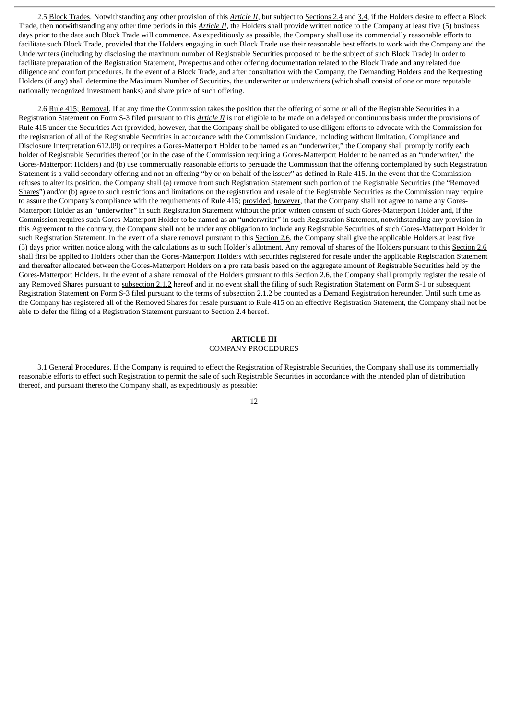2.5 Block Trades. Notwithstanding any other provision of this *Article II*, but subject to Sections 2.4 and 3.4, if the Holders desire to effect a Block Trade, then notwithstanding any other time periods in this *Article II*, the Holders shall provide written notice to the Company at least five (5) business days prior to the date such Block Trade will commence. As expeditiously as possible, the Company shall use its commercially reasonable efforts to facilitate such Block Trade, provided that the Holders engaging in such Block Trade use their reasonable best efforts to work with the Company and the Underwriters (including by disclosing the maximum number of Registrable Securities proposed to be the subject of such Block Trade) in order to facilitate preparation of the Registration Statement, Prospectus and other offering documentation related to the Block Trade and any related due diligence and comfort procedures. In the event of a Block Trade, and after consultation with the Company, the Demanding Holders and the Requesting Holders (if any) shall determine the Maximum Number of Securities, the underwriter or underwriters (which shall consist of one or more reputable nationally recognized investment banks) and share price of such offering.

2.6 Rule 415; Removal. If at any time the Commission takes the position that the offering of some or all of the Registrable Securities in a Registration Statement on Form S-3 filed pursuant to this *Article II* is not eligible to be made on a delayed or continuous basis under the provisions of Rule 415 under the Securities Act (provided, however, that the Company shall be obligated to use diligent efforts to advocate with the Commission for the registration of all of the Registrable Securities in accordance with the Commission Guidance, including without limitation, Compliance and Disclosure Interpretation 612.09) or requires a Gores-Matterport Holder to be named as an "underwriter," the Company shall promptly notify each holder of Registrable Securities thereof (or in the case of the Commission requiring a Gores-Matterport Holder to be named as an "underwriter," the Gores-Matterport Holders) and (b) use commercially reasonable efforts to persuade the Commission that the offering contemplated by such Registration Statement is a valid secondary offering and not an offering "by or on behalf of the issuer" as defined in Rule 415. In the event that the Commission refuses to alter its position, the Company shall (a) remove from such Registration Statement such portion of the Registrable Securities (the "Removed Shares") and/or (b) agree to such restrictions and limitations on the registration and resale of the Registrable Securities as the Commission may require to assure the Company's compliance with the requirements of Rule 415; provided, however, that the Company shall not agree to name any Gores-Matterport Holder as an "underwriter" in such Registration Statement without the prior written consent of such Gores-Matterport Holder and, if the Commission requires such Gores-Matterport Holder to be named as an "underwriter" in such Registration Statement, notwithstanding any provision in this Agreement to the contrary, the Company shall not be under any obligation to include any Registrable Securities of such Gores-Matterport Holder in such Registration Statement. In the event of a share removal pursuant to this Section 2.6, the Company shall give the applicable Holders at least five (5) days prior written notice along with the calculations as to such Holder's allotment. Any removal of shares of the Holders pursuant to this Section 2.6 shall first be applied to Holders other than the Gores-Matterport Holders with securities registered for resale under the applicable Registration Statement and thereafter allocated between the Gores-Matterport Holders on a pro rata basis based on the aggregate amount of Registrable Securities held by the Gores-Matterport Holders. In the event of a share removal of the Holders pursuant to this Section 2.6, the Company shall promptly register the resale of any Removed Shares pursuant to subsection 2.1.2 hereof and in no event shall the filing of such Registration Statement on Form S-1 or subsequent Registration Statement on Form S-3 filed pursuant to the terms of subsection 2.1.2 be counted as a Demand Registration hereunder. Until such time as the Company has registered all of the Removed Shares for resale pursuant to Rule 415 on an effective Registration Statement, the Company shall not be able to defer the filing of a Registration Statement pursuant to Section 2.4 hereof.

### **ARTICLE III** COMPANY PROCEDURES

3.1 General Procedures. If the Company is required to effect the Registration of Registrable Securities, the Company shall use its commercially reasonable efforts to effect such Registration to permit the sale of such Registrable Securities in accordance with the intended plan of distribution thereof, and pursuant thereto the Company shall, as expeditiously as possible: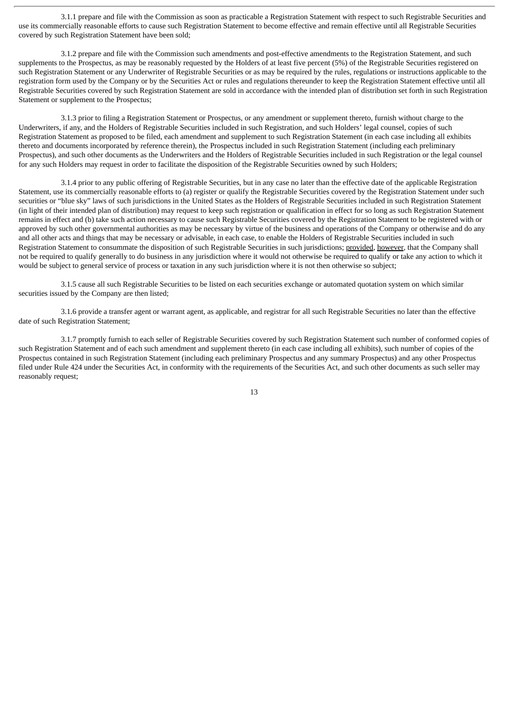3.1.1 prepare and file with the Commission as soon as practicable a Registration Statement with respect to such Registrable Securities and use its commercially reasonable efforts to cause such Registration Statement to become effective and remain effective until all Registrable Securities covered by such Registration Statement have been sold;

3.1.2 prepare and file with the Commission such amendments and post-effective amendments to the Registration Statement, and such supplements to the Prospectus, as may be reasonably requested by the Holders of at least five percent (5%) of the Registrable Securities registered on such Registration Statement or any Underwriter of Registrable Securities or as may be required by the rules, regulations or instructions applicable to the registration form used by the Company or by the Securities Act or rules and regulations thereunder to keep the Registration Statement effective until all Registrable Securities covered by such Registration Statement are sold in accordance with the intended plan of distribution set forth in such Registration Statement or supplement to the Prospectus;

3.1.3 prior to filing a Registration Statement or Prospectus, or any amendment or supplement thereto, furnish without charge to the Underwriters, if any, and the Holders of Registrable Securities included in such Registration, and such Holders' legal counsel, copies of such Registration Statement as proposed to be filed, each amendment and supplement to such Registration Statement (in each case including all exhibits thereto and documents incorporated by reference therein), the Prospectus included in such Registration Statement (including each preliminary Prospectus), and such other documents as the Underwriters and the Holders of Registrable Securities included in such Registration or the legal counsel for any such Holders may request in order to facilitate the disposition of the Registrable Securities owned by such Holders;

3.1.4 prior to any public offering of Registrable Securities, but in any case no later than the effective date of the applicable Registration Statement, use its commercially reasonable efforts to (a) register or qualify the Registrable Securities covered by the Registration Statement under such securities or "blue sky" laws of such jurisdictions in the United States as the Holders of Registrable Securities included in such Registration Statement (in light of their intended plan of distribution) may request to keep such registration or qualification in effect for so long as such Registration Statement remains in effect and (b) take such action necessary to cause such Registrable Securities covered by the Registration Statement to be registered with or approved by such other governmental authorities as may be necessary by virtue of the business and operations of the Company or otherwise and do any and all other acts and things that may be necessary or advisable, in each case, to enable the Holders of Registrable Securities included in such Registration Statement to consummate the disposition of such Registrable Securities in such jurisdictions; provided, however, that the Company shall not be required to qualify generally to do business in any jurisdiction where it would not otherwise be required to qualify or take any action to which it would be subject to general service of process or taxation in any such jurisdiction where it is not then otherwise so subject;

3.1.5 cause all such Registrable Securities to be listed on each securities exchange or automated quotation system on which similar securities issued by the Company are then listed;

3.1.6 provide a transfer agent or warrant agent, as applicable, and registrar for all such Registrable Securities no later than the effective date of such Registration Statement;

3.1.7 promptly furnish to each seller of Registrable Securities covered by such Registration Statement such number of conformed copies of such Registration Statement and of each such amendment and supplement thereto (in each case including all exhibits), such number of copies of the Prospectus contained in such Registration Statement (including each preliminary Prospectus and any summary Prospectus) and any other Prospectus filed under Rule 424 under the Securities Act, in conformity with the requirements of the Securities Act, and such other documents as such seller may reasonably request;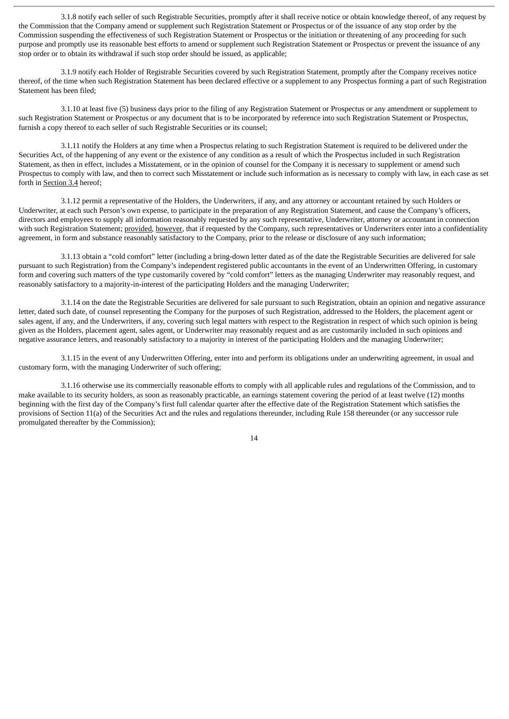3.1.8 notify each seller of such Registrable Securities, promptly after it shall receive notice or obtain knowledge thereof, of any request by the Commission that the Company amend or supplement such Registration Statement or Prospectus or of the issuance of any stop order by the Commission suspending the effectiveness of such Registration Statement or Prospectus or the initiation or threatening of any proceeding for such purpose and promptly use its reasonable best efforts to amend or supplement such Registration Statement or Prospectus or prevent the issuance of any stop order or to obtain its withdrawal if such stop order should be issued, as applicable;

3.1.9 notify each Holder of Registrable Securities covered by such Registration Statement, promptly after the Company receives notice thereof, of the time when such Registration Statement has been declared effective or a supplement to any Prospectus forming a part of such Registration Statement has been filed;

3.1.10 at least five (5) business days prior to the filing of any Registration Statement or Prospectus or any amendment or supplement to such Registration Statement or Prospectus or any document that is to be incorporated by reference into such Registration Statement or Prospectus, furnish a copy thereof to each seller of such Registrable Securities or its counsel;

3.1.11 notify the Holders at any time when a Prospectus relating to such Registration Statement is required to be delivered under the Securities Act, of the happening of any event or the existence of any condition as a result of which the Prospectus included in such Registration Statement, as then in effect, includes a Misstatement, or in the opinion of counsel for the Company it is necessary to supplement or amend such Prospectus to comply with law, and then to correct such Misstatement or include such information as is necessary to comply with law, in each case as set forth in Section 3.4 hereof;

3.1.12 permit a representative of the Holders, the Underwriters, if any, and any attorney or accountant retained by such Holders or Underwriter, at each such Person's own expense, to participate in the preparation of any Registration Statement, and cause the Company's officers, directors and employees to supply all information reasonably requested by any such representative, Underwriter, attorney or accountant in connection with such Registration Statement; provided, however, that if requested by the Company, such representatives or Underwriters enter into a confidentiality agreement, in form and substance reasonably satisfactory to the Company, prior to the release or disclosure of any such information;

3.1.13 obtain a "cold comfort" letter (including a bring-down letter dated as of the date the Registrable Securities are delivered for sale pursuant to such Registration) from the Company's independent registered public accountants in the event of an Underwritten Offering, in customary form and covering such matters of the type customarily covered by "cold comfort" letters as the managing Underwriter may reasonably request, and reasonably satisfactory to a majority-in-interest of the participating Holders and the managing Underwriter;

3.1.14 on the date the Registrable Securities are delivered for sale pursuant to such Registration, obtain an opinion and negative assurance letter, dated such date, of counsel representing the Company for the purposes of such Registration, addressed to the Holders, the placement agent or sales agent, if any, and the Underwriters, if any, covering such legal matters with respect to the Registration in respect of which such opinion is being given as the Holders, placement agent, sales agent, or Underwriter may reasonably request and as are customarily included in such opinions and negative assurance letters, and reasonably satisfactory to a majority in interest of the participating Holders and the managing Underwriter;

3.1.15 in the event of any Underwritten Offering, enter into and perform its obligations under an underwriting agreement, in usual and customary form, with the managing Underwriter of such offering;

3.1.16 otherwise use its commercially reasonable efforts to comply with all applicable rules and regulations of the Commission, and to make available to its security holders, as soon as reasonably practicable, an earnings statement covering the period of at least twelve (12) months beginning with the first day of the Company's first full calendar quarter after the effective date of the Registration Statement which satisfies the provisions of Section 11(a) of the Securities Act and the rules and regulations thereunder, including Rule 158 thereunder (or any successor rule promulgated thereafter by the Commission);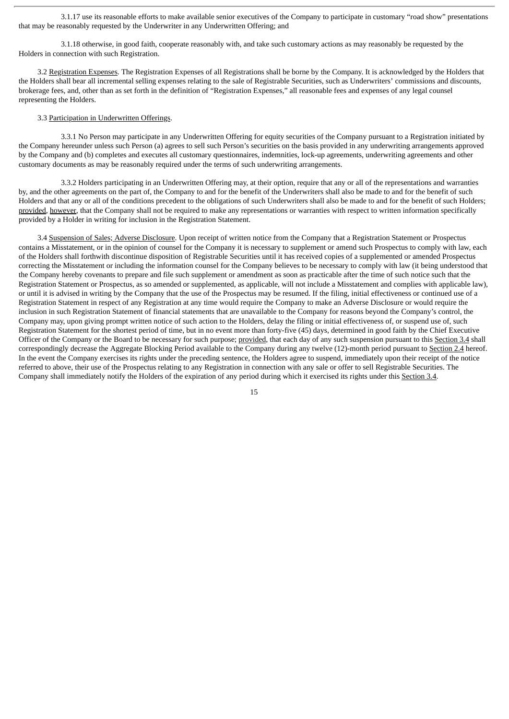3.1.17 use its reasonable efforts to make available senior executives of the Company to participate in customary "road show" presentations that may be reasonably requested by the Underwriter in any Underwritten Offering; and

3.1.18 otherwise, in good faith, cooperate reasonably with, and take such customary actions as may reasonably be requested by the Holders in connection with such Registration.

3.2 Registration Expenses. The Registration Expenses of all Registrations shall be borne by the Company. It is acknowledged by the Holders that the Holders shall bear all incremental selling expenses relating to the sale of Registrable Securities, such as Underwriters' commissions and discounts, brokerage fees, and, other than as set forth in the definition of "Registration Expenses," all reasonable fees and expenses of any legal counsel representing the Holders.

# 3.3 Participation in Underwritten Offerings.

3.3.1 No Person may participate in any Underwritten Offering for equity securities of the Company pursuant to a Registration initiated by the Company hereunder unless such Person (a) agrees to sell such Person's securities on the basis provided in any underwriting arrangements approved by the Company and (b) completes and executes all customary questionnaires, indemnities, lock-up agreements, underwriting agreements and other customary documents as may be reasonably required under the terms of such underwriting arrangements.

3.3.2 Holders participating in an Underwritten Offering may, at their option, require that any or all of the representations and warranties by, and the other agreements on the part of, the Company to and for the benefit of the Underwriters shall also be made to and for the benefit of such Holders and that any or all of the conditions precedent to the obligations of such Underwriters shall also be made to and for the benefit of such Holders; provided, however, that the Company shall not be required to make any representations or warranties with respect to written information specifically provided by a Holder in writing for inclusion in the Registration Statement.

3.4 Suspension of Sales; Adverse Disclosure. Upon receipt of written notice from the Company that a Registration Statement or Prospectus contains a Misstatement, or in the opinion of counsel for the Company it is necessary to supplement or amend such Prospectus to comply with law, each of the Holders shall forthwith discontinue disposition of Registrable Securities until it has received copies of a supplemented or amended Prospectus correcting the Misstatement or including the information counsel for the Company believes to be necessary to comply with law (it being understood that the Company hereby covenants to prepare and file such supplement or amendment as soon as practicable after the time of such notice such that the Registration Statement or Prospectus, as so amended or supplemented, as applicable, will not include a Misstatement and complies with applicable law), or until it is advised in writing by the Company that the use of the Prospectus may be resumed. If the filing, initial effectiveness or continued use of a Registration Statement in respect of any Registration at any time would require the Company to make an Adverse Disclosure or would require the inclusion in such Registration Statement of financial statements that are unavailable to the Company for reasons beyond the Company's control, the Company may, upon giving prompt written notice of such action to the Holders, delay the filing or initial effectiveness of, or suspend use of, such Registration Statement for the shortest period of time, but in no event more than forty-five (45) days, determined in good faith by the Chief Executive Officer of the Company or the Board to be necessary for such purpose; provided, that each day of any such suspension pursuant to this Section 3.4 shall correspondingly decrease the Aggregate Blocking Period available to the Company during any twelve (12)-month period pursuant to Section 2.4 hereof. In the event the Company exercises its rights under the preceding sentence, the Holders agree to suspend, immediately upon their receipt of the notice referred to above, their use of the Prospectus relating to any Registration in connection with any sale or offer to sell Registrable Securities. The Company shall immediately notify the Holders of the expiration of any period during which it exercised its rights under this Section 3.4.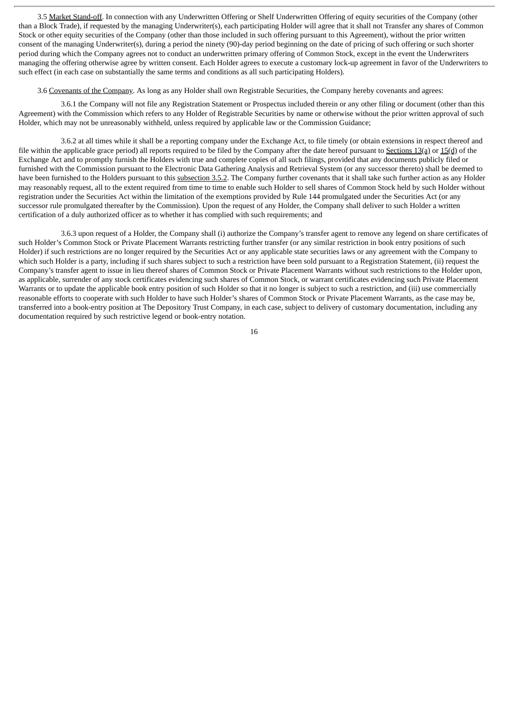3.5 Market Stand-off. In connection with any Underwritten Offering or Shelf Underwritten Offering of equity securities of the Company (other than a Block Trade), if requested by the managing Underwriter(s), each participating Holder will agree that it shall not Transfer any shares of Common Stock or other equity securities of the Company (other than those included in such offering pursuant to this Agreement), without the prior written consent of the managing Underwriter(s), during a period the ninety (90)-day period beginning on the date of pricing of such offering or such shorter period during which the Company agrees not to conduct an underwritten primary offering of Common Stock, except in the event the Underwriters managing the offering otherwise agree by written consent. Each Holder agrees to execute a customary lock-up agreement in favor of the Underwriters to such effect (in each case on substantially the same terms and conditions as all such participating Holders).

3.6 Covenants of the Company. As long as any Holder shall own Registrable Securities, the Company hereby covenants and agrees:

3.6.1 the Company will not file any Registration Statement or Prospectus included therein or any other filing or document (other than this Agreement) with the Commission which refers to any Holder of Registrable Securities by name or otherwise without the prior written approval of such Holder, which may not be unreasonably withheld, unless required by applicable law or the Commission Guidance;

3.6.2 at all times while it shall be a reporting company under the Exchange Act, to file timely (or obtain extensions in respect thereof and file within the applicable grace period) all reports required to be filed by the Company after the date hereof pursuant to Sections 13(a) or  $15(d)$  of the Exchange Act and to promptly furnish the Holders with true and complete copies of all such filings, provided that any documents publicly filed or furnished with the Commission pursuant to the Electronic Data Gathering Analysis and Retrieval System (or any successor thereto) shall be deemed to have been furnished to the Holders pursuant to this subsection 3.5.2. The Company further covenants that it shall take such further action as any Holder may reasonably request, all to the extent required from time to time to enable such Holder to sell shares of Common Stock held by such Holder without registration under the Securities Act within the limitation of the exemptions provided by Rule 144 promulgated under the Securities Act (or any successor rule promulgated thereafter by the Commission). Upon the request of any Holder, the Company shall deliver to such Holder a written certification of a duly authorized officer as to whether it has complied with such requirements; and

3.6.3 upon request of a Holder, the Company shall (i) authorize the Company's transfer agent to remove any legend on share certificates of such Holder's Common Stock or Private Placement Warrants restricting further transfer (or any similar restriction in book entry positions of such Holder) if such restrictions are no longer required by the Securities Act or any applicable state securities laws or any agreement with the Company to which such Holder is a party, including if such shares subject to such a restriction have been sold pursuant to a Registration Statement, (ii) request the Company's transfer agent to issue in lieu thereof shares of Common Stock or Private Placement Warrants without such restrictions to the Holder upon, as applicable, surrender of any stock certificates evidencing such shares of Common Stock, or warrant certificates evidencing such Private Placement Warrants or to update the applicable book entry position of such Holder so that it no longer is subject to such a restriction, and (iii) use commercially reasonable efforts to cooperate with such Holder to have such Holder's shares of Common Stock or Private Placement Warrants, as the case may be, transferred into a book-entry position at The Depository Trust Company, in each case, subject to delivery of customary documentation, including any documentation required by such restrictive legend or book-entry notation.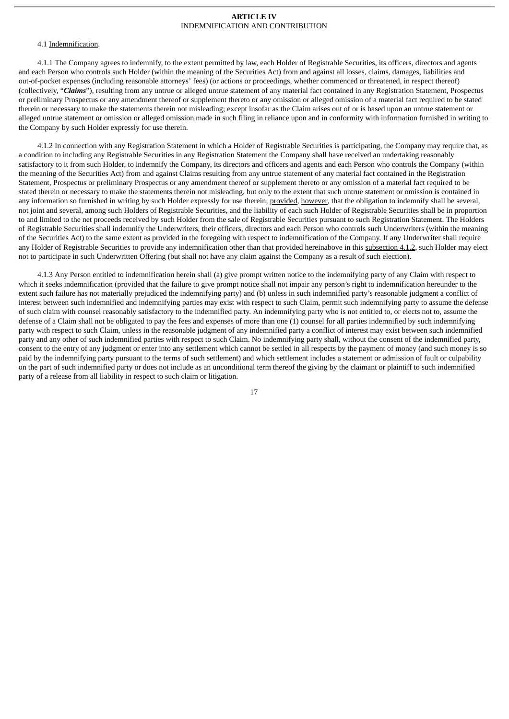### **ARTICLE IV** INDEMNIFICATION AND CONTRIBUTION

### 4.1 Indemnification.

4.1.1 The Company agrees to indemnify, to the extent permitted by law, each Holder of Registrable Securities, its officers, directors and agents and each Person who controls such Holder (within the meaning of the Securities Act) from and against all losses, claims, damages, liabilities and out-of-pocket expenses (including reasonable attorneys' fees) (or actions or proceedings, whether commenced or threatened, in respect thereof) (collectively, "*Claims*"), resulting from any untrue or alleged untrue statement of any material fact contained in any Registration Statement, Prospectus or preliminary Prospectus or any amendment thereof or supplement thereto or any omission or alleged omission of a material fact required to be stated therein or necessary to make the statements therein not misleading; except insofar as the Claim arises out of or is based upon an untrue statement or alleged untrue statement or omission or alleged omission made in such filing in reliance upon and in conformity with information furnished in writing to the Company by such Holder expressly for use therein.

4.1.2 In connection with any Registration Statement in which a Holder of Registrable Securities is participating, the Company may require that, as a condition to including any Registrable Securities in any Registration Statement the Company shall have received an undertaking reasonably satisfactory to it from such Holder, to indemnify the Company, its directors and officers and agents and each Person who controls the Company (within the meaning of the Securities Act) from and against Claims resulting from any untrue statement of any material fact contained in the Registration Statement, Prospectus or preliminary Prospectus or any amendment thereof or supplement thereto or any omission of a material fact required to be stated therein or necessary to make the statements therein not misleading, but only to the extent that such untrue statement or omission is contained in any information so furnished in writing by such Holder expressly for use therein; provided, however, that the obligation to indemnify shall be several, not joint and several, among such Holders of Registrable Securities, and the liability of each such Holder of Registrable Securities shall be in proportion to and limited to the net proceeds received by such Holder from the sale of Registrable Securities pursuant to such Registration Statement. The Holders of Registrable Securities shall indemnify the Underwriters, their officers, directors and each Person who controls such Underwriters (within the meaning of the Securities Act) to the same extent as provided in the foregoing with respect to indemnification of the Company. If any Underwriter shall require any Holder of Registrable Securities to provide any indemnification other than that provided hereinabove in this subsection 4.1.2, such Holder may elect not to participate in such Underwritten Offering (but shall not have any claim against the Company as a result of such election).

4.1.3 Any Person entitled to indemnification herein shall (a) give prompt written notice to the indemnifying party of any Claim with respect to which it seeks indemnification (provided that the failure to give prompt notice shall not impair any person's right to indemnification hereunder to the extent such failure has not materially prejudiced the indemnifying party) and (b) unless in such indemnified party's reasonable judgment a conflict of interest between such indemnified and indemnifying parties may exist with respect to such Claim, permit such indemnifying party to assume the defense of such claim with counsel reasonably satisfactory to the indemnified party. An indemnifying party who is not entitled to, or elects not to, assume the defense of a Claim shall not be obligated to pay the fees and expenses of more than one (1) counsel for all parties indemnified by such indemnifying party with respect to such Claim, unless in the reasonable judgment of any indemnified party a conflict of interest may exist between such indemnified party and any other of such indemnified parties with respect to such Claim. No indemnifying party shall, without the consent of the indemnified party, consent to the entry of any judgment or enter into any settlement which cannot be settled in all respects by the payment of money (and such money is so paid by the indemnifying party pursuant to the terms of such settlement) and which settlement includes a statement or admission of fault or culpability on the part of such indemnified party or does not include as an unconditional term thereof the giving by the claimant or plaintiff to such indemnified party of a release from all liability in respect to such claim or litigation.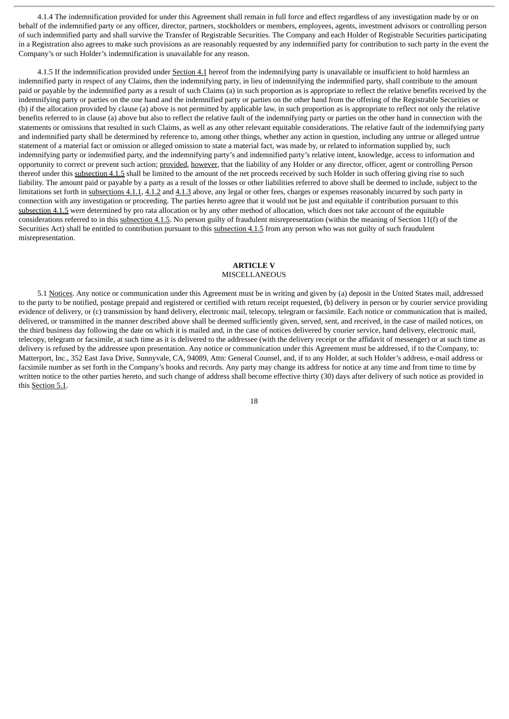4.1.4 The indemnification provided for under this Agreement shall remain in full force and effect regardless of any investigation made by or on behalf of the indemnified party or any officer, director, partners, stockholders or members, employees, agents, investment advisors or controlling person of such indemnified party and shall survive the Transfer of Registrable Securities. The Company and each Holder of Registrable Securities participating in a Registration also agrees to make such provisions as are reasonably requested by any indemnified party for contribution to such party in the event the Company's or such Holder's indemnification is unavailable for any reason.

4.1.5 If the indemnification provided under Section 4.1 hereof from the indemnifying party is unavailable or insufficient to hold harmless an indemnified party in respect of any Claims, then the indemnifying party, in lieu of indemnifying the indemnified party, shall contribute to the amount paid or payable by the indemnified party as a result of such Claims (a) in such proportion as is appropriate to reflect the relative benefits received by the indemnifying party or parties on the one hand and the indemnified party or parties on the other hand from the offering of the Registrable Securities or (b) if the allocation provided by clause (a) above is not permitted by applicable law, in such proportion as is appropriate to reflect not only the relative benefits referred to in clause (a) above but also to reflect the relative fault of the indemnifying party or parties on the other hand in connection with the statements or omissions that resulted in such Claims, as well as any other relevant equitable considerations. The relative fault of the indemnifying party and indemnified party shall be determined by reference to, among other things, whether any action in question, including any untrue or alleged untrue statement of a material fact or omission or alleged omission to state a material fact, was made by, or related to information supplied by, such indemnifying party or indemnified party, and the indemnifying party's and indemnified party's relative intent, knowledge, access to information and opportunity to correct or prevent such action; provided, however, that the liability of any Holder or any director, officer, agent or controlling Person thereof under this subsection 4.1.5 shall be limited to the amount of the net proceeds received by such Holder in such offering giving rise to such liability. The amount paid or payable by a party as a result of the losses or other liabilities referred to above shall be deemed to include, subject to the limitations set forth in subsections 4.1.1, 4.1.2 and 4.1.3 above, any legal or other fees, charges or expenses reasonably incurred by such party in connection with any investigation or proceeding. The parties hereto agree that it would not be just and equitable if contribution pursuant to this subsection 4.1.5 were determined by pro rata allocation or by any other method of allocation, which does not take account of the equitable considerations referred to in this subsection 4.1.5. No person guilty of fraudulent misrepresentation (within the meaning of Section 11(f) of the Securities Act) shall be entitled to contribution pursuant to this subsection 4.1.5 from any person who was not guilty of such fraudulent misrepresentation.

### **ARTICLE V MISCELLANEOUS**

5.1 Notices. Any notice or communication under this Agreement must be in writing and given by (a) deposit in the United States mail, addressed to the party to be notified, postage prepaid and registered or certified with return receipt requested, (b) delivery in person or by courier service providing evidence of delivery, or (c) transmission by hand delivery, electronic mail, telecopy, telegram or facsimile. Each notice or communication that is mailed, delivered, or transmitted in the manner described above shall be deemed sufficiently given, served, sent, and received, in the case of mailed notices, on the third business day following the date on which it is mailed and, in the case of notices delivered by courier service, hand delivery, electronic mail, telecopy, telegram or facsimile, at such time as it is delivered to the addressee (with the delivery receipt or the affidavit of messenger) or at such time as delivery is refused by the addressee upon presentation. Any notice or communication under this Agreement must be addressed, if to the Company, to: Matterport, Inc., 352 East Java Drive, Sunnyvale, CA, 94089, Attn: General Counsel, and, if to any Holder, at such Holder's address, e-mail address or facsimile number as set forth in the Company's books and records. Any party may change its address for notice at any time and from time to time by written notice to the other parties hereto, and such change of address shall become effective thirty (30) days after delivery of such notice as provided in this Section 5.1.

18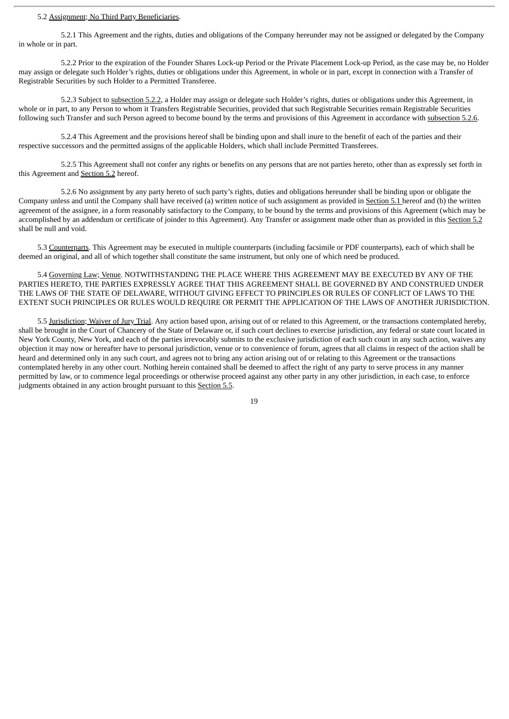#### 5.2 Assignment; No Third Party Beneficiaries.

5.2.1 This Agreement and the rights, duties and obligations of the Company hereunder may not be assigned or delegated by the Company in whole or in part.

5.2.2 Prior to the expiration of the Founder Shares Lock-up Period or the Private Placement Lock-up Period, as the case may be, no Holder may assign or delegate such Holder's rights, duties or obligations under this Agreement, in whole or in part, except in connection with a Transfer of Registrable Securities by such Holder to a Permitted Transferee.

5.2.3 Subject to subsection 5.2.2, a Holder may assign or delegate such Holder's rights, duties or obligations under this Agreement, in whole or in part, to any Person to whom it Transfers Registrable Securities, provided that such Registrable Securities remain Registrable Securities following such Transfer and such Person agreed to become bound by the terms and provisions of this Agreement in accordance with subsection 5.2.6.

5.2.4 This Agreement and the provisions hereof shall be binding upon and shall inure to the benefit of each of the parties and their respective successors and the permitted assigns of the applicable Holders, which shall include Permitted Transferees.

5.2.5 This Agreement shall not confer any rights or benefits on any persons that are not parties hereto, other than as expressly set forth in this Agreement and Section 5.2 hereof.

5.2.6 No assignment by any party hereto of such party's rights, duties and obligations hereunder shall be binding upon or obligate the Company unless and until the Company shall have received (a) written notice of such assignment as provided in Section 5.1 hereof and (b) the written agreement of the assignee, in a form reasonably satisfactory to the Company, to be bound by the terms and provisions of this Agreement (which may be accomplished by an addendum or certificate of joinder to this Agreement). Any Transfer or assignment made other than as provided in this Section 5.2 shall be null and void.

5.3 Counterparts. This Agreement may be executed in multiple counterparts (including facsimile or PDF counterparts), each of which shall be deemed an original, and all of which together shall constitute the same instrument, but only one of which need be produced.

5.4 Governing Law; Venue. NOTWITHSTANDING THE PLACE WHERE THIS AGREEMENT MAY BE EXECUTED BY ANY OF THE PARTIES HERETO, THE PARTIES EXPRESSLY AGREE THAT THIS AGREEMENT SHALL BE GOVERNED BY AND CONSTRUED UNDER THE LAWS OF THE STATE OF DELAWARE, WITHOUT GIVING EFFECT TO PRINCIPLES OR RULES OF CONFLICT OF LAWS TO THE EXTENT SUCH PRINCIPLES OR RULES WOULD REQUIRE OR PERMIT THE APPLICATION OF THE LAWS OF ANOTHER JURISDICTION.

5.5 Jurisdiction; Waiver of Jury Trial. Any action based upon, arising out of or related to this Agreement, or the transactions contemplated hereby, shall be brought in the Court of Chancery of the State of Delaware or, if such court declines to exercise jurisdiction, any federal or state court located in New York County, New York, and each of the parties irrevocably submits to the exclusive jurisdiction of each such court in any such action, waives any objection it may now or hereafter have to personal jurisdiction, venue or to convenience of forum, agrees that all claims in respect of the action shall be heard and determined only in any such court, and agrees not to bring any action arising out of or relating to this Agreement or the transactions contemplated hereby in any other court. Nothing herein contained shall be deemed to affect the right of any party to serve process in any manner permitted by law, or to commence legal proceedings or otherwise proceed against any other party in any other jurisdiction, in each case, to enforce judgments obtained in any action brought pursuant to this Section 5.5.

19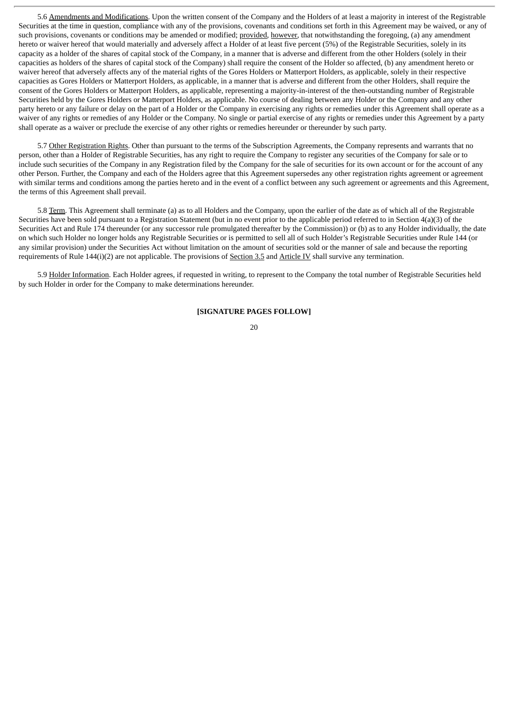5.6 Amendments and Modifications. Upon the written consent of the Company and the Holders of at least a majority in interest of the Registrable Securities at the time in question, compliance with any of the provisions, covenants and conditions set forth in this Agreement may be waived, or any of such provisions, covenants or conditions may be amended or modified; provided, however, that notwithstanding the foregoing, (a) any amendment hereto or waiver hereof that would materially and adversely affect a Holder of at least five percent (5%) of the Registrable Securities, solely in its capacity as a holder of the shares of capital stock of the Company, in a manner that is adverse and different from the other Holders (solely in their capacities as holders of the shares of capital stock of the Company) shall require the consent of the Holder so affected, (b) any amendment hereto or waiver hereof that adversely affects any of the material rights of the Gores Holders or Matterport Holders, as applicable, solely in their respective capacities as Gores Holders or Matterport Holders, as applicable, in a manner that is adverse and different from the other Holders, shall require the consent of the Gores Holders or Matterport Holders, as applicable, representing a majority-in-interest of the then-outstanding number of Registrable Securities held by the Gores Holders or Matterport Holders, as applicable. No course of dealing between any Holder or the Company and any other party hereto or any failure or delay on the part of a Holder or the Company in exercising any rights or remedies under this Agreement shall operate as a waiver of any rights or remedies of any Holder or the Company. No single or partial exercise of any rights or remedies under this Agreement by a party shall operate as a waiver or preclude the exercise of any other rights or remedies hereunder or thereunder by such party.

5.7 Other Registration Rights. Other than pursuant to the terms of the Subscription Agreements, the Company represents and warrants that no person, other than a Holder of Registrable Securities, has any right to require the Company to register any securities of the Company for sale or to include such securities of the Company in any Registration filed by the Company for the sale of securities for its own account or for the account of any other Person. Further, the Company and each of the Holders agree that this Agreement supersedes any other registration rights agreement or agreement with similar terms and conditions among the parties hereto and in the event of a conflict between any such agreement or agreements and this Agreement, the terms of this Agreement shall prevail.

5.8 Term. This Agreement shall terminate (a) as to all Holders and the Company, upon the earlier of the date as of which all of the Registrable Securities have been sold pursuant to a Registration Statement (but in no event prior to the applicable period referred to in Section 4(a)(3) of the Securities Act and Rule 174 thereunder (or any successor rule promulgated thereafter by the Commission)) or (b) as to any Holder individually, the date on which such Holder no longer holds any Registrable Securities or is permitted to sell all of such Holder's Registrable Securities under Rule 144 (or any similar provision) under the Securities Act without limitation on the amount of securities sold or the manner of sale and because the reporting requirements of Rule 144(i)(2) are not applicable. The provisions of Section 3.5 and Article IV shall survive any termination.

5.9 Holder Information. Each Holder agrees, if requested in writing, to represent to the Company the total number of Registrable Securities held by such Holder in order for the Company to make determinations hereunder.

### **[SIGNATURE PAGES FOLLOW]**

 $20$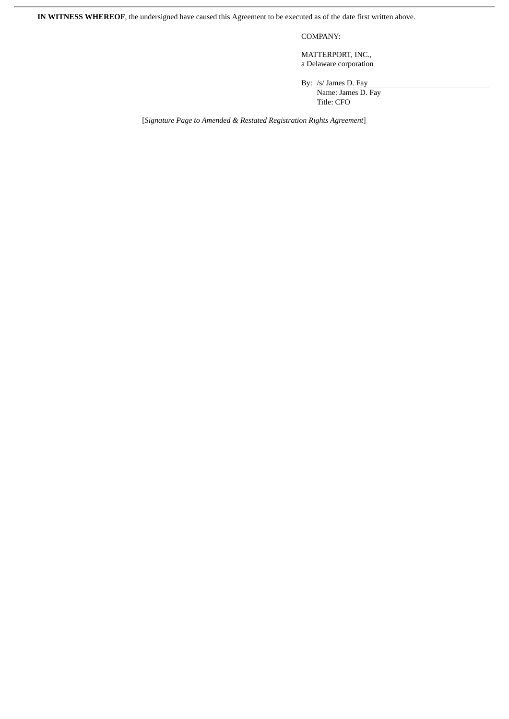**IN WITNESS WHEREOF**, the undersigned have caused this Agreement to be executed as of the date first written above.

COMPANY:

MATTERPORT, INC., a Delaware corporation

By: /s/ James D. Fay

Name: James D. Fay Title: CFO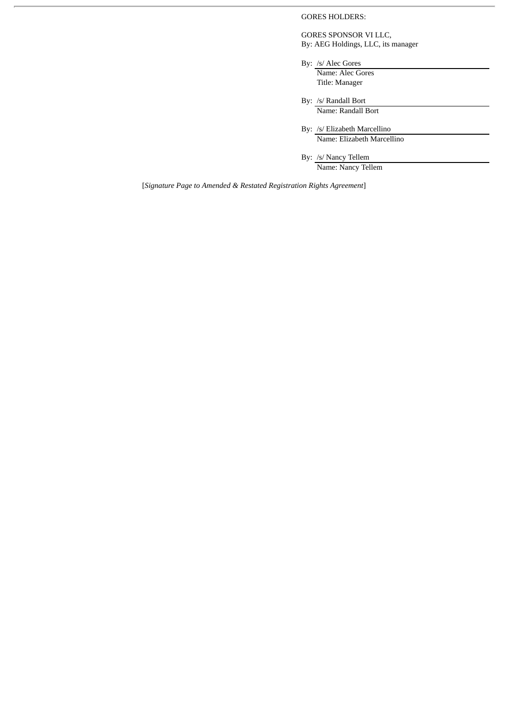GORES HOLDERS:

GORES SPONSOR VI LLC, By: AEG Holdings, LLC, its manager

- By: /s/ Alec Gores Name: Alec Gores Title: Manager
- By: /s/ Randall Bort Name: Randall Bort
- By: /s/ Elizabeth Marcellino Name: Elizabeth Marcellino

By: /s/ Nancy Tellem Name: Nancy Tellem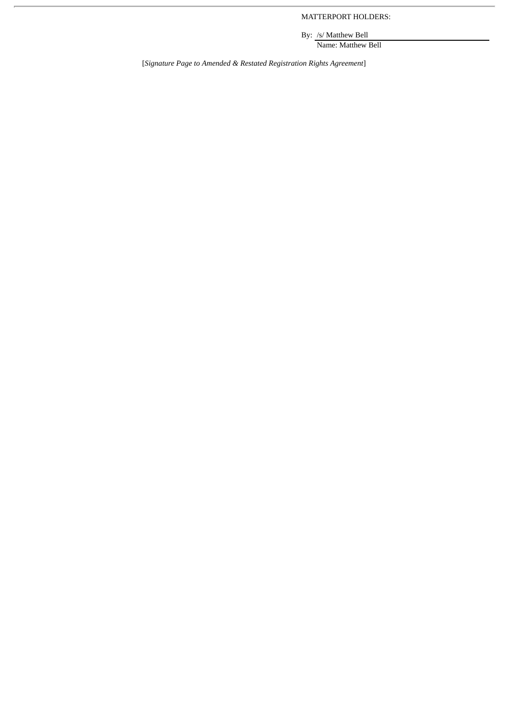MATTERPORT HOLDERS:

By: /s/ Matthew Bell Name: Matthew Bell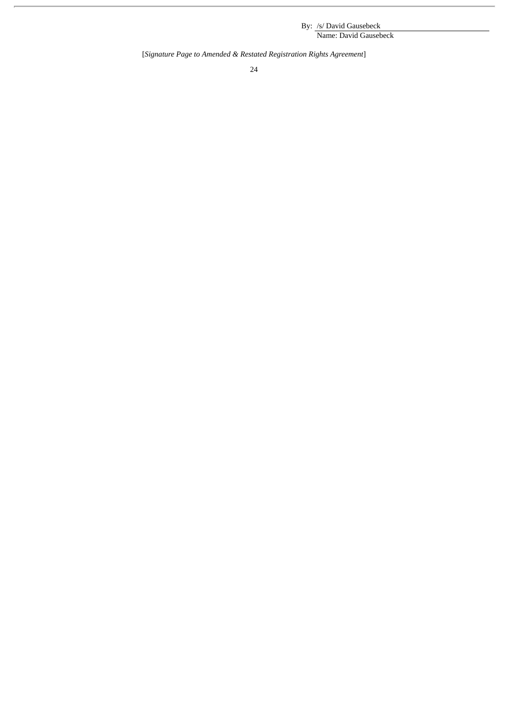By: /s/ David Gausebeck Name: David Gausebeck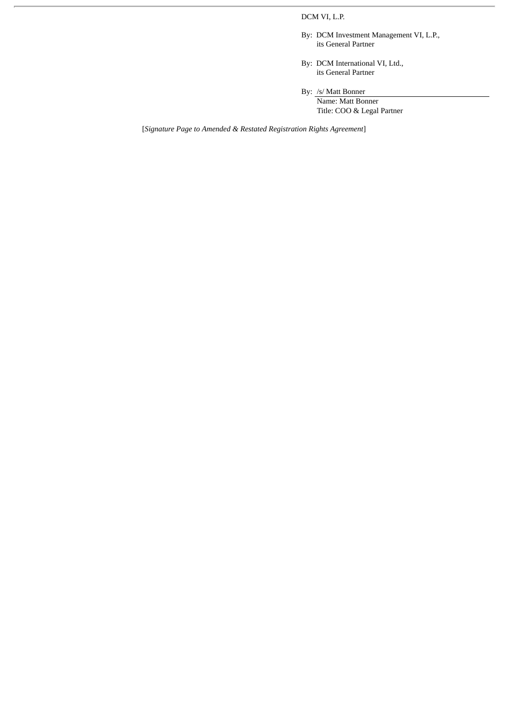# DCM VI, L.P.

- By: DCM Investment Management VI, L.P., its General Partner
- By: DCM International VI, Ltd., its General Partner

By: /s/ Matt Bonner

Name: Matt Bonner Title: COO & Legal Partner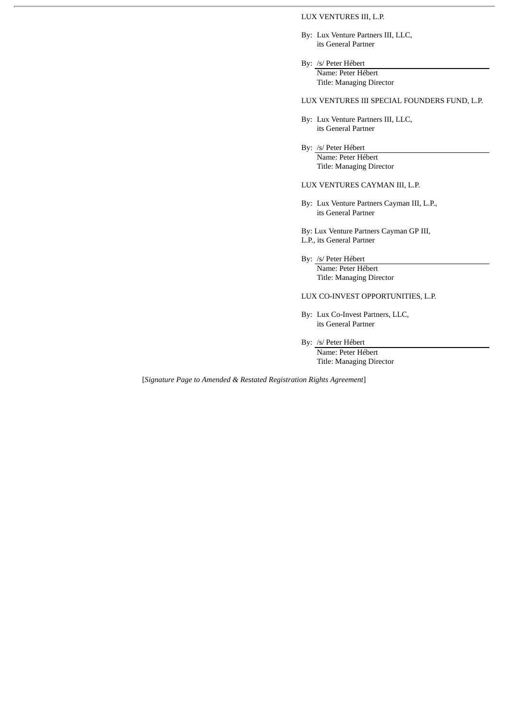#### LUX VENTURES III, L.P.

- By: Lux Venture Partners III, LLC, its General Partner
- By: /s/ Peter Hébert Name: Peter Hébert Title: Managing Director

LUX VENTURES III SPECIAL FOUNDERS FUND, L.P.

- By: Lux Venture Partners III, LLC, its General Partner
- By: /s/ Peter Hébert Name: Peter Hébert Title: Managing Director

# LUX VENTURES CAYMAN III, L.P.

- By: Lux Venture Partners Cayman III, L.P., its General Partner
- By: Lux Venture Partners Cayman GP III, L.P., its General Partner
- By: /s/ Peter Hébert Name: Peter Hébert Title: Managing Director

### LUX CO-INVEST OPPORTUNITIES, L.P.

- By: Lux Co-Invest Partners, LLC, its General Partner
- By: /s/ Peter Hébert Name: Peter Hébert Title: Managing Director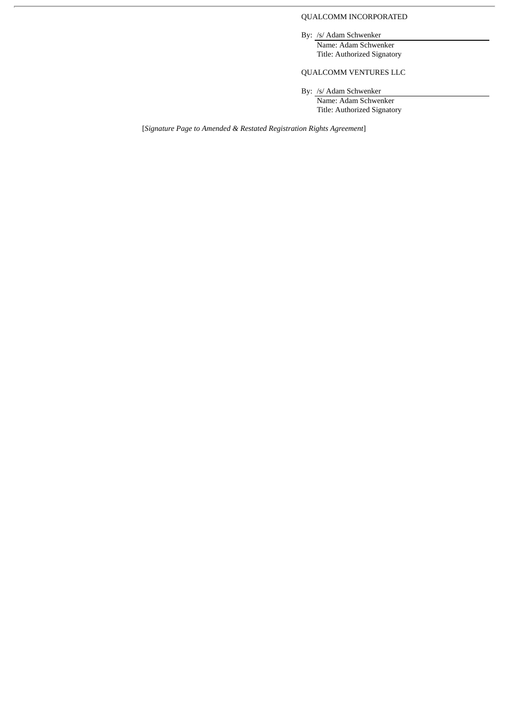# QUALCOMM INCORPORATED

By: /s/ Adam Schwenker

Name: Adam Schwenker Title: Authorized Signatory

# QUALCOMM VENTURES LLC

By: /s/ Adam Schwenker

Name: Adam Schwenker Title: Authorized Signatory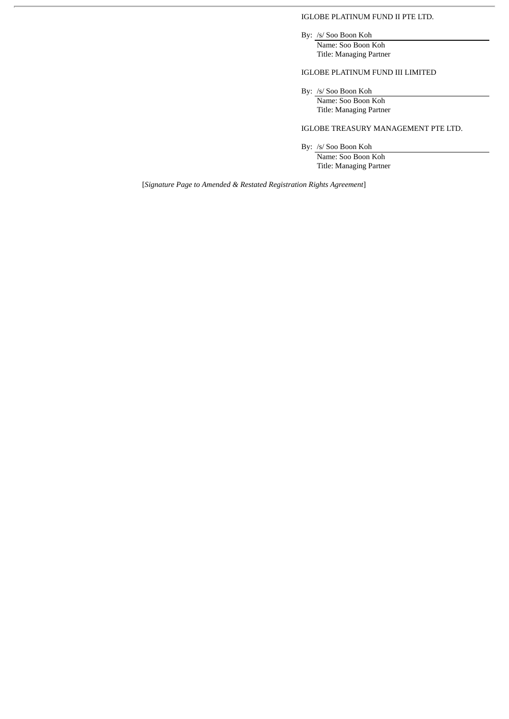# IGLOBE PLATINUM FUND II PTE LTD.

By: /s/ Soo Boon Koh

Name: Soo Boon Koh Title: Managing Partner

# IGLOBE PLATINUM FUND III LIMITED

By: /s/ Soo Boon Koh

Name: Soo Boon Koh Title: Managing Partner

IGLOBE TREASURY MANAGEMENT PTE LTD.

By: /s/ Soo Boon Koh

Name: Soo Boon Koh Title: Managing Partner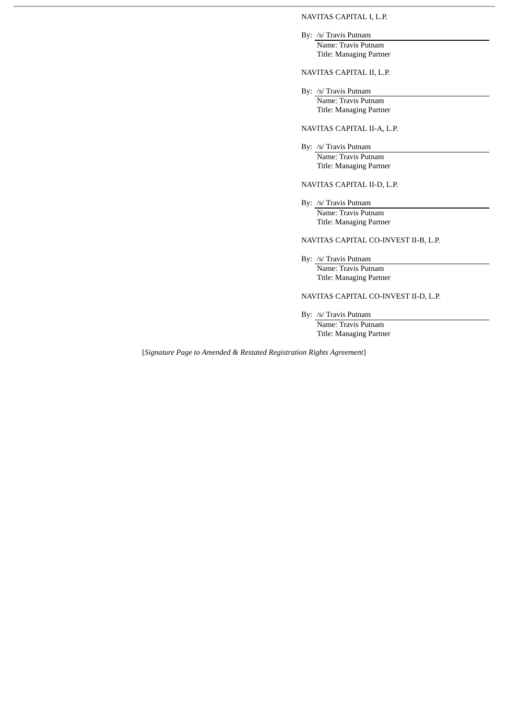# NAVITAS CAPITAL I, L.P.

By: /s/ Travis Putnam

Name: Travis Putnam Title: Managing Partner

NAVITAS CAPITAL II, L.P.

By: /s/ Travis Putnam Name: Travis Putnam Title: Managing Partner

# NAVITAS CAPITAL II-A, L.P.

By: /s/ Travis Putnam Name: Travis Putnam Title: Managing Partner

# NAVITAS CAPITAL II-D, L.P.

By: /s/ Travis Putnam Name: Travis Putnam Title: Managing Partner

# NAVITAS CAPITAL CO-INVEST II-B, L.P.

By: /s/ Travis Putnam Name: Travis Putnam Title: Managing Partner

NAVITAS CAPITAL CO-INVEST II-D, L.P.

By: /s/ Travis Putnam

Name: Travis Putnam Title: Managing Partner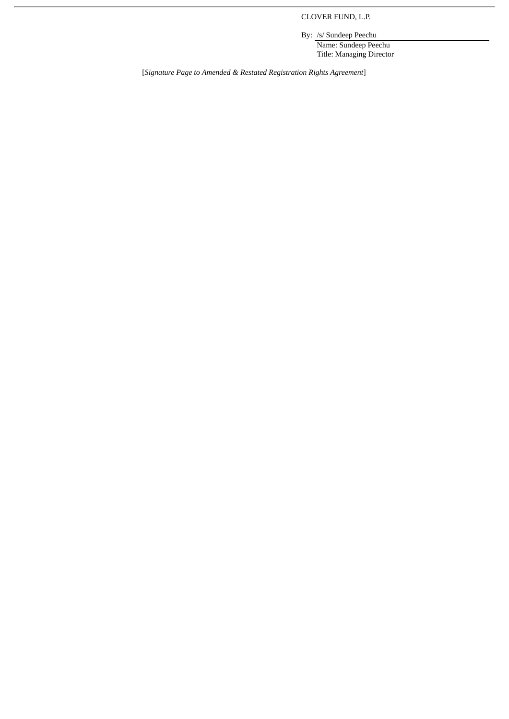CLOVER FUND, L.P.

By: /s/ Sundeep Peechu

Name: Sundeep Peechu Title: Managing Director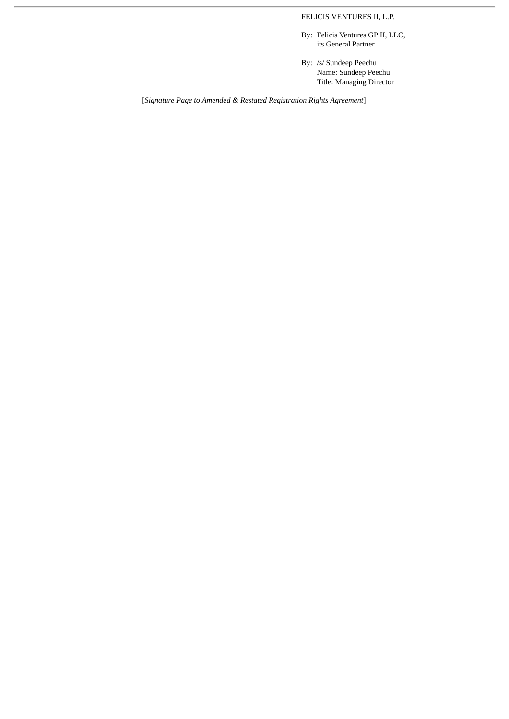# FELICIS VENTURES II, L.P.

By: Felicis Ventures GP II, LLC, its General Partner

By: /s/ Sundeep Peechu Name: Sundeep Peechu Title: Managing Director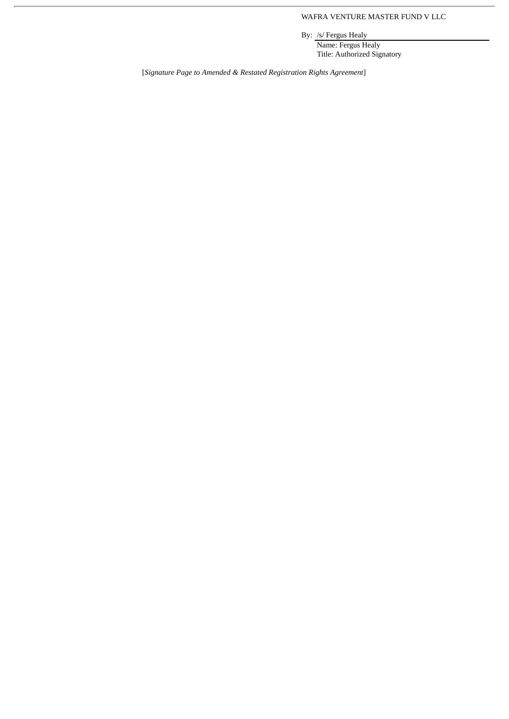# WAFRA VENTURE MASTER FUND V LLC

By: /s/ Fergus Healy

Name: Fergus Healy Title: Authorized Signatory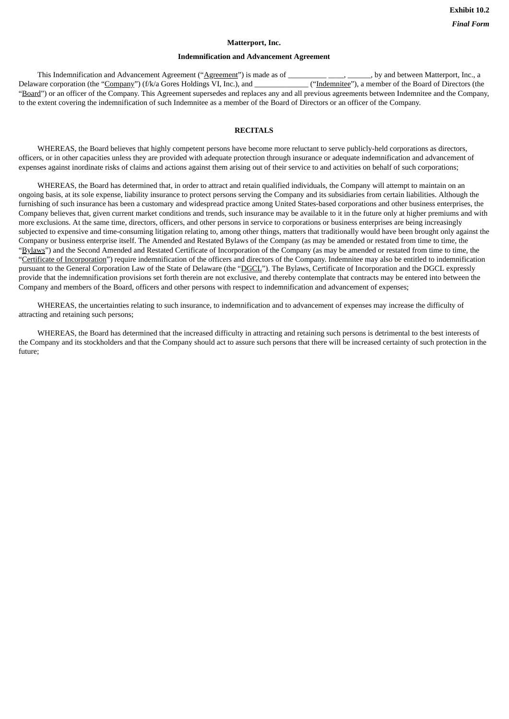# **Matterport, Inc.**

#### **Indemnification and Advancement Agreement**

This Indemnification and Advancement Agreement ("Agreement") is made as of \_\_\_\_\_\_\_\_\_\_\_\_\_\_\_\_\_\_, by and between Matterport, Inc., a Delaware corporation (the "Company") (f/k/a Gores Holdings VI, Inc.), and **The Company'** ("Indemnitee"), a member of the Board of Directors (the "Board") or an officer of the Company. This Agreement supersedes and replaces any and all previous agreements between Indemnitee and the Company, to the extent covering the indemnification of such Indemnitee as a member of the Board of Directors or an officer of the Company.

#### **RECITALS**

WHEREAS, the Board believes that highly competent persons have become more reluctant to serve publicly-held corporations as directors, officers, or in other capacities unless they are provided with adequate protection through insurance or adequate indemnification and advancement of expenses against inordinate risks of claims and actions against them arising out of their service to and activities on behalf of such corporations;

WHEREAS, the Board has determined that, in order to attract and retain qualified individuals, the Company will attempt to maintain on an ongoing basis, at its sole expense, liability insurance to protect persons serving the Company and its subsidiaries from certain liabilities. Although the furnishing of such insurance has been a customary and widespread practice among United States-based corporations and other business enterprises, the Company believes that, given current market conditions and trends, such insurance may be available to it in the future only at higher premiums and with more exclusions. At the same time, directors, officers, and other persons in service to corporations or business enterprises are being increasingly subjected to expensive and time-consuming litigation relating to, among other things, matters that traditionally would have been brought only against the Company or business enterprise itself. The Amended and Restated Bylaws of the Company (as may be amended or restated from time to time, the "Bylaws") and the Second Amended and Restated Certificate of Incorporation of the Company (as may be amended or restated from time to time, the "Certificate of Incorporation") require indemnification of the officers and directors of the Company. Indemnitee may also be entitled to indemnification pursuant to the General Corporation Law of the State of Delaware (the "DGCL"). The Bylaws, Certificate of Incorporation and the DGCL expressly provide that the indemnification provisions set forth therein are not exclusive, and thereby contemplate that contracts may be entered into between the Company and members of the Board, officers and other persons with respect to indemnification and advancement of expenses;

WHEREAS, the uncertainties relating to such insurance, to indemnification and to advancement of expenses may increase the difficulty of attracting and retaining such persons;

WHEREAS, the Board has determined that the increased difficulty in attracting and retaining such persons is detrimental to the best interests of the Company and its stockholders and that the Company should act to assure such persons that there will be increased certainty of such protection in the future;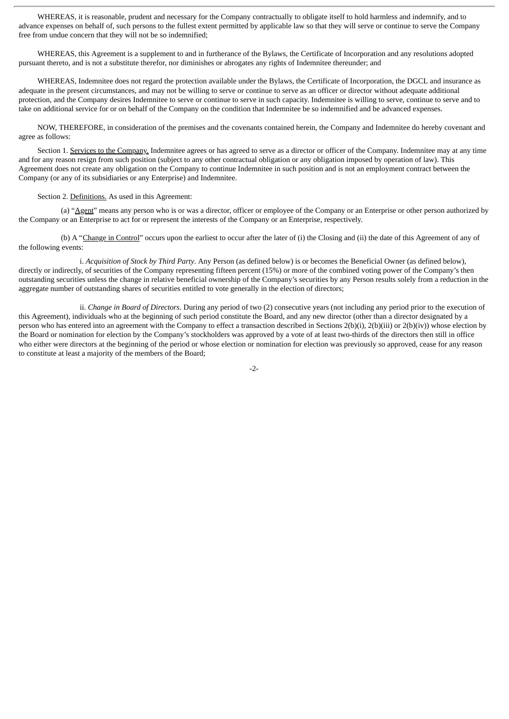WHEREAS, it is reasonable, prudent and necessary for the Company contractually to obligate itself to hold harmless and indemnify, and to advance expenses on behalf of, such persons to the fullest extent permitted by applicable law so that they will serve or continue to serve the Company free from undue concern that they will not be so indemnified;

WHEREAS, this Agreement is a supplement to and in furtherance of the Bylaws, the Certificate of Incorporation and any resolutions adopted pursuant thereto, and is not a substitute therefor, nor diminishes or abrogates any rights of Indemnitee thereunder; and

WHEREAS, Indemnitee does not regard the protection available under the Bylaws, the Certificate of Incorporation, the DGCL and insurance as adequate in the present circumstances, and may not be willing to serve or continue to serve as an officer or director without adequate additional protection, and the Company desires Indemnitee to serve or continue to serve in such capacity. Indemnitee is willing to serve, continue to serve and to take on additional service for or on behalf of the Company on the condition that Indemnitee be so indemnified and be advanced expenses.

NOW, THEREFORE, in consideration of the premises and the covenants contained herein, the Company and Indemnitee do hereby covenant and agree as follows:

Section 1. Services to the Company. Indemnitee agrees or has agreed to serve as a director or officer of the Company. Indemnitee may at any time and for any reason resign from such position (subject to any other contractual obligation or any obligation imposed by operation of law). This Agreement does not create any obligation on the Company to continue Indemnitee in such position and is not an employment contract between the Company (or any of its subsidiaries or any Enterprise) and Indemnitee.

Section 2. Definitions. As used in this Agreement:

(a) "Agent" means any person who is or was a director, officer or employee of the Company or an Enterprise or other person authorized by the Company or an Enterprise to act for or represent the interests of the Company or an Enterprise, respectively.

(b) A "Change in Control" occurs upon the earliest to occur after the later of (i) the Closing and (ii) the date of this Agreement of any of the following events:

i. *Acquisition of Stock by Third Party*. Any Person (as defined below) is or becomes the Beneficial Owner (as defined below), directly or indirectly, of securities of the Company representing fifteen percent (15%) or more of the combined voting power of the Company's then outstanding securities unless the change in relative beneficial ownership of the Company's securities by any Person results solely from a reduction in the aggregate number of outstanding shares of securities entitled to vote generally in the election of directors;

ii. *Change in Board of Directors*. During any period of two (2) consecutive years (not including any period prior to the execution of this Agreement), individuals who at the beginning of such period constitute the Board, and any new director (other than a director designated by a person who has entered into an agreement with the Company to effect a transaction described in Sections 2(b)(i), 2(b)(iii) or 2(b)(iv)) whose election by the Board or nomination for election by the Company's stockholders was approved by a vote of at least two-thirds of the directors then still in office who either were directors at the beginning of the period or whose election or nomination for election was previously so approved, cease for any reason to constitute at least a majority of the members of the Board;

-2-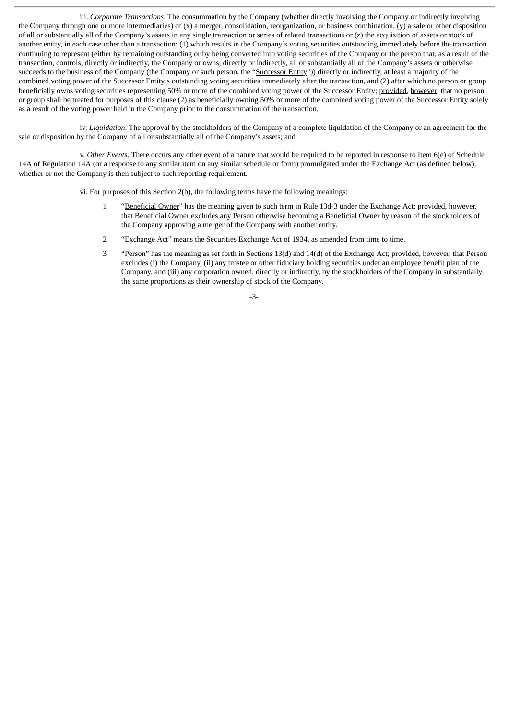iii. *Corporate Transactions*. The consummation by the Company (whether directly involving the Company or indirectly involving the Company through one or more intermediaries) of (x) a merger, consolidation, reorganization, or business combination, (y) a sale or other disposition of all or substantially all of the Company's assets in any single transaction or series of related transactions or (z) the acquisition of assets or stock of another entity, in each case other than a transaction: (1) which results in the Company's voting securities outstanding immediately before the transaction continuing to represent (either by remaining outstanding or by being converted into voting securities of the Company or the person that, as a result of the transaction, controls, directly or indirectly, the Company or owns, directly or indirectly, all or substantially all of the Company's assets or otherwise succeeds to the business of the Company (the Company or such person, the "Successor Entity")) directly or indirectly, at least a majority of the combined voting power of the Successor Entity's outstanding voting securities immediately after the transaction, and (2) after which no person or group beneficially owns voting securities representing 50% or more of the combined voting power of the Successor Entity; provided, however, that no person or group shall be treated for purposes of this clause (2) as beneficially owning 50% or more of the combined voting power of the Successor Entity solely as a result of the voting power held in the Company prior to the consummation of the transaction.

iv. *Liquidation*. The approval by the stockholders of the Company of a complete liquidation of the Company or an agreement for the sale or disposition by the Company of all or substantially all of the Company's assets; and

v. *Other Events*. There occurs any other event of a nature that would be required to be reported in response to Item 6(e) of Schedule 14A of Regulation 14A (or a response to any similar item on any similar schedule or form) promulgated under the Exchange Act (as defined below), whether or not the Company is then subject to such reporting requirement.

vi. For purposes of this Section 2(b), the following terms have the following meanings:

- 1 "Beneficial Owner" has the meaning given to such term in Rule 13d-3 under the Exchange Act; provided, however, that Beneficial Owner excludes any Person otherwise becoming a Beneficial Owner by reason of the stockholders of the Company approving a merger of the Company with another entity.
- 2 "Exchange Act" means the Securities Exchange Act of 1934, as amended from time to time.
- <sup>3</sup> "Person" has the meaning as set forth in Sections 13(d) and 14(d) of the Exchange Act; provided, however, that Person excludes (i) the Company, (ii) any trustee or other fiduciary holding securities under an employee benefit plan of the Company, and (iii) any corporation owned, directly or indirectly, by the stockholders of the Company in substantially the same proportions as their ownership of stock of the Company.

-3-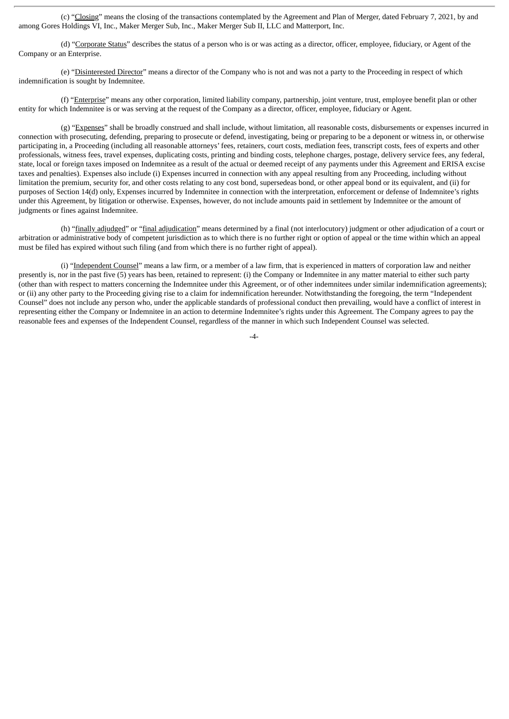(c) "Closing" means the closing of the transactions contemplated by the Agreement and Plan of Merger, dated February 7, 2021, by and among Gores Holdings VI, Inc., Maker Merger Sub, Inc., Maker Merger Sub II, LLC and Matterport, Inc.

(d) "Corporate Status" describes the status of a person who is or was acting as a director, officer, employee, fiduciary, or Agent of the Company or an Enterprise.

(e) "Disinterested Director" means a director of the Company who is not and was not a party to the Proceeding in respect of which indemnification is sought by Indemnitee.

(f) "Enterprise" means any other corporation, limited liability company, partnership, joint venture, trust, employee benefit plan or other entity for which Indemnitee is or was serving at the request of the Company as a director, officer, employee, fiduciary or Agent.

(g) "Expenses" shall be broadly construed and shall include, without limitation, all reasonable costs, disbursements or expenses incurred in connection with prosecuting, defending, preparing to prosecute or defend, investigating, being or preparing to be a deponent or witness in, or otherwise participating in, a Proceeding (including all reasonable attorneys' fees, retainers, court costs, mediation fees, transcript costs, fees of experts and other professionals, witness fees, travel expenses, duplicating costs, printing and binding costs, telephone charges, postage, delivery service fees, any federal, state, local or foreign taxes imposed on Indemnitee as a result of the actual or deemed receipt of any payments under this Agreement and ERISA excise taxes and penalties). Expenses also include (i) Expenses incurred in connection with any appeal resulting from any Proceeding, including without limitation the premium, security for, and other costs relating to any cost bond, supersedeas bond, or other appeal bond or its equivalent, and (ii) for purposes of Section 14(d) only, Expenses incurred by Indemnitee in connection with the interpretation, enforcement or defense of Indemnitee's rights under this Agreement, by litigation or otherwise. Expenses, however, do not include amounts paid in settlement by Indemnitee or the amount of judgments or fines against Indemnitee.

(h) "finally adjudged" or "final adjudication" means determined by a final (not interlocutory) judgment or other adjudication of a court or arbitration or administrative body of competent jurisdiction as to which there is no further right or option of appeal or the time within which an appeal must be filed has expired without such filing (and from which there is no further right of appeal).

(i) "Independent Counsel" means a law firm, or a member of a law firm, that is experienced in matters of corporation law and neither presently is, nor in the past five (5) years has been, retained to represent: (i) the Company or Indemnitee in any matter material to either such party (other than with respect to matters concerning the Indemnitee under this Agreement, or of other indemnitees under similar indemnification agreements); or (ii) any other party to the Proceeding giving rise to a claim for indemnification hereunder. Notwithstanding the foregoing, the term "Independent Counsel" does not include any person who, under the applicable standards of professional conduct then prevailing, would have a conflict of interest in representing either the Company or Indemnitee in an action to determine Indemnitee's rights under this Agreement. The Company agrees to pay the reasonable fees and expenses of the Independent Counsel, regardless of the manner in which such Independent Counsel was selected.

 $-4-$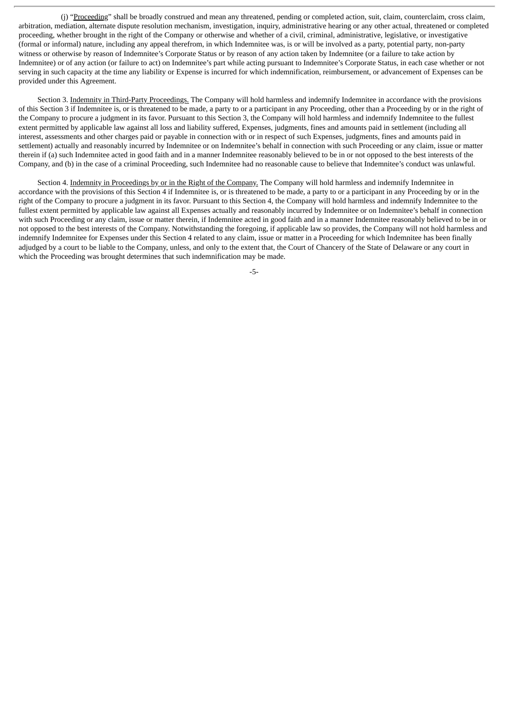(j) "Proceeding" shall be broadly construed and mean any threatened, pending or completed action, suit, claim, counterclaim, cross claim, arbitration, mediation, alternate dispute resolution mechanism, investigation, inquiry, administrative hearing or any other actual, threatened or completed proceeding, whether brought in the right of the Company or otherwise and whether of a civil, criminal, administrative, legislative, or investigative (formal or informal) nature, including any appeal therefrom, in which Indemnitee was, is or will be involved as a party, potential party, non-party witness or otherwise by reason of Indemnitee's Corporate Status or by reason of any action taken by Indemnitee (or a failure to take action by Indemnitee) or of any action (or failure to act) on Indemnitee's part while acting pursuant to Indemnitee's Corporate Status, in each case whether or not serving in such capacity at the time any liability or Expense is incurred for which indemnification, reimbursement, or advancement of Expenses can be provided under this Agreement.

Section 3. Indemnity in Third-Party Proceedings. The Company will hold harmless and indemnify Indemnitee in accordance with the provisions of this Section 3 if Indemnitee is, or is threatened to be made, a party to or a participant in any Proceeding, other than a Proceeding by or in the right of the Company to procure a judgment in its favor. Pursuant to this Section 3, the Company will hold harmless and indemnify Indemnitee to the fullest extent permitted by applicable law against all loss and liability suffered, Expenses, judgments, fines and amounts paid in settlement (including all interest, assessments and other charges paid or payable in connection with or in respect of such Expenses, judgments, fines and amounts paid in settlement) actually and reasonably incurred by Indemnitee or on Indemnitee's behalf in connection with such Proceeding or any claim, issue or matter therein if (a) such Indemnitee acted in good faith and in a manner Indemnitee reasonably believed to be in or not opposed to the best interests of the Company, and (b) in the case of a criminal Proceeding, such Indemnitee had no reasonable cause to believe that Indemnitee's conduct was unlawful.

Section 4. Indemnity in Proceedings by or in the Right of the Company. The Company will hold harmless and indemnity Indemnitee in accordance with the provisions of this Section 4 if Indemnitee is, or is threatened to be made, a party to or a participant in any Proceeding by or in the right of the Company to procure a judgment in its favor. Pursuant to this Section 4, the Company will hold harmless and indemnify Indemnitee to the fullest extent permitted by applicable law against all Expenses actually and reasonably incurred by Indemnitee or on Indemnitee's behalf in connection with such Proceeding or any claim, issue or matter therein, if Indemnitee acted in good faith and in a manner Indemnitee reasonably believed to be in or not opposed to the best interests of the Company. Notwithstanding the foregoing, if applicable law so provides, the Company will not hold harmless and indemnify Indemnitee for Expenses under this Section 4 related to any claim, issue or matter in a Proceeding for which Indemnitee has been finally adjudged by a court to be liable to the Company, unless, and only to the extent that, the Court of Chancery of the State of Delaware or any court in which the Proceeding was brought determines that such indemnification may be made.

-5-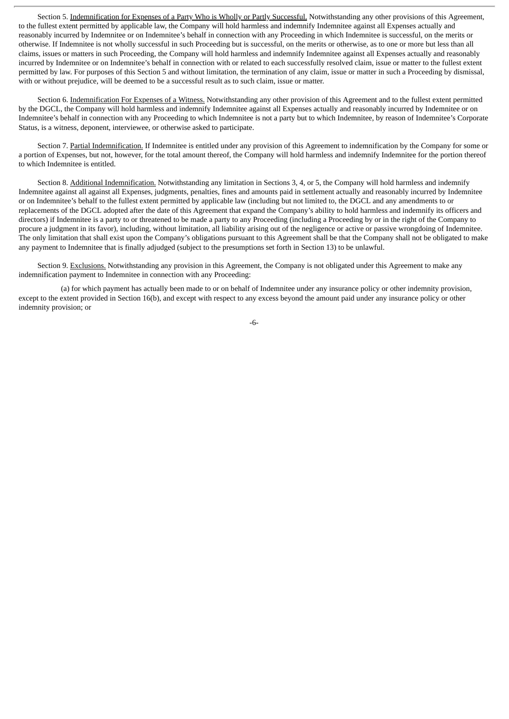Section 5. Indemnification for Expenses of a Party Who is Wholly or Partly Successful. Notwithstanding any other provisions of this Agreement, to the fullest extent permitted by applicable law, the Company will hold harmless and indemnify Indemnitee against all Expenses actually and reasonably incurred by Indemnitee or on Indemnitee's behalf in connection with any Proceeding in which Indemnitee is successful, on the merits or otherwise. If Indemnitee is not wholly successful in such Proceeding but is successful, on the merits or otherwise, as to one or more but less than all claims, issues or matters in such Proceeding, the Company will hold harmless and indemnify Indemnitee against all Expenses actually and reasonably incurred by Indemnitee or on Indemnitee's behalf in connection with or related to each successfully resolved claim, issue or matter to the fullest extent permitted by law. For purposes of this Section 5 and without limitation, the termination of any claim, issue or matter in such a Proceeding by dismissal, with or without prejudice, will be deemed to be a successful result as to such claim, issue or matter.

Section 6. Indemnification For Expenses of a Witness. Notwithstanding any other provision of this Agreement and to the fullest extent permitted by the DGCL, the Company will hold harmless and indemnify Indemnitee against all Expenses actually and reasonably incurred by Indemnitee or on Indemnitee's behalf in connection with any Proceeding to which Indemnitee is not a party but to which Indemnitee, by reason of Indemnitee's Corporate Status, is a witness, deponent, interviewee, or otherwise asked to participate.

Section 7. Partial Indemnification. If Indemnitee is entitled under any provision of this Agreement to indemnification by the Company for some or a portion of Expenses, but not, however, for the total amount thereof, the Company will hold harmless and indemnify Indemnitee for the portion thereof to which Indemnitee is entitled.

Section 8. Additional Indemnification. Notwithstanding any limitation in Sections 3, 4, or 5, the Company will hold harmless and indemnify Indemnitee against all against all Expenses, judgments, penalties, fines and amounts paid in settlement actually and reasonably incurred by Indemnitee or on Indemnitee's behalf to the fullest extent permitted by applicable law (including but not limited to, the DGCL and any amendments to or replacements of the DGCL adopted after the date of this Agreement that expand the Company's ability to hold harmless and indemnify its officers and directors) if Indemnitee is a party to or threatened to be made a party to any Proceeding (including a Proceeding by or in the right of the Company to procure a judgment in its favor), including, without limitation, all liability arising out of the negligence or active or passive wrongdoing of Indemnitee. The only limitation that shall exist upon the Company's obligations pursuant to this Agreement shall be that the Company shall not be obligated to make any payment to Indemnitee that is finally adjudged (subject to the presumptions set forth in Section 13) to be unlawful.

Section 9. Exclusions. Notwithstanding any provision in this Agreement, the Company is not obligated under this Agreement to make any indemnification payment to Indemnitee in connection with any Proceeding:

(a) for which payment has actually been made to or on behalf of Indemnitee under any insurance policy or other indemnity provision, except to the extent provided in Section 16(b), and except with respect to any excess beyond the amount paid under any insurance policy or other indemnity provision; or

-6-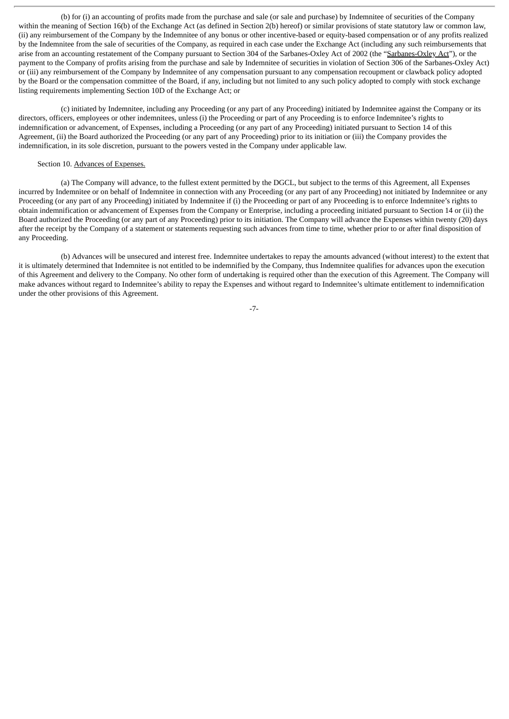(b) for (i) an accounting of profits made from the purchase and sale (or sale and purchase) by Indemnitee of securities of the Company within the meaning of Section 16(b) of the Exchange Act (as defined in Section 2(b) hereof) or similar provisions of state statutory law or common law. (ii) any reimbursement of the Company by the Indemnitee of any bonus or other incentive-based or equity-based compensation or of any profits realized by the Indemnitee from the sale of securities of the Company, as required in each case under the Exchange Act (including any such reimbursements that arise from an accounting restatement of the Company pursuant to Section 304 of the Sarbanes-Oxley Act of 2002 (the "Sarbanes-Oxley Act"), or the payment to the Company of profits arising from the purchase and sale by Indemnitee of securities in violation of Section 306 of the Sarbanes-Oxley Act) or (iii) any reimbursement of the Company by Indemnitee of any compensation pursuant to any compensation recoupment or clawback policy adopted by the Board or the compensation committee of the Board, if any, including but not limited to any such policy adopted to comply with stock exchange listing requirements implementing Section 10D of the Exchange Act; or

(c) initiated by Indemnitee, including any Proceeding (or any part of any Proceeding) initiated by Indemnitee against the Company or its directors, officers, employees or other indemnitees, unless (i) the Proceeding or part of any Proceeding is to enforce Indemnitee's rights to indemnification or advancement, of Expenses, including a Proceeding (or any part of any Proceeding) initiated pursuant to Section 14 of this Agreement, (ii) the Board authorized the Proceeding (or any part of any Proceeding) prior to its initiation or (iii) the Company provides the indemnification, in its sole discretion, pursuant to the powers vested in the Company under applicable law.

#### Section 10. Advances of Expenses.

(a) The Company will advance, to the fullest extent permitted by the DGCL, but subject to the terms of this Agreement, all Expenses incurred by Indemnitee or on behalf of Indemnitee in connection with any Proceeding (or any part of any Proceeding) not initiated by Indemnitee or any Proceeding (or any part of any Proceeding) initiated by Indemnitee if (i) the Proceeding or part of any Proceeding is to enforce Indemnitee's rights to obtain indemnification or advancement of Expenses from the Company or Enterprise, including a proceeding initiated pursuant to Section 14 or (ii) the Board authorized the Proceeding (or any part of any Proceeding) prior to its initiation. The Company will advance the Expenses within twenty (20) days after the receipt by the Company of a statement or statements requesting such advances from time to time, whether prior to or after final disposition of any Proceeding.

(b) Advances will be unsecured and interest free. Indemnitee undertakes to repay the amounts advanced (without interest) to the extent that it is ultimately determined that Indemnitee is not entitled to be indemnified by the Company, thus Indemnitee qualifies for advances upon the execution of this Agreement and delivery to the Company. No other form of undertaking is required other than the execution of this Agreement. The Company will make advances without regard to Indemnitee's ability to repay the Expenses and without regard to Indemnitee's ultimate entitlement to indemnification under the other provisions of this Agreement.

-7-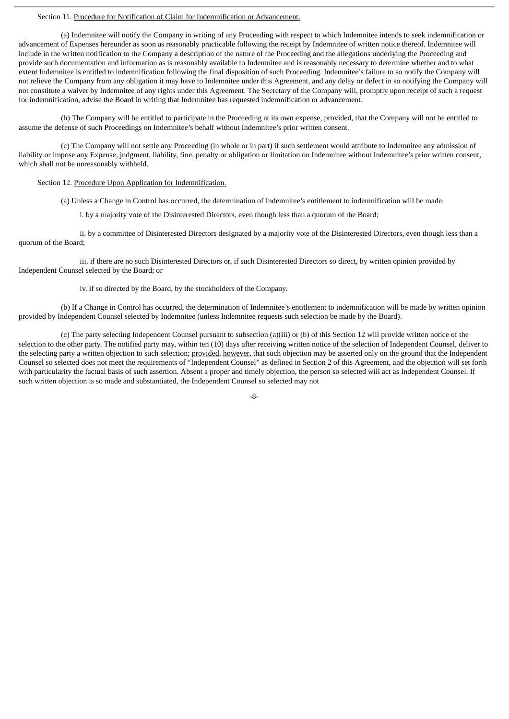#### Section 11. Procedure for Notification of Claim for Indemnification or Advancement.

(a) Indemnitee will notify the Company in writing of any Proceeding with respect to which Indemnitee intends to seek indemnification or advancement of Expenses hereunder as soon as reasonably practicable following the receipt by Indemnitee of written notice thereof. Indemnitee will include in the written notification to the Company a description of the nature of the Proceeding and the allegations underlying the Proceeding and provide such documentation and information as is reasonably available to Indemnitee and is reasonably necessary to determine whether and to what extent Indemnitee is entitled to indemnification following the final disposition of such Proceeding. Indemnitee's failure to so notify the Company will not relieve the Company from any obligation it may have to Indemnitee under this Agreement, and any delay or defect in so notifying the Company will not constitute a waiver by Indemnitee of any rights under this Agreement. The Secretary of the Company will, promptly upon receipt of such a request for indemnification, advise the Board in writing that Indemnitee has requested indemnification or advancement.

(b) The Company will be entitled to participate in the Proceeding at its own expense, provided, that the Company will not be entitled to assume the defense of such Proceedings on Indemnitee's behalf without Indemnitee's prior written consent.

(c) The Company will not settle any Proceeding (in whole or in part) if such settlement would attribute to Indemnitee any admission of liability or impose any Expense, judgment, liability, fine, penalty or obligation or limitation on Indemnitee without Indemnitee's prior written consent, which shall not be unreasonably withheld.

## Section 12. Procedure Upon Application for Indemnification.

(a) Unless a Change in Control has occurred, the determination of Indemnitee's entitlement to indemnification will be made:

i. by a majority vote of the Disinterested Directors, even though less than a quorum of the Board;

ii. by a committee of Disinterested Directors designated by a majority vote of the Disinterested Directors, even though less than a quorum of the Board;

iii. if there are no such Disinterested Directors or, if such Disinterested Directors so direct, by written opinion provided by Independent Counsel selected by the Board; or

iv. if so directed by the Board, by the stockholders of the Company.

(b) If a Change in Control has occurred, the determination of Indemnitee's entitlement to indemnification will be made by written opinion provided by Independent Counsel selected by Indemnitee (unless Indemnitee requests such selection be made by the Board).

(c) The party selecting Independent Counsel pursuant to subsection (a)(iii) or (b) of this Section 12 will provide written notice of the selection to the other party. The notified party may, within ten (10) days after receiving written notice of the selection of Independent Counsel, deliver to the selecting party a written objection to such selection; provided, however, that such objection may be asserted only on the ground that the Independent Counsel so selected does not meet the requirements of "Independent Counsel" as defined in Section 2 of this Agreement, and the objection will set forth with particularity the factual basis of such assertion. Absent a proper and timely objection, the person so selected will act as Independent Counsel. If such written objection is so made and substantiated, the Independent Counsel so selected may not

-8-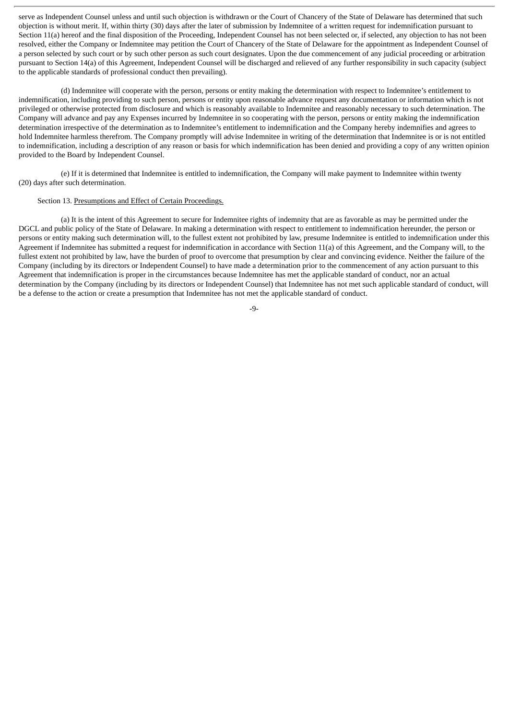serve as Independent Counsel unless and until such objection is withdrawn or the Court of Chancery of the State of Delaware has determined that such objection is without merit. If, within thirty (30) days after the later of submission by Indemnitee of a written request for indemnification pursuant to Section 11(a) hereof and the final disposition of the Proceeding, Independent Counsel has not been selected or, if selected, any objection to has not been resolved, either the Company or Indemnitee may petition the Court of Chancery of the State of Delaware for the appointment as Independent Counsel of a person selected by such court or by such other person as such court designates. Upon the due commencement of any judicial proceeding or arbitration pursuant to Section 14(a) of this Agreement, Independent Counsel will be discharged and relieved of any further responsibility in such capacity (subject to the applicable standards of professional conduct then prevailing).

(d) Indemnitee will cooperate with the person, persons or entity making the determination with respect to Indemnitee's entitlement to indemnification, including providing to such person, persons or entity upon reasonable advance request any documentation or information which is not privileged or otherwise protected from disclosure and which is reasonably available to Indemnitee and reasonably necessary to such determination. The Company will advance and pay any Expenses incurred by Indemnitee in so cooperating with the person, persons or entity making the indemnification determination irrespective of the determination as to Indemnitee's entitlement to indemnification and the Company hereby indemnifies and agrees to hold Indemnitee harmless therefrom. The Company promptly will advise Indemnitee in writing of the determination that Indemnitee is or is not entitled to indemnification, including a description of any reason or basis for which indemnification has been denied and providing a copy of any written opinion provided to the Board by Independent Counsel.

(e) If it is determined that Indemnitee is entitled to indemnification, the Company will make payment to Indemnitee within twenty (20) days after such determination.

#### Section 13. Presumptions and Effect of Certain Proceedings.

(a) It is the intent of this Agreement to secure for Indemnitee rights of indemnity that are as favorable as may be permitted under the DGCL and public policy of the State of Delaware. In making a determination with respect to entitlement to indemnification hereunder, the person or persons or entity making such determination will, to the fullest extent not prohibited by law, presume Indemnitee is entitled to indemnification under this Agreement if Indemnitee has submitted a request for indemnification in accordance with Section 11(a) of this Agreement, and the Company will, to the fullest extent not prohibited by law, have the burden of proof to overcome that presumption by clear and convincing evidence. Neither the failure of the Company (including by its directors or Independent Counsel) to have made a determination prior to the commencement of any action pursuant to this Agreement that indemnification is proper in the circumstances because Indemnitee has met the applicable standard of conduct, nor an actual determination by the Company (including by its directors or Independent Counsel) that Indemnitee has not met such applicable standard of conduct, will be a defense to the action or create a presumption that Indemnitee has not met the applicable standard of conduct.

-9-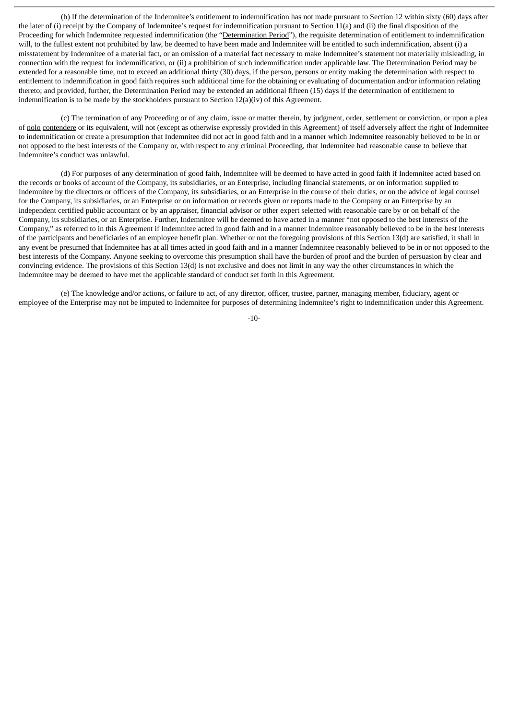(b) If the determination of the Indemnitee's entitlement to indemnification has not made pursuant to Section 12 within sixty (60) days after the later of (i) receipt by the Company of Indemnitee's request for indemnification pursuant to Section 11(a) and (ii) the final disposition of the Proceeding for which Indemnitee requested indemnification (the "Determination Period"), the requisite determination of entitlement to indemnification will, to the fullest extent not prohibited by law, be deemed to have been made and Indemnitee will be entitled to such indemnification, absent (i) a misstatement by Indemnitee of a material fact, or an omission of a material fact necessary to make Indemnitee's statement not materially misleading, in connection with the request for indemnification, or (ii) a prohibition of such indemnification under applicable law. The Determination Period may be extended for a reasonable time, not to exceed an additional thirty (30) days, if the person, persons or entity making the determination with respect to entitlement to indemnification in good faith requires such additional time for the obtaining or evaluating of documentation and/or information relating thereto; and provided, further, the Determination Period may be extended an additional fifteen (15) days if the determination of entitlement to indemnification is to be made by the stockholders pursuant to Section 12(a)(iv) of this Agreement.

(c) The termination of any Proceeding or of any claim, issue or matter therein, by judgment, order, settlement or conviction, or upon a plea of nolo contendere or its equivalent, will not (except as otherwise expressly provided in this Agreement) of itself adversely affect the right of Indemnitee to indemnification or create a presumption that Indemnitee did not act in good faith and in a manner which Indemnitee reasonably believed to be in or not opposed to the best interests of the Company or, with respect to any criminal Proceeding, that Indemnitee had reasonable cause to believe that Indemnitee's conduct was unlawful.

(d) For purposes of any determination of good faith, Indemnitee will be deemed to have acted in good faith if Indemnitee acted based on the records or books of account of the Company, its subsidiaries, or an Enterprise, including financial statements, or on information supplied to Indemnitee by the directors or officers of the Company, its subsidiaries, or an Enterprise in the course of their duties, or on the advice of legal counsel for the Company, its subsidiaries, or an Enterprise or on information or records given or reports made to the Company or an Enterprise by an independent certified public accountant or by an appraiser, financial advisor or other expert selected with reasonable care by or on behalf of the Company, its subsidiaries, or an Enterprise. Further, Indemnitee will be deemed to have acted in a manner "not opposed to the best interests of the Company," as referred to in this Agreement if Indemnitee acted in good faith and in a manner Indemnitee reasonably believed to be in the best interests of the participants and beneficiaries of an employee benefit plan. Whether or not the foregoing provisions of this Section 13(d) are satisfied, it shall in any event be presumed that Indemnitee has at all times acted in good faith and in a manner Indemnitee reasonably believed to be in or not opposed to the best interests of the Company. Anyone seeking to overcome this presumption shall have the burden of proof and the burden of persuasion by clear and convincing evidence. The provisions of this Section 13(d) is not exclusive and does not limit in any way the other circumstances in which the Indemnitee may be deemed to have met the applicable standard of conduct set forth in this Agreement.

(e) The knowledge and/or actions, or failure to act, of any director, officer, trustee, partner, managing member, fiduciary, agent or employee of the Enterprise may not be imputed to Indemnitee for purposes of determining Indemnitee's right to indemnification under this Agreement.

-10-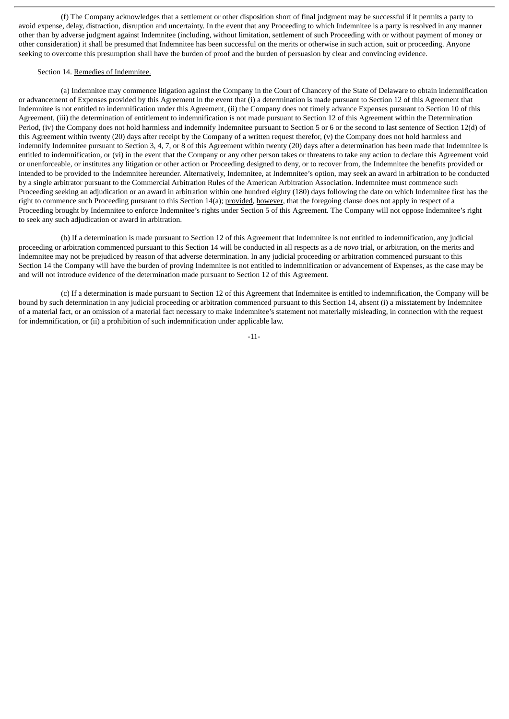(f) The Company acknowledges that a settlement or other disposition short of final judgment may be successful if it permits a party to avoid expense, delay, distraction, disruption and uncertainty. In the event that any Proceeding to which Indemnitee is a party is resolved in any manner other than by adverse judgment against Indemnitee (including, without limitation, settlement of such Proceeding with or without payment of money or other consideration) it shall be presumed that Indemnitee has been successful on the merits or otherwise in such action, suit or proceeding. Anyone seeking to overcome this presumption shall have the burden of proof and the burden of persuasion by clear and convincing evidence.

#### Section 14. Remedies of Indemnitee.

(a) Indemnitee may commence litigation against the Company in the Court of Chancery of the State of Delaware to obtain indemnification or advancement of Expenses provided by this Agreement in the event that (i) a determination is made pursuant to Section 12 of this Agreement that Indemnitee is not entitled to indemnification under this Agreement, (ii) the Company does not timely advance Expenses pursuant to Section 10 of this Agreement, (iii) the determination of entitlement to indemnification is not made pursuant to Section 12 of this Agreement within the Determination Period, (iv) the Company does not hold harmless and indemnify Indemnitee pursuant to Section 5 or 6 or the second to last sentence of Section 12(d) of this Agreement within twenty (20) days after receipt by the Company of a written request therefor, (v) the Company does not hold harmless and indemnify Indemnitee pursuant to Section 3, 4, 7, or 8 of this Agreement within twenty (20) days after a determination has been made that Indemnitee is entitled to indemnification, or (vi) in the event that the Company or any other person takes or threatens to take any action to declare this Agreement void or unenforceable, or institutes any litigation or other action or Proceeding designed to deny, or to recover from, the Indemnitee the benefits provided or intended to be provided to the Indemnitee hereunder. Alternatively, Indemnitee, at Indemnitee's option, may seek an award in arbitration to be conducted by a single arbitrator pursuant to the Commercial Arbitration Rules of the American Arbitration Association. Indemnitee must commence such Proceeding seeking an adjudication or an award in arbitration within one hundred eighty (180) days following the date on which Indemnitee first has the right to commence such Proceeding pursuant to this Section 14(a); provided, however, that the foregoing clause does not apply in respect of a Proceeding brought by Indemnitee to enforce Indemnitee's rights under Section 5 of this Agreement. The Company will not oppose Indemnitee's right to seek any such adjudication or award in arbitration.

(b) If a determination is made pursuant to Section 12 of this Agreement that Indemnitee is not entitled to indemnification, any judicial proceeding or arbitration commenced pursuant to this Section 14 will be conducted in all respects as a *de novo* trial, or arbitration, on the merits and Indemnitee may not be prejudiced by reason of that adverse determination. In any judicial proceeding or arbitration commenced pursuant to this Section 14 the Company will have the burden of proving Indemnitee is not entitled to indemnification or advancement of Expenses, as the case may be and will not introduce evidence of the determination made pursuant to Section 12 of this Agreement.

(c) If a determination is made pursuant to Section 12 of this Agreement that Indemnitee is entitled to indemnification, the Company will be bound by such determination in any judicial proceeding or arbitration commenced pursuant to this Section 14, absent (i) a misstatement by Indemnitee of a material fact, or an omission of a material fact necessary to make Indemnitee's statement not materially misleading, in connection with the request for indemnification, or (ii) a prohibition of such indemnification under applicable law.

-11-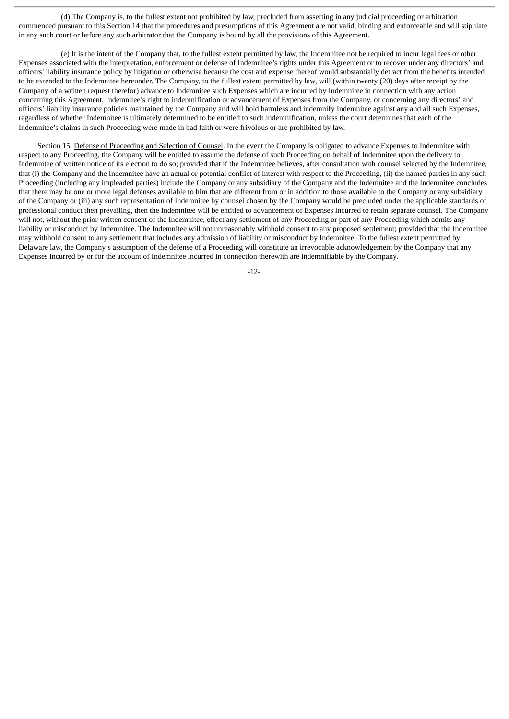(d) The Company is, to the fullest extent not prohibited by law, precluded from asserting in any judicial proceeding or arbitration commenced pursuant to this Section 14 that the procedures and presumptions of this Agreement are not valid, binding and enforceable and will stipulate in any such court or before any such arbitrator that the Company is bound by all the provisions of this Agreement.

(e) It is the intent of the Company that, to the fullest extent permitted by law, the Indemnitee not be required to incur legal fees or other Expenses associated with the interpretation, enforcement or defense of Indemnitee's rights under this Agreement or to recover under any directors' and officers' liability insurance policy by litigation or otherwise because the cost and expense thereof would substantially detract from the benefits intended to be extended to the Indemnitee hereunder. The Company, to the fullest extent permitted by law, will (within twenty (20) days after receipt by the Company of a written request therefor) advance to Indemnitee such Expenses which are incurred by Indemnitee in connection with any action concerning this Agreement, Indemnitee's right to indemnification or advancement of Expenses from the Company, or concerning any directors' and officers' liability insurance policies maintained by the Company and will hold harmless and indemnify Indemnitee against any and all such Expenses, regardless of whether Indemnitee is ultimately determined to be entitled to such indemnification, unless the court determines that each of the Indemnitee's claims in such Proceeding were made in bad faith or were frivolous or are prohibited by law.

Section 15. Defense of Proceeding and Selection of Counsel. In the event the Company is obligated to advance Expenses to Indemnitee with respect to any Proceeding, the Company will be entitled to assume the defense of such Proceeding on behalf of Indemnitee upon the delivery to Indemnitee of written notice of its election to do so; provided that if the Indemnitee believes, after consultation with counsel selected by the Indemnitee, that (i) the Company and the Indemnitee have an actual or potential conflict of interest with respect to the Proceeding, (ii) the named parties in any such Proceeding (including any impleaded parties) include the Company or any subsidiary of the Company and the Indemnitee and the Indemnitee concludes that there may be one or more legal defenses available to him that are different from or in addition to those available to the Company or any subsidiary of the Company or (iii) any such representation of Indemnitee by counsel chosen by the Company would be precluded under the applicable standards of professional conduct then prevailing, then the Indemnitee will be entitled to advancement of Expenses incurred to retain separate counsel. The Company will not, without the prior written consent of the Indemnitee, effect any settlement of any Proceeding or part of any Proceeding which admits any liability or misconduct by Indemnitee. The Indemnitee will not unreasonably withhold consent to any proposed settlement; provided that the Indemnitee may withhold consent to any settlement that includes any admission of liability or misconduct by Indemnitee. To the fullest extent permitted by Delaware law, the Company's assumption of the defense of a Proceeding will constitute an irrevocable acknowledgement by the Company that any Expenses incurred by or for the account of Indemnitee incurred in connection therewith are indemnifiable by the Company.

-12-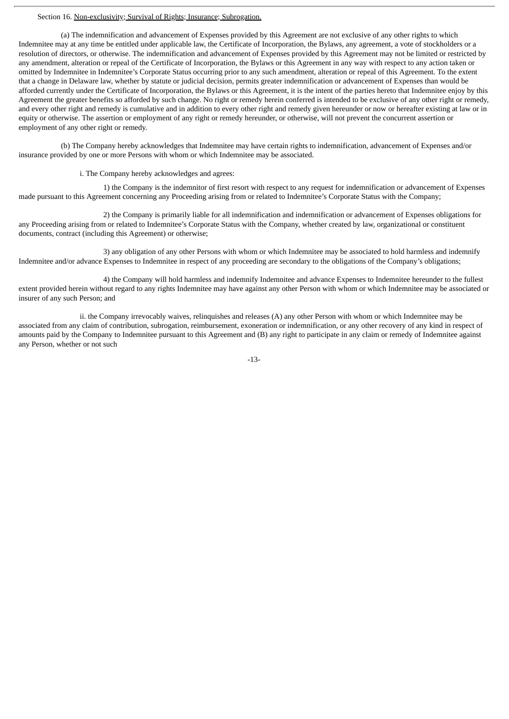### Section 16. Non-exclusivity; Survival of Rights; Insurance; Subrogation.

(a) The indemnification and advancement of Expenses provided by this Agreement are not exclusive of any other rights to which Indemnitee may at any time be entitled under applicable law, the Certificate of Incorporation, the Bylaws, any agreement, a vote of stockholders or a resolution of directors, or otherwise. The indemnification and advancement of Expenses provided by this Agreement may not be limited or restricted by any amendment, alteration or repeal of the Certificate of Incorporation, the Bylaws or this Agreement in any way with respect to any action taken or omitted by Indemnitee in Indemnitee's Corporate Status occurring prior to any such amendment, alteration or repeal of this Agreement. To the extent that a change in Delaware law, whether by statute or judicial decision, permits greater indemnification or advancement of Expenses than would be afforded currently under the Certificate of Incorporation, the Bylaws or this Agreement, it is the intent of the parties hereto that Indemnitee enjoy by this Agreement the greater benefits so afforded by such change. No right or remedy herein conferred is intended to be exclusive of any other right or remedy, and every other right and remedy is cumulative and in addition to every other right and remedy given hereunder or now or hereafter existing at law or in equity or otherwise. The assertion or employment of any right or remedy hereunder, or otherwise, will not prevent the concurrent assertion or employment of any other right or remedy.

(b) The Company hereby acknowledges that Indemnitee may have certain rights to indemnification, advancement of Expenses and/or insurance provided by one or more Persons with whom or which Indemnitee may be associated.

i. The Company hereby acknowledges and agrees:

1) the Company is the indemnitor of first resort with respect to any request for indemnification or advancement of Expenses made pursuant to this Agreement concerning any Proceeding arising from or related to Indemnitee's Corporate Status with the Company;

2) the Company is primarily liable for all indemnification and indemnification or advancement of Expenses obligations for any Proceeding arising from or related to Indemnitee's Corporate Status with the Company, whether created by law, organizational or constituent documents, contract (including this Agreement) or otherwise;

3) any obligation of any other Persons with whom or which Indemnitee may be associated to hold harmless and indemnify Indemnitee and/or advance Expenses to Indemnitee in respect of any proceeding are secondary to the obligations of the Company's obligations;

4) the Company will hold harmless and indemnify Indemnitee and advance Expenses to Indemnitee hereunder to the fullest extent provided herein without regard to any rights Indemnitee may have against any other Person with whom or which Indemnitee may be associated or insurer of any such Person; and

ii. the Company irrevocably waives, relinquishes and releases (A) any other Person with whom or which Indemnitee may be associated from any claim of contribution, subrogation, reimbursement, exoneration or indemnification, or any other recovery of any kind in respect of amounts paid by the Company to Indemnitee pursuant to this Agreement and (B) any right to participate in any claim or remedy of Indemnitee against any Person, whether or not such

-13-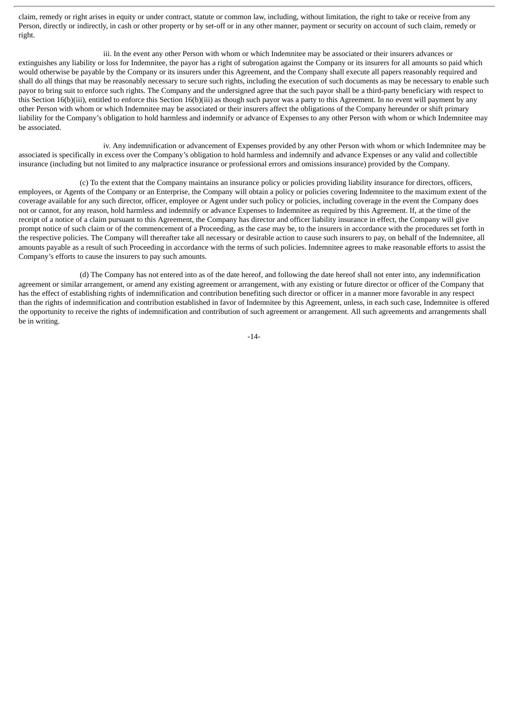claim, remedy or right arises in equity or under contract, statute or common law, including, without limitation, the right to take or receive from any Person, directly or indirectly, in cash or other property or by set-off or in any other manner, payment or security on account of such claim, remedy or right.

iii. In the event any other Person with whom or which Indemnitee may be associated or their insurers advances or extinguishes any liability or loss for Indemnitee, the payor has a right of subrogation against the Company or its insurers for all amounts so paid which would otherwise be payable by the Company or its insurers under this Agreement, and the Company shall execute all papers reasonably required and shall do all things that may be reasonably necessary to secure such rights, including the execution of such documents as may be necessary to enable such payor to bring suit to enforce such rights. The Company and the undersigned agree that the such payor shall be a third-party beneficiary with respect to this Section 16(b)(iii), entitled to enforce this Section 16(b)(iii) as though such payor was a party to this Agreement. In no event will payment by any other Person with whom or which Indemnitee may be associated or their insurers affect the obligations of the Company hereunder or shift primary liability for the Company's obligation to hold harmless and indemnify or advance of Expenses to any other Person with whom or which Indemnitee may be associated.

iv. Any indemnification or advancement of Expenses provided by any other Person with whom or which Indemnitee may be associated is specifically in excess over the Company's obligation to hold harmless and indemnify and advance Expenses or any valid and collectible insurance (including but not limited to any malpractice insurance or professional errors and omissions insurance) provided by the Company.

(c) To the extent that the Company maintains an insurance policy or policies providing liability insurance for directors, officers, employees, or Agents of the Company or an Enterprise, the Company will obtain a policy or policies covering Indemnitee to the maximum extent of the coverage available for any such director, officer, employee or Agent under such policy or policies, including coverage in the event the Company does not or cannot, for any reason, hold harmless and indemnify or advance Expenses to Indemnitee as required by this Agreement. If, at the time of the receipt of a notice of a claim pursuant to this Agreement, the Company has director and officer liability insurance in effect, the Company will give prompt notice of such claim or of the commencement of a Proceeding, as the case may be, to the insurers in accordance with the procedures set forth in the respective policies. The Company will thereafter take all necessary or desirable action to cause such insurers to pay, on behalf of the Indemnitee, all amounts payable as a result of such Proceeding in accordance with the terms of such policies. Indemnitee agrees to make reasonable efforts to assist the Company's efforts to cause the insurers to pay such amounts.

(d) The Company has not entered into as of the date hereof, and following the date hereof shall not enter into, any indemnification agreement or similar arrangement, or amend any existing agreement or arrangement, with any existing or future director or officer of the Company that has the effect of establishing rights of indemnification and contribution benefiting such director or officer in a manner more favorable in any respect than the rights of indemnification and contribution established in favor of Indemnitee by this Agreement, unless, in each such case, Indemnitee is offered the opportunity to receive the rights of indemnification and contribution of such agreement or arrangement. All such agreements and arrangements shall be in writing.

-14-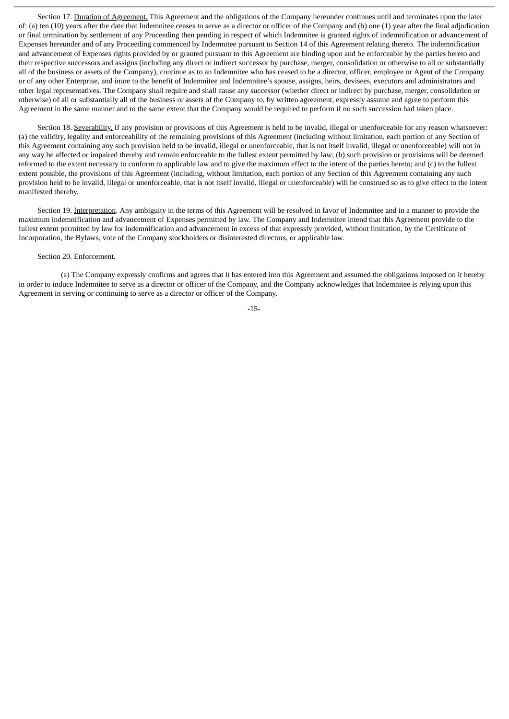Section 17. Duration of Agreement. This Agreement and the obligations of the Company hereunder continues until and terminates upon the later of: (a) ten (10) years after the date that Indemnitee ceases to serve as a director or officer of the Company and (b) one (1) year after the final adjudication or final termination by settlement of any Proceeding then pending in respect of which Indemnitee is granted rights of indemnification or advancement of Expenses hereunder and of any Proceeding commenced by Indemnitee pursuant to Section 14 of this Agreement relating thereto. The indemnification and advancement of Expenses rights provided by or granted pursuant to this Agreement are binding upon and be enforceable by the parties hereto and their respective successors and assigns (including any direct or indirect successor by purchase, merger, consolidation or otherwise to all or substantially all of the business or assets of the Company), continue as to an Indemnitee who has ceased to be a director, officer, employee or Agent of the Company or of any other Enterprise, and inure to the benefit of Indemnitee and Indemnitee's spouse, assigns, heirs, devisees, executors and administrators and other legal representatives. The Company shall require and shall cause any successor (whether direct or indirect by purchase, merger, consolidation or otherwise) of all or substantially all of the business or assets of the Company to, by written agreement, expressly assume and agree to perform this Agreement in the same manner and to the same extent that the Company would be required to perform if no such succession had taken place.

Section 18. Severability. If any provision or provisions of this Agreement is held to be invalid, illegal or unenforceable for any reason whatsoever: (a) the validity, legality and enforceability of the remaining provisions of this Agreement (including without limitation, each portion of any Section of this Agreement containing any such provision held to be invalid, illegal or unenforceable, that is not itself invalid, illegal or unenforceable) will not in any way be affected or impaired thereby and remain enforceable to the fullest extent permitted by law; (b) such provision or provisions will be deemed reformed to the extent necessary to conform to applicable law and to give the maximum effect to the intent of the parties hereto; and (c) to the fullest extent possible, the provisions of this Agreement (including, without limitation, each portion of any Section of this Agreement containing any such provision held to be invalid, illegal or unenforceable, that is not itself invalid, illegal or unenforceable) will be construed so as to give effect to the intent manifested thereby.

Section 19. Interpretation. Any ambiguity in the terms of this Agreement will be resolved in favor of Indemnitee and in a manner to provide the maximum indemnification and advancement of Expenses permitted by law. The Company and Indemnitee intend that this Agreement provide to the fullest extent permitted by law for indemnification and advancement in excess of that expressly provided, without limitation, by the Certificate of Incorporation, the Bylaws, vote of the Company stockholders or disinterested directors, or applicable law.

# Section 20. Enforcement.

(a) The Company expressly confirms and agrees that it has entered into this Agreement and assumed the obligations imposed on it hereby in order to induce Indemnitee to serve as a director or officer of the Company, and the Company acknowledges that Indemnitee is relying upon this Agreement in serving or continuing to serve as a director or officer of the Company.

-15-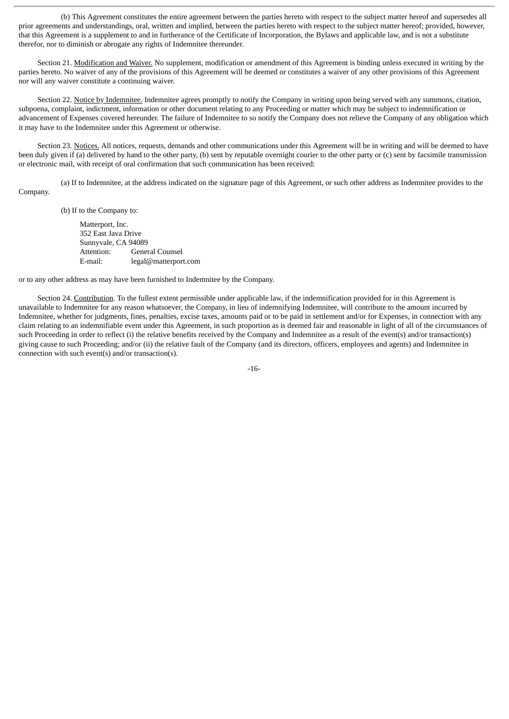(b) This Agreement constitutes the entire agreement between the parties hereto with respect to the subject matter hereof and supersedes all prior agreements and understandings, oral, written and implied, between the parties hereto with respect to the subject matter hereof; provided, however, that this Agreement is a supplement to and in furtherance of the Certificate of Incorporation, the Bylaws and applicable law, and is not a substitute therefor, nor to diminish or abrogate any rights of Indemnitee thereunder.

Section 21. Modification and Waiver. No supplement, modification or amendment of this Agreement is binding unless executed in writing by the parties hereto. No waiver of any of the provisions of this Agreement will be deemed or constitutes a waiver of any other provisions of this Agreement nor will any waiver constitute a continuing waiver.

Section 22. Notice by Indemnitee. Indemnitee agrees promptly to notify the Company in writing upon being served with any summons, citation, subpoena, complaint, indictment, information or other document relating to any Proceeding or matter which may be subject to indemnification or advancement of Expenses covered hereunder. The failure of Indemnitee to so notify the Company does not relieve the Company of any obligation which it may have to the Indemnitee under this Agreement or otherwise.

Section 23. Notices. All notices, requests, demands and other communications under this Agreement will be in writing and will be deemed to have been duly given if (a) delivered by hand to the other party, (b) sent by reputable overnight courier to the other party or (c) sent by facsimile transmission or electronic mail, with receipt of oral confirmation that such communication has been received:

(a) If to Indemnitee, at the address indicated on the signature page of this Agreement, or such other address as Indemnitee provides to the Company.

(b) If to the Company to:

Matterport, Inc. 352 East Java Drive Sunnyvale, CA 94089 Attention: General Counsel E-mail: legal@matterport.com

or to any other address as may have been furnished to Indemnitee by the Company.

Section 24. Contribution. To the fullest extent permissible under applicable law, if the indemnification provided for in this Agreement is unavailable to Indemnitee for any reason whatsoever, the Company, in lieu of indemnifying Indemnitee, will contribute to the amount incurred by Indemnitee, whether for judgments, fines, penalties, excise taxes, amounts paid or to be paid in settlement and/or for Expenses, in connection with any claim relating to an indemnifiable event under this Agreement, in such proportion as is deemed fair and reasonable in light of all of the circumstances of such Proceeding in order to reflect (i) the relative benefits received by the Company and Indemnitee as a result of the event(s) and/or transaction(s) giving cause to such Proceeding; and/or (ii) the relative fault of the Company (and its directors, officers, employees and agents) and Indemnitee in connection with such event(s) and/or transaction(s).

-16-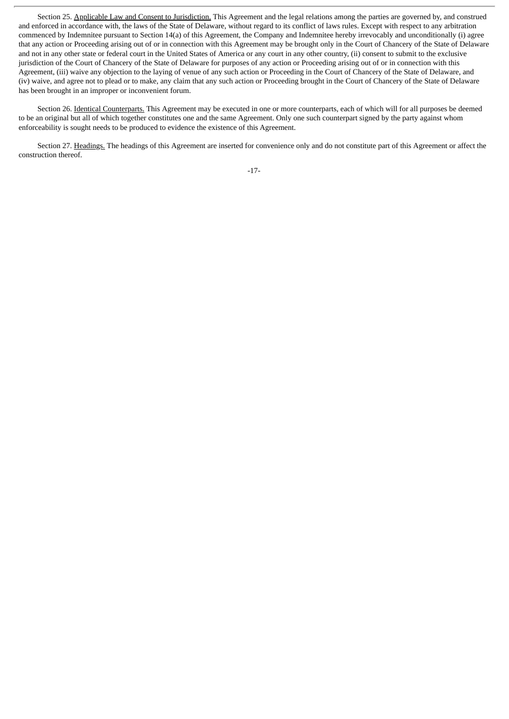Section 25. Applicable Law and Consent to Jurisdiction. This Agreement and the legal relations among the parties are governed by, and construed and enforced in accordance with, the laws of the State of Delaware, without regard to its conflict of laws rules. Except with respect to any arbitration commenced by Indemnitee pursuant to Section 14(a) of this Agreement, the Company and Indemnitee hereby irrevocably and unconditionally (i) agree that any action or Proceeding arising out of or in connection with this Agreement may be brought only in the Court of Chancery of the State of Delaware and not in any other state or federal court in the United States of America or any court in any other country, (ii) consent to submit to the exclusive jurisdiction of the Court of Chancery of the State of Delaware for purposes of any action or Proceeding arising out of or in connection with this Agreement, (iii) waive any objection to the laying of venue of any such action or Proceeding in the Court of Chancery of the State of Delaware, and (iv) waive, and agree not to plead or to make, any claim that any such action or Proceeding brought in the Court of Chancery of the State of Delaware has been brought in an improper or inconvenient forum.

Section 26. Identical Counterparts. This Agreement may be executed in one or more counterparts, each of which will for all purposes be deemed to be an original but all of which together constitutes one and the same Agreement. Only one such counterpart signed by the party against whom enforceability is sought needs to be produced to evidence the existence of this Agreement.

Section 27. Headings. The headings of this Agreement are inserted for convenience only and do not constitute part of this Agreement or affect the construction thereof.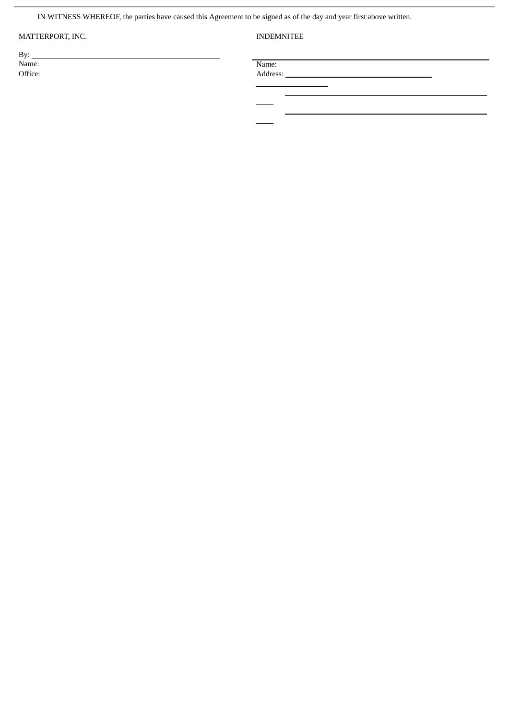IN WITNESS WHEREOF, the parties have caused this Agreement to be signed as of the day and year first above written.

# MATTERPORT, INC. **INDEMNITEE**

By: \_\_\_<br>Name:

 $\overline{a}$ 

Name: Name: Name: Name: Name: Name: Name: Name: Name: Name: Name: Name: Name: Name: Name: Name: Name: Name: Name: Name:  $\mathbb{N}$ 

Office: Address: \_

 $\overline{a}$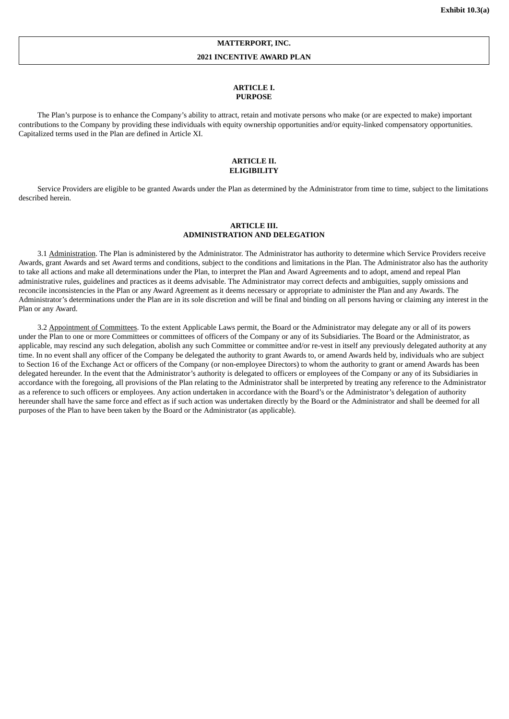# **MATTERPORT, INC.**

#### **2021 INCENTIVE AWARD PLAN**

#### **ARTICLE I. PURPOSE**

The Plan's purpose is to enhance the Company's ability to attract, retain and motivate persons who make (or are expected to make) important contributions to the Company by providing these individuals with equity ownership opportunities and/or equity-linked compensatory opportunities. Capitalized terms used in the Plan are defined in Article XI.

#### **ARTICLE II. ELIGIBILITY**

Service Providers are eligible to be granted Awards under the Plan as determined by the Administrator from time to time, subject to the limitations described herein.

### **ARTICLE III. ADMINISTRATION AND DELEGATION**

3.1 Administration. The Plan is administered by the Administrator. The Administrator has authority to determine which Service Providers receive Awards, grant Awards and set Award terms and conditions, subject to the conditions and limitations in the Plan. The Administrator also has the authority to take all actions and make all determinations under the Plan, to interpret the Plan and Award Agreements and to adopt, amend and repeal Plan administrative rules, guidelines and practices as it deems advisable. The Administrator may correct defects and ambiguities, supply omissions and reconcile inconsistencies in the Plan or any Award Agreement as it deems necessary or appropriate to administer the Plan and any Awards. The Administrator's determinations under the Plan are in its sole discretion and will be final and binding on all persons having or claiming any interest in the Plan or any Award.

3.2 Appointment of Committees. To the extent Applicable Laws permit, the Board or the Administrator may delegate any or all of its powers under the Plan to one or more Committees or committees of officers of the Company or any of its Subsidiaries. The Board or the Administrator, as applicable, may rescind any such delegation, abolish any such Committee or committee and/or re-vest in itself any previously delegated authority at any time. In no event shall any officer of the Company be delegated the authority to grant Awards to, or amend Awards held by, individuals who are subject to Section 16 of the Exchange Act or officers of the Company (or non-employee Directors) to whom the authority to grant or amend Awards has been delegated hereunder. In the event that the Administrator's authority is delegated to officers or employees of the Company or any of its Subsidiaries in accordance with the foregoing, all provisions of the Plan relating to the Administrator shall be interpreted by treating any reference to the Administrator as a reference to such officers or employees. Any action undertaken in accordance with the Board's or the Administrator's delegation of authority hereunder shall have the same force and effect as if such action was undertaken directly by the Board or the Administrator and shall be deemed for all purposes of the Plan to have been taken by the Board or the Administrator (as applicable).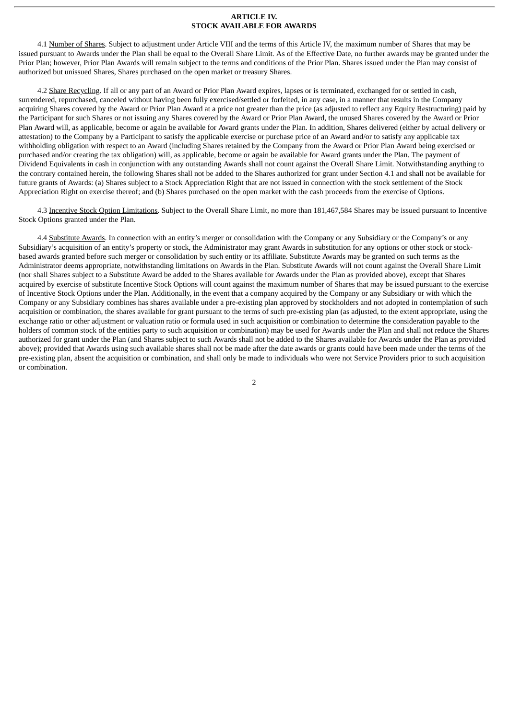#### **ARTICLE IV. STOCK AVAILABLE FOR AWARDS**

4.1 Number of Shares. Subject to adjustment under Article VIII and the terms of this Article IV, the maximum number of Shares that may be issued pursuant to Awards under the Plan shall be equal to the Overall Share Limit. As of the Effective Date, no further awards may be granted under the Prior Plan; however, Prior Plan Awards will remain subject to the terms and conditions of the Prior Plan. Shares issued under the Plan may consist of authorized but unissued Shares, Shares purchased on the open market or treasury Shares.

4.2 Share Recycling. If all or any part of an Award or Prior Plan Award expires, lapses or is terminated, exchanged for or settled in cash, surrendered, repurchased, canceled without having been fully exercised/settled or forfeited, in any case, in a manner that results in the Company acquiring Shares covered by the Award or Prior Plan Award at a price not greater than the price (as adjusted to reflect any Equity Restructuring) paid by the Participant for such Shares or not issuing any Shares covered by the Award or Prior Plan Award, the unused Shares covered by the Award or Prior Plan Award will, as applicable, become or again be available for Award grants under the Plan. In addition, Shares delivered (either by actual delivery or attestation) to the Company by a Participant to satisfy the applicable exercise or purchase price of an Award and/or to satisfy any applicable tax withholding obligation with respect to an Award (including Shares retained by the Company from the Award or Prior Plan Award being exercised or purchased and/or creating the tax obligation) will, as applicable, become or again be available for Award grants under the Plan. The payment of Dividend Equivalents in cash in conjunction with any outstanding Awards shall not count against the Overall Share Limit. Notwithstanding anything to the contrary contained herein, the following Shares shall not be added to the Shares authorized for grant under Section 4.1 and shall not be available for future grants of Awards: (a) Shares subject to a Stock Appreciation Right that are not issued in connection with the stock settlement of the Stock Appreciation Right on exercise thereof; and (b) Shares purchased on the open market with the cash proceeds from the exercise of Options.

4.3 Incentive Stock Option Limitations. Subject to the Overall Share Limit, no more than 181,467,584 Shares may be issued pursuant to Incentive Stock Options granted under the Plan.

4.4 Substitute Awards. In connection with an entity's merger or consolidation with the Company or any Subsidiary or the Company's or any Subsidiary's acquisition of an entity's property or stock, the Administrator may grant Awards in substitution for any options or other stock or stockbased awards granted before such merger or consolidation by such entity or its affiliate. Substitute Awards may be granted on such terms as the Administrator deems appropriate, notwithstanding limitations on Awards in the Plan. Substitute Awards will not count against the Overall Share Limit (nor shall Shares subject to a Substitute Award be added to the Shares available for Awards under the Plan as provided above), except that Shares acquired by exercise of substitute Incentive Stock Options will count against the maximum number of Shares that may be issued pursuant to the exercise of Incentive Stock Options under the Plan. Additionally, in the event that a company acquired by the Company or any Subsidiary or with which the Company or any Subsidiary combines has shares available under a pre-existing plan approved by stockholders and not adopted in contemplation of such acquisition or combination, the shares available for grant pursuant to the terms of such pre-existing plan (as adjusted, to the extent appropriate, using the exchange ratio or other adjustment or valuation ratio or formula used in such acquisition or combination to determine the consideration payable to the holders of common stock of the entities party to such acquisition or combination) may be used for Awards under the Plan and shall not reduce the Shares authorized for grant under the Plan (and Shares subject to such Awards shall not be added to the Shares available for Awards under the Plan as provided above); provided that Awards using such available shares shall not be made after the date awards or grants could have been made under the terms of the pre-existing plan, absent the acquisition or combination, and shall only be made to individuals who were not Service Providers prior to such acquisition or combination.

2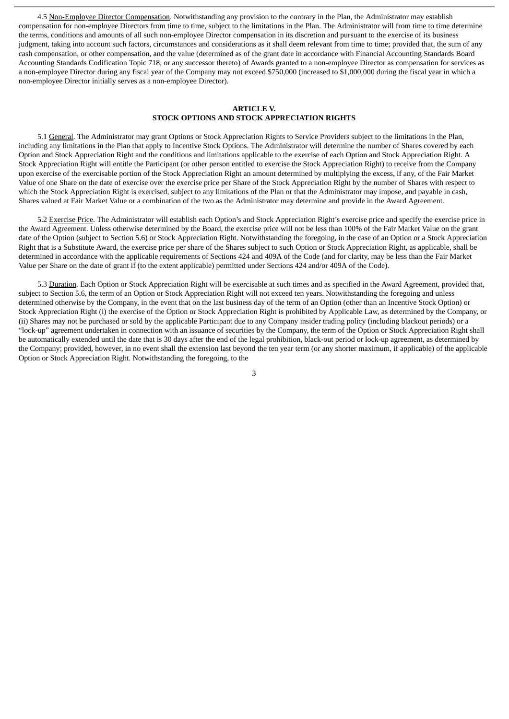4.5 Non-Employee Director Compensation. Notwithstanding any provision to the contrary in the Plan, the Administrator may establish compensation for non-employee Directors from time to time, subject to the limitations in the Plan. The Administrator will from time to time determine the terms, conditions and amounts of all such non-employee Director compensation in its discretion and pursuant to the exercise of its business judgment, taking into account such factors, circumstances and considerations as it shall deem relevant from time to time; provided that, the sum of any cash compensation, or other compensation, and the value (determined as of the grant date in accordance with Financial Accounting Standards Board Accounting Standards Codification Topic 718, or any successor thereto) of Awards granted to a non-employee Director as compensation for services as a non-employee Director during any fiscal year of the Company may not exceed \$750,000 (increased to \$1,000,000 during the fiscal year in which a non-employee Director initially serves as a non-employee Director).

# **ARTICLE V. STOCK OPTIONS AND STOCK APPRECIATION RIGHTS**

5.1 General. The Administrator may grant Options or Stock Appreciation Rights to Service Providers subject to the limitations in the Plan, including any limitations in the Plan that apply to Incentive Stock Options. The Administrator will determine the number of Shares covered by each Option and Stock Appreciation Right and the conditions and limitations applicable to the exercise of each Option and Stock Appreciation Right. A Stock Appreciation Right will entitle the Participant (or other person entitled to exercise the Stock Appreciation Right) to receive from the Company upon exercise of the exercisable portion of the Stock Appreciation Right an amount determined by multiplying the excess, if any, of the Fair Market Value of one Share on the date of exercise over the exercise price per Share of the Stock Appreciation Right by the number of Shares with respect to which the Stock Appreciation Right is exercised, subject to any limitations of the Plan or that the Administrator may impose, and payable in cash, Shares valued at Fair Market Value or a combination of the two as the Administrator may determine and provide in the Award Agreement.

5.2 Exercise Price. The Administrator will establish each Option's and Stock Appreciation Right's exercise price and specify the exercise price in the Award Agreement. Unless otherwise determined by the Board, the exercise price will not be less than 100% of the Fair Market Value on the grant date of the Option (subject to Section 5.6) or Stock Appreciation Right. Notwithstanding the foregoing, in the case of an Option or a Stock Appreciation Right that is a Substitute Award, the exercise price per share of the Shares subject to such Option or Stock Appreciation Right, as applicable, shall be determined in accordance with the applicable requirements of Sections 424 and 409A of the Code (and for clarity, may be less than the Fair Market Value per Share on the date of grant if (to the extent applicable) permitted under Sections 424 and/or 409A of the Code).

5.3 Duration. Each Option or Stock Appreciation Right will be exercisable at such times and as specified in the Award Agreement, provided that, subject to Section 5.6, the term of an Option or Stock Appreciation Right will not exceed ten years. Notwithstanding the foregoing and unless determined otherwise by the Company, in the event that on the last business day of the term of an Option (other than an Incentive Stock Option) or Stock Appreciation Right (i) the exercise of the Option or Stock Appreciation Right is prohibited by Applicable Law, as determined by the Company, or (ii) Shares may not be purchased or sold by the applicable Participant due to any Company insider trading policy (including blackout periods) or a "lock-up" agreement undertaken in connection with an issuance of securities by the Company, the term of the Option or Stock Appreciation Right shall be automatically extended until the date that is 30 days after the end of the legal prohibition, black-out period or lock-up agreement, as determined by the Company; provided, however, in no event shall the extension last beyond the ten year term (or any shorter maximum, if applicable) of the applicable Option or Stock Appreciation Right. Notwithstanding the foregoing, to the

3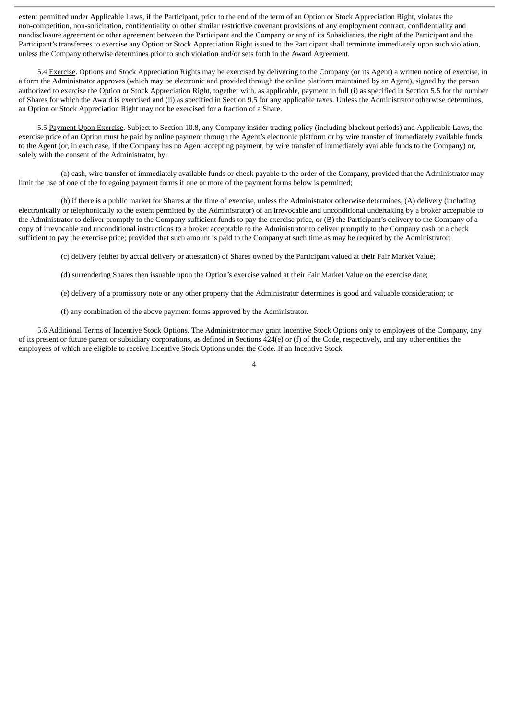extent permitted under Applicable Laws, if the Participant, prior to the end of the term of an Option or Stock Appreciation Right, violates the non-competition, non-solicitation, confidentiality or other similar restrictive covenant provisions of any employment contract, confidentiality and nondisclosure agreement or other agreement between the Participant and the Company or any of its Subsidiaries, the right of the Participant and the Participant's transferees to exercise any Option or Stock Appreciation Right issued to the Participant shall terminate immediately upon such violation, unless the Company otherwise determines prior to such violation and/or sets forth in the Award Agreement.

5.4 Exercise. Options and Stock Appreciation Rights may be exercised by delivering to the Company (or its Agent) a written notice of exercise, in a form the Administrator approves (which may be electronic and provided through the online platform maintained by an Agent), signed by the person authorized to exercise the Option or Stock Appreciation Right, together with, as applicable, payment in full (i) as specified in Section 5.5 for the number of Shares for which the Award is exercised and (ii) as specified in Section 9.5 for any applicable taxes. Unless the Administrator otherwise determines, an Option or Stock Appreciation Right may not be exercised for a fraction of a Share.

5.5 Payment Upon Exercise. Subject to Section 10.8, any Company insider trading policy (including blackout periods) and Applicable Laws, the exercise price of an Option must be paid by online payment through the Agent's electronic platform or by wire transfer of immediately available funds to the Agent (or, in each case, if the Company has no Agent accepting payment, by wire transfer of immediately available funds to the Company) or, solely with the consent of the Administrator, by:

(a) cash, wire transfer of immediately available funds or check payable to the order of the Company, provided that the Administrator may limit the use of one of the foregoing payment forms if one or more of the payment forms below is permitted;

(b) if there is a public market for Shares at the time of exercise, unless the Administrator otherwise determines, (A) delivery (including electronically or telephonically to the extent permitted by the Administrator) of an irrevocable and unconditional undertaking by a broker acceptable to the Administrator to deliver promptly to the Company sufficient funds to pay the exercise price, or (B) the Participant's delivery to the Company of a copy of irrevocable and unconditional instructions to a broker acceptable to the Administrator to deliver promptly to the Company cash or a check sufficient to pay the exercise price; provided that such amount is paid to the Company at such time as may be required by the Administrator;

(c) delivery (either by actual delivery or attestation) of Shares owned by the Participant valued at their Fair Market Value;

(d) surrendering Shares then issuable upon the Option's exercise valued at their Fair Market Value on the exercise date;

(e) delivery of a promissory note or any other property that the Administrator determines is good and valuable consideration; or

(f) any combination of the above payment forms approved by the Administrator.

5.6 Additional Terms of Incentive Stock Options. The Administrator may grant Incentive Stock Options only to employees of the Company, any of its present or future parent or subsidiary corporations, as defined in Sections  $424(e)$  or (f) of the Code, respectively, and any other entities the employees of which are eligible to receive Incentive Stock Options under the Code. If an Incentive Stock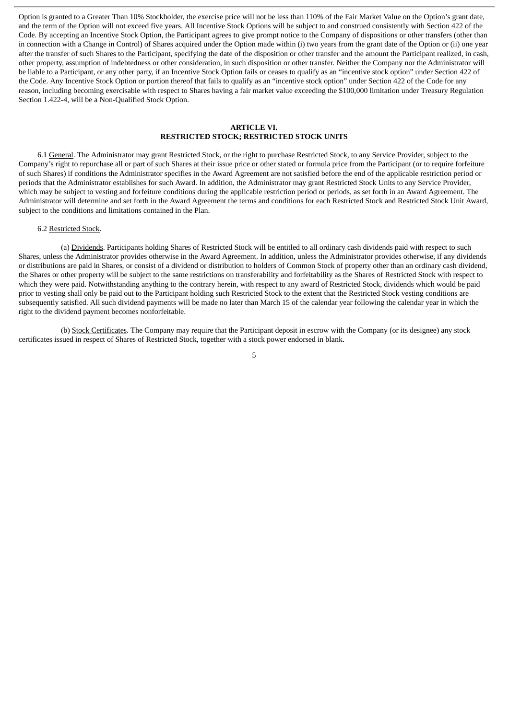Option is granted to a Greater Than 10% Stockholder, the exercise price will not be less than 110% of the Fair Market Value on the Option's grant date, and the term of the Option will not exceed five years. All Incentive Stock Options will be subject to and construed consistently with Section 422 of the Code. By accepting an Incentive Stock Option, the Participant agrees to give prompt notice to the Company of dispositions or other transfers (other than in connection with a Change in Control) of Shares acquired under the Option made within (i) two years from the grant date of the Option or (ii) one year after the transfer of such Shares to the Participant, specifying the date of the disposition or other transfer and the amount the Participant realized, in cash, other property, assumption of indebtedness or other consideration, in such disposition or other transfer. Neither the Company nor the Administrator will be liable to a Participant, or any other party, if an Incentive Stock Option fails or ceases to qualify as an "incentive stock option" under Section 422 of the Code. Any Incentive Stock Option or portion thereof that fails to qualify as an "incentive stock option" under Section 422 of the Code for any reason, including becoming exercisable with respect to Shares having a fair market value exceeding the \$100,000 limitation under Treasury Regulation Section 1.422-4, will be a Non-Qualified Stock Option.

### **ARTICLE VI. RESTRICTED STOCK; RESTRICTED STOCK UNITS**

6.1 General. The Administrator may grant Restricted Stock, or the right to purchase Restricted Stock, to any Service Provider, subject to the Company's right to repurchase all or part of such Shares at their issue price or other stated or formula price from the Participant (or to require forfeiture of such Shares) if conditions the Administrator specifies in the Award Agreement are not satisfied before the end of the applicable restriction period or periods that the Administrator establishes for such Award. In addition, the Administrator may grant Restricted Stock Units to any Service Provider, which may be subject to vesting and forfeiture conditions during the applicable restriction period or periods, as set forth in an Award Agreement. The Administrator will determine and set forth in the Award Agreement the terms and conditions for each Restricted Stock and Restricted Stock Unit Award, subject to the conditions and limitations contained in the Plan.

## 6.2 Restricted Stock.

(a) Dividends. Participants holding Shares of Restricted Stock will be entitled to all ordinary cash dividends paid with respect to such Shares, unless the Administrator provides otherwise in the Award Agreement. In addition, unless the Administrator provides otherwise, if any dividends or distributions are paid in Shares, or consist of a dividend or distribution to holders of Common Stock of property other than an ordinary cash dividend, the Shares or other property will be subject to the same restrictions on transferability and forfeitability as the Shares of Restricted Stock with respect to which they were paid. Notwithstanding anything to the contrary herein, with respect to any award of Restricted Stock, dividends which would be paid prior to vesting shall only be paid out to the Participant holding such Restricted Stock to the extent that the Restricted Stock vesting conditions are subsequently satisfied. All such dividend payments will be made no later than March 15 of the calendar year following the calendar year in which the right to the dividend payment becomes nonforfeitable.

(b) Stock Certificates. The Company may require that the Participant deposit in escrow with the Company (or its designee) any stock certificates issued in respect of Shares of Restricted Stock, together with a stock power endorsed in blank.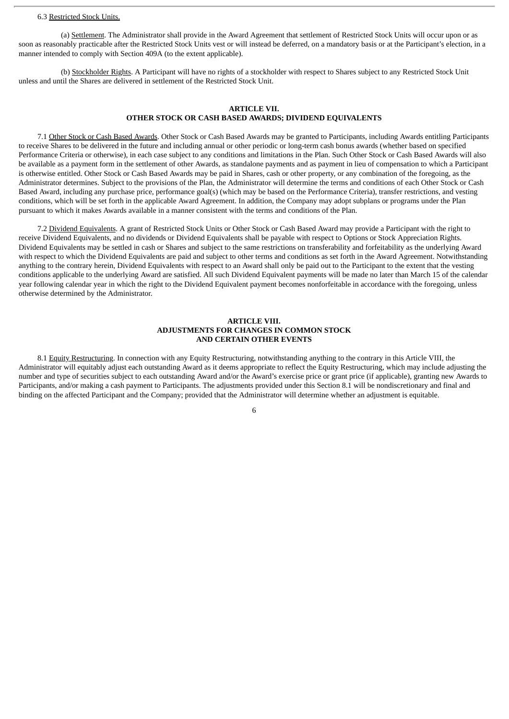### 6.3 Restricted Stock Units.

(a) Settlement. The Administrator shall provide in the Award Agreement that settlement of Restricted Stock Units will occur upon or as soon as reasonably practicable after the Restricted Stock Units vest or will instead be deferred, on a mandatory basis or at the Participant's election, in a manner intended to comply with Section 409A (to the extent applicable).

(b) Stockholder Rights. A Participant will have no rights of a stockholder with respect to Shares subject to any Restricted Stock Unit unless and until the Shares are delivered in settlement of the Restricted Stock Unit.

# **ARTICLE VII. OTHER STOCK OR CASH BASED AWARDS; DIVIDEND EQUIVALENTS**

7.1 Other Stock or Cash Based Awards. Other Stock or Cash Based Awards may be granted to Participants, including Awards entitling Participants to receive Shares to be delivered in the future and including annual or other periodic or long-term cash bonus awards (whether based on specified Performance Criteria or otherwise), in each case subject to any conditions and limitations in the Plan. Such Other Stock or Cash Based Awards will also be available as a payment form in the settlement of other Awards, as standalone payments and as payment in lieu of compensation to which a Participant is otherwise entitled. Other Stock or Cash Based Awards may be paid in Shares, cash or other property, or any combination of the foregoing, as the Administrator determines. Subject to the provisions of the Plan, the Administrator will determine the terms and conditions of each Other Stock or Cash Based Award, including any purchase price, performance goal(s) (which may be based on the Performance Criteria), transfer restrictions, and vesting conditions, which will be set forth in the applicable Award Agreement. In addition, the Company may adopt subplans or programs under the Plan pursuant to which it makes Awards available in a manner consistent with the terms and conditions of the Plan.

7.2 Dividend Equivalents. A grant of Restricted Stock Units or Other Stock or Cash Based Award may provide a Participant with the right to receive Dividend Equivalents, and no dividends or Dividend Equivalents shall be payable with respect to Options or Stock Appreciation Rights. Dividend Equivalents may be settled in cash or Shares and subject to the same restrictions on transferability and forfeitability as the underlying Award with respect to which the Dividend Equivalents are paid and subject to other terms and conditions as set forth in the Award Agreement. Notwithstanding anything to the contrary herein, Dividend Equivalents with respect to an Award shall only be paid out to the Participant to the extent that the vesting conditions applicable to the underlying Award are satisfied. All such Dividend Equivalent payments will be made no later than March 15 of the calendar year following calendar year in which the right to the Dividend Equivalent payment becomes nonforfeitable in accordance with the foregoing, unless otherwise determined by the Administrator.

## **ARTICLE VIII. ADJUSTMENTS FOR CHANGES IN COMMON STOCK AND CERTAIN OTHER EVENTS**

8.1 Equity Restructuring. In connection with any Equity Restructuring, notwithstanding anything to the contrary in this Article VIII, the Administrator will equitably adjust each outstanding Award as it deems appropriate to reflect the Equity Restructuring, which may include adjusting the number and type of securities subject to each outstanding Award and/or the Award's exercise price or grant price (if applicable), granting new Awards to Participants, and/or making a cash payment to Participants. The adjustments provided under this Section 8.1 will be nondiscretionary and final and binding on the affected Participant and the Company; provided that the Administrator will determine whether an adjustment is equitable.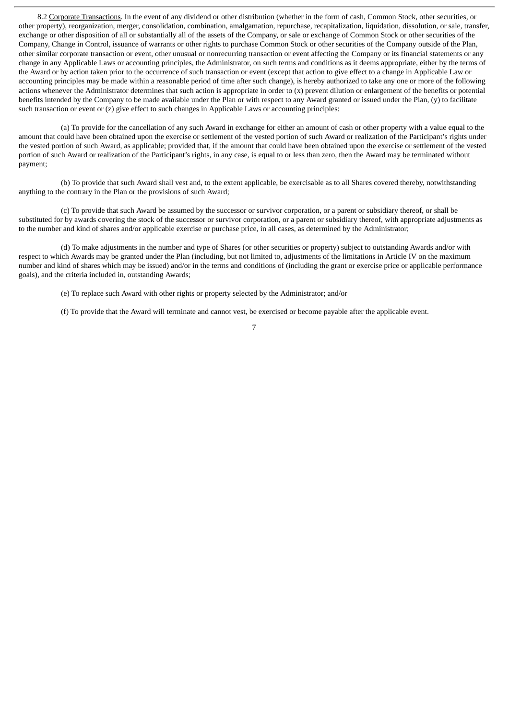8.2 Corporate Transactions. In the event of any dividend or other distribution (whether in the form of cash, Common Stock, other securities, or other property), reorganization, merger, consolidation, combination, amalgamation, repurchase, recapitalization, liquidation, dissolution, or sale, transfer, exchange or other disposition of all or substantially all of the assets of the Company, or sale or exchange of Common Stock or other securities of the Company, Change in Control, issuance of warrants or other rights to purchase Common Stock or other securities of the Company outside of the Plan, other similar corporate transaction or event, other unusual or nonrecurring transaction or event affecting the Company or its financial statements or any change in any Applicable Laws or accounting principles, the Administrator, on such terms and conditions as it deems appropriate, either by the terms of the Award or by action taken prior to the occurrence of such transaction or event (except that action to give effect to a change in Applicable Law or accounting principles may be made within a reasonable period of time after such change), is hereby authorized to take any one or more of the following actions whenever the Administrator determines that such action is appropriate in order to (x) prevent dilution or enlargement of the benefits or potential benefits intended by the Company to be made available under the Plan or with respect to any Award granted or issued under the Plan, (y) to facilitate such transaction or event or  $(z)$  give effect to such changes in Applicable Laws or accounting principles:

(a) To provide for the cancellation of any such Award in exchange for either an amount of cash or other property with a value equal to the amount that could have been obtained upon the exercise or settlement of the vested portion of such Award or realization of the Participant's rights under the vested portion of such Award, as applicable; provided that, if the amount that could have been obtained upon the exercise or settlement of the vested portion of such Award or realization of the Participant's rights, in any case, is equal to or less than zero, then the Award may be terminated without payment;

(b) To provide that such Award shall vest and, to the extent applicable, be exercisable as to all Shares covered thereby, notwithstanding anything to the contrary in the Plan or the provisions of such Award;

(c) To provide that such Award be assumed by the successor or survivor corporation, or a parent or subsidiary thereof, or shall be substituted for by awards covering the stock of the successor or survivor corporation, or a parent or subsidiary thereof, with appropriate adjustments as to the number and kind of shares and/or applicable exercise or purchase price, in all cases, as determined by the Administrator;

(d) To make adjustments in the number and type of Shares (or other securities or property) subject to outstanding Awards and/or with respect to which Awards may be granted under the Plan (including, but not limited to, adjustments of the limitations in Article IV on the maximum number and kind of shares which may be issued) and/or in the terms and conditions of (including the grant or exercise price or applicable performance goals), and the criteria included in, outstanding Awards;

(e) To replace such Award with other rights or property selected by the Administrator; and/or

(f) To provide that the Award will terminate and cannot vest, be exercised or become payable after the applicable event.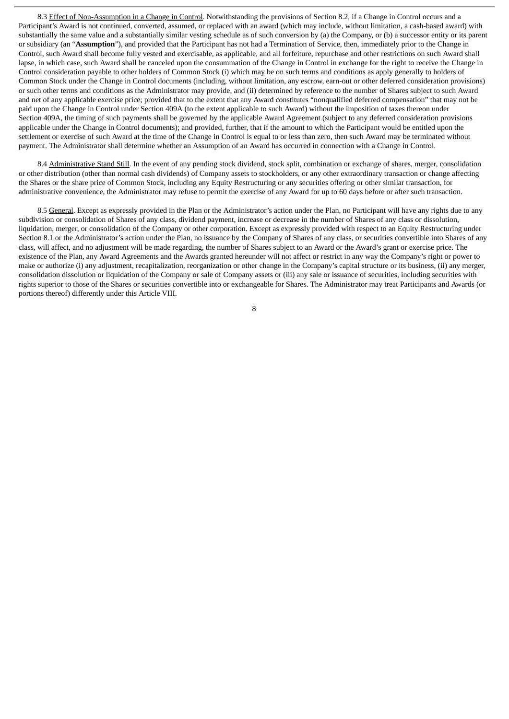8.3 Effect of Non-Assumption in a Change in Control. Notwithstanding the provisions of Section 8.2, if a Change in Control occurs and a Participant's Award is not continued, converted, assumed, or replaced with an award (which may include, without limitation, a cash-based award) with substantially the same value and a substantially similar vesting schedule as of such conversion by (a) the Company, or (b) a successor entity or its parent or subsidiary (an "**Assumption**"), and provided that the Participant has not had a Termination of Service, then, immediately prior to the Change in Control, such Award shall become fully vested and exercisable, as applicable, and all forfeiture, repurchase and other restrictions on such Award shall lapse, in which case, such Award shall be canceled upon the consummation of the Change in Control in exchange for the right to receive the Change in Control consideration payable to other holders of Common Stock (i) which may be on such terms and conditions as apply generally to holders of Common Stock under the Change in Control documents (including, without limitation, any escrow, earn-out or other deferred consideration provisions) or such other terms and conditions as the Administrator may provide, and (ii) determined by reference to the number of Shares subject to such Award and net of any applicable exercise price; provided that to the extent that any Award constitutes "nonqualified deferred compensation" that may not be paid upon the Change in Control under Section 409A (to the extent applicable to such Award) without the imposition of taxes thereon under Section 409A, the timing of such payments shall be governed by the applicable Award Agreement (subject to any deferred consideration provisions applicable under the Change in Control documents); and provided, further, that if the amount to which the Participant would be entitled upon the settlement or exercise of such Award at the time of the Change in Control is equal to or less than zero, then such Award may be terminated without payment. The Administrator shall determine whether an Assumption of an Award has occurred in connection with a Change in Control.

8.4 Administrative Stand Still. In the event of any pending stock dividend, stock split, combination or exchange of shares, merger, consolidation or other distribution (other than normal cash dividends) of Company assets to stockholders, or any other extraordinary transaction or change affecting the Shares or the share price of Common Stock, including any Equity Restructuring or any securities offering or other similar transaction, for administrative convenience, the Administrator may refuse to permit the exercise of any Award for up to 60 days before or after such transaction.

8.5 General. Except as expressly provided in the Plan or the Administrator's action under the Plan, no Participant will have any rights due to any subdivision or consolidation of Shares of any class, dividend payment, increase or decrease in the number of Shares of any class or dissolution, liquidation, merger, or consolidation of the Company or other corporation. Except as expressly provided with respect to an Equity Restructuring under Section 8.1 or the Administrator's action under the Plan, no issuance by the Company of Shares of any class, or securities convertible into Shares of any class, will affect, and no adjustment will be made regarding, the number of Shares subject to an Award or the Award's grant or exercise price. The existence of the Plan, any Award Agreements and the Awards granted hereunder will not affect or restrict in any way the Company's right or power to make or authorize (i) any adjustment, recapitalization, reorganization or other change in the Company's capital structure or its business, (ii) any merger, consolidation dissolution or liquidation of the Company or sale of Company assets or (iii) any sale or issuance of securities, including securities with rights superior to those of the Shares or securities convertible into or exchangeable for Shares. The Administrator may treat Participants and Awards (or portions thereof) differently under this Article VIII.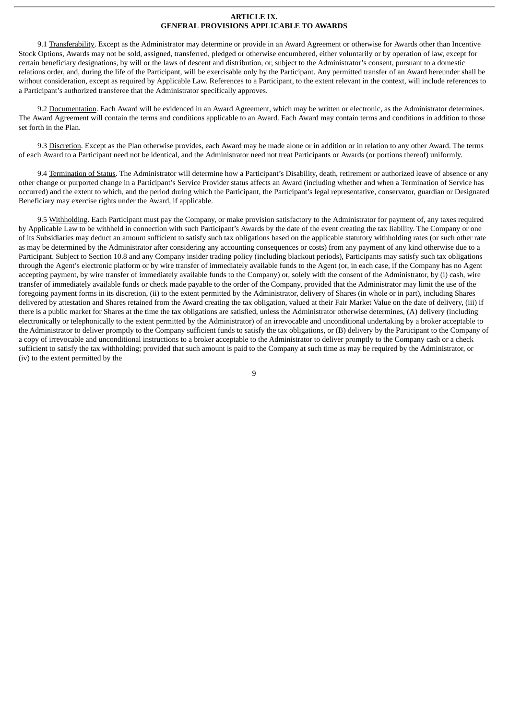### **ARTICLE IX. GENERAL PROVISIONS APPLICABLE TO AWARDS**

9.1 Transferability. Except as the Administrator may determine or provide in an Award Agreement or otherwise for Awards other than Incentive Stock Options, Awards may not be sold, assigned, transferred, pledged or otherwise encumbered, either voluntarily or by operation of law, except for certain beneficiary designations, by will or the laws of descent and distribution, or, subject to the Administrator's consent, pursuant to a domestic relations order, and, during the life of the Participant, will be exercisable only by the Participant. Any permitted transfer of an Award hereunder shall be without consideration, except as required by Applicable Law. References to a Participant, to the extent relevant in the context, will include references to a Participant's authorized transferee that the Administrator specifically approves.

9.2 Documentation. Each Award will be evidenced in an Award Agreement, which may be written or electronic, as the Administrator determines. The Award Agreement will contain the terms and conditions applicable to an Award. Each Award may contain terms and conditions in addition to those set forth in the Plan.

9.3 Discretion. Except as the Plan otherwise provides, each Award may be made alone or in addition or in relation to any other Award. The terms of each Award to a Participant need not be identical, and the Administrator need not treat Participants or Awards (or portions thereof) uniformly.

9.4 Termination of Status. The Administrator will determine how a Participant's Disability, death, retirement or authorized leave of absence or any other change or purported change in a Participant's Service Provider status affects an Award (including whether and when a Termination of Service has occurred) and the extent to which, and the period during which the Participant, the Participant's legal representative, conservator, guardian or Designated Beneficiary may exercise rights under the Award, if applicable.

9.5 Withholding. Each Participant must pay the Company, or make provision satisfactory to the Administrator for payment of, any taxes required by Applicable Law to be withheld in connection with such Participant's Awards by the date of the event creating the tax liability. The Company or one of its Subsidiaries may deduct an amount sufficient to satisfy such tax obligations based on the applicable statutory withholding rates (or such other rate as may be determined by the Administrator after considering any accounting consequences or costs) from any payment of any kind otherwise due to a Participant. Subject to Section 10.8 and any Company insider trading policy (including blackout periods), Participants may satisfy such tax obligations through the Agent's electronic platform or by wire transfer of immediately available funds to the Agent (or, in each case, if the Company has no Agent accepting payment, by wire transfer of immediately available funds to the Company) or, solely with the consent of the Administrator, by (i) cash, wire transfer of immediately available funds or check made payable to the order of the Company, provided that the Administrator may limit the use of the foregoing payment forms in its discretion, (ii) to the extent permitted by the Administrator, delivery of Shares (in whole or in part), including Shares delivered by attestation and Shares retained from the Award creating the tax obligation, valued at their Fair Market Value on the date of delivery, (iii) if there is a public market for Shares at the time the tax obligations are satisfied, unless the Administrator otherwise determines, (A) delivery (including electronically or telephonically to the extent permitted by the Administrator) of an irrevocable and unconditional undertaking by a broker acceptable to the Administrator to deliver promptly to the Company sufficient funds to satisfy the tax obligations, or (B) delivery by the Participant to the Company of a copy of irrevocable and unconditional instructions to a broker acceptable to the Administrator to deliver promptly to the Company cash or a check sufficient to satisfy the tax withholding; provided that such amount is paid to the Company at such time as may be required by the Administrator, or (iv) to the extent permitted by the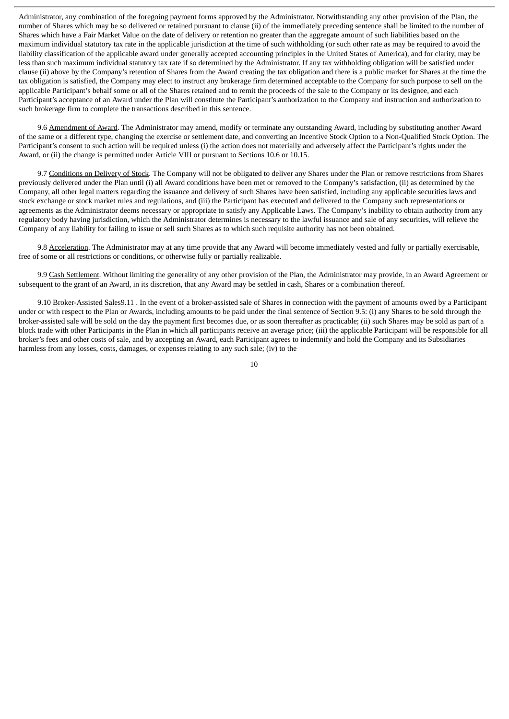Administrator, any combination of the foregoing payment forms approved by the Administrator. Notwithstanding any other provision of the Plan, the number of Shares which may be so delivered or retained pursuant to clause (ii) of the immediately preceding sentence shall be limited to the number of Shares which have a Fair Market Value on the date of delivery or retention no greater than the aggregate amount of such liabilities based on the maximum individual statutory tax rate in the applicable jurisdiction at the time of such withholding (or such other rate as may be required to avoid the liability classification of the applicable award under generally accepted accounting principles in the United States of America), and for clarity, may be less than such maximum individual statutory tax rate if so determined by the Administrator. If any tax withholding obligation will be satisfied under clause (ii) above by the Company's retention of Shares from the Award creating the tax obligation and there is a public market for Shares at the time the tax obligation is satisfied, the Company may elect to instruct any brokerage firm determined acceptable to the Company for such purpose to sell on the applicable Participant's behalf some or all of the Shares retained and to remit the proceeds of the sale to the Company or its designee, and each Participant's acceptance of an Award under the Plan will constitute the Participant's authorization to the Company and instruction and authorization to such brokerage firm to complete the transactions described in this sentence.

9.6 Amendment of Award. The Administrator may amend, modify or terminate any outstanding Award, including by substituting another Award of the same or a different type, changing the exercise or settlement date, and converting an Incentive Stock Option to a Non-Qualified Stock Option. The Participant's consent to such action will be required unless (i) the action does not materially and adversely affect the Participant's rights under the Award, or (ii) the change is permitted under Article VIII or pursuant to Sections 10.6 or 10.15.

9.7 Conditions on Delivery of Stock. The Company will not be obligated to deliver any Shares under the Plan or remove restrictions from Shares previously delivered under the Plan until (i) all Award conditions have been met or removed to the Company's satisfaction, (ii) as determined by the Company, all other legal matters regarding the issuance and delivery of such Shares have been satisfied, including any applicable securities laws and stock exchange or stock market rules and regulations, and (iii) the Participant has executed and delivered to the Company such representations or agreements as the Administrator deems necessary or appropriate to satisfy any Applicable Laws. The Company's inability to obtain authority from any regulatory body having jurisdiction, which the Administrator determines is necessary to the lawful issuance and sale of any securities, will relieve the Company of any liability for failing to issue or sell such Shares as to which such requisite authority has not been obtained.

9.8 Acceleration. The Administrator may at any time provide that any Award will become immediately vested and fully or partially exercisable, free of some or all restrictions or conditions, or otherwise fully or partially realizable.

9.9 Cash Settlement. Without limiting the generality of any other provision of the Plan, the Administrator may provide, in an Award Agreement or subsequent to the grant of an Award, in its discretion, that any Award may be settled in cash, Shares or a combination thereof.

9.10 Broker-Assisted Sales9.11 . In the event of a broker-assisted sale of Shares in connection with the payment of amounts owed by a Participant under or with respect to the Plan or Awards, including amounts to be paid under the final sentence of Section 9.5: (i) any Shares to be sold through the broker-assisted sale will be sold on the day the payment first becomes due, or as soon thereafter as practicable; (ii) such Shares may be sold as part of a block trade with other Participants in the Plan in which all participants receive an average price; (iii) the applicable Participant will be responsible for all broker's fees and other costs of sale, and by accepting an Award, each Participant agrees to indemnify and hold the Company and its Subsidiaries harmless from any losses, costs, damages, or expenses relating to any such sale; (iv) to the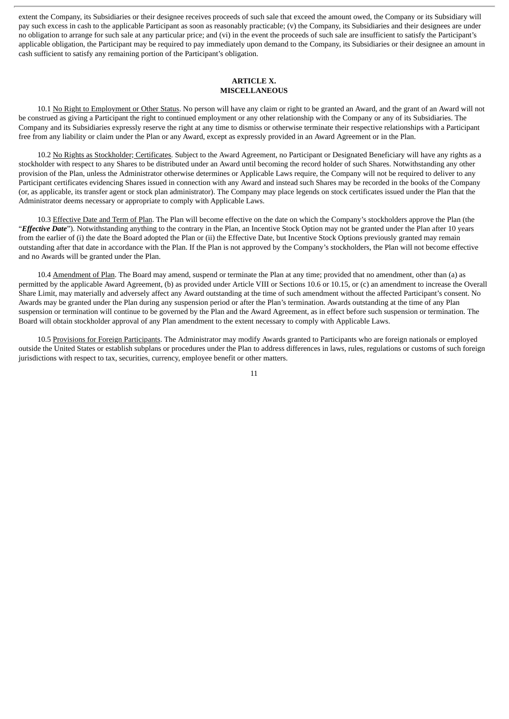extent the Company, its Subsidiaries or their designee receives proceeds of such sale that exceed the amount owed, the Company or its Subsidiary will pay such excess in cash to the applicable Participant as soon as reasonably practicable; (v) the Company, its Subsidiaries and their designees are under no obligation to arrange for such sale at any particular price; and (vi) in the event the proceeds of such sale are insufficient to satisfy the Participant's applicable obligation, the Participant may be required to pay immediately upon demand to the Company, its Subsidiaries or their designee an amount in cash sufficient to satisfy any remaining portion of the Participant's obligation.

### **ARTICLE X. MISCELLANEOUS**

10.1 No Right to Employment or Other Status. No person will have any claim or right to be granted an Award, and the grant of an Award will not be construed as giving a Participant the right to continued employment or any other relationship with the Company or any of its Subsidiaries. The Company and its Subsidiaries expressly reserve the right at any time to dismiss or otherwise terminate their respective relationships with a Participant free from any liability or claim under the Plan or any Award, except as expressly provided in an Award Agreement or in the Plan.

10.2 No Rights as Stockholder; Certificates. Subject to the Award Agreement, no Participant or Designated Beneficiary will have any rights as a stockholder with respect to any Shares to be distributed under an Award until becoming the record holder of such Shares. Notwithstanding any other provision of the Plan, unless the Administrator otherwise determines or Applicable Laws require, the Company will not be required to deliver to any Participant certificates evidencing Shares issued in connection with any Award and instead such Shares may be recorded in the books of the Company (or, as applicable, its transfer agent or stock plan administrator). The Company may place legends on stock certificates issued under the Plan that the Administrator deems necessary or appropriate to comply with Applicable Laws.

10.3 Effective Date and Term of Plan. The Plan will become effective on the date on which the Company's stockholders approve the Plan (the "*Effective Date*"). Notwithstanding anything to the contrary in the Plan, an Incentive Stock Option may not be granted under the Plan after 10 years from the earlier of (i) the date the Board adopted the Plan or (ii) the Effective Date, but Incentive Stock Options previously granted may remain outstanding after that date in accordance with the Plan. If the Plan is not approved by the Company's stockholders, the Plan will not become effective and no Awards will be granted under the Plan.

10.4 Amendment of Plan. The Board may amend, suspend or terminate the Plan at any time; provided that no amendment, other than (a) as permitted by the applicable Award Agreement, (b) as provided under Article VIII or Sections 10.6 or 10.15, or (c) an amendment to increase the Overall Share Limit, may materially and adversely affect any Award outstanding at the time of such amendment without the affected Participant's consent. No Awards may be granted under the Plan during any suspension period or after the Plan's termination. Awards outstanding at the time of any Plan suspension or termination will continue to be governed by the Plan and the Award Agreement, as in effect before such suspension or termination. The Board will obtain stockholder approval of any Plan amendment to the extent necessary to comply with Applicable Laws.

10.5 Provisions for Foreign Participants. The Administrator may modify Awards granted to Participants who are foreign nationals or employed outside the United States or establish subplans or procedures under the Plan to address differences in laws, rules, regulations or customs of such foreign jurisdictions with respect to tax, securities, currency, employee benefit or other matters.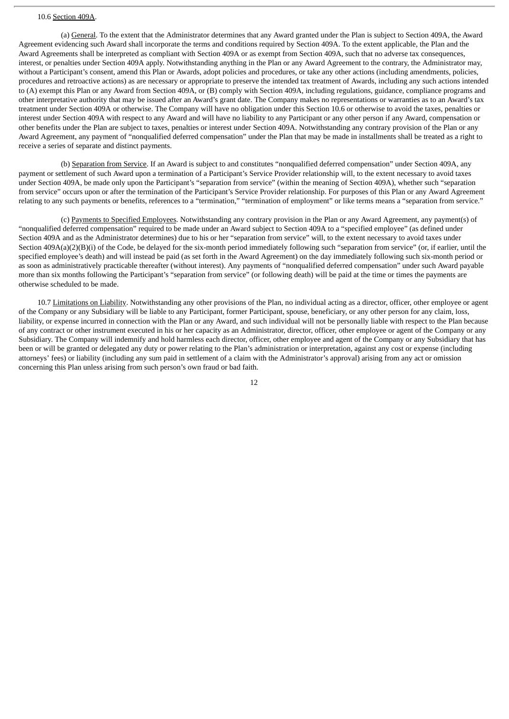#### 10.6 Section 409A.

(a) General. To the extent that the Administrator determines that any Award granted under the Plan is subject to Section 409A, the Award Agreement evidencing such Award shall incorporate the terms and conditions required by Section 409A. To the extent applicable, the Plan and the Award Agreements shall be interpreted as compliant with Section 409A or as exempt from Section 409A, such that no adverse tax consequences, interest, or penalties under Section 409A apply. Notwithstanding anything in the Plan or any Award Agreement to the contrary, the Administrator may, without a Participant's consent, amend this Plan or Awards, adopt policies and procedures, or take any other actions (including amendments, policies, procedures and retroactive actions) as are necessary or appropriate to preserve the intended tax treatment of Awards, including any such actions intended to (A) exempt this Plan or any Award from Section 409A, or (B) comply with Section 409A, including regulations, guidance, compliance programs and other interpretative authority that may be issued after an Award's grant date. The Company makes no representations or warranties as to an Award's tax treatment under Section 409A or otherwise. The Company will have no obligation under this Section 10.6 or otherwise to avoid the taxes, penalties or interest under Section 409A with respect to any Award and will have no liability to any Participant or any other person if any Award, compensation or other benefits under the Plan are subject to taxes, penalties or interest under Section 409A. Notwithstanding any contrary provision of the Plan or any Award Agreement, any payment of "nonqualified deferred compensation" under the Plan that may be made in installments shall be treated as a right to receive a series of separate and distinct payments.

(b) Separation from Service. If an Award is subject to and constitutes "nonqualified deferred compensation" under Section 409A, any payment or settlement of such Award upon a termination of a Participant's Service Provider relationship will, to the extent necessary to avoid taxes under Section 409A, be made only upon the Participant's "separation from service" (within the meaning of Section 409A), whether such "separation from service" occurs upon or after the termination of the Participant's Service Provider relationship. For purposes of this Plan or any Award Agreement relating to any such payments or benefits, references to a "termination," "termination of employment" or like terms means a "separation from service."

(c) Payments to Specified Employees. Notwithstanding any contrary provision in the Plan or any Award Agreement, any payment(s) of "nonqualified deferred compensation" required to be made under an Award subject to Section 409A to a "specified employee" (as defined under Section 409A and as the Administrator determines) due to his or her "separation from service" will, to the extent necessary to avoid taxes under Section 409A(a)(2)(B)(i) of the Code, be delayed for the six-month period immediately following such "separation from service" (or, if earlier, until the specified employee's death) and will instead be paid (as set forth in the Award Agreement) on the day immediately following such six-month period or as soon as administratively practicable thereafter (without interest). Any payments of "nonqualified deferred compensation" under such Award payable more than six months following the Participant's "separation from service" (or following death) will be paid at the time or times the payments are otherwise scheduled to be made.

10.7 Limitations on Liability. Notwithstanding any other provisions of the Plan, no individual acting as a director, officer, other employee or agent of the Company or any Subsidiary will be liable to any Participant, former Participant, spouse, beneficiary, or any other person for any claim, loss, liability, or expense incurred in connection with the Plan or any Award, and such individual will not be personally liable with respect to the Plan because of any contract or other instrument executed in his or her capacity as an Administrator, director, officer, other employee or agent of the Company or any Subsidiary. The Company will indemnify and hold harmless each director, officer, other employee and agent of the Company or any Subsidiary that has been or will be granted or delegated any duty or power relating to the Plan's administration or interpretation, against any cost or expense (including attorneys' fees) or liability (including any sum paid in settlement of a claim with the Administrator's approval) arising from any act or omission concerning this Plan unless arising from such person's own fraud or bad faith.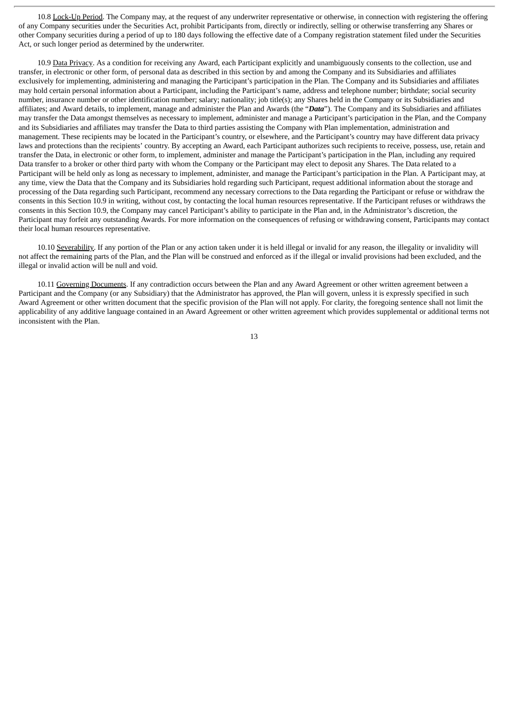10.8 Lock-Up Period. The Company may, at the request of any underwriter representative or otherwise, in connection with registering the offering of any Company securities under the Securities Act, prohibit Participants from, directly or indirectly, selling or otherwise transferring any Shares or other Company securities during a period of up to 180 days following the effective date of a Company registration statement filed under the Securities Act, or such longer period as determined by the underwriter.

10.9 Data Privacy. As a condition for receiving any Award, each Participant explicitly and unambiguously consents to the collection. use and transfer, in electronic or other form, of personal data as described in this section by and among the Company and its Subsidiaries and affiliates exclusively for implementing, administering and managing the Participant's participation in the Plan. The Company and its Subsidiaries and affiliates may hold certain personal information about a Participant, including the Participant's name, address and telephone number; birthdate; social security number, insurance number or other identification number; salary; nationality; job title(s); any Shares held in the Company or its Subsidiaries and affiliates; and Award details, to implement, manage and administer the Plan and Awards (the "*Data*"). The Company and its Subsidiaries and affiliates may transfer the Data amongst themselves as necessary to implement, administer and manage a Participant's participation in the Plan, and the Company and its Subsidiaries and affiliates may transfer the Data to third parties assisting the Company with Plan implementation, administration and management. These recipients may be located in the Participant's country, or elsewhere, and the Participant's country may have different data privacy laws and protections than the recipients' country. By accepting an Award, each Participant authorizes such recipients to receive, possess, use, retain and transfer the Data, in electronic or other form, to implement, administer and manage the Participant's participation in the Plan, including any required Data transfer to a broker or other third party with whom the Company or the Participant may elect to deposit any Shares. The Data related to a Participant will be held only as long as necessary to implement, administer, and manage the Participant's participation in the Plan. A Participant may, at any time, view the Data that the Company and its Subsidiaries hold regarding such Participant, request additional information about the storage and processing of the Data regarding such Participant, recommend any necessary corrections to the Data regarding the Participant or refuse or withdraw the consents in this Section 10.9 in writing, without cost, by contacting the local human resources representative. If the Participant refuses or withdraws the consents in this Section 10.9, the Company may cancel Participant's ability to participate in the Plan and, in the Administrator's discretion, the Participant may forfeit any outstanding Awards. For more information on the consequences of refusing or withdrawing consent, Participants may contact their local human resources representative.

10.10 Severability. If any portion of the Plan or any action taken under it is held illegal or invalid for any reason, the illegality or invalidity will not affect the remaining parts of the Plan, and the Plan will be construed and enforced as if the illegal or invalid provisions had been excluded, and the illegal or invalid action will be null and void.

10.11 Governing Documents. If any contradiction occurs between the Plan and any Award Agreement or other written agreement between a Participant and the Company (or any Subsidiary) that the Administrator has approved, the Plan will govern, unless it is expressly specified in such Award Agreement or other written document that the specific provision of the Plan will not apply. For clarity, the foregoing sentence shall not limit the applicability of any additive language contained in an Award Agreement or other written agreement which provides supplemental or additional terms not inconsistent with the Plan.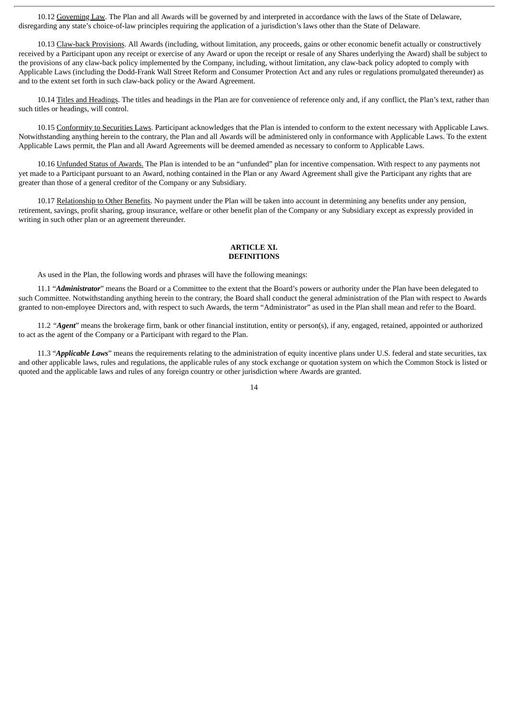10.12 Governing Law. The Plan and all Awards will be governed by and interpreted in accordance with the laws of the State of Delaware, disregarding any state's choice-of-law principles requiring the application of a jurisdiction's laws other than the State of Delaware.

10.13 Claw-back Provisions. All Awards (including, without limitation, any proceeds, gains or other economic benefit actually or constructively received by a Participant upon any receipt or exercise of any Award or upon the receipt or resale of any Shares underlying the Award) shall be subject to the provisions of any claw-back policy implemented by the Company, including, without limitation, any claw-back policy adopted to comply with Applicable Laws (including the Dodd-Frank Wall Street Reform and Consumer Protection Act and any rules or regulations promulgated thereunder) as and to the extent set forth in such claw-back policy or the Award Agreement.

10.14 Titles and Headings. The titles and headings in the Plan are for convenience of reference only and, if any conflict, the Plan's text, rather than such titles or headings, will control.

10.15 Conformity to Securities Laws. Participant acknowledges that the Plan is intended to conform to the extent necessary with Applicable Laws. Notwithstanding anything herein to the contrary, the Plan and all Awards will be administered only in conformance with Applicable Laws. To the extent Applicable Laws permit, the Plan and all Award Agreements will be deemed amended as necessary to conform to Applicable Laws.

10.16 Unfunded Status of Awards. The Plan is intended to be an "unfunded" plan for incentive compensation. With respect to any payments not yet made to a Participant pursuant to an Award, nothing contained in the Plan or any Award Agreement shall give the Participant any rights that are greater than those of a general creditor of the Company or any Subsidiary.

10.17 Relationship to Other Benefits. No payment under the Plan will be taken into account in determining any benefits under any pension, retirement, savings, profit sharing, group insurance, welfare or other benefit plan of the Company or any Subsidiary except as expressly provided in writing in such other plan or an agreement thereunder.

## **ARTICLE XI. DEFINITIONS**

As used in the Plan, the following words and phrases will have the following meanings:

11.1 "*Administrator*" means the Board or a Committee to the extent that the Board's powers or authority under the Plan have been delegated to such Committee. Notwithstanding anything herein to the contrary, the Board shall conduct the general administration of the Plan with respect to Awards granted to non-employee Directors and, with respect to such Awards, the term "Administrator" as used in the Plan shall mean and refer to the Board.

11.2 *"Agent*" means the brokerage firm, bank or other financial institution, entity or person(s), if any, engaged, retained, appointed or authorized to act as the agent of the Company or a Participant with regard to the Plan.

11.3 "*Applicable Laws*" means the requirements relating to the administration of equity incentive plans under U.S. federal and state securities, tax and other applicable laws, rules and regulations, the applicable rules of any stock exchange or quotation system on which the Common Stock is listed or quoted and the applicable laws and rules of any foreign country or other jurisdiction where Awards are granted.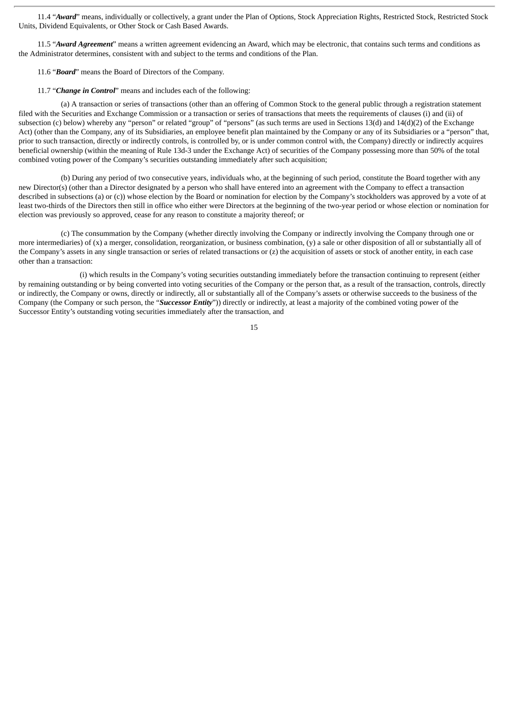11.4 "*Award*" means, individually or collectively, a grant under the Plan of Options, Stock Appreciation Rights, Restricted Stock, Restricted Stock Units, Dividend Equivalents, or Other Stock or Cash Based Awards.

11.5 "*Award Agreement*" means a written agreement evidencing an Award, which may be electronic, that contains such terms and conditions as the Administrator determines, consistent with and subject to the terms and conditions of the Plan.

- 11.6 "*Board*" means the Board of Directors of the Company.
- 11.7 "*Change in Control*" means and includes each of the following:

(a) A transaction or series of transactions (other than an offering of Common Stock to the general public through a registration statement filed with the Securities and Exchange Commission or a transaction or series of transactions that meets the requirements of clauses (i) and (ii) of subsection (c) below) whereby any "person" or related "group" of "persons" (as such terms are used in Sections 13(d) and 14(d)(2) of the Exchange Act) (other than the Company, any of its Subsidiaries, an employee benefit plan maintained by the Company or any of its Subsidiaries or a "person" that, prior to such transaction, directly or indirectly controls, is controlled by, or is under common control with, the Company) directly or indirectly acquires beneficial ownership (within the meaning of Rule 13d-3 under the Exchange Act) of securities of the Company possessing more than 50% of the total combined voting power of the Company's securities outstanding immediately after such acquisition;

(b) During any period of two consecutive years, individuals who, at the beginning of such period, constitute the Board together with any new Director(s) (other than a Director designated by a person who shall have entered into an agreement with the Company to effect a transaction described in subsections (a) or (c)) whose election by the Board or nomination for election by the Company's stockholders was approved by a vote of at least two-thirds of the Directors then still in office who either were Directors at the beginning of the two-year period or whose election or nomination for election was previously so approved, cease for any reason to constitute a majority thereof; or

(c) The consummation by the Company (whether directly involving the Company or indirectly involving the Company through one or more intermediaries) of (x) a merger, consolidation, reorganization, or business combination, (y) a sale or other disposition of all or substantially all of the Company's assets in any single transaction or series of related transactions or (z) the acquisition of assets or stock of another entity, in each case other than a transaction:

(i) which results in the Company's voting securities outstanding immediately before the transaction continuing to represent (either by remaining outstanding or by being converted into voting securities of the Company or the person that, as a result of the transaction, controls, directly or indirectly, the Company or owns, directly or indirectly, all or substantially all of the Company's assets or otherwise succeeds to the business of the Company (the Company or such person, the "*Successor Entity*")) directly or indirectly, at least a majority of the combined voting power of the Successor Entity's outstanding voting securities immediately after the transaction, and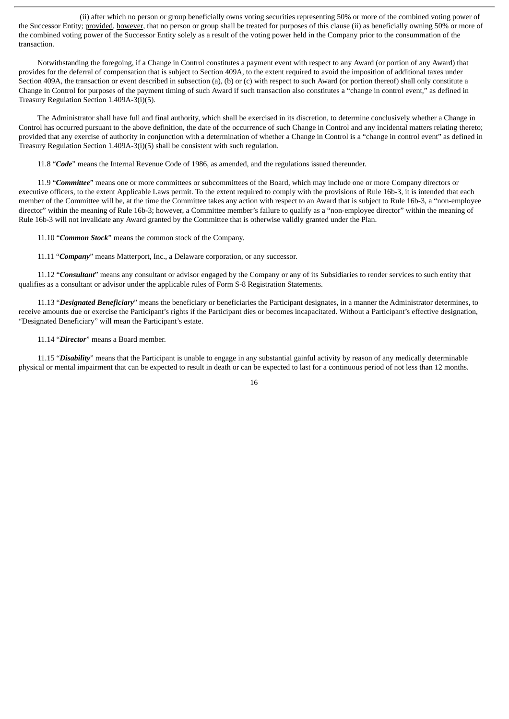(ii) after which no person or group beneficially owns voting securities representing 50% or more of the combined voting power of the Successor Entity; provided, however, that no person or group shall be treated for purposes of this clause (ii) as beneficially owning 50% or more of the combined voting power of the Successor Entity solely as a result of the voting power held in the Company prior to the consummation of the transaction.

Notwithstanding the foregoing, if a Change in Control constitutes a payment event with respect to any Award (or portion of any Award) that provides for the deferral of compensation that is subject to Section 409A, to the extent required to avoid the imposition of additional taxes under Section 409A, the transaction or event described in subsection (a), (b) or (c) with respect to such Award (or portion thereof) shall only constitute a Change in Control for purposes of the payment timing of such Award if such transaction also constitutes a "change in control event," as defined in Treasury Regulation Section 1.409A-3(i)(5).

The Administrator shall have full and final authority, which shall be exercised in its discretion, to determine conclusively whether a Change in Control has occurred pursuant to the above definition, the date of the occurrence of such Change in Control and any incidental matters relating thereto; provided that any exercise of authority in conjunction with a determination of whether a Change in Control is a "change in control event" as defined in Treasury Regulation Section 1.409A-3(i)(5) shall be consistent with such regulation.

11.8 "*Code*" means the Internal Revenue Code of 1986, as amended, and the regulations issued thereunder.

11.9 "*Committee*" means one or more committees or subcommittees of the Board, which may include one or more Company directors or executive officers, to the extent Applicable Laws permit. To the extent required to comply with the provisions of Rule 16b-3, it is intended that each member of the Committee will be, at the time the Committee takes any action with respect to an Award that is subject to Rule 16b-3, a "non-employee director" within the meaning of Rule 16b-3; however, a Committee member's failure to qualify as a "non-employee director" within the meaning of Rule 16b-3 will not invalidate any Award granted by the Committee that is otherwise validly granted under the Plan.

11.10 "*Common Stock*" means the common stock of the Company.

11.11 "*Company*" means Matterport, Inc., a Delaware corporation, or any successor.

11.12 "*Consultant*" means any consultant or advisor engaged by the Company or any of its Subsidiaries to render services to such entity that qualifies as a consultant or advisor under the applicable rules of Form S-8 Registration Statements.

11.13 "*Designated Beneficiary*" means the beneficiary or beneficiaries the Participant designates, in a manner the Administrator determines, to receive amounts due or exercise the Participant's rights if the Participant dies or becomes incapacitated. Without a Participant's effective designation, "Designated Beneficiary" will mean the Participant's estate.

11.14 "*Director*" means a Board member.

11.15 "*Disability*" means that the Participant is unable to engage in any substantial gainful activity by reason of any medically determinable physical or mental impairment that can be expected to result in death or can be expected to last for a continuous period of not less than 12 months.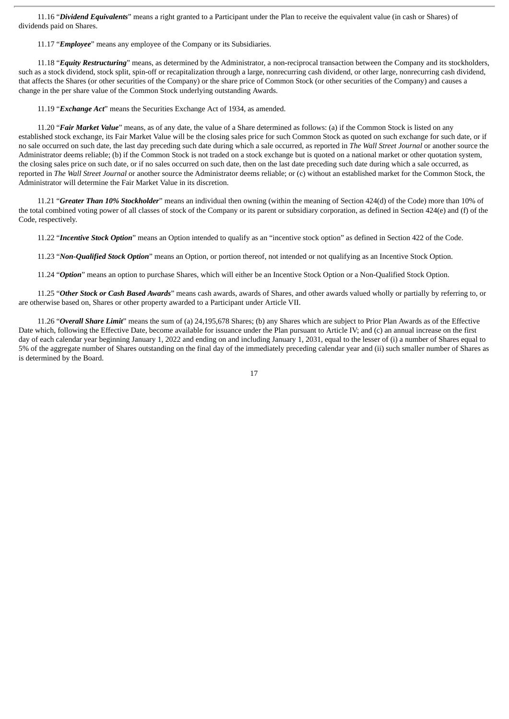11.16 "*Dividend Equivalents*" means a right granted to a Participant under the Plan to receive the equivalent value (in cash or Shares) of dividends paid on Shares.

11.17 "*Employee*" means any employee of the Company or its Subsidiaries.

11.18 "*Equity Restructuring*" means, as determined by the Administrator, a non-reciprocal transaction between the Company and its stockholders, such as a stock dividend, stock split, spin-off or recapitalization through a large, nonrecurring cash dividend, or other large, nonrecurring cash dividend, that affects the Shares (or other securities of the Company) or the share price of Common Stock (or other securities of the Company) and causes a change in the per share value of the Common Stock underlying outstanding Awards.

11.19 "*Exchange Act*" means the Securities Exchange Act of 1934, as amended.

11.20 "*Fair Market Value*" means, as of any date, the value of a Share determined as follows: (a) if the Common Stock is listed on any established stock exchange, its Fair Market Value will be the closing sales price for such Common Stock as quoted on such exchange for such date, or if no sale occurred on such date, the last day preceding such date during which a sale occurred, as reported in *The Wall Street Journal* or another source the Administrator deems reliable; (b) if the Common Stock is not traded on a stock exchange but is quoted on a national market or other quotation system, the closing sales price on such date, or if no sales occurred on such date, then on the last date preceding such date during which a sale occurred, as reported in *The Wall Street Journal* or another source the Administrator deems reliable; or (c) without an established market for the Common Stock, the Administrator will determine the Fair Market Value in its discretion.

11.21 "*Greater Than 10% Stockholder*" means an individual then owning (within the meaning of Section 424(d) of the Code) more than 10% of the total combined voting power of all classes of stock of the Company or its parent or subsidiary corporation, as defined in Section 424(e) and (f) of the Code, respectively.

11.22 "*Incentive Stock Option*" means an Option intended to qualify as an "incentive stock option" as defined in Section 422 of the Code.

11.23 "*Non-Qualified Stock Option*" means an Option, or portion thereof, not intended or not qualifying as an Incentive Stock Option.

11.24 "*Option*" means an option to purchase Shares, which will either be an Incentive Stock Option or a Non-Qualified Stock Option.

11.25 "*Other Stock or Cash Based Awards*" means cash awards, awards of Shares, and other awards valued wholly or partially by referring to, or are otherwise based on, Shares or other property awarded to a Participant under Article VII.

11.26 "*Overall Share Limit*" means the sum of (a) 24,195,678 Shares; (b) any Shares which are subject to Prior Plan Awards as of the Effective Date which, following the Effective Date, become available for issuance under the Plan pursuant to Article IV; and (c) an annual increase on the first day of each calendar year beginning January 1, 2022 and ending on and including January 1, 2031, equal to the lesser of (i) a number of Shares equal to 5% of the aggregate number of Shares outstanding on the final day of the immediately preceding calendar year and (ii) such smaller number of Shares as is determined by the Board.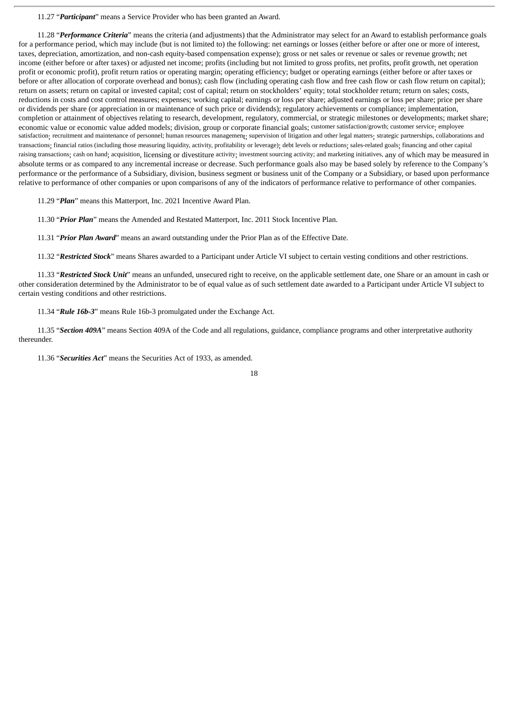11.27 "*Participant*" means a Service Provider who has been granted an Award.

11.28 "*Performance Criteria*" means the criteria (and adjustments) that the Administrator may select for an Award to establish performance goals for a performance period, which may include (but is not limited to) the following: net earnings or losses (either before or after one or more of interest, taxes, depreciation, amortization, and non-cash equity-based compensation expense); gross or net sales or revenue or sales or revenue growth; net income (either before or after taxes) or adjusted net income; profits (including but not limited to gross profits, net profits, profit growth, net operation profit or economic profit), profit return ratios or operating margin; operating efficiency; budget or operating earnings (either before or after taxes or before or after allocation of corporate overhead and bonus); cash flow (including operating cash flow and free cash flow or cash flow return on capital); return on assets; return on capital or invested capital; cost of capital; return on stockholders' equity; total stockholder return; return on sales; costs, reductions in costs and cost control measures; expenses; working capital; earnings or loss per share; adjusted earnings or loss per share; price per share or dividends per share (or appreciation in or maintenance of such price or dividends); regulatory achievements or compliance; implementation, completion or attainment of objectives relating to research, development, regulatory, commercial, or strategic milestones or developments; market share; economic value or economic value added models; division, group or corporate financial goals; customer satisfaction/growth; customer service; employee satisfaction; recruitment and maintenance of personnel; human resources management; supervision of litigation and other legal matters; strategic partnerships, collaborations and transactions; financial ratios (including those measuring liquidity, activity, profitability or leverage); debt levels or reductions; sales-related goals; financing and other capital raising transactions; cash on hand; acquisition, licensing or divestiture activity; investment sourcing activity; and marketing initiatives, any of which may be measured in absolute terms or as compared to any incremental increase or decrease. Such performance goals also may be based solely by reference to the Company's performance or the performance of a Subsidiary, division, business segment or business unit of the Company or a Subsidiary, or based upon performance relative to performance of other companies or upon comparisons of any of the indicators of performance relative to performance of other companies.

11.29 "*Plan*" means this Matterport, Inc. 2021 Incentive Award Plan.

11.30 "*Prior Plan*" means the Amended and Restated Matterport, Inc. 2011 Stock Incentive Plan.

11.31 "*Prior Plan Award*" means an award outstanding under the Prior Plan as of the Effective Date.

11.32 "*Restricted Stock*" means Shares awarded to a Participant under Article VI subject to certain vesting conditions and other restrictions.

11.33 "*Restricted Stock Unit*" means an unfunded, unsecured right to receive, on the applicable settlement date, one Share or an amount in cash or other consideration determined by the Administrator to be of equal value as of such settlement date awarded to a Participant under Article VI subject to certain vesting conditions and other restrictions.

11.34 "*Rule 16b-3*" means Rule 16b-3 promulgated under the Exchange Act.

11.35 "*Section 409A*" means Section 409A of the Code and all regulations, guidance, compliance programs and other interpretative authority thereunder.

11.36 "*Securities Act*" means the Securities Act of 1933, as amended.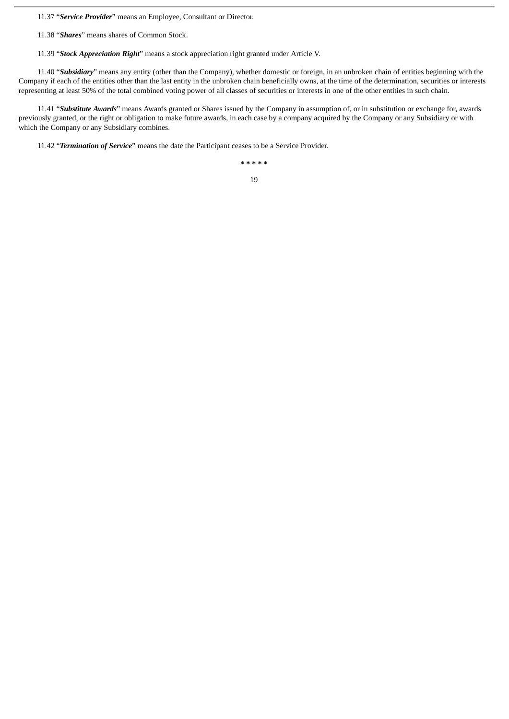11.37 "*Service Provider*" means an Employee, Consultant or Director.

11.38 "*Shares*" means shares of Common Stock.

11.39 "*Stock Appreciation Right*" means a stock appreciation right granted under Article V.

11.40 "*Subsidiary*" means any entity (other than the Company), whether domestic or foreign, in an unbroken chain of entities beginning with the Company if each of the entities other than the last entity in the unbroken chain beneficially owns, at the time of the determination, securities or interests representing at least 50% of the total combined voting power of all classes of securities or interests in one of the other entities in such chain.

11.41 "*Substitute Awards*" means Awards granted or Shares issued by the Company in assumption of, or in substitution or exchange for, awards previously granted, or the right or obligation to make future awards, in each case by a company acquired by the Company or any Subsidiary or with which the Company or any Subsidiary combines.

11.42 "*Termination of Service*" means the date the Participant ceases to be a Service Provider.

**\* \* \* \* \***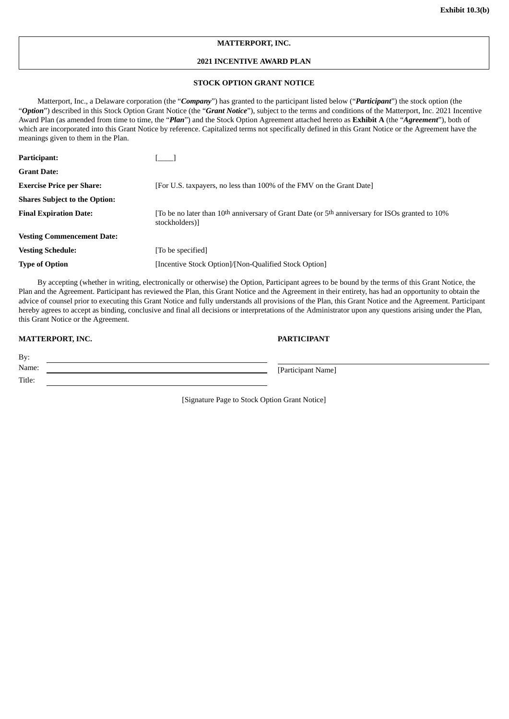# **MATTERPORT, INC.**

# **2021 INCENTIVE AWARD PLAN**

# **STOCK OPTION GRANT NOTICE**

Matterport, Inc., a Delaware corporation (the "*Company*") has granted to the participant listed below ("*Participant*") the stock option (the "*Option*") described in this Stock Option Grant Notice (the "*Grant Notice*"), subject to the terms and conditions of the Matterport, Inc. 2021 Incentive Award Plan (as amended from time to time, the "*Plan*") and the Stock Option Agreement attached hereto as **Exhibit A** (the "*Agreement*"), both of which are incorporated into this Grant Notice by reference. Capitalized terms not specifically defined in this Grant Notice or the Agreement have the meanings given to them in the Plan.

| Participant:                         |                                                                                                                                          |
|--------------------------------------|------------------------------------------------------------------------------------------------------------------------------------------|
| <b>Grant Date:</b>                   |                                                                                                                                          |
| <b>Exercise Price per Share:</b>     | [For U.S. taxpayers, no less than 100% of the FMV on the Grant Date]                                                                     |
| <b>Shares Subject to the Option:</b> |                                                                                                                                          |
| <b>Final Expiration Date:</b>        | To be no later than 10 <sup>th</sup> anniversary of Grant Date (or 5 <sup>th</sup> anniversary for ISOs granted to 10%<br>stockholders)] |
| <b>Vesting Commencement Date:</b>    |                                                                                                                                          |
| <b>Vesting Schedule:</b>             | [To be specified]                                                                                                                        |
| <b>Type of Option</b>                | [Incentive Stock Option]/[Non-Qualified Stock Option]                                                                                    |
|                                      |                                                                                                                                          |

By accepting (whether in writing, electronically or otherwise) the Option, Participant agrees to be bound by the terms of this Grant Notice, the Plan and the Agreement. Participant has reviewed the Plan, this Grant Notice and the Agreement in their entirety, has had an opportunity to obtain the advice of counsel prior to executing this Grant Notice and fully understands all provisions of the Plan, this Grant Notice and the Agreement. Participant hereby agrees to accept as binding, conclusive and final all decisions or interpretations of the Administrator upon any questions arising under the Plan, this Grant Notice or the Agreement.

### **MATTERPORT, INC. PARTICIPANT**

Title:

| By:              |                    |
|------------------|--------------------|
| Name:            | [Participant Name] |
| Ti <sub>10</sub> |                    |

[Signature Page to Stock Option Grant Notice]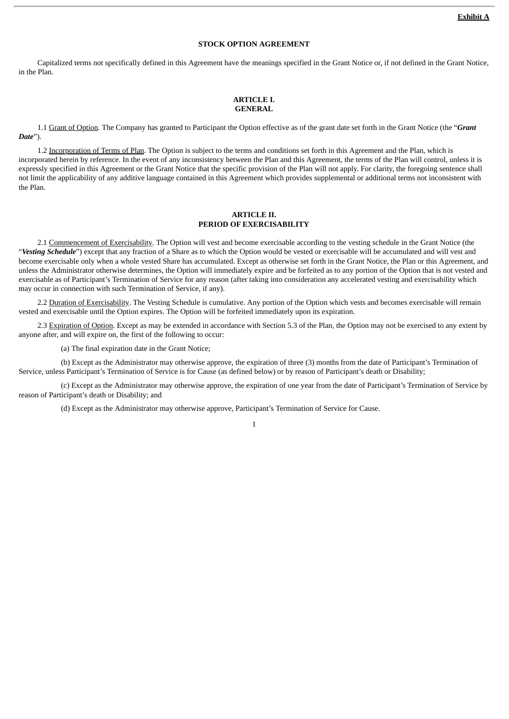# **STOCK OPTION AGREEMENT**

Capitalized terms not specifically defined in this Agreement have the meanings specified in the Grant Notice or, if not defined in the Grant Notice, in the Plan.

#### **ARTICLE I. GENERAL**

1.1 Grant of Option. The Company has granted to Participant the Option effective as of the grant date set forth in the Grant Notice (the "*Grant Date*").

1.2 Incorporation of Terms of Plan. The Option is subject to the terms and conditions set forth in this Agreement and the Plan, which is incorporated herein by reference. In the event of any inconsistency between the Plan and this Agreement, the terms of the Plan will control, unless it is expressly specified in this Agreement or the Grant Notice that the specific provision of the Plan will not apply. For clarity, the foregoing sentence shall not limit the applicability of any additive language contained in this Agreement which provides supplemental or additional terms not inconsistent with the Plan.

#### **ARTICLE II. PERIOD OF EXERCISABILITY**

2.1 Commencement of Exercisability. The Option will vest and become exercisable according to the vesting schedule in the Grant Notice (the "*Vesting Schedule*") except that any fraction of a Share as to which the Option would be vested or exercisable will be accumulated and will vest and become exercisable only when a whole vested Share has accumulated. Except as otherwise set forth in the Grant Notice, the Plan or this Agreement, and unless the Administrator otherwise determines, the Option will immediately expire and be forfeited as to any portion of the Option that is not vested and exercisable as of Participant's Termination of Service for any reason (after taking into consideration any accelerated vesting and exercisability which may occur in connection with such Termination of Service, if any).

2.2 Duration of Exercisability. The Vesting Schedule is cumulative. Any portion of the Option which vests and becomes exercisable will remain vested and exercisable until the Option expires. The Option will be forfeited immediately upon its expiration.

2.3 Expiration of Option. Except as may be extended in accordance with Section 5.3 of the Plan, the Option may not be exercised to any extent by anyone after, and will expire on, the first of the following to occur:

(a) The final expiration date in the Grant Notice;

(b) Except as the Administrator may otherwise approve, the expiration of three (3) months from the date of Participant's Termination of Service, unless Participant's Termination of Service is for Cause (as defined below) or by reason of Participant's death or Disability;

(c) Except as the Administrator may otherwise approve, the expiration of one year from the date of Participant's Termination of Service by reason of Participant's death or Disability; and

(d) Except as the Administrator may otherwise approve, Participant's Termination of Service for Cause.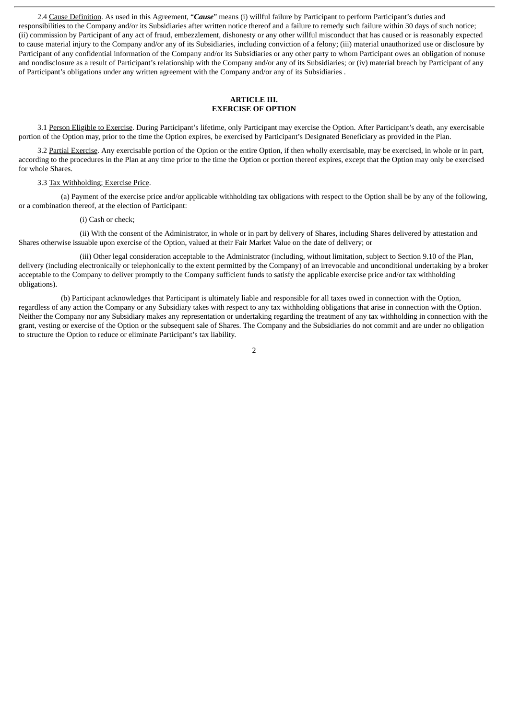2.4 Cause Definition. As used in this Agreement, "*Cause*" means (i) willful failure by Participant to perform Participant's duties and responsibilities to the Company and/or its Subsidiaries after written notice thereof and a failure to remedy such failure within 30 days of such notice; (ii) commission by Participant of any act of fraud, embezzlement, dishonesty or any other willful misconduct that has caused or is reasonably expected to cause material injury to the Company and/or any of its Subsidiaries, including conviction of a felony; (iii) material unauthorized use or disclosure by Participant of any confidential information of the Company and/or its Subsidiaries or any other party to whom Participant owes an obligation of nonuse and nondisclosure as a result of Participant's relationship with the Company and/or any of its Subsidiaries; or (iv) material breach by Participant of any of Participant's obligations under any written agreement with the Company and/or any of its Subsidiaries .

### **ARTICLE III. EXERCISE OF OPTION**

3.1 Person Eligible to Exercise. During Participant's lifetime, only Participant may exercise the Option. After Participant's death, any exercisable portion of the Option may, prior to the time the Option expires, be exercised by Participant's Designated Beneficiary as provided in the Plan.

3.2 Partial Exercise. Any exercisable portion of the Option or the entire Option, if then wholly exercisable, may be exercised, in whole or in part, according to the procedures in the Plan at any time prior to the time the Option or portion thereof expires, except that the Option may only be exercised for whole Shares.

#### 3.3 Tax Withholding; Exercise Price.

(a) Payment of the exercise price and/or applicable withholding tax obligations with respect to the Option shall be by any of the following, or a combination thereof, at the election of Participant:

#### (i) Cash or check;

(ii) With the consent of the Administrator, in whole or in part by delivery of Shares, including Shares delivered by attestation and Shares otherwise issuable upon exercise of the Option, valued at their Fair Market Value on the date of delivery; or

(iii) Other legal consideration acceptable to the Administrator (including, without limitation, subject to Section 9.10 of the Plan, delivery (including electronically or telephonically to the extent permitted by the Company) of an irrevocable and unconditional undertaking by a broker acceptable to the Company to deliver promptly to the Company sufficient funds to satisfy the applicable exercise price and/or tax withholding obligations).

(b) Participant acknowledges that Participant is ultimately liable and responsible for all taxes owed in connection with the Option, regardless of any action the Company or any Subsidiary takes with respect to any tax withholding obligations that arise in connection with the Option. Neither the Company nor any Subsidiary makes any representation or undertaking regarding the treatment of any tax withholding in connection with the grant, vesting or exercise of the Option or the subsequent sale of Shares. The Company and the Subsidiaries do not commit and are under no obligation to structure the Option to reduce or eliminate Participant's tax liability.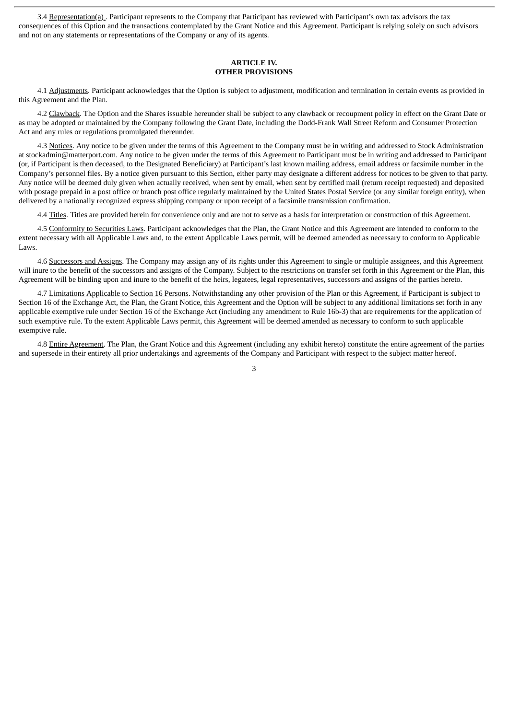3.4 Representation(a) . Participant represents to the Company that Participant has reviewed with Participant's own tax advisors the tax consequences of this Option and the transactions contemplated by the Grant Notice and this Agreement. Participant is relying solely on such advisors and not on any statements or representations of the Company or any of its agents.

### **ARTICLE IV. OTHER PROVISIONS**

4.1 Adjustments. Participant acknowledges that the Option is subject to adjustment, modification and termination in certain events as provided in this Agreement and the Plan.

4.2 Clawback. The Option and the Shares issuable hereunder shall be subject to any clawback or recoupment policy in effect on the Grant Date or as may be adopted or maintained by the Company following the Grant Date, including the Dodd-Frank Wall Street Reform and Consumer Protection Act and any rules or regulations promulgated thereunder.

4.3 Notices. Any notice to be given under the terms of this Agreement to the Company must be in writing and addressed to Stock Administration at stockadmin@matterport.com. Any notice to be given under the terms of this Agreement to Participant must be in writing and addressed to Participant (or, if Participant is then deceased, to the Designated Beneficiary) at Participant's last known mailing address, email address or facsimile number in the Company's personnel files. By a notice given pursuant to this Section, either party may designate a different address for notices to be given to that party. Any notice will be deemed duly given when actually received, when sent by email, when sent by certified mail (return receipt requested) and deposited with postage prepaid in a post office or branch post office regularly maintained by the United States Postal Service (or any similar foreign entity), when delivered by a nationally recognized express shipping company or upon receipt of a facsimile transmission confirmation.

4.4 Titles. Titles are provided herein for convenience only and are not to serve as a basis for interpretation or construction of this Agreement.

4.5 Conformity to Securities Laws. Participant acknowledges that the Plan, the Grant Notice and this Agreement are intended to conform to the extent necessary with all Applicable Laws and, to the extent Applicable Laws permit, will be deemed amended as necessary to conform to Applicable Laws.

4.6 Successors and Assigns. The Company may assign any of its rights under this Agreement to single or multiple assignees, and this Agreement will inure to the benefit of the successors and assigns of the Company. Subject to the restrictions on transfer set forth in this Agreement or the Plan, this Agreement will be binding upon and inure to the benefit of the heirs, legatees, legal representatives, successors and assigns of the parties hereto.

4.7 Limitations Applicable to Section 16 Persons. Notwithstanding any other provision of the Plan or this Agreement, if Participant is subject to Section 16 of the Exchange Act, the Plan, the Grant Notice, this Agreement and the Option will be subject to any additional limitations set forth in any applicable exemptive rule under Section 16 of the Exchange Act (including any amendment to Rule 16b-3) that are requirements for the application of such exemptive rule. To the extent Applicable Laws permit, this Agreement will be deemed amended as necessary to conform to such applicable exemptive rule.

4.8 Entire Agreement. The Plan, the Grant Notice and this Agreement (including any exhibit hereto) constitute the entire agreement of the parties and supersede in their entirety all prior undertakings and agreements of the Company and Participant with respect to the subject matter hereof.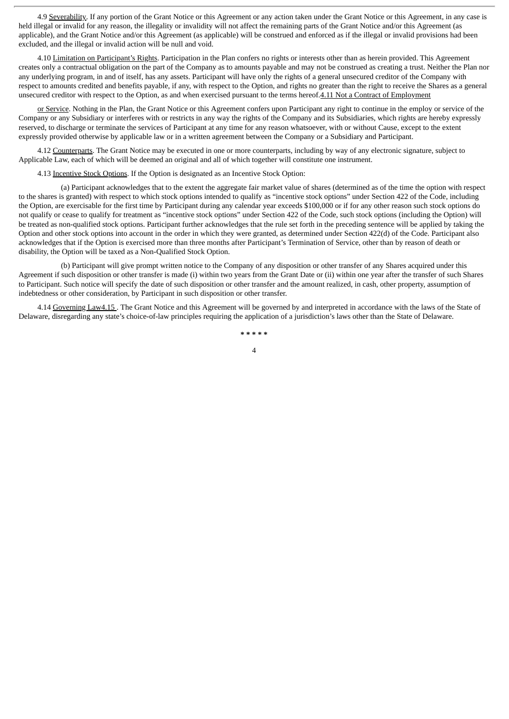4.9 Severability. If any portion of the Grant Notice or this Agreement or any action taken under the Grant Notice or this Agreement, in any case is held illegal or invalid for any reason, the illegality or invalidity will not affect the remaining parts of the Grant Notice and/or this Agreement (as applicable), and the Grant Notice and/or this Agreement (as applicable) will be construed and enforced as if the illegal or invalid provisions had been excluded, and the illegal or invalid action will be null and void.

4.10 Limitation on Participant's Rights. Participation in the Plan confers no rights or interests other than as herein provided. This Agreement creates only a contractual obligation on the part of the Company as to amounts payable and may not be construed as creating a trust. Neither the Plan nor any underlying program, in and of itself, has any assets. Participant will have only the rights of a general unsecured creditor of the Company with respect to amounts credited and benefits payable, if any, with respect to the Option, and rights no greater than the right to receive the Shares as a general unsecured creditor with respect to the Option, as and when exercised pursuant to the terms hereof.4.11 Not a Contract of Employment

or Service. Nothing in the Plan, the Grant Notice or this Agreement confers upon Participant any right to continue in the employ or service of the Company or any Subsidiary or interferes with or restricts in any way the rights of the Company and its Subsidiaries, which rights are hereby expressly reserved, to discharge or terminate the services of Participant at any time for any reason whatsoever, with or without Cause, except to the extent expressly provided otherwise by applicable law or in a written agreement between the Company or a Subsidiary and Participant.

4.12 Counterparts. The Grant Notice may be executed in one or more counterparts, including by way of any electronic signature, subject to Applicable Law, each of which will be deemed an original and all of which together will constitute one instrument.

4.13 Incentive Stock Options. If the Option is designated as an Incentive Stock Option:

(a) Participant acknowledges that to the extent the aggregate fair market value of shares (determined as of the time the option with respect to the shares is granted) with respect to which stock options intended to qualify as "incentive stock options" under Section 422 of the Code, including the Option, are exercisable for the first time by Participant during any calendar year exceeds \$100,000 or if for any other reason such stock options do not qualify or cease to qualify for treatment as "incentive stock options" under Section 422 of the Code, such stock options (including the Option) will be treated as non-qualified stock options. Participant further acknowledges that the rule set forth in the preceding sentence will be applied by taking the Option and other stock options into account in the order in which they were granted, as determined under Section 422(d) of the Code. Participant also acknowledges that if the Option is exercised more than three months after Participant's Termination of Service, other than by reason of death or disability, the Option will be taxed as a Non-Qualified Stock Option.

(b) Participant will give prompt written notice to the Company of any disposition or other transfer of any Shares acquired under this Agreement if such disposition or other transfer is made (i) within two years from the Grant Date or (ii) within one year after the transfer of such Shares to Participant. Such notice will specify the date of such disposition or other transfer and the amount realized, in cash, other property, assumption of indebtedness or other consideration, by Participant in such disposition or other transfer.

4.14 Governing Law4.15 . The Grant Notice and this Agreement will be governed by and interpreted in accordance with the laws of the State of Delaware, disregarding any state's choice-of-law principles requiring the application of a jurisdiction's laws other than the State of Delaware.

> **\* \* \* \* \***  $\overline{A}$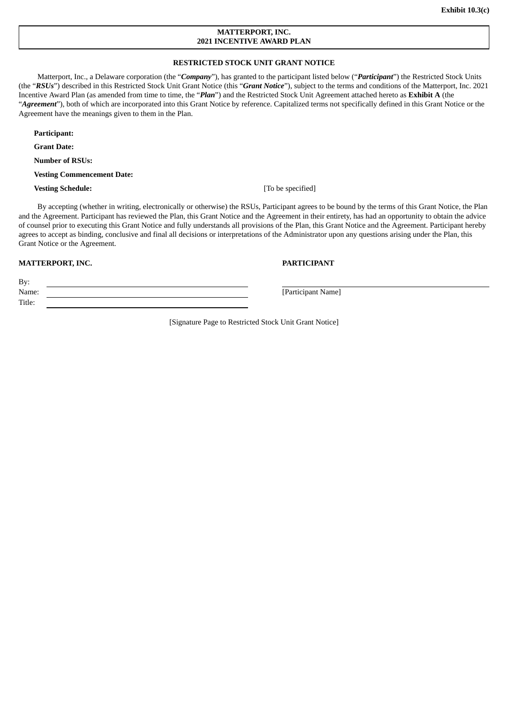# **MATTERPORT, INC. 2021 INCENTIVE AWARD PLAN**

# **RESTRICTED STOCK UNIT GRANT NOTICE**

Matterport, Inc., a Delaware corporation (the "*Company*"), has granted to the participant listed below ("*Participant*") the Restricted Stock Units (the "*RSUs*") described in this Restricted Stock Unit Grant Notice (this "*Grant Notice*"), subject to the terms and conditions of the Matterport, Inc. 2021 Incentive Award Plan (as amended from time to time, the "*Plan*") and the Restricted Stock Unit Agreement attached hereto as **Exhibit A** (the "Agreement"), both of which are incorporated into this Grant Notice by reference. Capitalized terms not specifically defined in this Grant Notice or the Agreement have the meanings given to them in the Plan.

**Participant:**

**Grant Date:**

**Number of RSUs:**

**Vesting Commencement Date:**

**Vesting Schedule:** [To be specified]

By accepting (whether in writing, electronically or otherwise) the RSUs, Participant agrees to be bound by the terms of this Grant Notice, the Plan and the Agreement. Participant has reviewed the Plan, this Grant Notice and the Agreement in their entirety, has had an opportunity to obtain the advice of counsel prior to executing this Grant Notice and fully understands all provisions of the Plan, this Grant Notice and the Agreement. Participant hereby agrees to accept as binding, conclusive and final all decisions or interpretations of the Administrator upon any questions arising under the Plan, this Grant Notice or the Agreement.

#### **MATTERPORT, INC. PARTICIPANT**

By: Name: [Participant Name] Title:

[Signature Page to Restricted Stock Unit Grant Notice]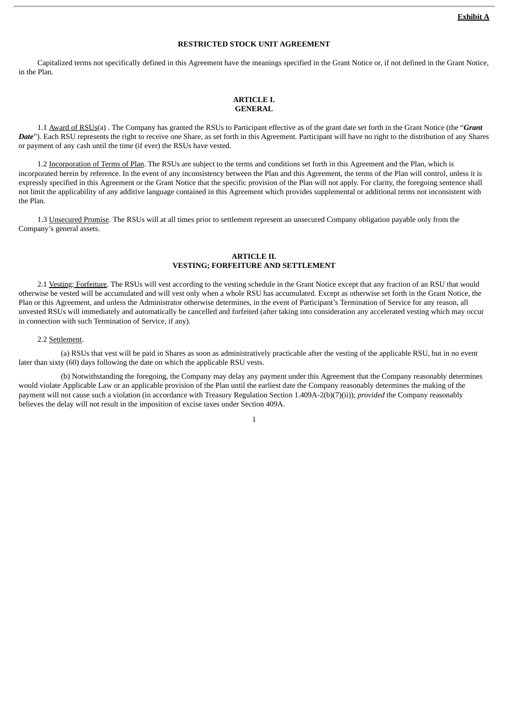# **RESTRICTED STOCK UNIT AGREEMENT**

Capitalized terms not specifically defined in this Agreement have the meanings specified in the Grant Notice or, if not defined in the Grant Notice, in the Plan.

### **ARTICLE I. GENERAL**

1.1 Award of RSUs(a) . The Company has granted the RSUs to Participant effective as of the grant date set forth in the Grant Notice (the "*Grant Date*"). Each RSU represents the right to receive one Share, as set forth in this Agreement. Participant will have no right to the distribution of any Shares or payment of any cash until the time (if ever) the RSUs have vested.

1.2 Incorporation of Terms of Plan. The RSUs are subject to the terms and conditions set forth in this Agreement and the Plan, which is incorporated herein by reference. In the event of any inconsistency between the Plan and this Agreement, the terms of the Plan will control, unless it is expressly specified in this Agreement or the Grant Notice that the specific provision of the Plan will not apply. For clarity, the foregoing sentence shall not limit the applicability of any additive language contained in this Agreement which provides supplemental or additional terms not inconsistent with the Plan.

1.3 Unsecured Promise. The RSUs will at all times prior to settlement represent an unsecured Company obligation payable only from the Company's general assets.

# **ARTICLE II. VESTING; FORFEITURE AND SETTLEMENT**

2.1 Vesting; Forfeiture. The RSUs will vest according to the vesting schedule in the Grant Notice except that any fraction of an RSU that would otherwise be vested will be accumulated and will vest only when a whole RSU has accumulated. Except as otherwise set forth in the Grant Notice, the Plan or this Agreement, and unless the Administrator otherwise determines, in the event of Participant's Termination of Service for any reason, all unvested RSUs will immediately and automatically be cancelled and forfeited (after taking into consideration any accelerated vesting which may occur in connection with such Termination of Service, if any).

#### 2.2 Settlement.

(a) RSUs that vest will be paid in Shares as soon as administratively practicable after the vesting of the applicable RSU, but in no event later than sixty (60) days following the date on which the applicable RSU vests.

(b) Notwithstanding the foregoing, the Company may delay any payment under this Agreement that the Company reasonably determines would violate Applicable Law or an applicable provision of the Plan until the earliest date the Company reasonably determines the making of the payment will not cause such a violation (in accordance with Treasury Regulation Section 1.409A-2(b)(7)(ii)); *provided* the Company reasonably believes the delay will not result in the imposition of excise taxes under Section 409A.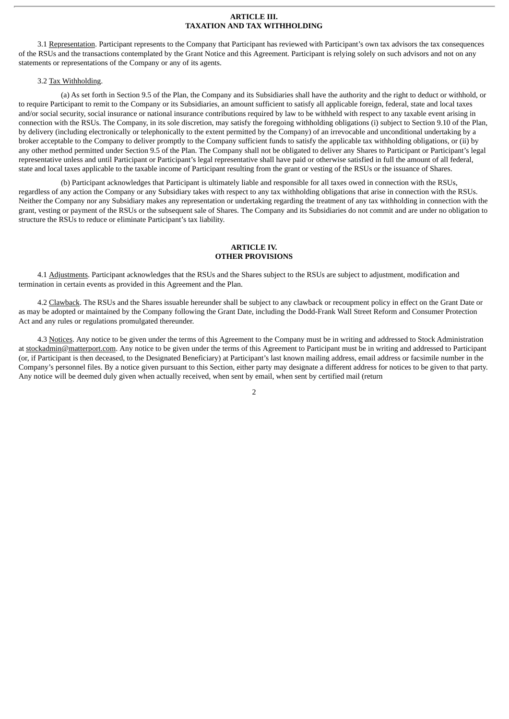### **ARTICLE III. TAXATION AND TAX WITHHOLDING**

3.1 Representation. Participant represents to the Company that Participant has reviewed with Participant's own tax advisors the tax consequences of the RSUs and the transactions contemplated by the Grant Notice and this Agreement. Participant is relying solely on such advisors and not on any statements or representations of the Company or any of its agents.

#### 3.2 Tax Withholding.

(a) As set forth in Section 9.5 of the Plan, the Company and its Subsidiaries shall have the authority and the right to deduct or withhold, or to require Participant to remit to the Company or its Subsidiaries, an amount sufficient to satisfy all applicable foreign, federal, state and local taxes and/or social security, social insurance or national insurance contributions required by law to be withheld with respect to any taxable event arising in connection with the RSUs. The Company, in its sole discretion, may satisfy the foregoing withholding obligations (i) subject to Section 9.10 of the Plan, by delivery (including electronically or telephonically to the extent permitted by the Company) of an irrevocable and unconditional undertaking by a broker acceptable to the Company to deliver promptly to the Company sufficient funds to satisfy the applicable tax withholding obligations, or (ii) by any other method permitted under Section 9.5 of the Plan. The Company shall not be obligated to deliver any Shares to Participant or Participant's legal representative unless and until Participant or Participant's legal representative shall have paid or otherwise satisfied in full the amount of all federal, state and local taxes applicable to the taxable income of Participant resulting from the grant or vesting of the RSUs or the issuance of Shares.

(b) Participant acknowledges that Participant is ultimately liable and responsible for all taxes owed in connection with the RSUs, regardless of any action the Company or any Subsidiary takes with respect to any tax withholding obligations that arise in connection with the RSUs. Neither the Company nor any Subsidiary makes any representation or undertaking regarding the treatment of any tax withholding in connection with the grant, vesting or payment of the RSUs or the subsequent sale of Shares. The Company and its Subsidiaries do not commit and are under no obligation to structure the RSUs to reduce or eliminate Participant's tax liability.

## **ARTICLE IV. OTHER PROVISIONS**

4.1 Adjustments. Participant acknowledges that the RSUs and the Shares subject to the RSUs are subject to adjustment, modification and termination in certain events as provided in this Agreement and the Plan.

4.2 Clawback. The RSUs and the Shares issuable hereunder shall be subject to any clawback or recoupment policy in effect on the Grant Date or as may be adopted or maintained by the Company following the Grant Date, including the Dodd-Frank Wall Street Reform and Consumer Protection Act and any rules or regulations promulgated thereunder.

4.3 Notices. Any notice to be given under the terms of this Agreement to the Company must be in writing and addressed to Stock Administration at stockadmin@matterport.com. Any notice to be given under the terms of this Agreement to Participant must be in writing and addressed to Participant (or, if Participant is then deceased, to the Designated Beneficiary) at Participant's last known mailing address, email address or facsimile number in the Company's personnel files. By a notice given pursuant to this Section, either party may designate a different address for notices to be given to that party. Any notice will be deemed duly given when actually received, when sent by email, when sent by certified mail (return

 $\overline{2}$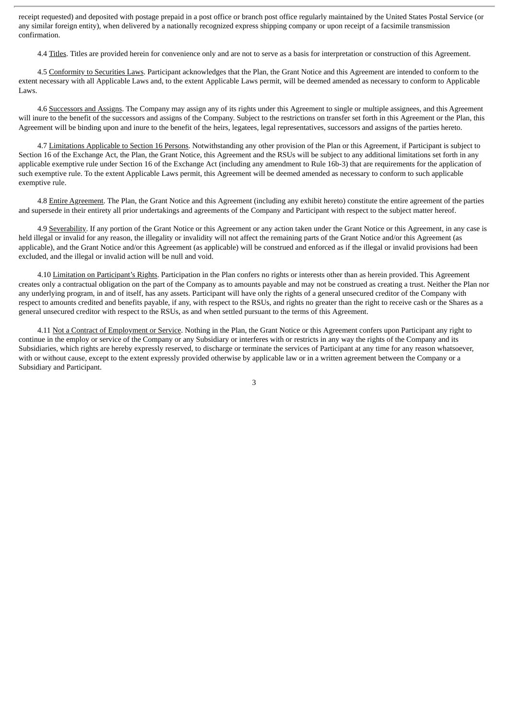receipt requested) and deposited with postage prepaid in a post office or branch post office regularly maintained by the United States Postal Service (or any similar foreign entity), when delivered by a nationally recognized express shipping company or upon receipt of a facsimile transmission confirmation.

4.4 Titles. Titles are provided herein for convenience only and are not to serve as a basis for interpretation or construction of this Agreement.

4.5 Conformity to Securities Laws. Participant acknowledges that the Plan, the Grant Notice and this Agreement are intended to conform to the extent necessary with all Applicable Laws and, to the extent Applicable Laws permit, will be deemed amended as necessary to conform to Applicable Laws.

4.6 Successors and Assigns. The Company may assign any of its rights under this Agreement to single or multiple assignees, and this Agreement will inure to the benefit of the successors and assigns of the Company. Subject to the restrictions on transfer set forth in this Agreement or the Plan, this Agreement will be binding upon and inure to the benefit of the heirs, legatees, legal representatives, successors and assigns of the parties hereto.

4.7 Limitations Applicable to Section 16 Persons. Notwithstanding any other provision of the Plan or this Agreement, if Participant is subject to Section 16 of the Exchange Act, the Plan, the Grant Notice, this Agreement and the RSUs will be subject to any additional limitations set forth in any applicable exemptive rule under Section 16 of the Exchange Act (including any amendment to Rule 16b-3) that are requirements for the application of such exemptive rule. To the extent Applicable Laws permit, this Agreement will be deemed amended as necessary to conform to such applicable exemptive rule.

4.8 Entire Agreement. The Plan, the Grant Notice and this Agreement (including any exhibit hereto) constitute the entire agreement of the parties and supersede in their entirety all prior undertakings and agreements of the Company and Participant with respect to the subject matter hereof.

4.9 Severability. If any portion of the Grant Notice or this Agreement or any action taken under the Grant Notice or this Agreement, in any case is held illegal or invalid for any reason, the illegality or invalidity will not affect the remaining parts of the Grant Notice and/or this Agreement (as applicable), and the Grant Notice and/or this Agreement (as applicable) will be construed and enforced as if the illegal or invalid provisions had been excluded, and the illegal or invalid action will be null and void.

4.10 Limitation on Participant's Rights. Participation in the Plan confers no rights or interests other than as herein provided. This Agreement creates only a contractual obligation on the part of the Company as to amounts payable and may not be construed as creating a trust. Neither the Plan nor any underlying program, in and of itself, has any assets. Participant will have only the rights of a general unsecured creditor of the Company with respect to amounts credited and benefits payable, if any, with respect to the RSUs, and rights no greater than the right to receive cash or the Shares as a general unsecured creditor with respect to the RSUs, as and when settled pursuant to the terms of this Agreement.

4.11 Not a Contract of Employment or Service. Nothing in the Plan, the Grant Notice or this Agreement confers upon Participant any right to continue in the employ or service of the Company or any Subsidiary or interferes with or restricts in any way the rights of the Company and its Subsidiaries, which rights are hereby expressly reserved, to discharge or terminate the services of Participant at any time for any reason whatsoever, with or without cause, except to the extent expressly provided otherwise by applicable law or in a written agreement between the Company or a Subsidiary and Participant.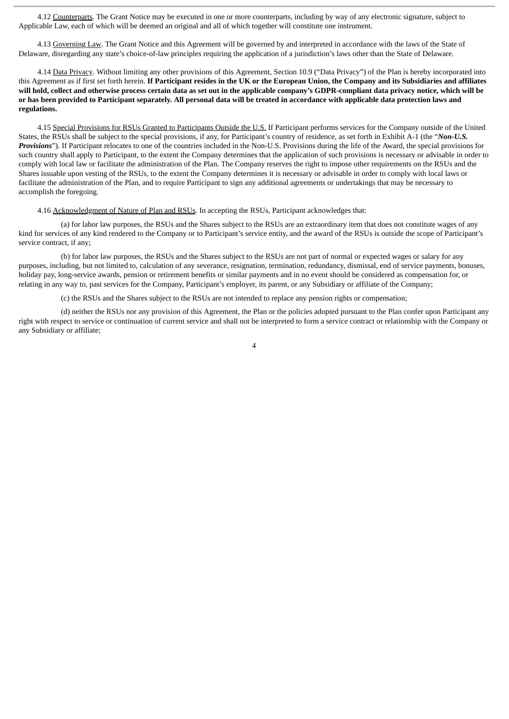4.12 Counterparts. The Grant Notice may be executed in one or more counterparts, including by way of any electronic signature, subject to Applicable Law, each of which will be deemed an original and all of which together will constitute one instrument.

4.13 Governing Law. The Grant Notice and this Agreement will be governed by and interpreted in accordance with the laws of the State of Delaware, disregarding any state's choice-of-law principles requiring the application of a jurisdiction's laws other than the State of Delaware.

4.14 Data Privacy. Without limiting any other provisions of this Agreement, Section 10.9 ("Data Privacy") of the Plan is hereby incorporated into this Agreement as if first set forth herein. If Participant resides in the UK or the European Union, the Company and its Subsidiaries and affiliates will hold, collect and otherwise process certain data as set out in the applicable company's GDPR-compliant data privacy notice, which will be or has been provided to Participant separately. All personal data will be treated in accordance with applicable data protection laws and **regulations.**

4.15 Special Provisions for RSUs Granted to Participants Outside the U.S. If Participant performs services for the Company outside of the United States, the RSUs shall be subject to the special provisions, if any, for Participant's country of residence, as set forth in Exhibit A-1 (the "*Non-U.S. Provisions*"). If Participant relocates to one of the countries included in the Non-U.S. Provisions during the life of the Award, the special provisions for such country shall apply to Participant, to the extent the Company determines that the application of such provisions is necessary or advisable in order to comply with local law or facilitate the administration of the Plan. The Company reserves the right to impose other requirements on the RSUs and the Shares issuable upon vesting of the RSUs, to the extent the Company determines it is necessary or advisable in order to comply with local laws or facilitate the administration of the Plan, and to require Participant to sign any additional agreements or undertakings that may be necessary to accomplish the foregoing.

#### 4.16 Acknowledgment of Nature of Plan and RSUs. In accepting the RSUs, Participant acknowledges that:

(a) for labor law purposes, the RSUs and the Shares subject to the RSUs are an extraordinary item that does not constitute wages of any kind for services of any kind rendered to the Company or to Participant's service entity, and the award of the RSUs is outside the scope of Participant's service contract, if any;

(b) for labor law purposes, the RSUs and the Shares subject to the RSUs are not part of normal or expected wages or salary for any purposes, including, but not limited to, calculation of any severance, resignation, termination, redundancy, dismissal, end of service payments, bonuses, holiday pay, long-service awards, pension or retirement benefits or similar payments and in no event should be considered as compensation for, or relating in any way to, past services for the Company, Participant's employer, its parent, or any Subsidiary or affiliate of the Company;

(c) the RSUs and the Shares subject to the RSUs are not intended to replace any pension rights or compensation;

(d) neither the RSUs nor any provision of this Agreement, the Plan or the policies adopted pursuant to the Plan confer upon Participant any right with respect to service or continuation of current service and shall not be interpreted to form a service contract or relationship with the Company or any Subsidiary or affiliate;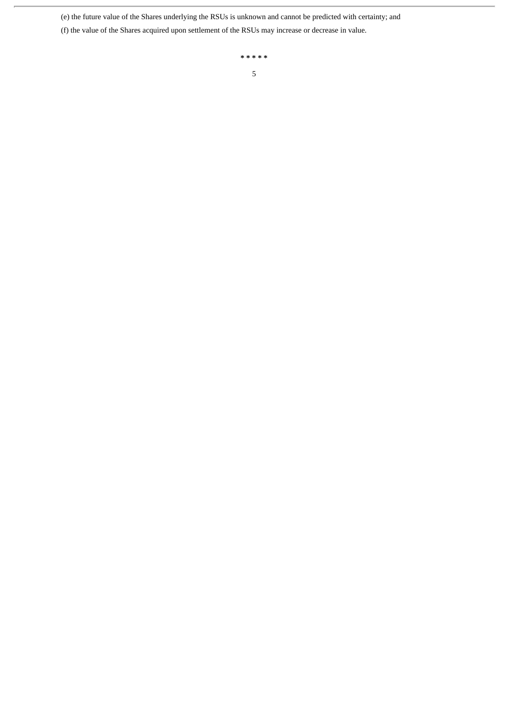(e) the future value of the Shares underlying the RSUs is unknown and cannot be predicted with certainty; and

(f) the value of the Shares acquired upon settlement of the RSUs may increase or decrease in value.

**\* \* \* \* \*** 5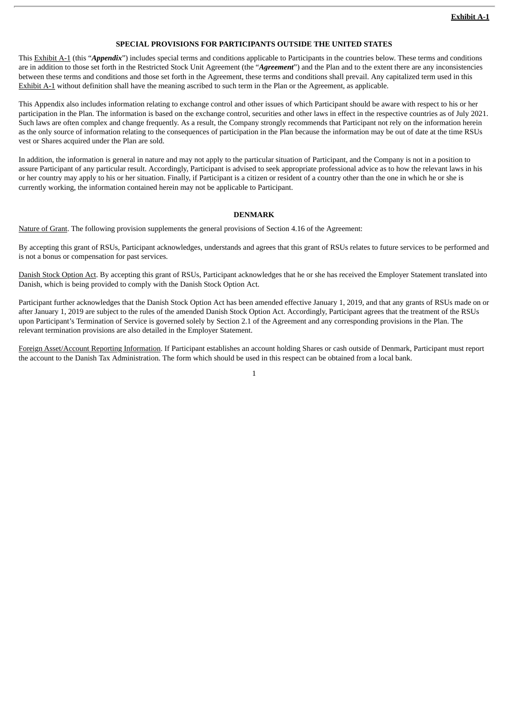# **SPECIAL PROVISIONS FOR PARTICIPANTS OUTSIDE THE UNITED STATES**

This Exhibit A-1 (this "*Appendix*") includes special terms and conditions applicable to Participants in the countries below. These terms and conditions are in addition to those set forth in the Restricted Stock Unit Agreement (the "*Agreement*") and the Plan and to the extent there are any inconsistencies between these terms and conditions and those set forth in the Agreement, these terms and conditions shall prevail. Any capitalized term used in this Exhibit A-1 without definition shall have the meaning ascribed to such term in the Plan or the Agreement, as applicable.

This Appendix also includes information relating to exchange control and other issues of which Participant should be aware with respect to his or her participation in the Plan. The information is based on the exchange control, securities and other laws in effect in the respective countries as of July 2021. Such laws are often complex and change frequently. As a result, the Company strongly recommends that Participant not rely on the information herein as the only source of information relating to the consequences of participation in the Plan because the information may be out of date at the time RSUs vest or Shares acquired under the Plan are sold.

In addition, the information is general in nature and may not apply to the particular situation of Participant, and the Company is not in a position to assure Participant of any particular result. Accordingly, Participant is advised to seek appropriate professional advice as to how the relevant laws in his or her country may apply to his or her situation. Finally, if Participant is a citizen or resident of a country other than the one in which he or she is currently working, the information contained herein may not be applicable to Participant.

#### **DENMARK**

Nature of Grant. The following provision supplements the general provisions of Section 4.16 of the Agreement:

By accepting this grant of RSUs, Participant acknowledges, understands and agrees that this grant of RSUs relates to future services to be performed and is not a bonus or compensation for past services.

Danish Stock Option Act. By accepting this grant of RSUs, Participant acknowledges that he or she has received the Employer Statement translated into Danish, which is being provided to comply with the Danish Stock Option Act.

Participant further acknowledges that the Danish Stock Option Act has been amended effective January 1, 2019, and that any grants of RSUs made on or after January 1, 2019 are subject to the rules of the amended Danish Stock Option Act. Accordingly, Participant agrees that the treatment of the RSUs upon Participant's Termination of Service is governed solely by Section 2.1 of the Agreement and any corresponding provisions in the Plan. The relevant termination provisions are also detailed in the Employer Statement.

Foreign Asset/Account Reporting Information. If Participant establishes an account holding Shares or cash outside of Denmark, Participant must report the account to the Danish Tax Administration. The form which should be used in this respect can be obtained from a local bank.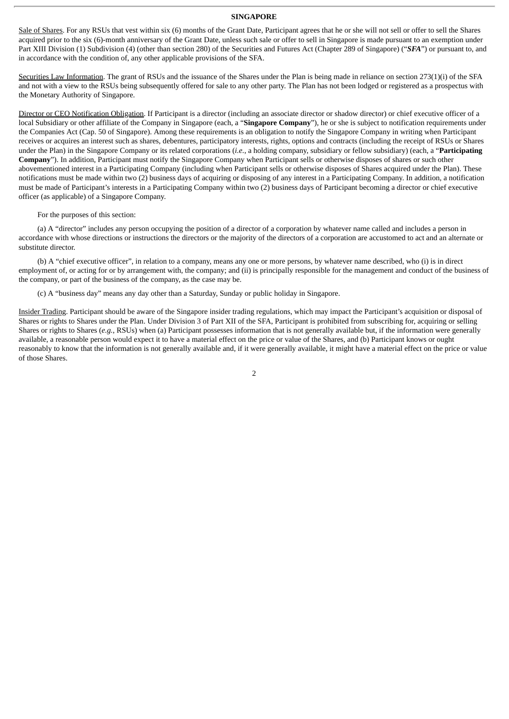#### **SINGAPORE**

Sale of Shares. For any RSUs that vest within six (6) months of the Grant Date, Participant agrees that he or she will not sell or offer to sell the Shares acquired prior to the six (6)-month anniversary of the Grant Date, unless such sale or offer to sell in Singapore is made pursuant to an exemption under Part XIII Division (1) Subdivision (4) (other than section 280) of the Securities and Futures Act (Chapter 289 of Singapore) ("*SFA*") or pursuant to, and in accordance with the condition of, any other applicable provisions of the SFA.

Securities Law Information. The grant of RSUs and the issuance of the Shares under the Plan is being made in reliance on section 273(1)(i) of the SFA and not with a view to the RSUs being subsequently offered for sale to any other party. The Plan has not been lodged or registered as a prospectus with the Monetary Authority of Singapore.

Director or CEO Notification Obligation. If Participant is a director (including an associate director or shadow director) or chief executive officer of a local Subsidiary or other affiliate of the Company in Singapore (each, a "Singapore Company"), he or she is subject to notification requirements under the Companies Act (Cap. 50 of Singapore). Among these requirements is an obligation to notify the Singapore Company in writing when Participant receives or acquires an interest such as shares, debentures, participatory interests, rights, options and contracts (including the receipt of RSUs or Shares under the Plan) in the Singapore Company or its related corporations (*i.e.*, a holding company, subsidiary or fellow subsidiary) (each, a "**Participating Company**"). In addition, Participant must notify the Singapore Company when Participant sells or otherwise disposes of shares or such other abovementioned interest in a Participating Company (including when Participant sells or otherwise disposes of Shares acquired under the Plan). These notifications must be made within two (2) business days of acquiring or disposing of any interest in a Participating Company. In addition, a notification must be made of Participant's interests in a Participating Company within two (2) business days of Participant becoming a director or chief executive officer (as applicable) of a Singapore Company.

#### For the purposes of this section:

(a) A "director" includes any person occupying the position of a director of a corporation by whatever name called and includes a person in accordance with whose directions or instructions the directors or the majority of the directors of a corporation are accustomed to act and an alternate or substitute director.

(b) A "chief executive officer", in relation to a company, means any one or more persons, by whatever name described, who (i) is in direct employment of, or acting for or by arrangement with, the company; and (ii) is principally responsible for the management and conduct of the business of the company, or part of the business of the company, as the case may be.

(c) A "business day" means any day other than a Saturday, Sunday or public holiday in Singapore.

Insider Trading. Participant should be aware of the Singapore insider trading regulations, which may impact the Participant's acquisition or disposal of Shares or rights to Shares under the Plan. Under Division 3 of Part XII of the SFA, Participant is prohibited from subscribing for, acquiring or selling Shares or rights to Shares (*e.g.*, RSUs) when (a) Participant possesses information that is not generally available but, if the information were generally available, a reasonable person would expect it to have a material effect on the price or value of the Shares, and (b) Participant knows or ought reasonably to know that the information is not generally available and, if it were generally available, it might have a material effect on the price or value of those Shares.

 $\overline{2}$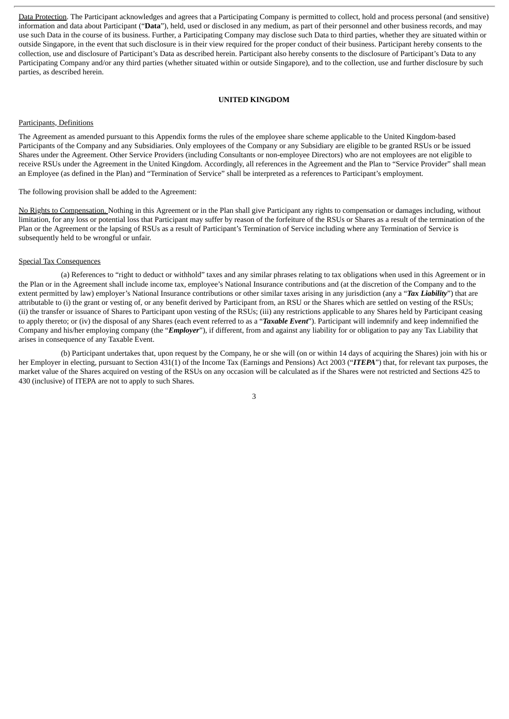Data Protection. The Participant acknowledges and agrees that a Participating Company is permitted to collect, hold and process personal (and sensitive) information and data about Participant ("**Data**"), held, used or disclosed in any medium, as part of their personnel and other business records, and may use such Data in the course of its business. Further, a Participating Company may disclose such Data to third parties, whether they are situated within or outside Singapore, in the event that such disclosure is in their view required for the proper conduct of their business. Participant hereby consents to the collection, use and disclosure of Participant's Data as described herein. Participant also hereby consents to the disclosure of Participant's Data to any Participating Company and/or any third parties (whether situated within or outside Singapore), and to the collection, use and further disclosure by such parties, as described herein.

#### **UNITED KINGDOM**

### Participants, Definitions

The Agreement as amended pursuant to this Appendix forms the rules of the employee share scheme applicable to the United Kingdom-based Participants of the Company and any Subsidiaries. Only employees of the Company or any Subsidiary are eligible to be granted RSUs or be issued Shares under the Agreement. Other Service Providers (including Consultants or non-employee Directors) who are not employees are not eligible to receive RSUs under the Agreement in the United Kingdom. Accordingly, all references in the Agreement and the Plan to "Service Provider" shall mean an Employee (as defined in the Plan) and "Termination of Service" shall be interpreted as a references to Participant's employment.

The following provision shall be added to the Agreement:

No Rights to Compensation. Nothing in this Agreement or in the Plan shall give Participant any rights to compensation or damages including, without limitation, for any loss or potential loss that Participant may suffer by reason of the forfeiture of the RSUs or Shares as a result of the termination of the Plan or the Agreement or the lapsing of RSUs as a result of Participant's Termination of Service including where any Termination of Service is subsequently held to be wrongful or unfair.

## Special Tax Consequences

(a) References to "right to deduct or withhold" taxes and any similar phrases relating to tax obligations when used in this Agreement or in the Plan or in the Agreement shall include income tax, employee's National Insurance contributions and (at the discretion of the Company and to the extent permitted by law) employer's National Insurance contributions or other similar taxes arising in any jurisdiction (any a "*Tax Liability*") that are attributable to (i) the grant or vesting of, or any benefit derived by Participant from, an RSU or the Shares which are settled on vesting of the RSUs; (ii) the transfer or issuance of Shares to Participant upon vesting of the RSUs; (iii) any restrictions applicable to any Shares held by Participant ceasing to apply thereto; or (iv) the disposal of any Shares (each event referred to as a "*Taxable Event*"). Participant will indemnify and keep indemnified the Company and his/her employing company (the "*Employer*"), if different, from and against any liability for or obligation to pay any Tax Liability that arises in consequence of any Taxable Event.

(b) Participant undertakes that, upon request by the Company, he or she will (on or within 14 days of acquiring the Shares) join with his or her Employer in electing, pursuant to Section 431(1) of the Income Tax (Earnings and Pensions) Act 2003 ("*ITEPA*") that, for relevant tax purposes, the market value of the Shares acquired on vesting of the RSUs on any occasion will be calculated as if the Shares were not restricted and Sections 425 to 430 (inclusive) of ITEPA are not to apply to such Shares.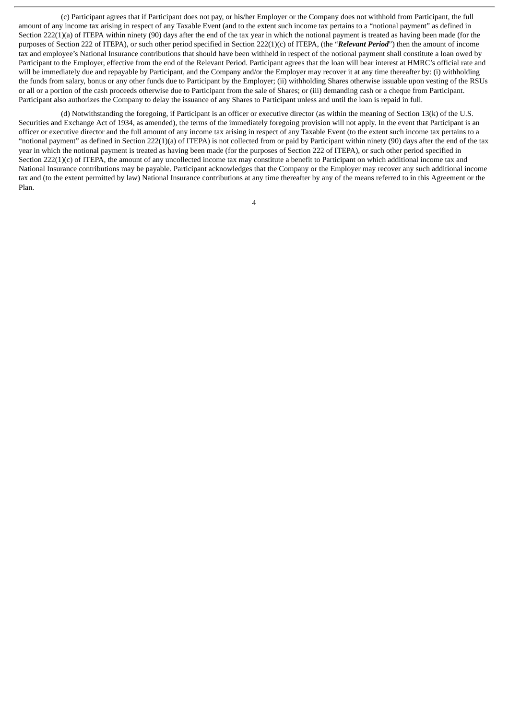(c) Participant agrees that if Participant does not pay, or his/her Employer or the Company does not withhold from Participant, the full amount of any income tax arising in respect of any Taxable Event (and to the extent such income tax pertains to a "notional payment" as defined in Section 222(1)(a) of ITEPA within ninety (90) days after the end of the tax year in which the notional payment is treated as having been made (for the purposes of Section 222 of ITEPA), or such other period specified in Section 222(1)(c) of ITEPA, (the "*Relevant Period*") then the amount of income tax and employee's National Insurance contributions that should have been withheld in respect of the notional payment shall constitute a loan owed by Participant to the Employer, effective from the end of the Relevant Period. Participant agrees that the loan will bear interest at HMRC's official rate and will be immediately due and repayable by Participant, and the Company and/or the Employer may recover it at any time thereafter by: (i) withholding the funds from salary, bonus or any other funds due to Participant by the Employer; (ii) withholding Shares otherwise issuable upon vesting of the RSUs or all or a portion of the cash proceeds otherwise due to Participant from the sale of Shares; or (iii) demanding cash or a cheque from Participant. Participant also authorizes the Company to delay the issuance of any Shares to Participant unless and until the loan is repaid in full.

(d) Notwithstanding the foregoing, if Participant is an officer or executive director (as within the meaning of Section 13(k) of the U.S. Securities and Exchange Act of 1934, as amended), the terms of the immediately foregoing provision will not apply. In the event that Participant is an officer or executive director and the full amount of any income tax arising in respect of any Taxable Event (to the extent such income tax pertains to a "notional payment" as defined in Section 222(1)(a) of ITEPA) is not collected from or paid by Participant within ninety (90) days after the end of the tax year in which the notional payment is treated as having been made (for the purposes of Section 222 of ITEPA), or such other period specified in Section 222(1)(c) of ITEPA, the amount of any uncollected income tax may constitute a benefit to Participant on which additional income tax and National Insurance contributions may be payable. Participant acknowledges that the Company or the Employer may recover any such additional income tax and (to the extent permitted by law) National Insurance contributions at any time thereafter by any of the means referred to in this Agreement or the Plan.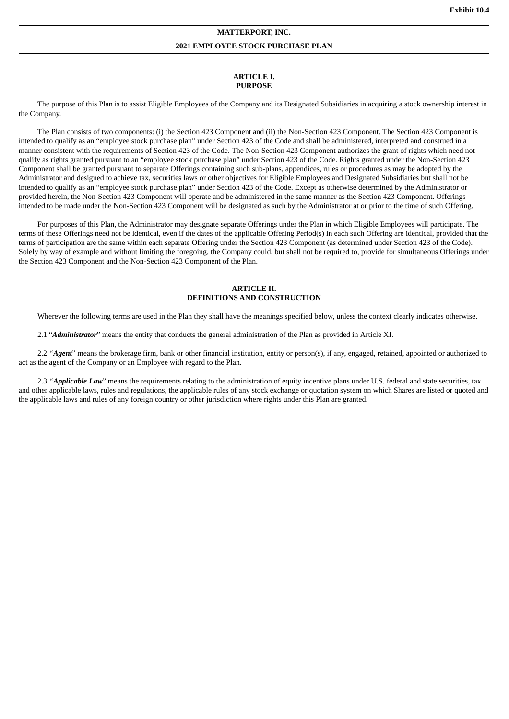#### **MATTERPORT, INC.**

#### **2021 EMPLOYEE STOCK PURCHASE PLAN**

#### **ARTICLE I. PURPOSE**

The purpose of this Plan is to assist Eligible Employees of the Company and its Designated Subsidiaries in acquiring a stock ownership interest in the Company.

The Plan consists of two components: (i) the Section 423 Component and (ii) the Non-Section 423 Component. The Section 423 Component is intended to qualify as an "employee stock purchase plan" under Section 423 of the Code and shall be administered, interpreted and construed in a manner consistent with the requirements of Section 423 of the Code. The Non-Section 423 Component authorizes the grant of rights which need not qualify as rights granted pursuant to an "employee stock purchase plan" under Section 423 of the Code. Rights granted under the Non-Section 423 Component shall be granted pursuant to separate Offerings containing such sub-plans, appendices, rules or procedures as may be adopted by the Administrator and designed to achieve tax, securities laws or other objectives for Eligible Employees and Designated Subsidiaries but shall not be intended to qualify as an "employee stock purchase plan" under Section 423 of the Code. Except as otherwise determined by the Administrator or provided herein, the Non-Section 423 Component will operate and be administered in the same manner as the Section 423 Component. Offerings intended to be made under the Non-Section 423 Component will be designated as such by the Administrator at or prior to the time of such Offering.

For purposes of this Plan, the Administrator may designate separate Offerings under the Plan in which Eligible Employees will participate. The terms of these Offerings need not be identical, even if the dates of the applicable Offering Period(s) in each such Offering are identical, provided that the terms of participation are the same within each separate Offering under the Section 423 Component (as determined under Section 423 of the Code). Solely by way of example and without limiting the foregoing, the Company could, but shall not be required to, provide for simultaneous Offerings under the Section 423 Component and the Non-Section 423 Component of the Plan.

## **ARTICLE II. DEFINITIONS AND CONSTRUCTION**

Wherever the following terms are used in the Plan they shall have the meanings specified below, unless the context clearly indicates otherwise.

2.1 "*Administrator*" means the entity that conducts the general administration of the Plan as provided in Article XI.

2.2 *"Agent*" means the brokerage firm, bank or other financial institution, entity or person(s), if any, engaged, retained, appointed or authorized to act as the agent of the Company or an Employee with regard to the Plan.

2.3 *"Applicable Law*" means the requirements relating to the administration of equity incentive plans under U.S. federal and state securities, tax and other applicable laws, rules and regulations, the applicable rules of any stock exchange or quotation system on which Shares are listed or quoted and the applicable laws and rules of any foreign country or other jurisdiction where rights under this Plan are granted.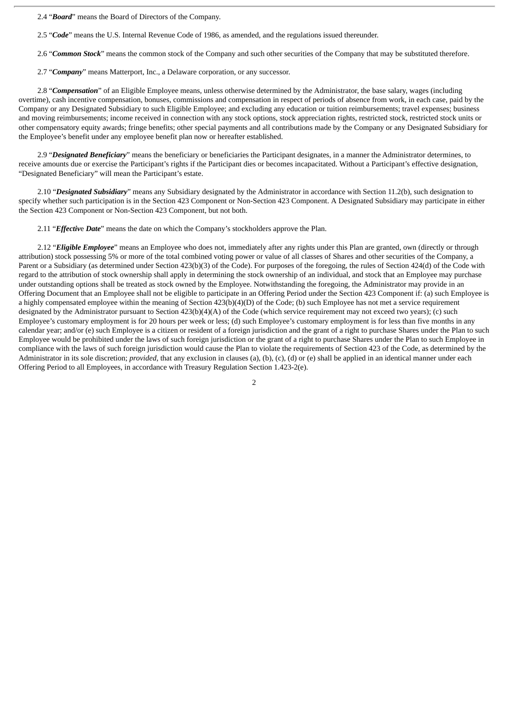2.4 "*Board*" means the Board of Directors of the Company.

2.5 "*Code*" means the U.S. Internal Revenue Code of 1986, as amended, and the regulations issued thereunder.

2.6 "*Common Stock*" means the common stock of the Company and such other securities of the Company that may be substituted therefore.

2.7 "*Company*" means Matterport, Inc., a Delaware corporation, or any successor.

2.8 "*Compensation*" of an Eligible Employee means, unless otherwise determined by the Administrator, the base salary, wages (including overtime), cash incentive compensation, bonuses, commissions and compensation in respect of periods of absence from work, in each case, paid by the Company or any Designated Subsidiary to such Eligible Employee; and excluding any education or tuition reimbursements; travel expenses; business and moving reimbursements; income received in connection with any stock options, stock appreciation rights, restricted stock, restricted stock units or other compensatory equity awards; fringe benefits; other special payments and all contributions made by the Company or any Designated Subsidiary for the Employee's benefit under any employee benefit plan now or hereafter established.

2.9 "*Designated Beneficiary*" means the beneficiary or beneficiaries the Participant designates, in a manner the Administrator determines, to receive amounts due or exercise the Participant's rights if the Participant dies or becomes incapacitated. Without a Participant's effective designation, "Designated Beneficiary" will mean the Participant's estate.

2.10 "*Designated Subsidiary*" means any Subsidiary designated by the Administrator in accordance with Section 11.2(b), such designation to specify whether such participation is in the Section 423 Component or Non-Section 423 Component. A Designated Subsidiary may participate in either the Section 423 Component or Non-Section 423 Component, but not both.

2.11 "*Effectiv*e *Date*" means the date on which the Company's stockholders approve the Plan.

2.12 "*Eligible Employee*" means an Employee who does not, immediately after any rights under this Plan are granted, own (directly or through attribution) stock possessing 5% or more of the total combined voting power or value of all classes of Shares and other securities of the Company, a Parent or a Subsidiary (as determined under Section 423(b)(3) of the Code). For purposes of the foregoing, the rules of Section 424(d) of the Code with regard to the attribution of stock ownership shall apply in determining the stock ownership of an individual, and stock that an Employee may purchase under outstanding options shall be treated as stock owned by the Employee. Notwithstanding the foregoing, the Administrator may provide in an Offering Document that an Employee shall not be eligible to participate in an Offering Period under the Section 423 Component if: (a) such Employee is a highly compensated employee within the meaning of Section 423(b)(4)(D) of the Code; (b) such Employee has not met a service requirement designated by the Administrator pursuant to Section 423(b)(4)(A) of the Code (which service requirement may not exceed two years); (c) such Employee's customary employment is for 20 hours per week or less; (d) such Employee's customary employment is for less than five months in any calendar year; and/or (e) such Employee is a citizen or resident of a foreign jurisdiction and the grant of a right to purchase Shares under the Plan to such Employee would be prohibited under the laws of such foreign jurisdiction or the grant of a right to purchase Shares under the Plan to such Employee in compliance with the laws of such foreign jurisdiction would cause the Plan to violate the requirements of Section 423 of the Code, as determined by the Administrator in its sole discretion; *provided,* that any exclusion in clauses (a), (b), (c), (d) or (e) shall be applied in an identical manner under each Offering Period to all Employees, in accordance with Treasury Regulation Section 1.423-2(e).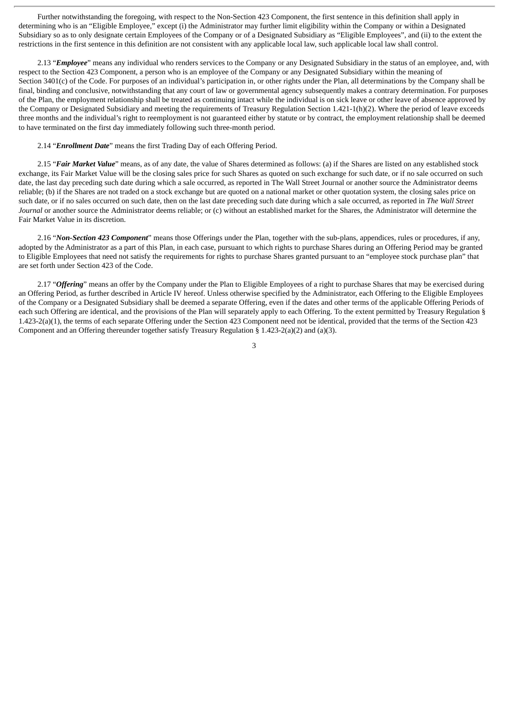Further notwithstanding the foregoing, with respect to the Non-Section 423 Component, the first sentence in this definition shall apply in determining who is an "Eligible Employee," except (i) the Administrator may further limit eligibility within the Company or within a Designated Subsidiary so as to only designate certain Employees of the Company or of a Designated Subsidiary as "Eligible Employees", and (ii) to the extent the restrictions in the first sentence in this definition are not consistent with any applicable local law, such applicable local law shall control.

2.13 "*Employee*" means any individual who renders services to the Company or any Designated Subsidiary in the status of an employee, and, with respect to the Section 423 Component, a person who is an employee of the Company or any Designated Subsidiary within the meaning of Section 3401(c) of the Code. For purposes of an individual's participation in, or other rights under the Plan, all determinations by the Company shall be final, binding and conclusive, notwithstanding that any court of law or governmental agency subsequently makes a contrary determination. For purposes of the Plan, the employment relationship shall be treated as continuing intact while the individual is on sick leave or other leave of absence approved by the Company or Designated Subsidiary and meeting the requirements of Treasury Regulation Section 1.421-1(h)(2). Where the period of leave exceeds three months and the individual's right to reemployment is not guaranteed either by statute or by contract, the employment relationship shall be deemed to have terminated on the first day immediately following such three-month period.

2.14 "*Enrollment Date*" means the first Trading Day of each Offering Period.

2.15 "*Fair Market Value*" means, as of any date, the value of Shares determined as follows: (a) if the Shares are listed on any established stock exchange, its Fair Market Value will be the closing sales price for such Shares as quoted on such exchange for such date, or if no sale occurred on such date, the last day preceding such date during which a sale occurred, as reported in The Wall Street Journal or another source the Administrator deems reliable; (b) if the Shares are not traded on a stock exchange but are quoted on a national market or other quotation system, the closing sales price on such date, or if no sales occurred on such date, then on the last date preceding such date during which a sale occurred, as reported in *The Wall Street Journal* or another source the Administrator deems reliable; or (c) without an established market for the Shares, the Administrator will determine the Fair Market Value in its discretion.

2.16 "*Non-Section 423 Component*" means those Offerings under the Plan, together with the sub-plans, appendices, rules or procedures, if any, adopted by the Administrator as a part of this Plan, in each case, pursuant to which rights to purchase Shares during an Offering Period may be granted to Eligible Employees that need not satisfy the requirements for rights to purchase Shares granted pursuant to an "employee stock purchase plan" that are set forth under Section 423 of the Code.

2.17 "*Offering*" means an offer by the Company under the Plan to Eligible Employees of a right to purchase Shares that may be exercised during an Offering Period, as further described in Article IV hereof. Unless otherwise specified by the Administrator, each Offering to the Eligible Employees of the Company or a Designated Subsidiary shall be deemed a separate Offering, even if the dates and other terms of the applicable Offering Periods of each such Offering are identical, and the provisions of the Plan will separately apply to each Offering. To the extent permitted by Treasury Regulation § 1.423-2(a)(1), the terms of each separate Offering under the Section 423 Component need not be identical, provided that the terms of the Section 423 Component and an Offering thereunder together satisfy Treasury Regulation § 1.423-2(a)(2) and (a)(3).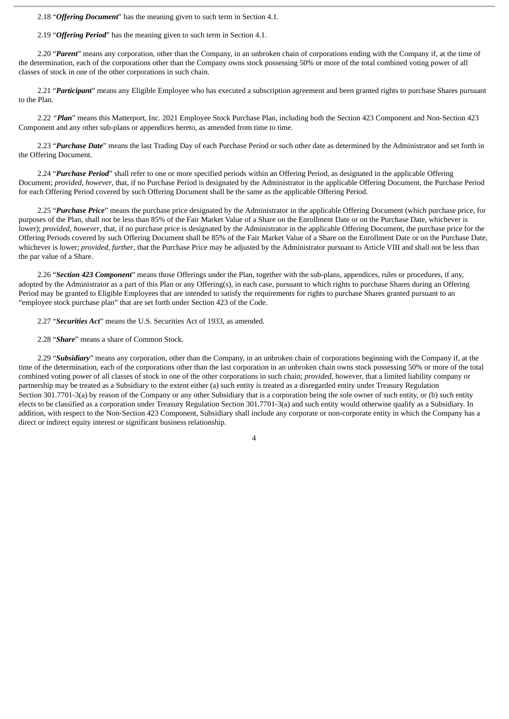2.18 "*Offering Document*" has the meaning given to such term in Section 4.1.

2.19 "*Offering Period*" has the meaning given to such term in Section 4.1.

2.20 "*Parent*" means any corporation, other than the Company, in an unbroken chain of corporations ending with the Company if, at the time of the determination, each of the corporations other than the Company owns stock possessing 50% or more of the total combined voting power of all classes of stock in one of the other corporations in such chain.

2.21 "*Participant*" means any Eligible Employee who has executed a subscription agreement and been granted rights to purchase Shares pursuant to the Plan.

2.22 *"Plan*" means this Matterport, Inc. 2021 Employee Stock Purchase Plan, including both the Section 423 Component and Non-Section 423 Component and any other sub-plans or appendices hereto, as amended from time to time.

2.23 "*Purchase Date*" means the last Trading Day of each Purchase Period or such other date as determined by the Administrator and set forth in the Offering Document.

2.24 "*Purchase Period*" shall refer to one or more specified periods within an Offering Period, as designated in the applicable Offering Document; *provided, however*, that, if no Purchase Period is designated by the Administrator in the applicable Offering Document, the Purchase Period for each Offering Period covered by such Offering Document shall be the same as the applicable Offering Period.

2.25 "*Purchase Price*" means the purchase price designated by the Administrator in the applicable Offering Document (which purchase price, for purposes of the Plan, shall not be less than 85% of the Fair Market Value of a Share on the Enrollment Date or on the Purchase Date, whichever is lower); *provided, however*, that, if no purchase price is designated by the Administrator in the applicable Offering Document, the purchase price for the Offering Periods covered by such Offering Document shall be 85% of the Fair Market Value of a Share on the Enrollment Date or on the Purchase Date, whichever is lower; *provided, further*, that the Purchase Price may be adjusted by the Administrator pursuant to Article VIII and shall not be less than the par value of a Share.

2.26 "*Section 423 Component*" means those Offerings under the Plan, together with the sub-plans, appendices, rules or procedures, if any, adopted by the Administrator as a part of this Plan or any Offering(s), in each case, pursuant to which rights to purchase Shares during an Offering Period may be granted to Eligible Employees that are intended to satisfy the requirements for rights to purchase Shares granted pursuant to an "employee stock purchase plan" that are set forth under Section 423 of the Code.

2.27 "*Securities Act*" means the U.S. Securities Act of 1933, as amended.

2.28 "*Share*" means a share of Common Stock.

2.29 "*Subsidiary*" means any corporation, other than the Company, in an unbroken chain of corporations beginning with the Company if, at the time of the determination, each of the corporations other than the last corporation in an unbroken chain owns stock possessing 50% or more of the total combined voting power of all classes of stock in one of the other corporations in such chain; *provided*, however, that a limited liability company or partnership may be treated as a Subsidiary to the extent either (a) such entity is treated as a disregarded entity under Treasury Regulation Section 301.7701-3(a) by reason of the Company or any other Subsidiary that is a corporation being the sole owner of such entity, or (b) such entity elects to be classified as a corporation under Treasury Regulation Section 301.7701-3(a) and such entity would otherwise qualify as a Subsidiary. In addition, with respect to the Non-Section 423 Component, Subsidiary shall include any corporate or non-corporate entity in which the Company has a direct or indirect equity interest or significant business relationship.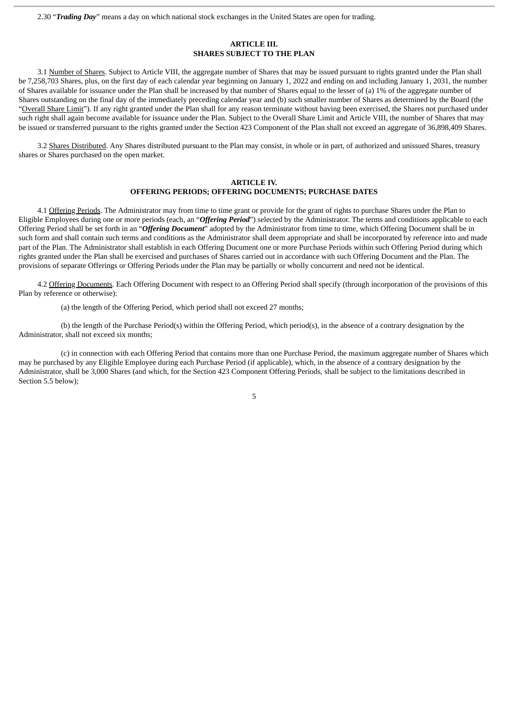2.30 "*Trading Day*" means a day on which national stock exchanges in the United States are open for trading.

## **ARTICLE III. SHARES SUBJECT TO THE PLAN**

3.1 Number of Shares. Subject to Article VIII, the aggregate number of Shares that may be issued pursuant to rights granted under the Plan shall be 7,258,703 Shares, plus, on the first day of each calendar year beginning on January 1, 2022 and ending on and including January 1, 2031, the number of Shares available for issuance under the Plan shall be increased by that number of Shares equal to the lesser of (a) 1% of the aggregate number of Shares outstanding on the final day of the immediately preceding calendar year and (b) such smaller number of Shares as determined by the Board (the "Overall Share Limit"). If any right granted under the Plan shall for any reason terminate without having been exercised, the Shares not purchased under such right shall again become available for issuance under the Plan. Subject to the Overall Share Limit and Article VIII, the number of Shares that may be issued or transferred pursuant to the rights granted under the Section 423 Component of the Plan shall not exceed an aggregate of 36,898,409 Shares.

3.2 Shares Distributed. Any Shares distributed pursuant to the Plan may consist, in whole or in part, of authorized and unissued Shares, treasury shares or Shares purchased on the open market.

## **ARTICLE IV. OFFERING PERIODS; OFFERING DOCUMENTS; PURCHASE DATES**

4.1 Offering Periods. The Administrator may from time to time grant or provide for the grant of rights to purchase Shares under the Plan to Eligible Employees during one or more periods (each, an "*Offering Period*") selected by the Administrator. The terms and conditions applicable to each Offering Period shall be set forth in an "*Offering Document*" adopted by the Administrator from time to time, which Offering Document shall be in such form and shall contain such terms and conditions as the Administrator shall deem appropriate and shall be incorporated by reference into and made part of the Plan. The Administrator shall establish in each Offering Document one or more Purchase Periods within such Offering Period during which rights granted under the Plan shall be exercised and purchases of Shares carried out in accordance with such Offering Document and the Plan. The provisions of separate Offerings or Offering Periods under the Plan may be partially or wholly concurrent and need not be identical.

4.2 Offering Documents. Each Offering Document with respect to an Offering Period shall specify (through incorporation of the provisions of this Plan by reference or otherwise):

(a) the length of the Offering Period, which period shall not exceed 27 months;

(b) the length of the Purchase Period(s) within the Offering Period, which period(s), in the absence of a contrary designation by the Administrator, shall not exceed six months;

(c) in connection with each Offering Period that contains more than one Purchase Period, the maximum aggregate number of Shares which may be purchased by any Eligible Employee during each Purchase Period (if applicable), which, in the absence of a contrary designation by the Administrator, shall be 3,000 Shares (and which, for the Section 423 Component Offering Periods, shall be subject to the limitations described in Section 5.5 below);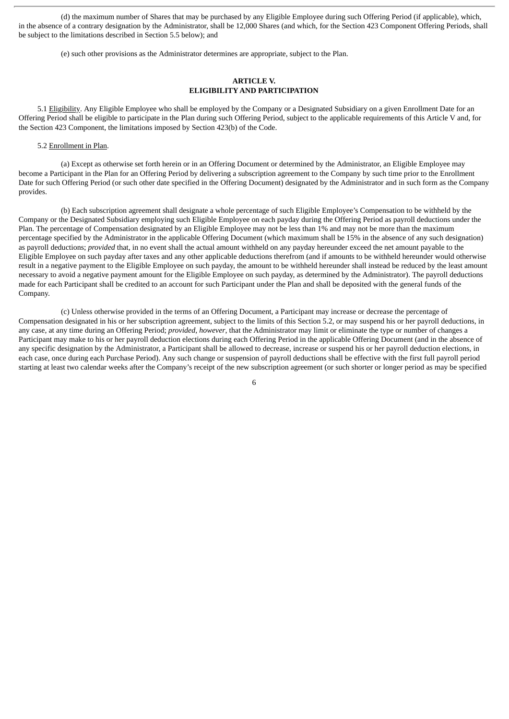(d) the maximum number of Shares that may be purchased by any Eligible Employee during such Offering Period (if applicable), which, in the absence of a contrary designation by the Administrator, shall be 12,000 Shares (and which, for the Section 423 Component Offering Periods, shall be subject to the limitations described in Section 5.5 below); and

(e) such other provisions as the Administrator determines are appropriate, subject to the Plan.

# **ARTICLE V. ELIGIBILITY AND PARTICIPATION**

5.1 Eligibility. Any Eligible Employee who shall be employed by the Company or a Designated Subsidiary on a given Enrollment Date for an Offering Period shall be eligible to participate in the Plan during such Offering Period, subject to the applicable requirements of this Article V and, for the Section 423 Component, the limitations imposed by Section 423(b) of the Code.

#### 5.2 Enrollment in Plan.

(a) Except as otherwise set forth herein or in an Offering Document or determined by the Administrator, an Eligible Employee may become a Participant in the Plan for an Offering Period by delivering a subscription agreement to the Company by such time prior to the Enrollment Date for such Offering Period (or such other date specified in the Offering Document) designated by the Administrator and in such form as the Company provides.

(b) Each subscription agreement shall designate a whole percentage of such Eligible Employee's Compensation to be withheld by the Company or the Designated Subsidiary employing such Eligible Employee on each payday during the Offering Period as payroll deductions under the Plan. The percentage of Compensation designated by an Eligible Employee may not be less than 1% and may not be more than the maximum percentage specified by the Administrator in the applicable Offering Document (which maximum shall be 15% in the absence of any such designation) as payroll deductions; *provided* that, in no event shall the actual amount withheld on any payday hereunder exceed the net amount payable to the Eligible Employee on such payday after taxes and any other applicable deductions therefrom (and if amounts to be withheld hereunder would otherwise result in a negative payment to the Eligible Employee on such payday, the amount to be withheld hereunder shall instead be reduced by the least amount necessary to avoid a negative payment amount for the Eligible Employee on such payday, as determined by the Administrator). The payroll deductions made for each Participant shall be credited to an account for such Participant under the Plan and shall be deposited with the general funds of the Company.

(c) Unless otherwise provided in the terms of an Offering Document, a Participant may increase or decrease the percentage of Compensation designated in his or her subscription agreement, subject to the limits of this Section 5.2, or may suspend his or her payroll deductions, in any case, at any time during an Offering Period; *provided, however*, that the Administrator may limit or eliminate the type or number of changes a Participant may make to his or her payroll deduction elections during each Offering Period in the applicable Offering Document (and in the absence of any specific designation by the Administrator, a Participant shall be allowed to decrease, increase or suspend his or her payroll deduction elections, in each case, once during each Purchase Period). Any such change or suspension of payroll deductions shall be effective with the first full payroll period starting at least two calendar weeks after the Company's receipt of the new subscription agreement (or such shorter or longer period as may be specified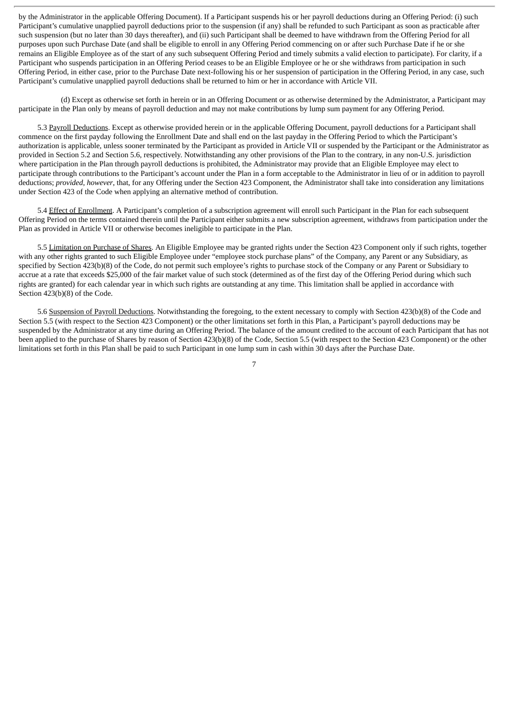by the Administrator in the applicable Offering Document). If a Participant suspends his or her payroll deductions during an Offering Period: (i) such Participant's cumulative unapplied payroll deductions prior to the suspension (if any) shall be refunded to such Participant as soon as practicable after such suspension (but no later than 30 days thereafter), and (ii) such Participant shall be deemed to have withdrawn from the Offering Period for all purposes upon such Purchase Date (and shall be eligible to enroll in any Offering Period commencing on or after such Purchase Date if he or she remains an Eligible Employee as of the start of any such subsequent Offering Period and timely submits a valid election to participate). For clarity, if a Participant who suspends participation in an Offering Period ceases to be an Eligible Employee or he or she withdraws from participation in such Offering Period, in either case, prior to the Purchase Date next-following his or her suspension of participation in the Offering Period, in any case, such Participant's cumulative unapplied payroll deductions shall be returned to him or her in accordance with Article VII.

(d) Except as otherwise set forth in herein or in an Offering Document or as otherwise determined by the Administrator, a Participant may participate in the Plan only by means of payroll deduction and may not make contributions by lump sum payment for any Offering Period.

5.3 Payroll Deductions. Except as otherwise provided herein or in the applicable Offering Document, payroll deductions for a Participant shall commence on the first payday following the Enrollment Date and shall end on the last payday in the Offering Period to which the Participant's authorization is applicable, unless sooner terminated by the Participant as provided in Article VII or suspended by the Participant or the Administrator as provided in Section 5.2 and Section 5.6, respectively. Notwithstanding any other provisions of the Plan to the contrary, in any non-U.S. jurisdiction where participation in the Plan through payroll deductions is prohibited, the Administrator may provide that an Eligible Employee may elect to participate through contributions to the Participant's account under the Plan in a form acceptable to the Administrator in lieu of or in addition to payroll deductions; *provided, however*, that, for any Offering under the Section 423 Component, the Administrator shall take into consideration any limitations under Section 423 of the Code when applying an alternative method of contribution.

5.4 Effect of Enrollment. A Participant's completion of a subscription agreement will enroll such Participant in the Plan for each subsequent Offering Period on the terms contained therein until the Participant either submits a new subscription agreement, withdraws from participation under the Plan as provided in Article VII or otherwise becomes ineligible to participate in the Plan.

5.5 Limitation on Purchase of Shares. An Eligible Employee may be granted rights under the Section 423 Component only if such rights, together with any other rights granted to such Eligible Employee under "employee stock purchase plans" of the Company, any Parent or any Subsidiary, as specified by Section 423(b)(8) of the Code, do not permit such employee's rights to purchase stock of the Company or any Parent or Subsidiary to accrue at a rate that exceeds \$25,000 of the fair market value of such stock (determined as of the first day of the Offering Period during which such rights are granted) for each calendar year in which such rights are outstanding at any time. This limitation shall be applied in accordance with Section 423(b)(8) of the Code.

5.6 Suspension of Payroll Deductions. Notwithstanding the foregoing, to the extent necessary to comply with Section 423(b)(8) of the Code and Section 5.5 (with respect to the Section 423 Component) or the other limitations set forth in this Plan, a Participant's payroll deductions may be suspended by the Administrator at any time during an Offering Period. The balance of the amount credited to the account of each Participant that has not been applied to the purchase of Shares by reason of Section 423(b)(8) of the Code, Section 5.5 (with respect to the Section 423 Component) or the other limitations set forth in this Plan shall be paid to such Participant in one lump sum in cash within 30 days after the Purchase Date.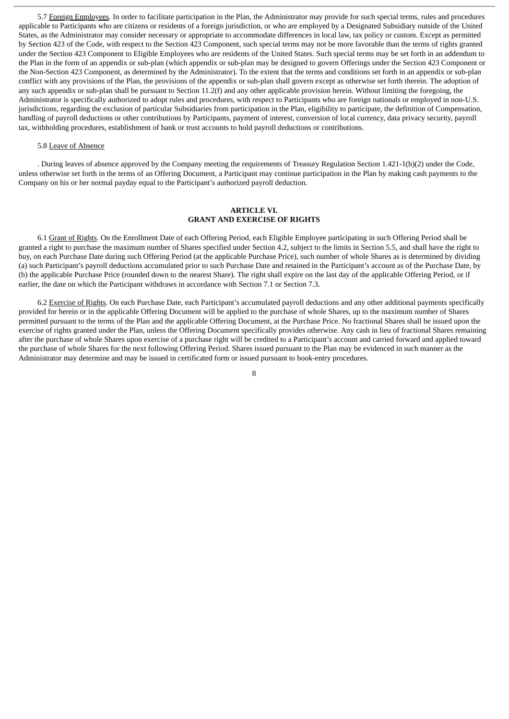5.7 Foreign Employees. In order to facilitate participation in the Plan, the Administrator may provide for such special terms, rules and procedures applicable to Participants who are citizens or residents of a foreign jurisdiction, or who are employed by a Designated Subsidiary outside of the United States, as the Administrator may consider necessary or appropriate to accommodate differences in local law, tax policy or custom. Except as permitted by Section 423 of the Code, with respect to the Section 423 Component, such special terms may not be more favorable than the terms of rights granted under the Section 423 Component to Eligible Employees who are residents of the United States. Such special terms may be set forth in an addendum to the Plan in the form of an appendix or sub-plan (which appendix or sub-plan may be designed to govern Offerings under the Section 423 Component or the Non-Section 423 Component, as determined by the Administrator). To the extent that the terms and conditions set forth in an appendix or sub-plan conflict with any provisions of the Plan, the provisions of the appendix or sub-plan shall govern except as otherwise set forth therein. The adoption of any such appendix or sub-plan shall be pursuant to Section 11.2(f) and any other applicable provision herein. Without limiting the foregoing, the Administrator is specifically authorized to adopt rules and procedures, with respect to Participants who are foreign nationals or employed in non-U.S. jurisdictions, regarding the exclusion of particular Subsidiaries from participation in the Plan, eligibility to participate, the definition of Compensation, handling of payroll deductions or other contributions by Participants, payment of interest, conversion of local currency, data privacy security, payroll tax, withholding procedures, establishment of bank or trust accounts to hold payroll deductions or contributions.

#### 5.8 Leave of Absence

. During leaves of absence approved by the Company meeting the requirements of Treasury Regulation Section 1.421-1(h)(2) under the Code, unless otherwise set forth in the terms of an Offering Document, a Participant may continue participation in the Plan by making cash payments to the Company on his or her normal payday equal to the Participant's authorized payroll deduction.

# **ARTICLE VI. GRANT AND EXERCISE OF RIGHTS**

6.1 Grant of Rights. On the Enrollment Date of each Offering Period, each Eligible Employee participating in such Offering Period shall be granted a right to purchase the maximum number of Shares specified under Section 4.2, subject to the limits in Section 5.5, and shall have the right to buy, on each Purchase Date during such Offering Period (at the applicable Purchase Price), such number of whole Shares as is determined by dividing (a) such Participant's payroll deductions accumulated prior to such Purchase Date and retained in the Participant's account as of the Purchase Date, by (b) the applicable Purchase Price (rounded down to the nearest Share). The right shall expire on the last day of the applicable Offering Period, or if earlier, the date on which the Participant withdraws in accordance with Section 7.1 or Section 7.3.

6.2 Exercise of Rights. On each Purchase Date, each Participant's accumulated payroll deductions and any other additional payments specifically provided for herein or in the applicable Offering Document will be applied to the purchase of whole Shares, up to the maximum number of Shares permitted pursuant to the terms of the Plan and the applicable Offering Document, at the Purchase Price. No fractional Shares shall be issued upon the exercise of rights granted under the Plan, unless the Offering Document specifically provides otherwise. Any cash in lieu of fractional Shares remaining after the purchase of whole Shares upon exercise of a purchase right will be credited to a Participant's account and carried forward and applied toward the purchase of whole Shares for the next following Offering Period. Shares issued pursuant to the Plan may be evidenced in such manner as the Administrator may determine and may be issued in certificated form or issued pursuant to book-entry procedures.

#### $\mathbf{Q}$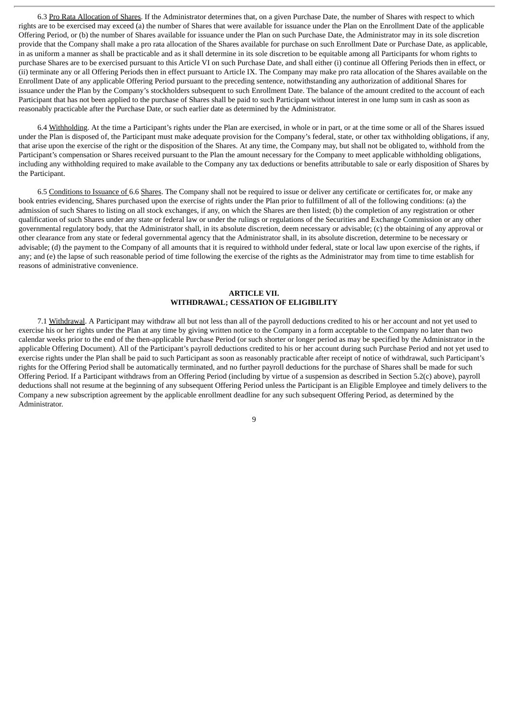6.3 Pro Rata Allocation of Shares. If the Administrator determines that, on a given Purchase Date, the number of Shares with respect to which rights are to be exercised may exceed (a) the number of Shares that were available for issuance under the Plan on the Enrollment Date of the applicable Offering Period, or (b) the number of Shares available for issuance under the Plan on such Purchase Date, the Administrator may in its sole discretion provide that the Company shall make a pro rata allocation of the Shares available for purchase on such Enrollment Date or Purchase Date, as applicable, in as uniform a manner as shall be practicable and as it shall determine in its sole discretion to be equitable among all Participants for whom rights to purchase Shares are to be exercised pursuant to this Article VI on such Purchase Date, and shall either (i) continue all Offering Periods then in effect, or (ii) terminate any or all Offering Periods then in effect pursuant to Article IX. The Company may make pro rata allocation of the Shares available on the Enrollment Date of any applicable Offering Period pursuant to the preceding sentence, notwithstanding any authorization of additional Shares for issuance under the Plan by the Company's stockholders subsequent to such Enrollment Date. The balance of the amount credited to the account of each Participant that has not been applied to the purchase of Shares shall be paid to such Participant without interest in one lump sum in cash as soon as reasonably practicable after the Purchase Date, or such earlier date as determined by the Administrator.

6.4 Withholding. At the time a Participant's rights under the Plan are exercised, in whole or in part, or at the time some or all of the Shares issued under the Plan is disposed of, the Participant must make adequate provision for the Company's federal, state, or other tax withholding obligations, if any, that arise upon the exercise of the right or the disposition of the Shares. At any time, the Company may, but shall not be obligated to, withhold from the Participant's compensation or Shares received pursuant to the Plan the amount necessary for the Company to meet applicable withholding obligations, including any withholding required to make available to the Company any tax deductions or benefits attributable to sale or early disposition of Shares by the Participant.

6.5 Conditions to Issuance of 6.6 Shares. The Company shall not be required to issue or deliver any certificate or certificates for, or make any book entries evidencing, Shares purchased upon the exercise of rights under the Plan prior to fulfillment of all of the following conditions: (a) the admission of such Shares to listing on all stock exchanges, if any, on which the Shares are then listed; (b) the completion of any registration or other qualification of such Shares under any state or federal law or under the rulings or regulations of the Securities and Exchange Commission or any other governmental regulatory body, that the Administrator shall, in its absolute discretion, deem necessary or advisable; (c) the obtaining of any approval or other clearance from any state or federal governmental agency that the Administrator shall, in its absolute discretion, determine to be necessary or advisable; (d) the payment to the Company of all amounts that it is required to withhold under federal, state or local law upon exercise of the rights, if any; and (e) the lapse of such reasonable period of time following the exercise of the rights as the Administrator may from time to time establish for reasons of administrative convenience.

# **ARTICLE VII. WITHDRAWAL; CESSATION OF ELIGIBILITY**

7.1 Withdrawal. A Participant may withdraw all but not less than all of the payroll deductions credited to his or her account and not yet used to exercise his or her rights under the Plan at any time by giving written notice to the Company in a form acceptable to the Company no later than two calendar weeks prior to the end of the then-applicable Purchase Period (or such shorter or longer period as may be specified by the Administrator in the applicable Offering Document). All of the Participant's payroll deductions credited to his or her account during such Purchase Period and not yet used to exercise rights under the Plan shall be paid to such Participant as soon as reasonably practicable after receipt of notice of withdrawal, such Participant's rights for the Offering Period shall be automatically terminated, and no further payroll deductions for the purchase of Shares shall be made for such Offering Period. If a Participant withdraws from an Offering Period (including by virtue of a suspension as described in Section 5.2(c) above), payroll deductions shall not resume at the beginning of any subsequent Offering Period unless the Participant is an Eligible Employee and timely delivers to the Company a new subscription agreement by the applicable enrollment deadline for any such subsequent Offering Period, as determined by the Administrator.

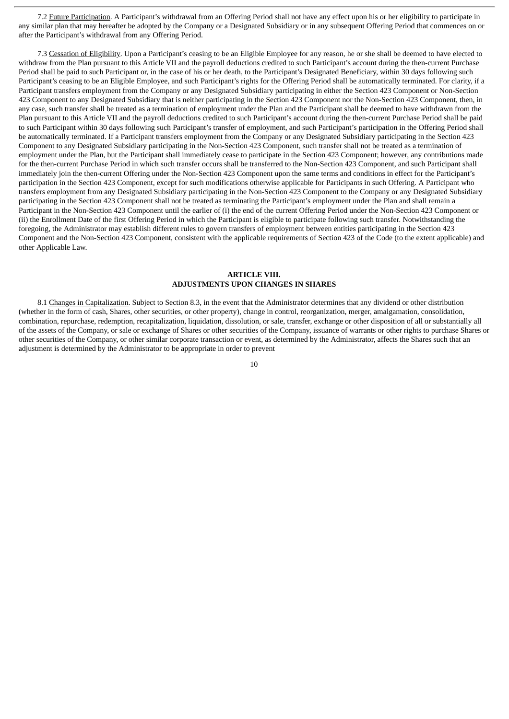7.2 Future Participation. A Participant's withdrawal from an Offering Period shall not have any effect upon his or her eligibility to participate in any similar plan that may hereafter be adopted by the Company or a Designated Subsidiary or in any subsequent Offering Period that commences on or after the Participant's withdrawal from any Offering Period.

7.3 Cessation of Eligibility. Upon a Participant's ceasing to be an Eligible Employee for any reason, he or she shall be deemed to have elected to withdraw from the Plan pursuant to this Article VII and the payroll deductions credited to such Participant's account during the then-current Purchase Period shall be paid to such Participant or, in the case of his or her death, to the Participant's Designated Beneficiary, within 30 days following such Participant's ceasing to be an Eligible Employee, and such Participant's rights for the Offering Period shall be automatically terminated. For clarity, if a Participant transfers employment from the Company or any Designated Subsidiary participating in either the Section 423 Component or Non-Section 423 Component to any Designated Subsidiary that is neither participating in the Section 423 Component nor the Non-Section 423 Component, then, in any case, such transfer shall be treated as a termination of employment under the Plan and the Participant shall be deemed to have withdrawn from the Plan pursuant to this Article VII and the payroll deductions credited to such Participant's account during the then-current Purchase Period shall be paid to such Participant within 30 days following such Participant's transfer of employment, and such Participant's participation in the Offering Period shall be automatically terminated. If a Participant transfers employment from the Company or any Designated Subsidiary participating in the Section 423 Component to any Designated Subsidiary participating in the Non-Section 423 Component, such transfer shall not be treated as a termination of employment under the Plan, but the Participant shall immediately cease to participate in the Section 423 Component; however, any contributions made for the then-current Purchase Period in which such transfer occurs shall be transferred to the Non-Section 423 Component, and such Participant shall immediately join the then-current Offering under the Non-Section 423 Component upon the same terms and conditions in effect for the Participant's participation in the Section 423 Component, except for such modifications otherwise applicable for Participants in such Offering. A Participant who transfers employment from any Designated Subsidiary participating in the Non-Section 423 Component to the Company or any Designated Subsidiary participating in the Section 423 Component shall not be treated as terminating the Participant's employment under the Plan and shall remain a Participant in the Non-Section 423 Component until the earlier of (i) the end of the current Offering Period under the Non-Section 423 Component or (ii) the Enrollment Date of the first Offering Period in which the Participant is eligible to participate following such transfer. Notwithstanding the foregoing, the Administrator may establish different rules to govern transfers of employment between entities participating in the Section 423 Component and the Non-Section 423 Component, consistent with the applicable requirements of Section 423 of the Code (to the extent applicable) and other Applicable Law.

# **ARTICLE VIII. ADJUSTMENTS UPON CHANGES IN SHARES**

8.1 Changes in Capitalization. Subject to Section 8.3, in the event that the Administrator determines that any dividend or other distribution (whether in the form of cash, Shares, other securities, or other property), change in control, reorganization, merger, amalgamation, consolidation, combination, repurchase, redemption, recapitalization, liquidation, dissolution, or sale, transfer, exchange or other disposition of all or substantially all of the assets of the Company, or sale or exchange of Shares or other securities of the Company, issuance of warrants or other rights to purchase Shares or other securities of the Company, or other similar corporate transaction or event, as determined by the Administrator, affects the Shares such that an adjustment is determined by the Administrator to be appropriate in order to prevent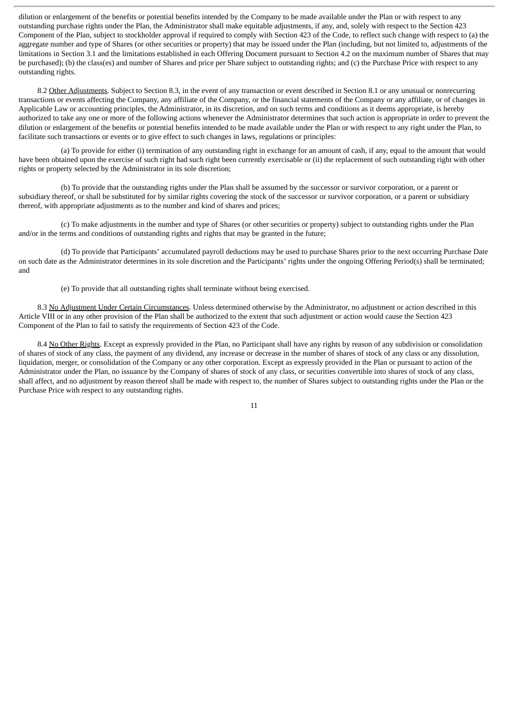dilution or enlargement of the benefits or potential benefits intended by the Company to be made available under the Plan or with respect to any outstanding purchase rights under the Plan, the Administrator shall make equitable adjustments, if any, and, solely with respect to the Section 423 Component of the Plan, subject to stockholder approval if required to comply with Section 423 of the Code, to reflect such change with respect to (a) the aggregate number and type of Shares (or other securities or property) that may be issued under the Plan (including, but not limited to, adjustments of the limitations in Section 3.1 and the limitations established in each Offering Document pursuant to Section 4.2 on the maximum number of Shares that may be purchased); (b) the class(es) and number of Shares and price per Share subject to outstanding rights; and (c) the Purchase Price with respect to any outstanding rights.

8.2 Other Adjustments. Subject to Section 8.3, in the event of any transaction or event described in Section 8.1 or any unusual or nonrecurring transactions or events affecting the Company, any affiliate of the Company, or the financial statements of the Company or any affiliate, or of changes in Applicable Law or accounting principles, the Administrator, in its discretion, and on such terms and conditions as it deems appropriate, is hereby authorized to take any one or more of the following actions whenever the Administrator determines that such action is appropriate in order to prevent the dilution or enlargement of the benefits or potential benefits intended to be made available under the Plan or with respect to any right under the Plan, to facilitate such transactions or events or to give effect to such changes in laws, regulations or principles:

(a) To provide for either (i) termination of any outstanding right in exchange for an amount of cash, if any, equal to the amount that would have been obtained upon the exercise of such right had such right been currently exercisable or (ii) the replacement of such outstanding right with other rights or property selected by the Administrator in its sole discretion;

(b) To provide that the outstanding rights under the Plan shall be assumed by the successor or survivor corporation, or a parent or subsidiary thereof, or shall be substituted for by similar rights covering the stock of the successor or survivor corporation, or a parent or subsidiary thereof, with appropriate adjustments as to the number and kind of shares and prices;

(c) To make adjustments in the number and type of Shares (or other securities or property) subject to outstanding rights under the Plan and/or in the terms and conditions of outstanding rights and rights that may be granted in the future;

(d) To provide that Participants' accumulated payroll deductions may be used to purchase Shares prior to the next occurring Purchase Date on such date as the Administrator determines in its sole discretion and the Participants' rights under the ongoing Offering Period(s) shall be terminated; and

(e) To provide that all outstanding rights shall terminate without being exercised.

8.3 No Adjustment Under Certain Circumstances. Unless determined otherwise by the Administrator, no adjustment or action described in this Article VIII or in any other provision of the Plan shall be authorized to the extent that such adjustment or action would cause the Section 423 Component of the Plan to fail to satisfy the requirements of Section 423 of the Code.

8.4 No Other Rights. Except as expressly provided in the Plan, no Participant shall have any rights by reason of any subdivision or consolidation of shares of stock of any class, the payment of any dividend, any increase or decrease in the number of shares of stock of any class or any dissolution, liquidation, merger, or consolidation of the Company or any other corporation. Except as expressly provided in the Plan or pursuant to action of the Administrator under the Plan, no issuance by the Company of shares of stock of any class, or securities convertible into shares of stock of any class, shall affect, and no adjustment by reason thereof shall be made with respect to, the number of Shares subject to outstanding rights under the Plan or the Purchase Price with respect to any outstanding rights.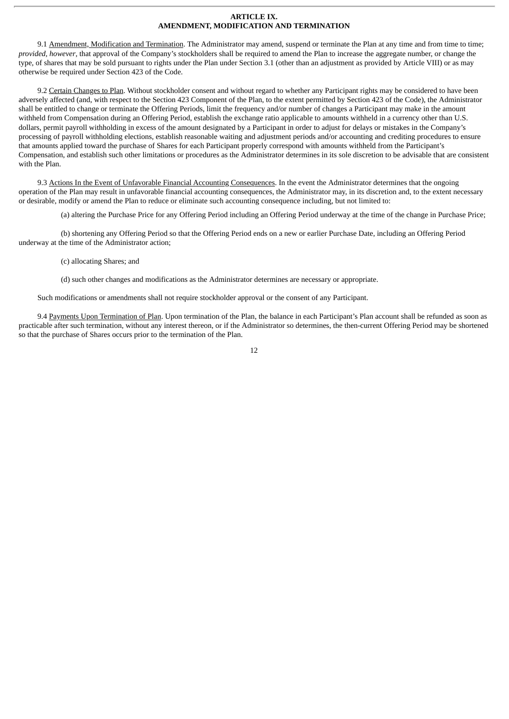#### **ARTICLE IX. AMENDMENT, MODIFICATION AND TERMINATION**

9.1 Amendment, Modification and Termination. The Administrator may amend, suspend or terminate the Plan at any time and from time to time; *provided, however*, that approval of the Company's stockholders shall be required to amend the Plan to increase the aggregate number, or change the type, of shares that may be sold pursuant to rights under the Plan under Section 3.1 (other than an adjustment as provided by Article VIII) or as may otherwise be required under Section 423 of the Code.

9.2 Certain Changes to Plan. Without stockholder consent and without regard to whether any Participant rights may be considered to have been adversely affected (and, with respect to the Section 423 Component of the Plan, to the extent permitted by Section 423 of the Code), the Administrator shall be entitled to change or terminate the Offering Periods, limit the frequency and/or number of changes a Participant may make in the amount withheld from Compensation during an Offering Period, establish the exchange ratio applicable to amounts withheld in a currency other than U.S. dollars, permit payroll withholding in excess of the amount designated by a Participant in order to adjust for delays or mistakes in the Company's processing of payroll withholding elections, establish reasonable waiting and adjustment periods and/or accounting and crediting procedures to ensure that amounts applied toward the purchase of Shares for each Participant properly correspond with amounts withheld from the Participant's Compensation, and establish such other limitations or procedures as the Administrator determines in its sole discretion to be advisable that are consistent with the Plan.

9.3 Actions In the Event of Unfavorable Financial Accounting Consequences. In the event the Administrator determines that the ongoing operation of the Plan may result in unfavorable financial accounting consequences, the Administrator may, in its discretion and, to the extent necessary or desirable, modify or amend the Plan to reduce or eliminate such accounting consequence including, but not limited to:

(a) altering the Purchase Price for any Offering Period including an Offering Period underway at the time of the change in Purchase Price;

(b) shortening any Offering Period so that the Offering Period ends on a new or earlier Purchase Date, including an Offering Period underway at the time of the Administrator action;

(c) allocating Shares; and

(d) such other changes and modifications as the Administrator determines are necessary or appropriate.

Such modifications or amendments shall not require stockholder approval or the consent of any Participant.

9.4 Payments Upon Termination of Plan. Upon termination of the Plan, the balance in each Participant's Plan account shall be refunded as soon as practicable after such termination, without any interest thereon, or if the Administrator so determines, the then-current Offering Period may be shortened so that the purchase of Shares occurs prior to the termination of the Plan.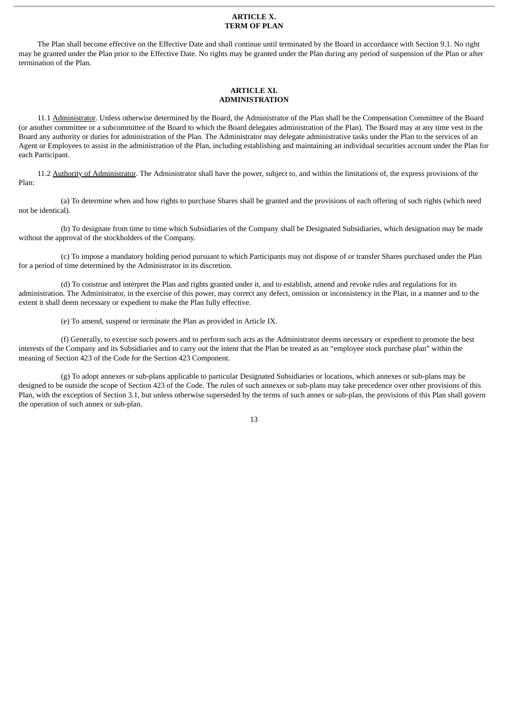#### **ARTICLE X. TERM OF PLAN**

The Plan shall become effective on the Effective Date and shall continue until terminated by the Board in accordance with Section 9.1. No right may be granted under the Plan prior to the Effective Date. No rights may be granted under the Plan during any period of suspension of the Plan or after termination of the Plan.

# **ARTICLE XI. ADMINISTRATION**

11.1 Administrator. Unless otherwise determined by the Board, the Administrator of the Plan shall be the Compensation Committee of the Board (or another committee or a subcommittee of the Board to which the Board delegates administration of the Plan). The Board may at any time vest in the Board any authority or duties for administration of the Plan. The Administrator may delegate administrative tasks under the Plan to the services of an Agent or Employees to assist in the administration of the Plan, including establishing and maintaining an individual securities account under the Plan for each Participant.

11.2 Authority of Administrator. The Administrator shall have the power, subject to, and within the limitations of, the express provisions of the Plan:

(a) To determine when and how rights to purchase Shares shall be granted and the provisions of each offering of such rights (which need not be identical).

(b) To designate from time to time which Subsidiaries of the Company shall be Designated Subsidiaries, which designation may be made without the approval of the stockholders of the Company.

(c) To impose a mandatory holding period pursuant to which Participants may not dispose of or transfer Shares purchased under the Plan for a period of time determined by the Administrator in its discretion.

(d) To construe and interpret the Plan and rights granted under it, and to establish, amend and revoke rules and regulations for its administration. The Administrator, in the exercise of this power, may correct any defect, omission or inconsistency in the Plan, in a manner and to the extent it shall deem necessary or expedient to make the Plan fully effective.

(e) To amend, suspend or terminate the Plan as provided in Article IX.

(f) Generally, to exercise such powers and to perform such acts as the Administrator deems necessary or expedient to promote the best interests of the Company and its Subsidiaries and to carry out the intent that the Plan be treated as an "employee stock purchase plan" within the meaning of Section 423 of the Code for the Section 423 Component.

(g) To adopt annexes or sub-plans applicable to particular Designated Subsidiaries or locations, which annexes or sub-plans may be designed to be outside the scope of Section 423 of the Code. The rules of such annexes or sub-plans may take precedence over other provisions of this Plan, with the exception of Section 3.1, but unless otherwise superseded by the terms of such annex or sub-plan, the provisions of this Plan shall govern the operation of such annex or sub-plan.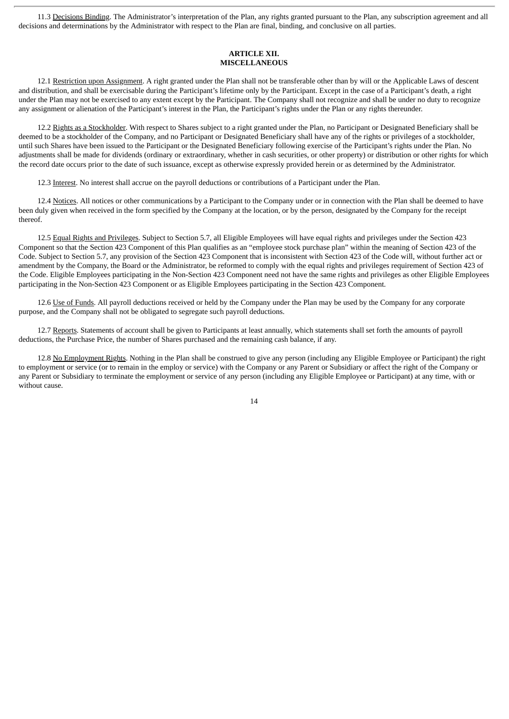11.3 Decisions Binding. The Administrator's interpretation of the Plan, any rights granted pursuant to the Plan, any subscription agreement and all decisions and determinations by the Administrator with respect to the Plan are final, binding, and conclusive on all parties.

# **ARTICLE XII. MISCELLANEOUS**

12.1 Restriction upon Assignment. A right granted under the Plan shall not be transferable other than by will or the Applicable Laws of descent and distribution, and shall be exercisable during the Participant's lifetime only by the Participant. Except in the case of a Participant's death, a right under the Plan may not be exercised to any extent except by the Participant. The Company shall not recognize and shall be under no duty to recognize any assignment or alienation of the Participant's interest in the Plan, the Participant's rights under the Plan or any rights thereunder.

12.2 Rights as a Stockholder. With respect to Shares subject to a right granted under the Plan, no Participant or Designated Beneficiary shall be deemed to be a stockholder of the Company, and no Participant or Designated Beneficiary shall have any of the rights or privileges of a stockholder, until such Shares have been issued to the Participant or the Designated Beneficiary following exercise of the Participant's rights under the Plan. No adjustments shall be made for dividends (ordinary or extraordinary, whether in cash securities, or other property) or distribution or other rights for which the record date occurs prior to the date of such issuance, except as otherwise expressly provided herein or as determined by the Administrator.

12.3 Interest. No interest shall accrue on the payroll deductions or contributions of a Participant under the Plan.

12.4 Notices. All notices or other communications by a Participant to the Company under or in connection with the Plan shall be deemed to have been duly given when received in the form specified by the Company at the location, or by the person, designated by the Company for the receipt thereof.

12.5 Equal Rights and Privileges. Subject to Section 5.7, all Eligible Employees will have equal rights and privileges under the Section 423 Component so that the Section 423 Component of this Plan qualifies as an "employee stock purchase plan" within the meaning of Section 423 of the Code. Subject to Section 5.7, any provision of the Section 423 Component that is inconsistent with Section 423 of the Code will, without further act or amendment by the Company, the Board or the Administrator, be reformed to comply with the equal rights and privileges requirement of Section 423 of the Code. Eligible Employees participating in the Non-Section 423 Component need not have the same rights and privileges as other Eligible Employees participating in the Non-Section 423 Component or as Eligible Employees participating in the Section 423 Component.

12.6 Use of Funds. All payroll deductions received or held by the Company under the Plan may be used by the Company for any corporate purpose, and the Company shall not be obligated to segregate such payroll deductions.

12.7 Reports. Statements of account shall be given to Participants at least annually, which statements shall set forth the amounts of payroll deductions, the Purchase Price, the number of Shares purchased and the remaining cash balance, if any.

12.8 No Employment Rights. Nothing in the Plan shall be construed to give any person (including any Eligible Employee or Participant) the right to employment or service (or to remain in the employ or service) with the Company or any Parent or Subsidiary or affect the right of the Company or any Parent or Subsidiary to terminate the employment or service of any person (including any Eligible Employee or Participant) at any time, with or without cause.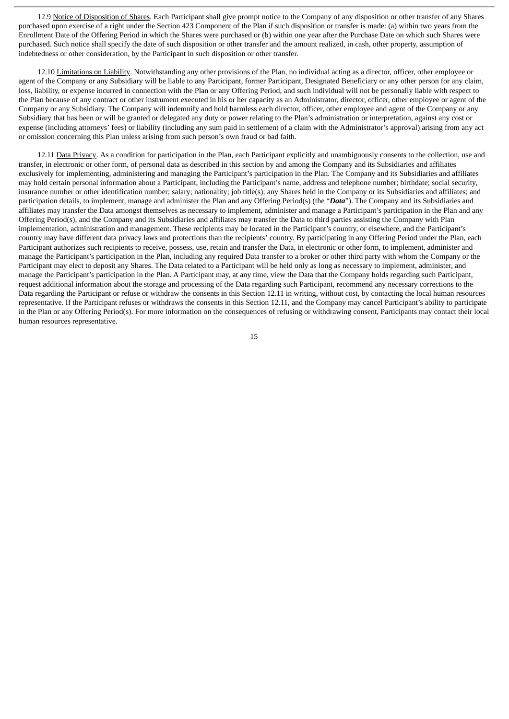12.9 Notice of Disposition of Shares. Each Participant shall give prompt notice to the Company of any disposition or other transfer of any Shares purchased upon exercise of a right under the Section 423 Component of the Plan if such disposition or transfer is made: (a) within two years from the Enrollment Date of the Offering Period in which the Shares were purchased or (b) within one year after the Purchase Date on which such Shares were purchased. Such notice shall specify the date of such disposition or other transfer and the amount realized, in cash, other property, assumption of indebtedness or other consideration, by the Participant in such disposition or other transfer.

12.10 Limitations on Liability. Notwithstanding any other provisions of the Plan, no individual acting as a director, officer, other employee or agent of the Company or any Subsidiary will be liable to any Participant, former Participant, Designated Beneficiary or any other person for any claim, loss, liability, or expense incurred in connection with the Plan or any Offering Period, and such individual will not be personally liable with respect to the Plan because of any contract or other instrument executed in his or her capacity as an Administrator, director, officer, other employee or agent of the Company or any Subsidiary. The Company will indemnify and hold harmless each director, officer, other employee and agent of the Company or any Subsidiary that has been or will be granted or delegated any duty or power relating to the Plan's administration or interpretation, against any cost or expense (including attorneys' fees) or liability (including any sum paid in settlement of a claim with the Administrator's approval) arising from any act or omission concerning this Plan unless arising from such person's own fraud or bad faith.

12.11 Data Privacy. As a condition for participation in the Plan, each Participant explicitly and unambiguously consents to the collection, use and transfer, in electronic or other form, of personal data as described in this section by and among the Company and its Subsidiaries and affiliates exclusively for implementing, administering and managing the Participant's participation in the Plan. The Company and its Subsidiaries and affiliates may hold certain personal information about a Participant, including the Participant's name, address and telephone number; birthdate; social security, insurance number or other identification number; salary; nationality; job title(s); any Shares held in the Company or its Subsidiaries and affiliates; and participation details, to implement, manage and administer the Plan and any Offering Period(s) (the "*Data*"). The Company and its Subsidiaries and affiliates may transfer the Data amongst themselves as necessary to implement, administer and manage a Participant's participation in the Plan and any Offering Period(s), and the Company and its Subsidiaries and affiliates may transfer the Data to third parties assisting the Company with Plan implementation, administration and management. These recipients may be located in the Participant's country, or elsewhere, and the Participant's country may have different data privacy laws and protections than the recipients' country. By participating in any Offering Period under the Plan, each Participant authorizes such recipients to receive, possess, use, retain and transfer the Data, in electronic or other form, to implement, administer and manage the Participant's participation in the Plan, including any required Data transfer to a broker or other third party with whom the Company or the Participant may elect to deposit any Shares. The Data related to a Participant will be held only as long as necessary to implement, administer, and manage the Participant's participation in the Plan. A Participant may, at any time, view the Data that the Company holds regarding such Participant, request additional information about the storage and processing of the Data regarding such Participant, recommend any necessary corrections to the Data regarding the Participant or refuse or withdraw the consents in this Section 12.11 in writing, without cost, by contacting the local human resources representative. If the Participant refuses or withdraws the consents in this Section 12.11, and the Company may cancel Participant's ability to participate in the Plan or any Offering Period(s). For more information on the consequences of refusing or withdrawing consent, Participants may contact their local human resources representative.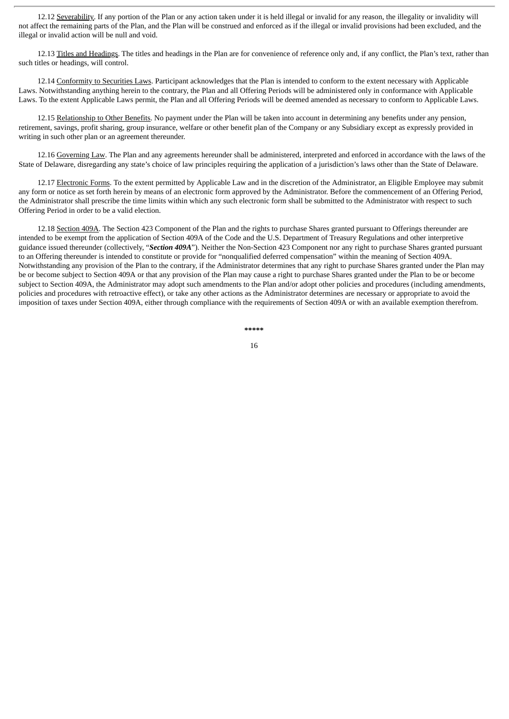12.12 Severability. If any portion of the Plan or any action taken under it is held illegal or invalid for any reason, the illegality or invalidity will not affect the remaining parts of the Plan, and the Plan will be construed and enforced as if the illegal or invalid provisions had been excluded, and the illegal or invalid action will be null and void.

12.13 Titles and Headings. The titles and headings in the Plan are for convenience of reference only and, if any conflict, the Plan's text, rather than such titles or headings, will control.

12.14 Conformity to Securities Laws. Participant acknowledges that the Plan is intended to conform to the extent necessary with Applicable Laws. Notwithstanding anything herein to the contrary, the Plan and all Offering Periods will be administered only in conformance with Applicable Laws. To the extent Applicable Laws permit, the Plan and all Offering Periods will be deemed amended as necessary to conform to Applicable Laws.

12.15 Relationship to Other Benefits. No payment under the Plan will be taken into account in determining any benefits under any pension, retirement, savings, profit sharing, group insurance, welfare or other benefit plan of the Company or any Subsidiary except as expressly provided in writing in such other plan or an agreement thereunder.

12.16 Governing Law. The Plan and any agreements hereunder shall be administered, interpreted and enforced in accordance with the laws of the State of Delaware, disregarding any state's choice of law principles requiring the application of a jurisdiction's laws other than the State of Delaware.

12.17 Electronic Forms. To the extent permitted by Applicable Law and in the discretion of the Administrator, an Eligible Employee may submit any form or notice as set forth herein by means of an electronic form approved by the Administrator. Before the commencement of an Offering Period, the Administrator shall prescribe the time limits within which any such electronic form shall be submitted to the Administrator with respect to such Offering Period in order to be a valid election.

12.18 Section 409A. The Section 423 Component of the Plan and the rights to purchase Shares granted pursuant to Offerings thereunder are intended to be exempt from the application of Section 409A of the Code and the U.S. Department of Treasury Regulations and other interpretive guidance issued thereunder (collectively, "*Section 409A*"). Neither the Non-Section 423 Component nor any right to purchase Shares granted pursuant to an Offering thereunder is intended to constitute or provide for "nonqualified deferred compensation" within the meaning of Section 409A. Notwithstanding any provision of the Plan to the contrary, if the Administrator determines that any right to purchase Shares granted under the Plan may be or become subject to Section 409A or that any provision of the Plan may cause a right to purchase Shares granted under the Plan to be or become subject to Section 409A, the Administrator may adopt such amendments to the Plan and/or adopt other policies and procedures (including amendments, policies and procedures with retroactive effect), or take any other actions as the Administrator determines are necessary or appropriate to avoid the imposition of taxes under Section 409A, either through compliance with the requirements of Section 409A or with an available exemption therefrom.

**\*\*\*\*\***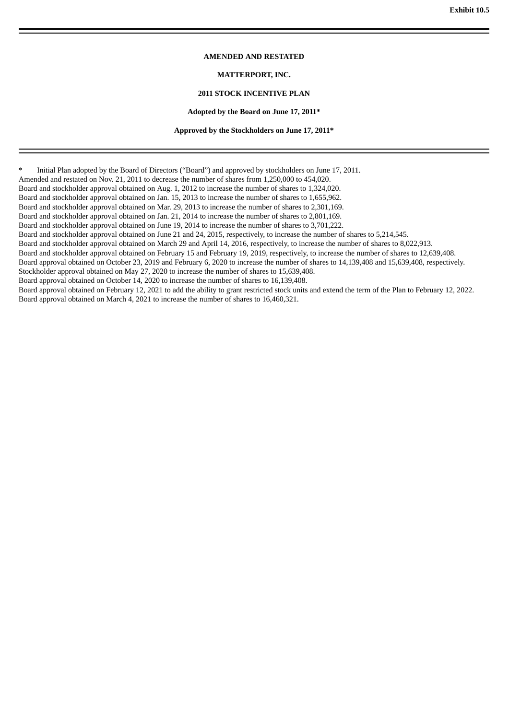# **AMENDED AND RESTATED**

# **MATTERPORT, INC.**

# **2011 STOCK INCENTIVE PLAN**

#### **Adopted by the Board on June 17, 2011\***

#### **Approved by the Stockholders on June 17, 2011\***

Initial Plan adopted by the Board of Directors ("Board") and approved by stockholders on June 17, 2011.

Amended and restated on Nov. 21, 2011 to decrease the number of shares from 1,250,000 to 454,020.

Board and stockholder approval obtained on Aug. 1, 2012 to increase the number of shares to 1,324,020.

Board and stockholder approval obtained on Jan. 15, 2013 to increase the number of shares to 1,655,962.

Board and stockholder approval obtained on Mar. 29, 2013 to increase the number of shares to 2,301,169.

Board and stockholder approval obtained on Jan. 21, 2014 to increase the number of shares to 2,801,169.

Board and stockholder approval obtained on June 19, 2014 to increase the number of shares to 3,701,222.

Board and stockholder approval obtained on June 21 and 24, 2015, respectively, to increase the number of shares to 5,214,545.

Board and stockholder approval obtained on March 29 and April 14, 2016, respectively, to increase the number of shares to 8,022,913.

Board and stockholder approval obtained on February 15 and February 19, 2019, respectively, to increase the number of shares to 12,639,408.

Board approval obtained on October 23, 2019 and February 6, 2020 to increase the number of shares to 14,139,408 and 15,639,408, respectively.

Stockholder approval obtained on May 27, 2020 to increase the number of shares to 15,639,408. Board approval obtained on October 14, 2020 to increase the number of shares to 16,139,408.

Board approval obtained on February 12, 2021 to add the ability to grant restricted stock units and extend the term of the Plan to February 12, 2022. Board approval obtained on March 4, 2021 to increase the number of shares to 16,460,321.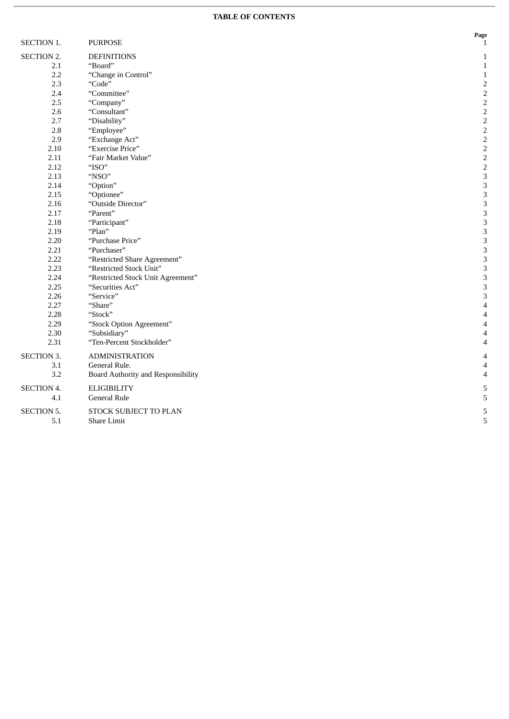#### **TABLE OF CONTENTS**

**P a g e** 1

| SECTION 1.        | <b>PURPOSE</b>                     | $\frac{1}{1}$            |
|-------------------|------------------------------------|--------------------------|
| <b>SECTION 2.</b> | <b>DEFINITIONS</b>                 | $\mathbf{1}$             |
| 2.1               | "Board"                            | $\mathbf{1}$             |
| 2.2               | "Change in Control"                | $\,1\,$                  |
| 2.3               | "Code"                             | $\sqrt{2}$               |
| 2.4               | "Committee"                        | $\mathbf 2$              |
| 2.5               | "Company"                          | $\sqrt{2}$               |
| 2.6               | "Consultant"                       | $\sqrt{2}$               |
| 2.7               | "Disability"                       | $\sqrt{2}$               |
| 2.8               | "Employee"                         | $\sqrt{2}$               |
| 2.9               | "Exchange Act"                     | $\sqrt{2}$               |
| 2.10              | "Exercise Price"                   | $\,2$                    |
| 2.11              | "Fair Market Value"                | $\overline{2}$           |
| 2.12              | "ISO"                              | $\overline{2}$           |
| 2.13              | "NSO"                              | 3                        |
| 2.14              | "Option"                           | 3                        |
| 2.15              | "Optionee"                         | 3                        |
| 2.16              | "Outside Director"                 | 3                        |
| 2.17              | "Parent"                           | 3                        |
| 2.18              | "Participant"                      | 3                        |
| 2.19              | "Plan"                             | 3                        |
| 2.20              | "Purchase Price"                   | 3                        |
| 2.21              | "Purchaser"                        | 3                        |
| 2.22              | "Restricted Share Agreement"       | 3                        |
| 2.23              | "Restricted Stock Unit"            | 3                        |
| 2.24              | "Restricted Stock Unit Agreement"  | 3                        |
| 2.25              | "Securities Act"                   | 3                        |
| 2.26              | "Service"                          | 3                        |
| 2.27              | "Share"                            | 4                        |
| 2.28              | "Stock"                            | $\overline{\mathcal{A}}$ |
| 2.29              | "Stock Option Agreement"           | $\overline{4}$           |
| 2.30              | "Subsidiary"                       | $\overline{\mathcal{A}}$ |
| 2.31              | "Ten-Percent Stockholder"          | $\overline{4}$           |
| <b>SECTION 3.</b> | <b>ADMINISTRATION</b>              | 4                        |
| 3.1               | General Rule.                      | 4                        |
| 3.2               | Board Authority and Responsibility | $\overline{4}$           |
|                   |                                    |                          |
| <b>SECTION 4.</b> | <b>ELIGIBILITY</b>                 | 5                        |
| 4.1               | <b>General Rule</b>                | 5                        |
| <b>SECTION 5.</b> | STOCK SUBJECT TO PLAN              | 5                        |
| 5.1               | <b>Share Limit</b>                 | 5                        |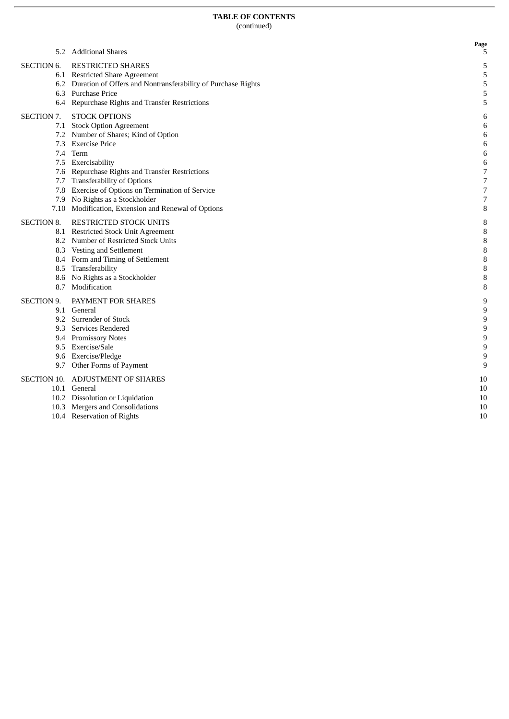**P a g e**

5

5

5

5

5

5

6

6

6

6

6

6

7

7

7

7

8

8

8

8

8

8

8

8

8

9

9

9

9

9

9

9

9

1 0

1 0

1 0

1 0

1 0

|  | 5.2 Additional Shares |  |
|--|-----------------------|--|
|--|-----------------------|--|

- SECTION 6. RESTRICTED SHARES
	- 6.1 Restricted Share Agreement
	- 6.2 Duration of Offers and Nontransferability of Purchase Rights
	- 6.3 Purchase Price
	- 6.4 Repurchase Rights and Transfer Restrictions
- SECTION 7. ST TOCK OPTIONS
	- 7.1 Stock Option Agreement
		- 7.2 Number of Shares; Kind of Option
		- 7.3 Exercise Price
		- 7.4 Term
		- 7.5 Exercisability
		- 7.6 Repurchase Rights and Transfer Restrictions
		- 7.7 Transferability of Options
		- 7.8 Exercise of Options on Termination of Service
		- 7.9 No Rights as a Stockholder
	- 7.10 Modification, Extension and Renewal of Options

#### SECTION 8. RI ESTRICTED STOCK UNITS

- 8.1 Restricted Stock Unit Agreement
- 8.2 Number of Restricted Stock Units
- 8.3 Vesting and Settlement
- 8.4 Form and Timing of Settlement
- 8.5 Transferability
- 8.6 No Rights as a Stockholder
- 8.7 Modification

#### SECTION ! 9. PAYMENT FOR SHARES

- 9.1 General
- 9.2 Surrender of Stock
- 9.3 Services Rendered
- 9.4 Promissory Notes
- 9.5 Exercise/Sale
- 9.6 Exercise/Pledge
- 9.7 Other Forms of Payment

#### SECTION 10. ADJUSTMENT OF SHARES

- 10.1 General
- 10.2 Dissolution or Liquidation
- 10.3 Mergers and Consolidations
- 10.4 Reservation of Rights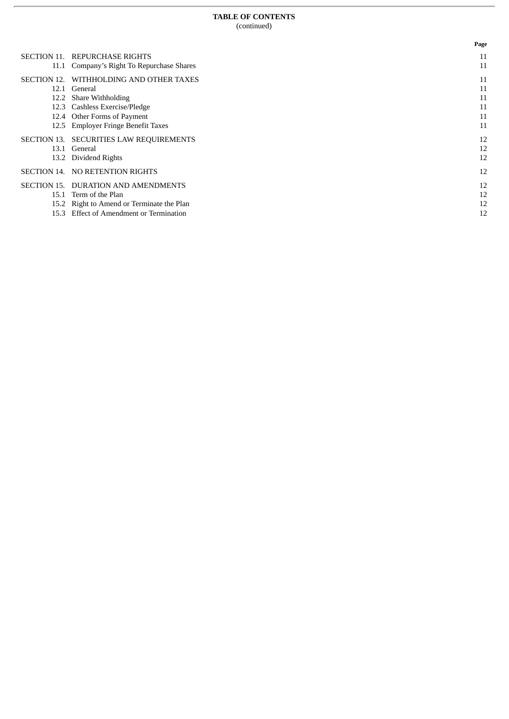|             |                                           | Page |
|-------------|-------------------------------------------|------|
| SECTION 11. | <b>REPURCHASE RIGHTS</b>                  | 11   |
|             | 11.1 Company's Right To Repurchase Shares | 11   |
| SECTION 12. | WITHHOLDING AND OTHER TAXES               | 11   |
| 12.1        | General                                   | 11   |
| 12.2        | Share Withholding                         | 11   |
| 12.3        | Cashless Exercise/Pledge                  | 11   |
| 12.4        | Other Forms of Payment                    | 11   |
| 12.5        | <b>Employer Fringe Benefit Taxes</b>      | 11   |
| SECTION 13. | <b>SECURITIES LAW REQUIREMENTS</b>        | 12   |
| 13.1        | General                                   | 12   |
| 13.2        | Dividend Rights                           | 12   |
| SECTION 14. | NO RETENTION RIGHTS                       | 12   |
| SECTION 15. | <b>DURATION AND AMENDMENTS</b>            | 12   |
| 15.1        | Term of the Plan                          | 12   |
| 15.2        | Right to Amend or Terminate the Plan      | 12   |
| 15.3        | <b>Effect of Amendment or Termination</b> | 12   |
|             |                                           |      |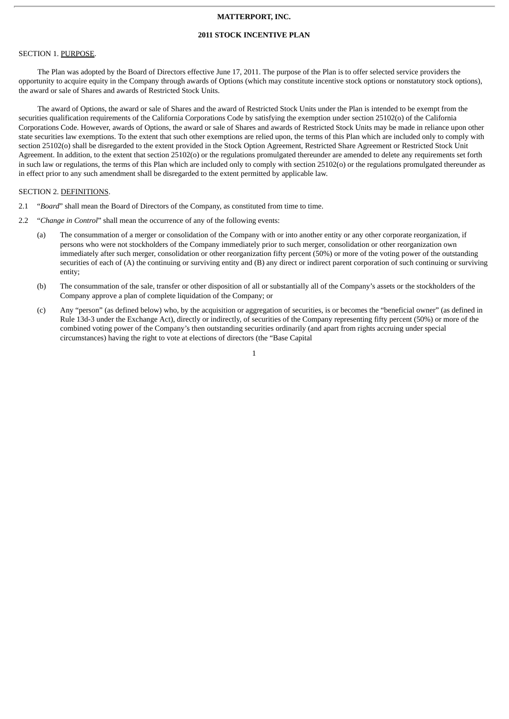# **MATTERPORT, INC.**

# **2011 STOCK INCENTIVE PLAN**

#### SECTION 1. PURPOSE.

The Plan was adopted by the Board of Directors effective June 17, 2011. The purpose of the Plan is to offer selected service providers the opportunity to acquire equity in the Company through awards of Options (which may constitute incentive stock options or nonstatutory stock options), the award or sale of Shares and awards of Restricted Stock Units.

The award of Options, the award or sale of Shares and the award of Restricted Stock Units under the Plan is intended to be exempt from the securities qualification requirements of the California Corporations Code by satisfying the exemption under section 25102(o) of the California Corporations Code. However, awards of Options, the award or sale of Shares and awards of Restricted Stock Units may be made in reliance upon other state securities law exemptions. To the extent that such other exemptions are relied upon, the terms of this Plan which are included only to comply with section 25102(o) shall be disregarded to the extent provided in the Stock Option Agreement, Restricted Share Agreement or Restricted Stock Unit Agreement. In addition, to the extent that section 25102(o) or the regulations promulgated thereunder are amended to delete any requirements set forth in such law or regulations, the terms of this Plan which are included only to comply with section 25102(o) or the regulations promulgated thereunder as in effect prior to any such amendment shall be disregarded to the extent permitted by applicable law.

#### SECTION 2. DEFINITIONS.

- 2.1 "*Board*" shall mean the Board of Directors of the Company, as constituted from time to time.
- 2.2 "*Change in Control*" shall mean the occurrence of any of the following events:
	- (a) The consummation of a merger or consolidation of the Company with or into another entity or any other corporate reorganization, if persons who were not stockholders of the Company immediately prior to such merger, consolidation or other reorganization own immediately after such merger, consolidation or other reorganization fifty percent (50%) or more of the voting power of the outstanding securities of each of (A) the continuing or surviving entity and (B) any direct or indirect parent corporation of such continuing or surviving entity;
	- (b) The consummation of the sale, transfer or other disposition of all or substantially all of the Company's assets or the stockholders of the Company approve a plan of complete liquidation of the Company; or
	- (c) Any "person" (as defined below) who, by the acquisition or aggregation of securities, is or becomes the "beneficial owner" (as defined in Rule 13d-3 under the Exchange Act), directly or indirectly, of securities of the Company representing fifty percent (50%) or more of the combined voting power of the Company's then outstanding securities ordinarily (and apart from rights accruing under special circumstances) having the right to vote at elections of directors (the "Base Capital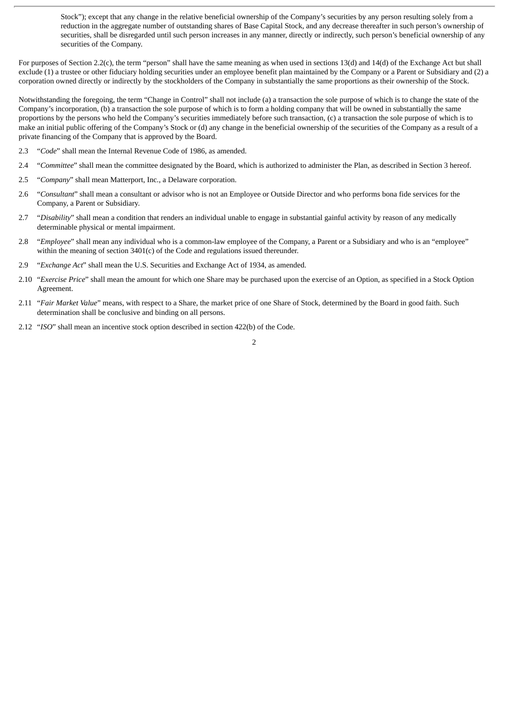Stock"); except that any change in the relative beneficial ownership of the Company's securities by any person resulting solely from a reduction in the aggregate number of outstanding shares of Base Capital Stock, and any decrease thereafter in such person's ownership of securities, shall be disregarded until such person increases in any manner, directly or indirectly, such person's beneficial ownership of any securities of the Company.

For purposes of Section 2.2(c), the term "person" shall have the same meaning as when used in sections 13(d) and 14(d) of the Exchange Act but shall exclude (1) a trustee or other fiduciary holding securities under an employee benefit plan maintained by the Company or a Parent or Subsidiary and (2) a corporation owned directly or indirectly by the stockholders of the Company in substantially the same proportions as their ownership of the Stock.

Notwithstanding the foregoing, the term "Change in Control" shall not include (a) a transaction the sole purpose of which is to change the state of the Company's incorporation, (b) a transaction the sole purpose of which is to form a holding company that will be owned in substantially the same proportions by the persons who held the Company's securities immediately before such transaction, (c) a transaction the sole purpose of which is to make an initial public offering of the Company's Stock or (d) any change in the beneficial ownership of the securities of the Company as a result of a private financing of the Company that is approved by the Board.

- 2.3 "*Code*" shall mean the Internal Revenue Code of 1986, as amended.
- 2.4 "*Committee*" shall mean the committee designated by the Board, which is authorized to administer the Plan, as described in Section 3 hereof.
- 2.5 "*Company*" shall mean Matterport, Inc., a Delaware corporation.
- 2.6 "*Consultant*" shall mean a consultant or advisor who is not an Employee or Outside Director and who performs bona fide services for the Company, a Parent or Subsidiary.
- 2.7 "*Disability*" shall mean a condition that renders an individual unable to engage in substantial gainful activity by reason of any medically determinable physical or mental impairment.
- 2.8 "*Employee*" shall mean any individual who is a common-law employee of the Company, a Parent or a Subsidiary and who is an "employee" within the meaning of section 3401(c) of the Code and regulations issued thereunder.
- 2.9 "*Exchange Act*" shall mean the U.S. Securities and Exchange Act of 1934, as amended.
- 2.10 "*Exercise Price*" shall mean the amount for which one Share may be purchased upon the exercise of an Option, as specified in a Stock Option Agreement.
- 2.11 "*Fair Market Value*" means, with respect to a Share, the market price of one Share of Stock, determined by the Board in good faith. Such determination shall be conclusive and binding on all persons.
- 2.12 "*ISO*" shall mean an incentive stock option described in section 422(b) of the Code.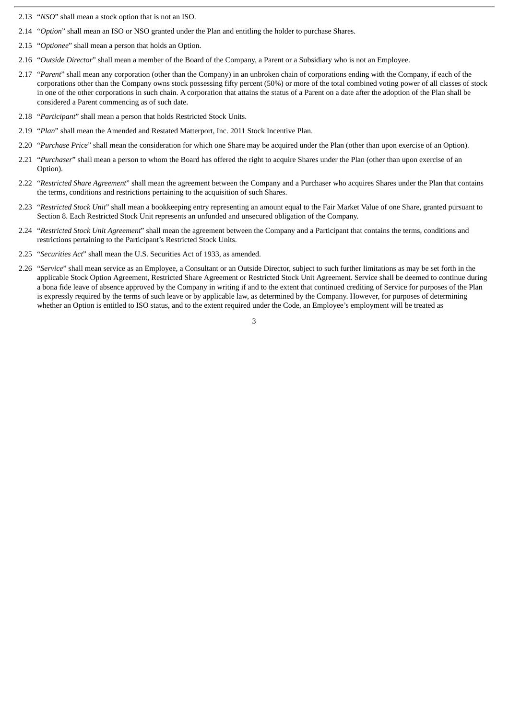- 2.13 "*NSO*" shall mean a stock option that is not an ISO.
- 2.14 "*Option*" shall mean an ISO or NSO granted under the Plan and entitling the holder to purchase Shares.
- 2.15 "*Optionee*" shall mean a person that holds an Option.
- 2.16 "*Outside Director*" shall mean a member of the Board of the Company, a Parent or a Subsidiary who is not an Employee.
- 2.17 "*Parent*" shall mean any corporation (other than the Company) in an unbroken chain of corporations ending with the Company, if each of the corporations other than the Company owns stock possessing fifty percent (50%) or more of the total combined voting power of all classes of stock in one of the other corporations in such chain. A corporation that attains the status of a Parent on a date after the adoption of the Plan shall be considered a Parent commencing as of such date.
- 2.18 "*Participant*" shall mean a person that holds Restricted Stock Units.
- 2.19 "*Plan*" shall mean the Amended and Restated Matterport, Inc. 2011 Stock Incentive Plan.
- 2.20 "*Purchase Price*" shall mean the consideration for which one Share may be acquired under the Plan (other than upon exercise of an Option).
- 2.21 "*Purchaser*" shall mean a person to whom the Board has offered the right to acquire Shares under the Plan (other than upon exercise of an Option).
- 2.22 "*Restricted Share Agreement*" shall mean the agreement between the Company and a Purchaser who acquires Shares under the Plan that contains the terms, conditions and restrictions pertaining to the acquisition of such Shares.
- 2.23 "*Restricted Stock Unit*" shall mean a bookkeeping entry representing an amount equal to the Fair Market Value of one Share, granted pursuant to Section 8. Each Restricted Stock Unit represents an unfunded and unsecured obligation of the Company.
- 2.24 "*Restricted Stock Unit Agreement*" shall mean the agreement between the Company and a Participant that contains the terms, conditions and restrictions pertaining to the Participant's Restricted Stock Units.
- 2.25 "*Securities Act*" shall mean the U.S. Securities Act of 1933, as amended.
- 2.26 "*Service*" shall mean service as an Employee, a Consultant or an Outside Director, subject to such further limitations as may be set forth in the applicable Stock Option Agreement, Restricted Share Agreement or Restricted Stock Unit Agreement. Service shall be deemed to continue during a bona fide leave of absence approved by the Company in writing if and to the extent that continued crediting of Service for purposes of the Plan is expressly required by the terms of such leave or by applicable law, as determined by the Company. However, for purposes of determining whether an Option is entitled to ISO status, and to the extent required under the Code, an Employee's employment will be treated as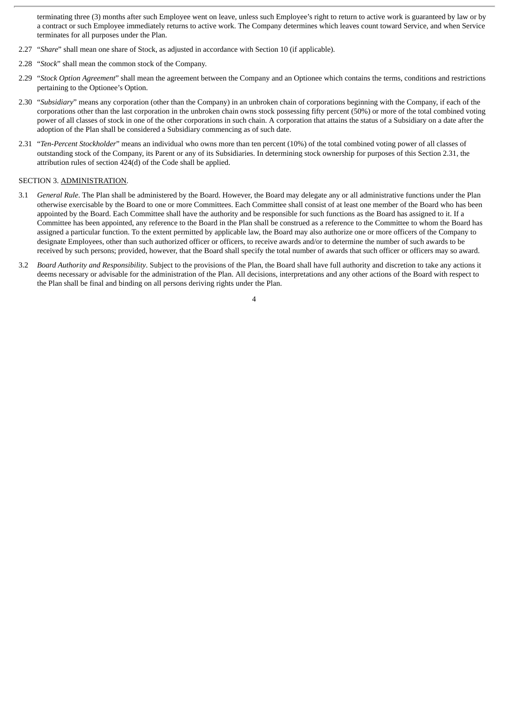terminating three (3) months after such Employee went on leave, unless such Employee's right to return to active work is guaranteed by law or by a contract or such Employee immediately returns to active work. The Company determines which leaves count toward Service, and when Service terminates for all purposes under the Plan.

- 2.27 "*Share*" shall mean one share of Stock, as adjusted in accordance with Section 10 (if applicable).
- 2.28 "*Stock*" shall mean the common stock of the Company.
- 2.29 "*Stock Option Agreement*" shall mean the agreement between the Company and an Optionee which contains the terms, conditions and restrictions pertaining to the Optionee's Option.
- 2.30 "*Subsidiary*" means any corporation (other than the Company) in an unbroken chain of corporations beginning with the Company, if each of the corporations other than the last corporation in the unbroken chain owns stock possessing fifty percent (50%) or more of the total combined voting power of all classes of stock in one of the other corporations in such chain. A corporation that attains the status of a Subsidiary on a date after the adoption of the Plan shall be considered a Subsidiary commencing as of such date.
- 2.31 "*Ten-Percent Stockholder*" means an individual who owns more than ten percent (10%) of the total combined voting power of all classes of outstanding stock of the Company, its Parent or any of its Subsidiaries. In determining stock ownership for purposes of this Section 2.31, the attribution rules of section 424(d) of the Code shall be applied.

#### SECTION 3. ADMINISTRATION.

- 3.1 *General Rule*. The Plan shall be administered by the Board. However, the Board may delegate any or all administrative functions under the Plan otherwise exercisable by the Board to one or more Committees. Each Committee shall consist of at least one member of the Board who has been appointed by the Board. Each Committee shall have the authority and be responsible for such functions as the Board has assigned to it. If a Committee has been appointed, any reference to the Board in the Plan shall be construed as a reference to the Committee to whom the Board has assigned a particular function. To the extent permitted by applicable law, the Board may also authorize one or more officers of the Company to designate Employees, other than such authorized officer or officers, to receive awards and/or to determine the number of such awards to be received by such persons; provided, however, that the Board shall specify the total number of awards that such officer or officers may so award.
- 3.2 *Board Authority and Responsibility*. Subject to the provisions of the Plan, the Board shall have full authority and discretion to take any actions it deems necessary or advisable for the administration of the Plan. All decisions, interpretations and any other actions of the Board with respect to the Plan shall be final and binding on all persons deriving rights under the Plan.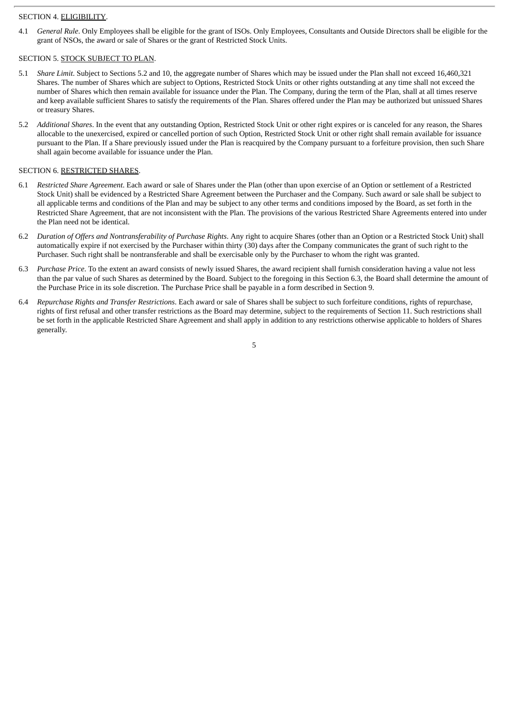#### SECTION 4. ELIGIBILITY.

4.1 *General Rule*. Only Employees shall be eligible for the grant of ISOs. Only Employees, Consultants and Outside Directors shall be eligible for the grant of NSOs, the award or sale of Shares or the grant of Restricted Stock Units.

#### SECTION 5. STOCK SUBJECT TO PLAN.

- 5.1 *Share Limit*. Subject to Sections 5.2 and 10, the aggregate number of Shares which may be issued under the Plan shall not exceed 16,460,321 Shares. The number of Shares which are subject to Options, Restricted Stock Units or other rights outstanding at any time shall not exceed the number of Shares which then remain available for issuance under the Plan. The Company, during the term of the Plan, shall at all times reserve and keep available sufficient Shares to satisfy the requirements of the Plan. Shares offered under the Plan may be authorized but unissued Shares or treasury Shares.
- 5.2 *Additional Shares*. In the event that any outstanding Option, Restricted Stock Unit or other right expires or is canceled for any reason, the Shares allocable to the unexercised, expired or cancelled portion of such Option, Restricted Stock Unit or other right shall remain available for issuance pursuant to the Plan. If a Share previously issued under the Plan is reacquired by the Company pursuant to a forfeiture provision, then such Share shall again become available for issuance under the Plan.

#### SECTION 6. RESTRICTED SHARES.

- 6.1 *Restricted Share Agreement*. Each award or sale of Shares under the Plan (other than upon exercise of an Option or settlement of a Restricted Stock Unit) shall be evidenced by a Restricted Share Agreement between the Purchaser and the Company. Such award or sale shall be subject to all applicable terms and conditions of the Plan and may be subject to any other terms and conditions imposed by the Board, as set forth in the Restricted Share Agreement, that are not inconsistent with the Plan. The provisions of the various Restricted Share Agreements entered into under the Plan need not be identical.
- 6.2 *Duration of Offers and Nontransferability of Purchase Rights*. Any right to acquire Shares (other than an Option or a Restricted Stock Unit) shall automatically expire if not exercised by the Purchaser within thirty (30) days after the Company communicates the grant of such right to the Purchaser. Such right shall be nontransferable and shall be exercisable only by the Purchaser to whom the right was granted.
- 6.3 *Purchase Price*. To the extent an award consists of newly issued Shares, the award recipient shall furnish consideration having a value not less than the par value of such Shares as determined by the Board. Subject to the foregoing in this Section 6.3, the Board shall determine the amount of the Purchase Price in its sole discretion. The Purchase Price shall be payable in a form described in Section 9.
- 6.4 *Repurchase Rights and Transfer Restrictions*. Each award or sale of Shares shall be subject to such forfeiture conditions, rights of repurchase, rights of first refusal and other transfer restrictions as the Board may determine, subject to the requirements of Section 11. Such restrictions shall be set forth in the applicable Restricted Share Agreement and shall apply in addition to any restrictions otherwise applicable to holders of Shares generally.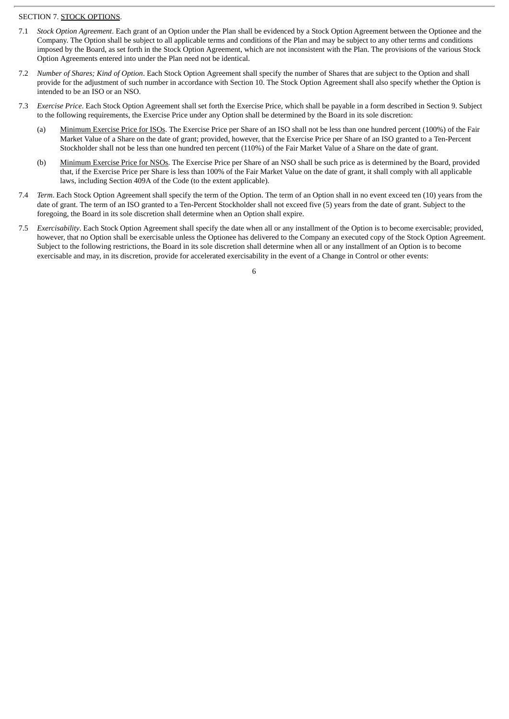# SECTION 7. STOCK OPTIONS.

- 7.1 *Stock Option Agreement*. Each grant of an Option under the Plan shall be evidenced by a Stock Option Agreement between the Optionee and the Company. The Option shall be subject to all applicable terms and conditions of the Plan and may be subject to any other terms and conditions imposed by the Board, as set forth in the Stock Option Agreement, which are not inconsistent with the Plan. The provisions of the various Stock Option Agreements entered into under the Plan need not be identical.
- 7.2 *Number of Shares; Kind of Option*. Each Stock Option Agreement shall specify the number of Shares that are subject to the Option and shall provide for the adjustment of such number in accordance with Section 10. The Stock Option Agreement shall also specify whether the Option is intended to be an ISO or an NSO.
- 7.3 *Exercise Price*. Each Stock Option Agreement shall set forth the Exercise Price, which shall be payable in a form described in Section 9. Subject to the following requirements, the Exercise Price under any Option shall be determined by the Board in its sole discretion:
	- (a) Minimum Exercise Price for ISOs. The Exercise Price per Share of an ISO shall not be less than one hundred percent (100%) of the Fair Market Value of a Share on the date of grant; provided, however, that the Exercise Price per Share of an ISO granted to a Ten-Percent Stockholder shall not be less than one hundred ten percent (110%) of the Fair Market Value of a Share on the date of grant.
	- (b) Minimum Exercise Price for NSOs. The Exercise Price per Share of an NSO shall be such price as is determined by the Board, provided that, if the Exercise Price per Share is less than 100% of the Fair Market Value on the date of grant, it shall comply with all applicable laws, including Section 409A of the Code (to the extent applicable).
- 7.4 *Term*. Each Stock Option Agreement shall specify the term of the Option. The term of an Option shall in no event exceed ten (10) years from the date of grant. The term of an ISO granted to a Ten-Percent Stockholder shall not exceed five (5) years from the date of grant. Subject to the foregoing, the Board in its sole discretion shall determine when an Option shall expire.
- 7.5 *Exercisability*. Each Stock Option Agreement shall specify the date when all or any installment of the Option is to become exercisable; provided, however, that no Option shall be exercisable unless the Optionee has delivered to the Company an executed copy of the Stock Option Agreement. Subject to the following restrictions, the Board in its sole discretion shall determine when all or any installment of an Option is to become exercisable and may, in its discretion, provide for accelerated exercisability in the event of a Change in Control or other events: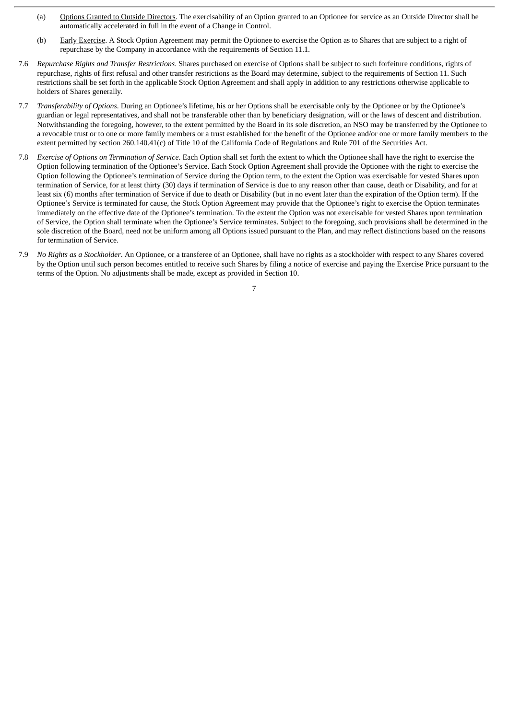- (a) Options Granted to Outside Directors. The exercisability of an Option granted to an Optionee for service as an Outside Director shall be automatically accelerated in full in the event of a Change in Control.
- (b) Early Exercise. A Stock Option Agreement may permit the Optionee to exercise the Option as to Shares that are subject to a right of repurchase by the Company in accordance with the requirements of Section 11.1.
- 7.6 *Repurchase Rights and Transfer Restrictions*. Shares purchased on exercise of Options shall be subject to such forfeiture conditions, rights of repurchase, rights of first refusal and other transfer restrictions as the Board may determine, subject to the requirements of Section 11. Such restrictions shall be set forth in the applicable Stock Option Agreement and shall apply in addition to any restrictions otherwise applicable to holders of Shares generally.
- 7.7 *Transferability of Options*. During an Optionee's lifetime, his or her Options shall be exercisable only by the Optionee or by the Optionee's guardian or legal representatives, and shall not be transferable other than by beneficiary designation, will or the laws of descent and distribution. Notwithstanding the foregoing, however, to the extent permitted by the Board in its sole discretion, an NSO may be transferred by the Optionee to a revocable trust or to one or more family members or a trust established for the benefit of the Optionee and/or one or more family members to the extent permitted by section 260.140.41(c) of Title 10 of the California Code of Regulations and Rule 701 of the Securities Act.
- 7.8 *Exercise of Options on Termination of Service*. Each Option shall set forth the extent to which the Optionee shall have the right to exercise the Option following termination of the Optionee's Service. Each Stock Option Agreement shall provide the Optionee with the right to exercise the Option following the Optionee's termination of Service during the Option term, to the extent the Option was exercisable for vested Shares upon termination of Service, for at least thirty (30) days if termination of Service is due to any reason other than cause, death or Disability, and for at least six (6) months after termination of Service if due to death or Disability (but in no event later than the expiration of the Option term). If the Optionee's Service is terminated for cause, the Stock Option Agreement may provide that the Optionee's right to exercise the Option terminates immediately on the effective date of the Optionee's termination. To the extent the Option was not exercisable for vested Shares upon termination of Service, the Option shall terminate when the Optionee's Service terminates. Subject to the foregoing, such provisions shall be determined in the sole discretion of the Board, need not be uniform among all Options issued pursuant to the Plan, and may reflect distinctions based on the reasons for termination of Service.
- 7.9 *No Rights as a Stockholder*. An Optionee, or a transferee of an Optionee, shall have no rights as a stockholder with respect to any Shares covered by the Option until such person becomes entitled to receive such Shares by filing a notice of exercise and paying the Exercise Price pursuant to the terms of the Option. No adjustments shall be made, except as provided in Section 10.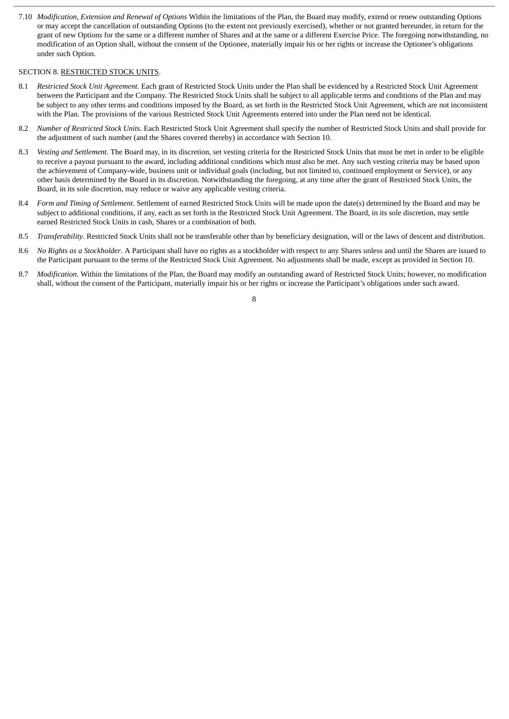7.10 *Modification, Extension and Renewal of Options* Within the limitations of the Plan, the Board may modify, extend or renew outstanding Options or may accept the cancellation of outstanding Options (to the extent not previously exercised), whether or not granted hereunder, in return for the grant of new Options for the same or a different number of Shares and at the same or a different Exercise Price. The foregoing notwithstanding, no modification of an Option shall, without the consent of the Optionee, materially impair his or her rights or increase the Optionee's obligations under such Option.

#### SECTION 8. RESTRICTED STOCK UNITS.

- 8.1 *Restricted Stock Unit Agreement*. Each grant of Restricted Stock Units under the Plan shall be evidenced by a Restricted Stock Unit Agreement between the Participant and the Company. The Restricted Stock Units shall be subject to all applicable terms and conditions of the Plan and may be subject to any other terms and conditions imposed by the Board, as set forth in the Restricted Stock Unit Agreement, which are not inconsistent with the Plan. The provisions of the various Restricted Stock Unit Agreements entered into under the Plan need not be identical.
- 8.2 *Number of Restricted Stock Units*. Each Restricted Stock Unit Agreement shall specify the number of Restricted Stock Units and shall provide for the adjustment of such number (and the Shares covered thereby) in accordance with Section 10.
- 8.3 *Vesting and Settlement*. The Board may, in its discretion, set vesting criteria for the Restricted Stock Units that must be met in order to be eligible to receive a payout pursuant to the award, including additional conditions which must also be met. Any such vesting criteria may be based upon the achievement of Company-wide, business unit or individual goals (including, but not limited to, continued employment or Service), or any other basis determined by the Board in its discretion. Notwithstanding the foregoing, at any time after the grant of Restricted Stock Units, the Board, in its sole discretion, may reduce or waive any applicable vesting criteria.
- 8.4 *Form and Timing of Settlement*. Settlement of earned Restricted Stock Units will be made upon the date(s) determined by the Board and may be subject to additional conditions, if any, each as set forth in the Restricted Stock Unit Agreement. The Board, in its sole discretion, may settle earned Restricted Stock Units in cash, Shares or a combination of both.
- 8.5 *Transferability*. Restricted Stock Units shall not be transferable other than by beneficiary designation, will or the laws of descent and distribution.
- 8.6 *No Rights as a Stockholder*. A Participant shall have no rights as a stockholder with respect to any Shares unless and until the Shares are issued to the Participant pursuant to the terms of the Restricted Stock Unit Agreement. No adjustments shall be made, except as provided in Section 10.
- 8.7 *Modification*. Within the limitations of the Plan, the Board may modify an outstanding award of Restricted Stock Units; however, no modification shall, without the consent of the Participant, materially impair his or her rights or increase the Participant's obligations under such award.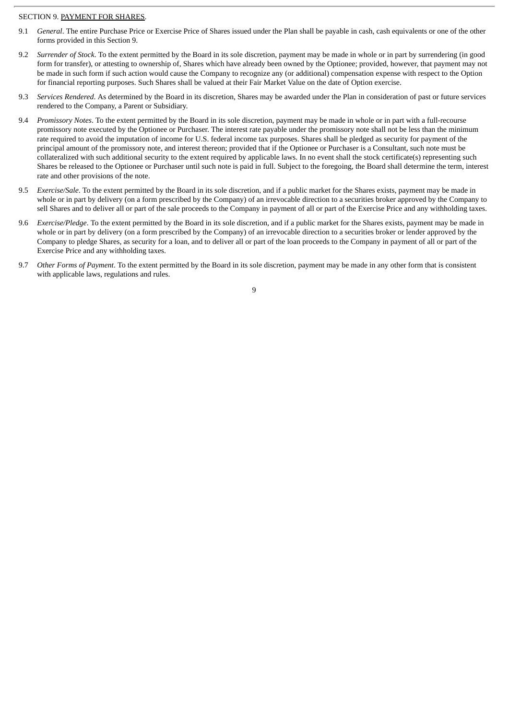#### SECTION 9. PAYMENT FOR SHARES.

- 9.1 *General*. The entire Purchase Price or Exercise Price of Shares issued under the Plan shall be payable in cash, cash equivalents or one of the other forms provided in this Section 9.
- 9.2 *Surrender of Stock*. To the extent permitted by the Board in its sole discretion, payment may be made in whole or in part by surrendering (in good form for transfer), or attesting to ownership of, Shares which have already been owned by the Optionee; provided, however, that payment may not be made in such form if such action would cause the Company to recognize any (or additional) compensation expense with respect to the Option for financial reporting purposes. Such Shares shall be valued at their Fair Market Value on the date of Option exercise.
- 9.3 *Services Rendered*. As determined by the Board in its discretion, Shares may be awarded under the Plan in consideration of past or future services rendered to the Company, a Parent or Subsidiary.
- 9.4 *Promissory Notes*. To the extent permitted by the Board in its sole discretion, payment may be made in whole or in part with a full-recourse promissory note executed by the Optionee or Purchaser. The interest rate payable under the promissory note shall not be less than the minimum rate required to avoid the imputation of income for U.S. federal income tax purposes. Shares shall be pledged as security for payment of the principal amount of the promissory note, and interest thereon; provided that if the Optionee or Purchaser is a Consultant, such note must be collateralized with such additional security to the extent required by applicable laws. In no event shall the stock certificate(s) representing such Shares be released to the Optionee or Purchaser until such note is paid in full. Subject to the foregoing, the Board shall determine the term, interest rate and other provisions of the note.
- 9.5 *Exercise/Sale*. To the extent permitted by the Board in its sole discretion, and if a public market for the Shares exists, payment may be made in whole or in part by delivery (on a form prescribed by the Company) of an irrevocable direction to a securities broker approved by the Company to sell Shares and to deliver all or part of the sale proceeds to the Company in payment of all or part of the Exercise Price and any withholding taxes.
- 9.6 *Exercise/Pledge*. To the extent permitted by the Board in its sole discretion, and if a public market for the Shares exists, payment may be made in whole or in part by delivery (on a form prescribed by the Company) of an irrevocable direction to a securities broker or lender approved by the Company to pledge Shares, as security for a loan, and to deliver all or part of the loan proceeds to the Company in payment of all or part of the Exercise Price and any withholding taxes.
- 9.7 *Other Forms of Payment*. To the extent permitted by the Board in its sole discretion, payment may be made in any other form that is consistent with applicable laws, regulations and rules.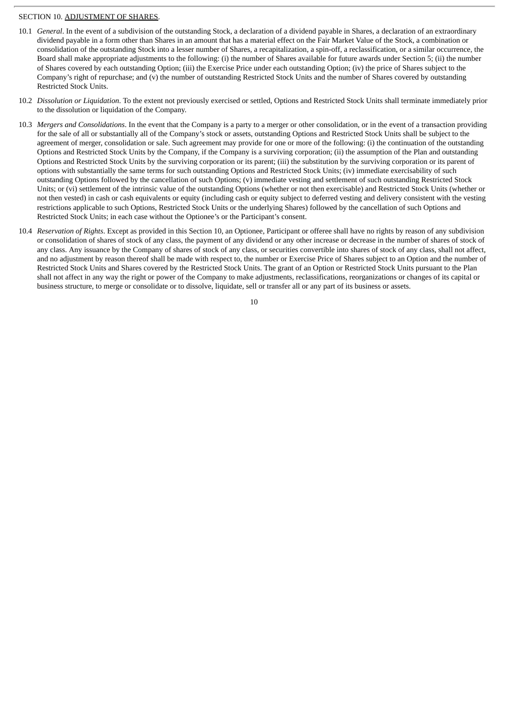#### SECTION 10. ADJUSTMENT OF SHARES.

- 10.1 *General*. In the event of a subdivision of the outstanding Stock, a declaration of a dividend payable in Shares, a declaration of an extraordinary dividend payable in a form other than Shares in an amount that has a material effect on the Fair Market Value of the Stock, a combination or consolidation of the outstanding Stock into a lesser number of Shares, a recapitalization, a spin-off, a reclassification, or a similar occurrence, the Board shall make appropriate adjustments to the following: (i) the number of Shares available for future awards under Section 5; (ii) the number of Shares covered by each outstanding Option; (iii) the Exercise Price under each outstanding Option; (iv) the price of Shares subject to the Company's right of repurchase; and (v) the number of outstanding Restricted Stock Units and the number of Shares covered by outstanding Restricted Stock Units.
- 10.2 *Dissolution or Liquidation*. To the extent not previously exercised or settled, Options and Restricted Stock Units shall terminate immediately prior to the dissolution or liquidation of the Company.
- 10.3 *Mergers and Consolidations*. In the event that the Company is a party to a merger or other consolidation, or in the event of a transaction providing for the sale of all or substantially all of the Company's stock or assets, outstanding Options and Restricted Stock Units shall be subject to the agreement of merger, consolidation or sale. Such agreement may provide for one or more of the following: (i) the continuation of the outstanding Options and Restricted Stock Units by the Company, if the Company is a surviving corporation; (ii) the assumption of the Plan and outstanding Options and Restricted Stock Units by the surviving corporation or its parent; (iii) the substitution by the surviving corporation or its parent of options with substantially the same terms for such outstanding Options and Restricted Stock Units; (iv) immediate exercisability of such outstanding Options followed by the cancellation of such Options; (v) immediate vesting and settlement of such outstanding Restricted Stock Units; or (vi) settlement of the intrinsic value of the outstanding Options (whether or not then exercisable) and Restricted Stock Units (whether or not then vested) in cash or cash equivalents or equity (including cash or equity subject to deferred vesting and delivery consistent with the vesting restrictions applicable to such Options, Restricted Stock Units or the underlying Shares) followed by the cancellation of such Options and Restricted Stock Units; in each case without the Optionee's or the Participant's consent.
- 10.4 *Reservation of Rights*. Except as provided in this Section 10, an Optionee, Participant or offeree shall have no rights by reason of any subdivision or consolidation of shares of stock of any class, the payment of any dividend or any other increase or decrease in the number of shares of stock of any class. Any issuance by the Company of shares of stock of any class, or securities convertible into shares of stock of any class, shall not affect, and no adjustment by reason thereof shall be made with respect to, the number or Exercise Price of Shares subject to an Option and the number of Restricted Stock Units and Shares covered by the Restricted Stock Units. The grant of an Option or Restricted Stock Units pursuant to the Plan shall not affect in any way the right or power of the Company to make adjustments, reclassifications, reorganizations or changes of its capital or business structure, to merge or consolidate or to dissolve, liquidate, sell or transfer all or any part of its business or assets.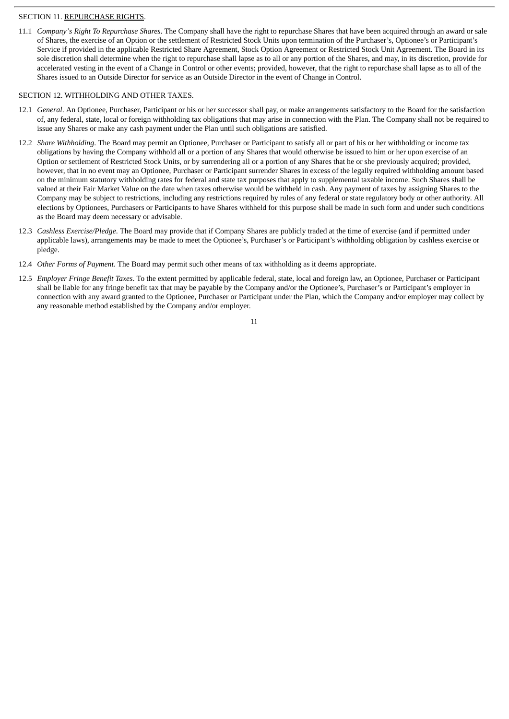# SECTION 11. REPURCHASE RIGHTS.

11.1 *Company's Right To Repurchase Shares*. The Company shall have the right to repurchase Shares that have been acquired through an award or sale of Shares, the exercise of an Option or the settlement of Restricted Stock Units upon termination of the Purchaser's, Optionee's or Participant's Service if provided in the applicable Restricted Share Agreement, Stock Option Agreement or Restricted Stock Unit Agreement. The Board in its sole discretion shall determine when the right to repurchase shall lapse as to all or any portion of the Shares, and may, in its discretion, provide for accelerated vesting in the event of a Change in Control or other events; provided, however, that the right to repurchase shall lapse as to all of the Shares issued to an Outside Director for service as an Outside Director in the event of Change in Control.

# SECTION 12. WITHHOLDING AND OTHER TAXES.

- 12.1 *General*. An Optionee, Purchaser, Participant or his or her successor shall pay, or make arrangements satisfactory to the Board for the satisfaction of, any federal, state, local or foreign withholding tax obligations that may arise in connection with the Plan. The Company shall not be required to issue any Shares or make any cash payment under the Plan until such obligations are satisfied.
- 12.2 *Share Withholding*. The Board may permit an Optionee, Purchaser or Participant to satisfy all or part of his or her withholding or income tax obligations by having the Company withhold all or a portion of any Shares that would otherwise be issued to him or her upon exercise of an Option or settlement of Restricted Stock Units, or by surrendering all or a portion of any Shares that he or she previously acquired; provided, however, that in no event may an Optionee, Purchaser or Participant surrender Shares in excess of the legally required withholding amount based on the minimum statutory withholding rates for federal and state tax purposes that apply to supplemental taxable income. Such Shares shall be valued at their Fair Market Value on the date when taxes otherwise would be withheld in cash. Any payment of taxes by assigning Shares to the Company may be subject to restrictions, including any restrictions required by rules of any federal or state regulatory body or other authority. All elections by Optionees, Purchasers or Participants to have Shares withheld for this purpose shall be made in such form and under such conditions as the Board may deem necessary or advisable.
- 12.3 *Cashless Exercise/Pledge*. The Board may provide that if Company Shares are publicly traded at the time of exercise (and if permitted under applicable laws), arrangements may be made to meet the Optionee's, Purchaser's or Participant's withholding obligation by cashless exercise or pledge.
- 12.4 *Other Forms of Payment*. The Board may permit such other means of tax withholding as it deems appropriate.
- 12.5 *Employer Fringe Benefit Taxes*. To the extent permitted by applicable federal, state, local and foreign law, an Optionee, Purchaser or Participant shall be liable for any fringe benefit tax that may be payable by the Company and/or the Optionee's, Purchaser's or Participant's employer in connection with any award granted to the Optionee, Purchaser or Participant under the Plan, which the Company and/or employer may collect by any reasonable method established by the Company and/or employer.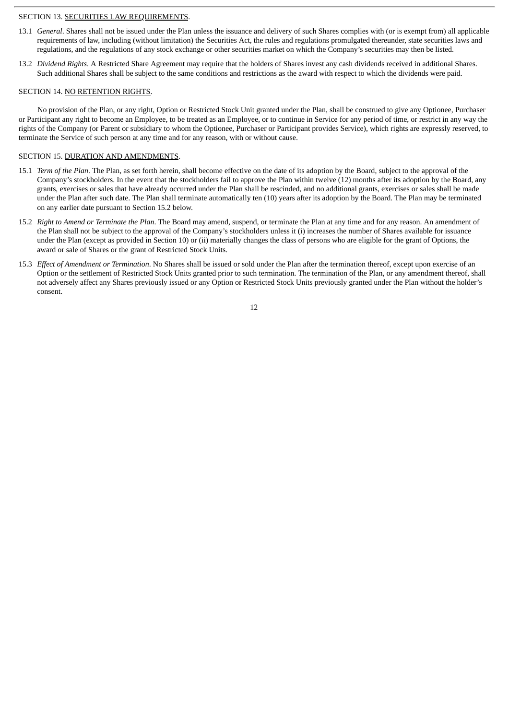#### SECTION 13. SECURITIES LAW REQUIREMENTS.

- 13.1 *General*. Shares shall not be issued under the Plan unless the issuance and delivery of such Shares complies with (or is exempt from) all applicable requirements of law, including (without limitation) the Securities Act, the rules and regulations promulgated thereunder, state securities laws and regulations, and the regulations of any stock exchange or other securities market on which the Company's securities may then be listed.
- 13.2 *Dividend Rights*. A Restricted Share Agreement may require that the holders of Shares invest any cash dividends received in additional Shares. Such additional Shares shall be subject to the same conditions and restrictions as the award with respect to which the dividends were paid.

#### SECTION 14. NO RETENTION RIGHTS.

No provision of the Plan, or any right, Option or Restricted Stock Unit granted under the Plan, shall be construed to give any Optionee, Purchaser or Participant any right to become an Employee, to be treated as an Employee, or to continue in Service for any period of time, or restrict in any way the rights of the Company (or Parent or subsidiary to whom the Optionee, Purchaser or Participant provides Service), which rights are expressly reserved, to terminate the Service of such person at any time and for any reason, with or without cause.

#### SECTION 15. DURATION AND AMENDMENTS.

- 15.1 *Term of the Plan*. The Plan, as set forth herein, shall become effective on the date of its adoption by the Board, subject to the approval of the Company's stockholders. In the event that the stockholders fail to approve the Plan within twelve (12) months after its adoption by the Board, any grants, exercises or sales that have already occurred under the Plan shall be rescinded, and no additional grants, exercises or sales shall be made under the Plan after such date. The Plan shall terminate automatically ten (10) years after its adoption by the Board. The Plan may be terminated on any earlier date pursuant to Section 15.2 below.
- 15.2 *Right to Amend or Terminate the Plan*. The Board may amend, suspend, or terminate the Plan at any time and for any reason. An amendment of the Plan shall not be subject to the approval of the Company's stockholders unless it (i) increases the number of Shares available for issuance under the Plan (except as provided in Section 10) or (ii) materially changes the class of persons who are eligible for the grant of Options, the award or sale of Shares or the grant of Restricted Stock Units.
- 15.3 *Effect of Amendment or Termination*. No Shares shall be issued or sold under the Plan after the termination thereof, except upon exercise of an Option or the settlement of Restricted Stock Units granted prior to such termination. The termination of the Plan, or any amendment thereof, shall not adversely affect any Shares previously issued or any Option or Restricted Stock Units previously granted under the Plan without the holder's consent.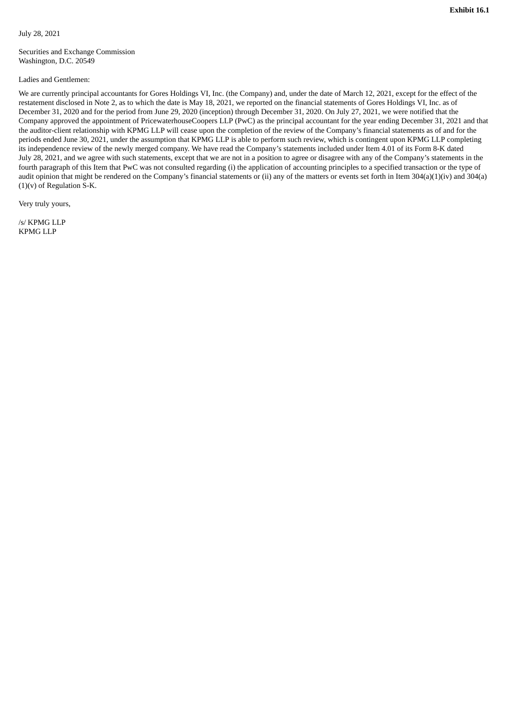July 28, 2021

Securities and Exchange Commission Washington, D.C. 20549

#### Ladies and Gentlemen:

We are currently principal accountants for Gores Holdings VI, Inc. (the Company) and, under the date of March 12, 2021, except for the effect of the restatement disclosed in Note 2, as to which the date is May 18, 2021, we reported on the financial statements of Gores Holdings VI, Inc. as of December 31, 2020 and for the period from June 29, 2020 (inception) through December 31, 2020. On July 27, 2021, we were notified that the Company approved the appointment of PricewaterhouseCoopers LLP (PwC) as the principal accountant for the year ending December 31, 2021 and that the auditor-client relationship with KPMG LLP will cease upon the completion of the review of the Company's financial statements as of and for the periods ended June 30, 2021, under the assumption that KPMG LLP is able to perform such review, which is contingent upon KPMG LLP completing its independence review of the newly merged company. We have read the Company's statements included under Item 4.01 of its Form 8-K dated July 28, 2021, and we agree with such statements, except that we are not in a position to agree or disagree with any of the Company's statements in the fourth paragraph of this Item that PwC was not consulted regarding (i) the application of accounting principles to a specified transaction or the type of audit opinion that might be rendered on the Company's financial statements or (ii) any of the matters or events set forth in Item 304(a)(1)(iv) and 304(a)  $(1)(v)$  of Regulation S-K.

Very truly yours,

/s/ KPMG LLP KPMG LLP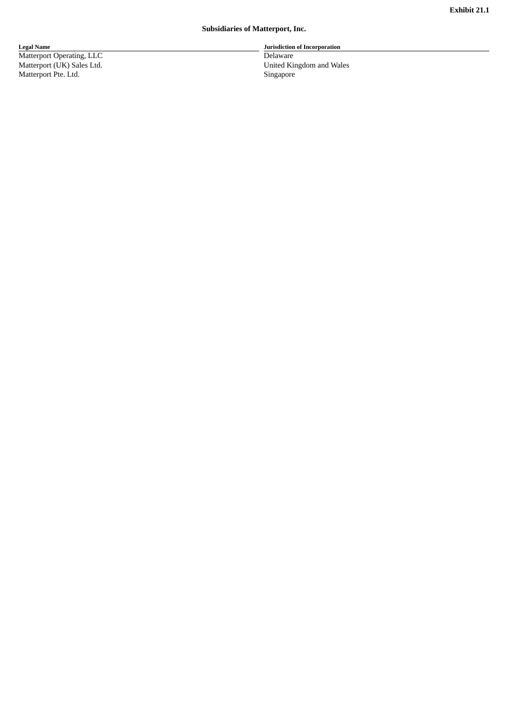#### **Subsidiaries of Matterport, Inc.**

**L e g a l N a m e** Matterport Operating, LLC Matterport (UK) Sales Lto Matterport Pte. Ltd. Si

Jurisdiction of Incorporation

Delaware d. Ur nited Kingdom and Wales ingapore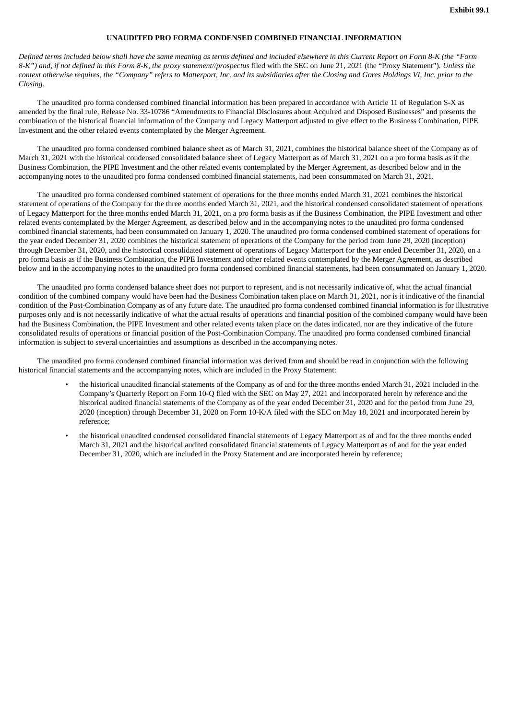#### **UNAUDITED PRO FORMA CONDENSED COMBINED FINANCIAL INFORMATION**

Defined terms included below shall have the same meaning as terms defined and included elsewhere in this Current Report on Form 8-K (the "Form 8-K") and, if not defined in this Form 8-K, the proxy statement//prospectus filed with the SEC on June 21, 2021 (the "Proxy Statement"). Unless the context otherwise requires, the "Company" refers to Matterport, Inc. and its subsidiaries after the Closing and Gores Holdings VI, Inc. prior to the *Closing.*

The unaudited pro forma condensed combined financial information has been prepared in accordance with Article 11 of Regulation S-X as amended by the final rule, Release No. 33-10786 "Amendments to Financial Disclosures about Acquired and Disposed Businesses" and presents the combination of the historical financial information of the Company and Legacy Matterport adjusted to give effect to the Business Combination, PIPE Investment and the other related events contemplated by the Merger Agreement.

The unaudited pro forma condensed combined balance sheet as of March 31, 2021, combines the historical balance sheet of the Company as of March 31, 2021 with the historical condensed consolidated balance sheet of Legacy Matterport as of March 31, 2021 on a pro forma basis as if the Business Combination, the PIPE Investment and the other related events contemplated by the Merger Agreement, as described below and in the accompanying notes to the unaudited pro forma condensed combined financial statements, had been consummated on March 31, 2021.

The unaudited pro forma condensed combined statement of operations for the three months ended March 31, 2021 combines the historical statement of operations of the Company for the three months ended March 31, 2021, and the historical condensed consolidated statement of operations of Legacy Matterport for the three months ended March 31, 2021, on a pro forma basis as if the Business Combination, the PIPE Investment and other related events contemplated by the Merger Agreement, as described below and in the accompanying notes to the unaudited pro forma condensed combined financial statements, had been consummated on January 1, 2020. The unaudited pro forma condensed combined statement of operations for the year ended December 31, 2020 combines the historical statement of operations of the Company for the period from June 29, 2020 (inception) through December 31, 2020, and the historical consolidated statement of operations of Legacy Matterport for the year ended December 31, 2020, on a pro forma basis as if the Business Combination, the PIPE Investment and other related events contemplated by the Merger Agreement, as described below and in the accompanying notes to the unaudited pro forma condensed combined financial statements, had been consummated on January 1, 2020.

The unaudited pro forma condensed balance sheet does not purport to represent, and is not necessarily indicative of, what the actual financial condition of the combined company would have been had the Business Combination taken place on March 31, 2021, nor is it indicative of the financial condition of the Post-Combination Company as of any future date. The unaudited pro forma condensed combined financial information is for illustrative purposes only and is not necessarily indicative of what the actual results of operations and financial position of the combined company would have been had the Business Combination, the PIPE Investment and other related events taken place on the dates indicated, nor are they indicative of the future consolidated results of operations or financial position of the Post-Combination Company. The unaudited pro forma condensed combined financial information is subject to several uncertainties and assumptions as described in the accompanying notes.

The unaudited pro forma condensed combined financial information was derived from and should be read in conjunction with the following historical financial statements and the accompanying notes, which are included in the Proxy Statement:

- the historical unaudited financial statements of the Company as of and for the three months ended March 31, 2021 included in the Company's Quarterly Report on Form 10-Q filed with the SEC on May 27, 2021 and incorporated herein by reference and the historical audited financial statements of the Company as of the year ended December 31, 2020 and for the period from June 29, 2020 (inception) through December 31, 2020 on Form 10-K/A filed with the SEC on May 18, 2021 and incorporated herein by reference;
- the historical unaudited condensed consolidated financial statements of Legacy Matterport as of and for the three months ended March 31, 2021 and the historical audited consolidated financial statements of Legacy Matterport as of and for the year ended December 31, 2020, which are included in the Proxy Statement and are incorporated herein by reference;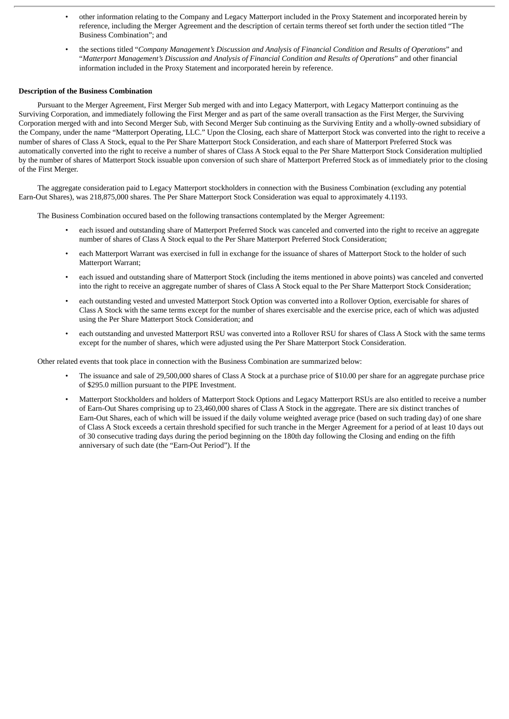- other information relating to the Company and Legacy Matterport included in the Proxy Statement and incorporated herein by reference, including the Merger Agreement and the description of certain terms thereof set forth under the section titled "The Business Combination"; and
- the sections titled "*Company Management's Discussion and Analysis of Financial Condition and Results of Operations*" and "*Matterport Management's Discussion and Analysis of Financial Condition and Results of Operations*" and other financial information included in the Proxy Statement and incorporated herein by reference.

#### **Description of the Business Combination**

Pursuant to the Merger Agreement, First Merger Sub merged with and into Legacy Matterport, with Legacy Matterport continuing as the Surviving Corporation, and immediately following the First Merger and as part of the same overall transaction as the First Merger, the Surviving Corporation merged with and into Second Merger Sub, with Second Merger Sub continuing as the Surviving Entity and a wholly-owned subsidiary of the Company, under the name "Matterport Operating, LLC." Upon the Closing, each share of Matterport Stock was converted into the right to receive a number of shares of Class A Stock, equal to the Per Share Matterport Stock Consideration, and each share of Matterport Preferred Stock was automatically converted into the right to receive a number of shares of Class A Stock equal to the Per Share Matterport Stock Consideration multiplied by the number of shares of Matterport Stock issuable upon conversion of such share of Matterport Preferred Stock as of immediately prior to the closing of the First Merger.

The aggregate consideration paid to Legacy Matterport stockholders in connection with the Business Combination (excluding any potential Earn-Out Shares), was 218,875,000 shares. The Per Share Matterport Stock Consideration was equal to approximately 4.1193.

The Business Combination occured based on the following transactions contemplated by the Merger Agreement:

- each issued and outstanding share of Matterport Preferred Stock was canceled and converted into the right to receive an aggregate number of shares of Class A Stock equal to the Per Share Matterport Preferred Stock Consideration;
- each Matterport Warrant was exercised in full in exchange for the issuance of shares of Matterport Stock to the holder of such Matterport Warrant;
- each issued and outstanding share of Matterport Stock (including the items mentioned in above points) was canceled and converted into the right to receive an aggregate number of shares of Class A Stock equal to the Per Share Matterport Stock Consideration;
- each outstanding vested and unvested Matterport Stock Option was converted into a Rollover Option, exercisable for shares of Class A Stock with the same terms except for the number of shares exercisable and the exercise price, each of which was adjusted using the Per Share Matterport Stock Consideration; and
- each outstanding and unvested Matterport RSU was converted into a Rollover RSU for shares of Class A Stock with the same terms except for the number of shares, which were adjusted using the Per Share Matterport Stock Consideration.

Other related events that took place in connection with the Business Combination are summarized below:

- The issuance and sale of 29,500,000 shares of Class A Stock at a purchase price of \$10.00 per share for an aggregate purchase price of \$295.0 million pursuant to the PIPE Investment.
- Matterport Stockholders and holders of Matterport Stock Options and Legacy Matterport RSUs are also entitled to receive a number of Earn-Out Shares comprising up to 23,460,000 shares of Class A Stock in the aggregate. There are six distinct tranches of Earn-Out Shares, each of which will be issued if the daily volume weighted average price (based on such trading day) of one share of Class A Stock exceeds a certain threshold specified for such tranche in the Merger Agreement for a period of at least 10 days out of 30 consecutive trading days during the period beginning on the 180th day following the Closing and ending on the fifth anniversary of such date (the "Earn-Out Period"). If the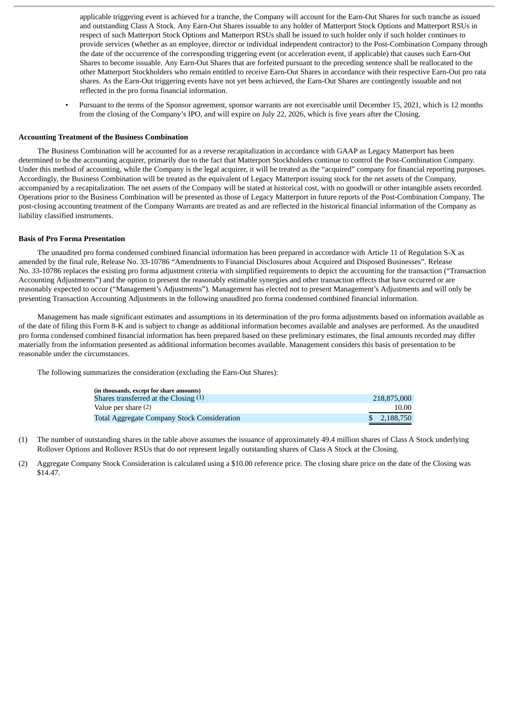applicable triggering event is achieved for a tranche, the Company will account for the Earn-Out Shares for such tranche as issued and outstanding Class A Stock. Any Earn-Out Shares issuable to any holder of Matterport Stock Options and Matterport RSUs in respect of such Matterport Stock Options and Matterport RSUs shall be issued to such holder only if such holder continues to provide services (whether as an employee, director or individual independent contractor) to the Post-Combination Company through the date of the occurrence of the corresponding triggering event (or acceleration event, if applicable) that causes such Earn-Out Shares to become issuable. Any Earn-Out Shares that are forfeited pursuant to the preceding sentence shall be reallocated to the other Matterport Stockholders who remain entitled to receive Earn-Out Shares in accordance with their respective Earn-Out pro rata shares. As the Earn-Out triggering events have not yet been achieved, the Earn-Out Shares are contingently issuable and not reflected in the pro forma financial information.

• Pursuant to the terms of the Sponsor agreement, sponsor warrants are not exercisable until December 15, 2021, which is 12 months from the closing of the Company's IPO, and will expire on July 22, 2026, which is five years after the Closing.

#### **Accounting Treatment of the Business Combination**

The Business Combination will be accounted for as a reverse recapitalization in accordance with GAAP as Legacy Matterport has been determined to be the accounting acquirer, primarily due to the fact that Matterport Stockholders continue to control the Post-Combination Company. Under this method of accounting, while the Company is the legal acquirer, it will be treated as the "acquired" company for financial reporting purposes. Accordingly, the Business Combination will be treated as the equivalent of Legacy Matterport issuing stock for the net assets of the Company, accompanied by a recapitalization. The net assets of the Company will be stated at historical cost, with no goodwill or other intangible assets recorded. Operations prior to the Business Combination will be presented as those of Legacy Matterport in future reports of the Post-Combination Company. The post-closing accounting treatment of the Company Warrants are treated as and are reflected in the historical financial information of the Company as liability classified instruments.

#### **Basis of Pro Forma Presentation**

The unaudited pro forma condensed combined financial information has been prepared in accordance with Article 11 of Regulation S-X as amended by the final rule, Release No. 33-10786 "Amendments to Financial Disclosures about Acquired and Disposed Businesses". Release No. 33-10786 replaces the existing pro forma adjustment criteria with simplified requirements to depict the accounting for the transaction ("Transaction Accounting Adjustments") and the option to present the reasonably estimable synergies and other transaction effects that have occurred or are reasonably expected to occur ("Management's Adjustments"). Management has elected not to present Management's Adjustments and will only be presenting Transaction Accounting Adjustments in the following unaudited pro forma condensed combined financial information.

Management has made significant estimates and assumptions in its determination of the pro forma adjustments based on information available as of the date of filing this Form 8-K and is subject to change as additional information becomes available and analyses are performed. As the unaudited pro forma condensed combined financial information has been prepared based on these preliminary estimates, the final amounts recorded may differ materially from the information presented as additional information becomes available. Management considers this basis of presentation to be reasonable under the circumstances.

The following summarizes the consideration (excluding the Earn-Out Shares):

| (in thousands, except for share amounts)    |              |
|---------------------------------------------|--------------|
| Shares transferred at the Closing (1)       | 218,875,000  |
| Value per share (2)                         | 10.00        |
| Total Aggregate Company Stock Consideration | \$ 2.188,750 |

- (1) The number of outstanding shares in the table above assumes the issuance of approximately 49.4 million shares of Class A Stock underlying Rollover Options and Rollover RSUs that do not represent legally outstanding shares of Class A Stock at the Closing.
- (2) Aggregate Company Stock Consideration is calculated using a \$10.00 reference price. The closing share price on the date of the Closing was \$14.47.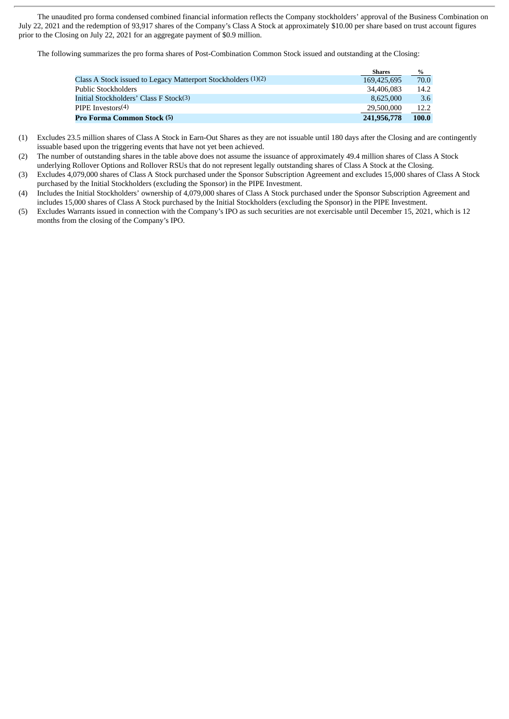The unaudited pro forma condensed combined financial information reflects the Company stockholders' approval of the Business Combination on July 22, 2021 and the redemption of 93,917 shares of the Company's Class A Stock at approximately \$10.00 per share based on trust account figures prior to the Closing on July 22, 2021 for an aggregate payment of \$0.9 million.

The following summarizes the pro forma shares of Post-Combination Common Stock issued and outstanding at the Closing:

|                                                               | Shares      | $\%$  |
|---------------------------------------------------------------|-------------|-------|
| Class A Stock issued to Legacy Matterport Stockholders (1)(2) | 169,425,695 | 70.0  |
| Public Stockholders                                           | 34,406,083  | 14.2  |
| Initial Stockholders' Class F Stock(3)                        | 8.625.000   | 3.6   |
| PIPE Investors $(4)$                                          | 29,500,000  | 12.2  |
| <b>Pro Forma Common Stock (5)</b>                             | 241,956,778 | 100.0 |

- (1) Excludes 23.5 million shares of Class A Stock in Earn-Out Shares as they are not issuable until 180 days after the Closing and are contingently issuable based upon the triggering events that have not yet been achieved.
- (2) The number of outstanding shares in the table above does not assume the issuance of approximately 49.4 million shares of Class A Stock underlying Rollover Options and Rollover RSUs that do not represent legally outstanding shares of Class A Stock at the Closing.
- (3) Excludes 4,079,000 shares of Class A Stock purchased under the Sponsor Subscription Agreement and excludes 15,000 shares of Class A Stock purchased by the Initial Stockholders (excluding the Sponsor) in the PIPE Investment.
- (4) Includes the Initial Stockholders' ownership of 4,079,000 shares of Class A Stock purchased under the Sponsor Subscription Agreement and includes 15,000 shares of Class A Stock purchased by the Initial Stockholders (excluding the Sponsor) in the PIPE Investment.
- (5) Excludes Warrants issued in connection with the Company's IPO as such securities are not exercisable until December 15, 2021, which is 12 months from the closing of the Company's IPO.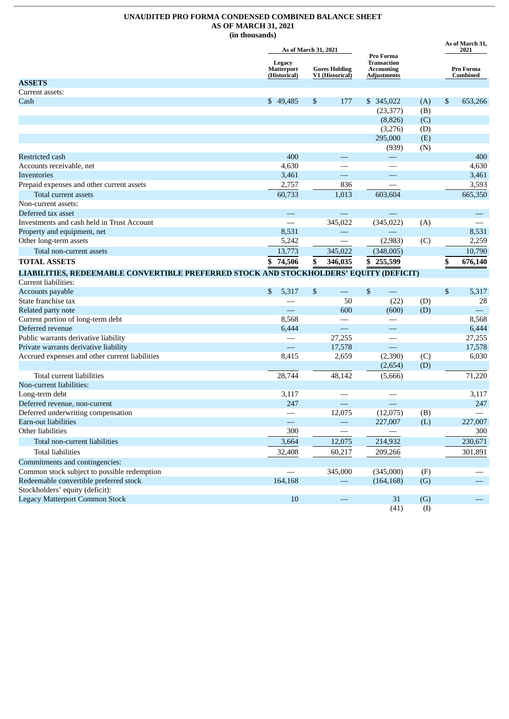# **UNAUDITED PRO FORMA CONDENSED COMBINED BALANCE SHEET AS OF MARCH 31, 2021**

**(in thousands)**

**As of March 31,**

|                                                                                        |                                                                                        | As of March 31, 2021                     |                                                                     |     | As of March 31,<br>2021 |  |
|----------------------------------------------------------------------------------------|----------------------------------------------------------------------------------------|------------------------------------------|---------------------------------------------------------------------|-----|-------------------------|--|
|                                                                                        | Legacy<br><b>Matterport</b><br><b>Gores Holding</b><br>(Historical)<br>V1 (Historical) |                                          | Pro Forma<br>Transaction<br><b>Accounting</b><br><b>Adjustments</b> |     | Pro Forma<br>Combined   |  |
| <b>ASSETS</b>                                                                          |                                                                                        |                                          |                                                                     |     |                         |  |
| Current assets:                                                                        |                                                                                        |                                          |                                                                     |     |                         |  |
| Cash                                                                                   | \$49,485                                                                               | 177<br>\$                                | \$ 345,022                                                          | (A) | \$<br>653,266           |  |
|                                                                                        |                                                                                        |                                          | (23, 377)                                                           | (B) |                         |  |
|                                                                                        |                                                                                        |                                          | (8,826)                                                             | (C) |                         |  |
|                                                                                        |                                                                                        |                                          | (3,276)                                                             | (D) |                         |  |
|                                                                                        |                                                                                        |                                          | 295,000                                                             | (E) |                         |  |
|                                                                                        |                                                                                        |                                          | (939)                                                               | (N) |                         |  |
| Restricted cash                                                                        | 400                                                                                    |                                          |                                                                     |     | 400                     |  |
| Accounts receivable, net                                                               | 4,630                                                                                  |                                          |                                                                     |     | 4,630                   |  |
| Inventories                                                                            | 3,461                                                                                  | $\overline{\phantom{0}}$                 |                                                                     |     | 3,461                   |  |
| Prepaid expenses and other current assets                                              | 2,757                                                                                  | 836                                      |                                                                     |     | 3,593                   |  |
| Total current assets                                                                   | 60,733                                                                                 | 1,013                                    | 603,604                                                             |     | 665,350                 |  |
| Non-current assets:                                                                    |                                                                                        |                                          |                                                                     |     |                         |  |
| Deferred tax asset                                                                     | $\overline{\phantom{0}}$                                                               |                                          |                                                                     |     |                         |  |
| Investments and cash held in Trust Account                                             |                                                                                        | 345,022                                  | (345, 022)                                                          | (A) |                         |  |
| Property and equipment, net                                                            | 8,531                                                                                  |                                          |                                                                     |     | 8,531                   |  |
| Other long-term assets                                                                 | 5,242                                                                                  |                                          | (2,983)                                                             | (C) | 2,259                   |  |
| Total non-current assets                                                               | 13,773                                                                                 | 345,022                                  | (348,005)                                                           |     | 10,790                  |  |
| <b>TOTAL ASSETS</b>                                                                    | 74,506<br>\$                                                                           | \$<br>346,035                            | \$255,599                                                           |     | \$<br>676,140           |  |
| LIABILITIES, REDEEMABLE CONVERTIBLE PREFERRED STOCK AND STOCKHOLDERS' EQUITY (DEFICIT) |                                                                                        |                                          |                                                                     |     |                         |  |
| Current liabilities:                                                                   |                                                                                        |                                          |                                                                     |     |                         |  |
| Accounts payable                                                                       | \$<br>5,317                                                                            | $\mathbb{S}$<br>$\overline{\phantom{0}}$ | $\mathfrak{s}$                                                      |     | $\$$<br>5,317           |  |
| State franchise tax                                                                    |                                                                                        | 50                                       | (22)                                                                | (D) | 28                      |  |
| Related party note                                                                     |                                                                                        | 600                                      | (600)                                                               | (D) |                         |  |
| Current portion of long-term debt                                                      | 8,568                                                                                  |                                          |                                                                     |     | 8,568                   |  |
| Deferred revenue                                                                       | 6,444                                                                                  | ═                                        |                                                                     |     | 6,444                   |  |
| Public warrants derivative liability                                                   | $\overline{\phantom{0}}$                                                               | 27,255                                   |                                                                     |     | 27,255                  |  |
| Private warrants derivative liability                                                  | $\equiv$                                                                               | 17,578                                   | $\equiv$                                                            |     | 17,578                  |  |
| Accrued expenses and other current liabilities                                         | 8,415                                                                                  | 2,659                                    | (2,390)                                                             | (C) | 6,030                   |  |
|                                                                                        |                                                                                        |                                          | (2,654)                                                             | (D) |                         |  |
| Total current liabilities                                                              | 28,744                                                                                 | 48,142                                   | (5,666)                                                             |     | 71,220                  |  |
| Non-current liabilities:                                                               |                                                                                        |                                          |                                                                     |     |                         |  |
| Long-term debt                                                                         | 3,117                                                                                  |                                          |                                                                     |     | 3,117                   |  |
| Deferred revenue, non-current                                                          | 247                                                                                    |                                          | $\overline{\phantom{0}}$                                            |     | 247                     |  |
| Deferred underwriting compensation                                                     |                                                                                        | 12,075                                   | (12,075)                                                            | (B) |                         |  |
| Earn-out liabilities                                                                   |                                                                                        |                                          | 227,007                                                             | (L) | 227,007                 |  |
| Other liabilities                                                                      | 300                                                                                    |                                          |                                                                     |     | 300                     |  |
| Total non-current liabilities                                                          | 3,664                                                                                  | 12,075                                   | 214,932                                                             |     | 230,671                 |  |
| <b>Total liabilities</b>                                                               | 32,408                                                                                 | 60,217                                   | 209,266                                                             |     | 301,891                 |  |
| Commitments and contingencies:                                                         |                                                                                        |                                          |                                                                     |     |                         |  |
| Common stock subject to possible redemption                                            |                                                                                        | 345,000                                  | (345,000)                                                           | (F) |                         |  |
| Redeemable convertible preferred stock                                                 | 164,168                                                                                |                                          | (164, 168)                                                          | (G) |                         |  |
| Stockholders' equity (deficit):                                                        |                                                                                        |                                          |                                                                     |     |                         |  |
| <b>Legacy Matterport Common Stock</b>                                                  | 10                                                                                     |                                          | 31                                                                  | (G) |                         |  |
|                                                                                        |                                                                                        |                                          | (41)                                                                | (I) |                         |  |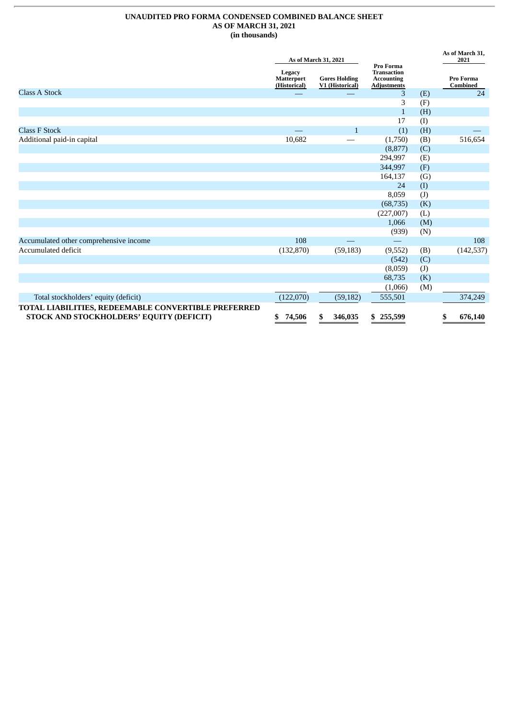# **UNAUDITED PRO FORMA CONDENSED COMBINED BALANCE SHEET AS OF MARCH 31, 2021 (in thousands)**

|                                                     |                                             | As of March 31, 2021                    |                                                                            |     | As of March 31,<br>2021 |
|-----------------------------------------------------|---------------------------------------------|-----------------------------------------|----------------------------------------------------------------------------|-----|-------------------------|
|                                                     | Legacy<br><b>Matterport</b><br>(Historical) | <b>Gores Holding</b><br>V1 (Historical) | Pro Forma<br><b>Transaction</b><br><b>Accounting</b><br><b>Adjustments</b> |     | Pro Forma<br>Combined   |
| <b>Class A Stock</b>                                |                                             |                                         | 3                                                                          | (E) | 24                      |
|                                                     |                                             |                                         | 3                                                                          | (F) |                         |
|                                                     |                                             |                                         | $\mathbf{1}$                                                               | (H) |                         |
|                                                     |                                             |                                         | 17                                                                         | (I) |                         |
| <b>Class F Stock</b>                                |                                             | $\mathbf{1}$                            | (1)                                                                        | (H) |                         |
| Additional paid-in capital                          | 10,682                                      |                                         | (1,750)                                                                    | (B) | 516,654                 |
|                                                     |                                             |                                         | (8,877)                                                                    | (C) |                         |
|                                                     |                                             |                                         | 294,997                                                                    | (E) |                         |
|                                                     |                                             |                                         | 344,997                                                                    | (F) |                         |
|                                                     |                                             |                                         | 164,137                                                                    | (G) |                         |
|                                                     |                                             |                                         | 24                                                                         | (1) |                         |
|                                                     |                                             |                                         | 8,059                                                                      | (J) |                         |
|                                                     |                                             |                                         | (68, 735)                                                                  | (K) |                         |
|                                                     |                                             |                                         | (227,007)                                                                  | (L) |                         |
|                                                     |                                             |                                         | 1,066                                                                      | (M) |                         |
|                                                     |                                             |                                         | (939)                                                                      | (N) |                         |
| Accumulated other comprehensive income              | 108                                         |                                         |                                                                            |     | 108                     |
| Accumulated deficit                                 | (132, 870)                                  | (59, 183)                               | (9,552)                                                                    | (B) | (142, 537)              |
|                                                     |                                             |                                         | (542)                                                                      | (C) |                         |
|                                                     |                                             |                                         | (8,059)                                                                    | (J) |                         |
|                                                     |                                             |                                         | 68,735                                                                     | (K) |                         |
|                                                     |                                             |                                         | (1,066)                                                                    | (M) |                         |
| Total stockholders' equity (deficit)                | (122,070)                                   | (59, 182)                               | 555,501                                                                    |     | 374,249                 |
| TOTAL LIABILITIES, REDEEMABLE CONVERTIBLE PREFERRED |                                             |                                         |                                                                            |     |                         |
| STOCK AND STOCKHOLDERS' EQUITY (DEFICIT)            | \$<br>74,506                                | 346,035<br>S                            | \$255,599                                                                  |     | \$<br>676,140           |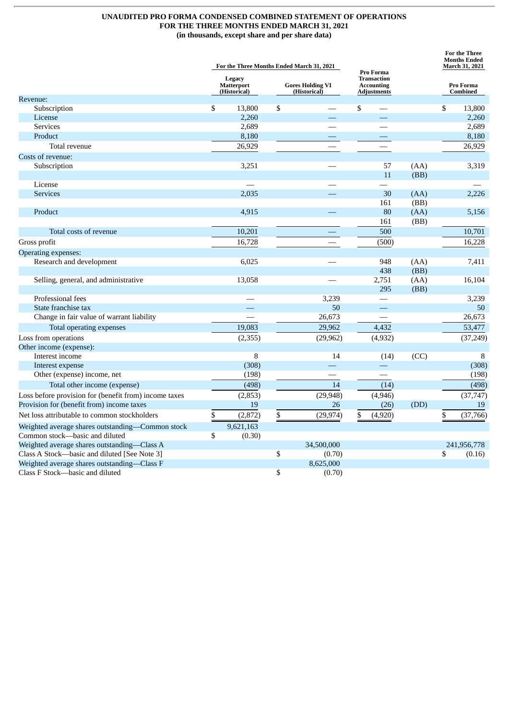# **UNAUDITED PRO FORMA CONDENSED COMBINED STATEMENT OF OPERATIONS FOR THE THREE MONTHS ENDED MARCH 31, 2021 (in thousands, except share and per share data)**

|                                                                                             | For the Three Months Ended March 31, 2021   |           |                                         |                     |                                                                            |              |              | <b>For the Three</b><br><b>Months Ended</b><br>March 31, 2021 |             |  |
|---------------------------------------------------------------------------------------------|---------------------------------------------|-----------|-----------------------------------------|---------------------|----------------------------------------------------------------------------|--------------|--------------|---------------------------------------------------------------|-------------|--|
|                                                                                             | Legacy<br><b>Matterport</b><br>(Historical) |           | <b>Gores Holding VI</b><br>(Historical) |                     | Pro Forma<br><b>Transaction</b><br><b>Accounting</b><br><b>Adjustments</b> |              |              | Pro Forma<br><b>Combined</b>                                  |             |  |
| Revenue:                                                                                    |                                             |           |                                         |                     |                                                                            |              |              |                                                               |             |  |
| Subscription                                                                                | \$                                          | 13,800    | \$                                      |                     | \$                                                                         |              |              | \$                                                            | 13,800      |  |
| License                                                                                     |                                             | 2,260     |                                         |                     |                                                                            |              |              |                                                               | 2,260       |  |
| <b>Services</b>                                                                             |                                             | 2,689     |                                         |                     |                                                                            |              |              |                                                               | 2,689       |  |
| Product                                                                                     |                                             | 8,180     |                                         |                     |                                                                            |              |              |                                                               | 8,180       |  |
| Total revenue                                                                               |                                             | 26,929    |                                         |                     |                                                                            |              |              |                                                               | 26,929      |  |
| Costs of revenue:                                                                           |                                             |           |                                         |                     |                                                                            |              |              |                                                               |             |  |
| Subscription                                                                                |                                             | 3,251     |                                         |                     |                                                                            | 57           | (AA)         |                                                               | 3,319       |  |
|                                                                                             |                                             |           |                                         |                     |                                                                            | 11           | (BB)         |                                                               |             |  |
| License                                                                                     |                                             |           |                                         |                     |                                                                            |              |              |                                                               |             |  |
| <b>Services</b>                                                                             |                                             | 2,035     |                                         |                     |                                                                            | 30<br>161    | (AA)<br>(BB) |                                                               | 2,226       |  |
| Product                                                                                     |                                             | 4,915     |                                         |                     |                                                                            | 80           | (AA)         |                                                               | 5,156       |  |
|                                                                                             |                                             |           |                                         |                     |                                                                            | 161          | (BB)         |                                                               |             |  |
| Total costs of revenue                                                                      |                                             | 10,201    |                                         |                     |                                                                            | 500          |              |                                                               | 10,701      |  |
|                                                                                             |                                             | 16,728    |                                         |                     |                                                                            |              |              |                                                               | 16,228      |  |
| Gross profit                                                                                |                                             |           |                                         |                     |                                                                            | (500)        |              |                                                               |             |  |
| Operating expenses:                                                                         |                                             |           |                                         |                     |                                                                            |              |              |                                                               |             |  |
| Research and development                                                                    |                                             | 6,025     |                                         |                     |                                                                            | 948          | (AA)         |                                                               | 7,411       |  |
|                                                                                             |                                             | 13,058    |                                         |                     |                                                                            | 438<br>2,751 | (BB)<br>(AA) |                                                               | 16,104      |  |
| Selling, general, and administrative                                                        |                                             |           |                                         |                     |                                                                            | 295          | (BB)         |                                                               |             |  |
| Professional fees                                                                           |                                             |           |                                         | 3.239               |                                                                            |              |              |                                                               | 3,239       |  |
| State franchise tax                                                                         |                                             |           |                                         | 50                  |                                                                            |              |              |                                                               | 50          |  |
| Change in fair value of warrant liability                                                   |                                             |           |                                         | 26,673              |                                                                            |              |              |                                                               | 26,673      |  |
| Total operating expenses                                                                    |                                             | 19,083    |                                         | 29.962              |                                                                            | 4.432        |              |                                                               | 53,477      |  |
| Loss from operations                                                                        |                                             | (2, 355)  |                                         | (29, 962)           |                                                                            | (4, 932)     |              |                                                               | (37, 249)   |  |
| Other income (expense):                                                                     |                                             |           |                                         |                     |                                                                            |              |              |                                                               |             |  |
| Interest income                                                                             |                                             | 8         |                                         | 14                  |                                                                            | (14)         | (CC)         |                                                               | 8           |  |
| Interest expense                                                                            |                                             | (308)     |                                         |                     |                                                                            |              |              |                                                               | (308)       |  |
| Other (expense) income, net                                                                 |                                             | (198)     |                                         |                     |                                                                            |              |              |                                                               | (198)       |  |
| Total other income (expense)                                                                |                                             | (498)     |                                         | 14                  |                                                                            | (14)         |              |                                                               | (498)       |  |
| Loss before provision for (benefit from) income taxes                                       |                                             | (2, 853)  |                                         | (29, 948)           |                                                                            | (4,946)      |              |                                                               | (37, 747)   |  |
| Provision for (benefit from) income taxes                                                   |                                             | 19        |                                         | 26                  |                                                                            | (26)         | (DD)         |                                                               | 19          |  |
| Net loss attributable to common stockholders                                                | \$                                          | (2,872)   | \$                                      | (29, 974)           | \$                                                                         | (4,920)      |              | \$                                                            | (37,766)    |  |
|                                                                                             |                                             |           |                                         |                     |                                                                            |              |              |                                                               |             |  |
| Weighted average shares outstanding-Common stock                                            |                                             | 9,621,163 |                                         |                     |                                                                            |              |              |                                                               |             |  |
| Common stock-basic and diluted                                                              | \$                                          | (0.30)    |                                         |                     |                                                                            |              |              |                                                               |             |  |
| Weighted average shares outstanding-Class A                                                 |                                             |           |                                         | 34,500,000          |                                                                            |              |              | \$                                                            | 241,956,778 |  |
| Class A Stock-basic and diluted [See Note 3]<br>Weighted average shares outstanding-Class F |                                             |           | \$                                      | (0.70)<br>8,625,000 |                                                                            |              |              |                                                               | (0.16)      |  |
| Class F Stock-basic and diluted                                                             |                                             |           | \$                                      | (0.70)              |                                                                            |              |              |                                                               |             |  |
|                                                                                             |                                             |           |                                         |                     |                                                                            |              |              |                                                               |             |  |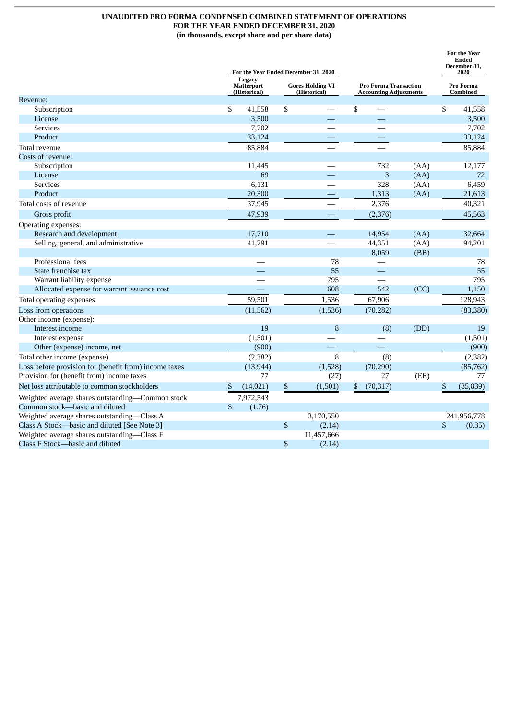# **UNAUDITED PRO FORMA CONDENSED COMBINED STATEMENT OF OPERATIONS FOR THE YEAR ENDED DECEMBER 31, 2020 (in thousands, except share and per share data)**

|                                                       |                                             |      | For the Year Ended December 31, 2020    |                                                               |                          |                       |    | For the Year<br><b>Ended</b><br>December 31,<br>2020 |
|-------------------------------------------------------|---------------------------------------------|------|-----------------------------------------|---------------------------------------------------------------|--------------------------|-----------------------|----|------------------------------------------------------|
|                                                       | Legacy<br><b>Matterport</b><br>(Historical) |      | <b>Gores Holding VI</b><br>(Historical) | <b>Pro Forma Transaction</b><br><b>Accounting Adjustments</b> |                          | Pro Forma<br>Combined |    |                                                      |
| Revenue:                                              |                                             |      |                                         |                                                               |                          |                       |    |                                                      |
| Subscription                                          | \$<br>41,558                                | \$   |                                         | \$                                                            |                          |                       | \$ | 41,558                                               |
| License                                               | 3,500                                       |      |                                         |                                                               |                          |                       |    | 3,500                                                |
| <b>Services</b>                                       | 7,702                                       |      |                                         |                                                               |                          |                       |    | 7,702                                                |
| Product                                               | 33,124                                      |      |                                         |                                                               |                          |                       |    | 33,124                                               |
| Total revenue                                         | 85,884                                      |      |                                         |                                                               |                          |                       |    | 85,884                                               |
| Costs of revenue:                                     |                                             |      |                                         |                                                               |                          |                       |    |                                                      |
| Subscription                                          | 11,445                                      |      |                                         |                                                               | 732                      | (AA)                  |    | 12,177                                               |
| License                                               | 69                                          |      |                                         |                                                               | 3                        | (AA)                  |    | 72                                                   |
| <b>Services</b>                                       | 6,131                                       |      |                                         |                                                               | 328                      | (AA)                  |    | 6,459                                                |
| Product                                               | 20,300                                      |      |                                         |                                                               | 1,313                    | (AA)                  |    | 21,613                                               |
| Total costs of revenue                                | 37,945                                      |      |                                         |                                                               | 2,376                    |                       |    | 40,321                                               |
| Gross profit                                          | 47,939                                      |      |                                         |                                                               | (2, 376)                 |                       |    | 45,563                                               |
| Operating expenses:                                   |                                             |      |                                         |                                                               |                          |                       |    |                                                      |
| Research and development                              | 17,710                                      |      |                                         |                                                               | 14,954                   | (AA)                  |    | 32,664                                               |
| Selling, general, and administrative                  | 41,791                                      |      |                                         |                                                               | 44,351                   | (AA)                  |    | 94,201                                               |
|                                                       |                                             |      |                                         |                                                               | 8,059                    | (BB)                  |    |                                                      |
| Professional fees                                     |                                             |      | 78                                      |                                                               |                          |                       |    | 78                                                   |
| State franchise tax                                   |                                             |      | 55                                      |                                                               | $\overline{\phantom{0}}$ |                       |    | 55                                                   |
| Warrant liability expense                             |                                             |      | 795                                     |                                                               |                          |                       |    | 795                                                  |
| Allocated expense for warrant issuance cost           |                                             |      | 608                                     |                                                               | 542                      | (CC)                  |    | 1,150                                                |
| Total operating expenses                              | 59,501                                      |      | 1,536                                   |                                                               | 67,906                   |                       |    | 128,943                                              |
| Loss from operations                                  | (11, 562)                                   |      | (1,536)                                 |                                                               | (70, 282)                |                       |    | (83, 380)                                            |
| Other income (expense):                               |                                             |      |                                         |                                                               |                          |                       |    |                                                      |
| Interest income                                       | 19                                          |      | 8                                       |                                                               | (8)                      | (DD)                  |    | 19                                                   |
| Interest expense                                      | (1,501)                                     |      |                                         |                                                               |                          |                       |    | (1,501)                                              |
| Other (expense) income, net                           | (900)                                       |      |                                         |                                                               |                          |                       |    | (900)                                                |
| Total other income (expense)                          | (2, 382)                                    |      | 8                                       |                                                               | (8)                      |                       |    | (2, 382)                                             |
| Loss before provision for (benefit from) income taxes | (13, 944)                                   |      | (1,528)                                 |                                                               | (70, 290)                |                       |    | (85, 762)                                            |
| Provision for (benefit from) income taxes             | 77                                          |      | (27)                                    |                                                               | 27                       | (EE)                  |    | 77                                                   |
| Net loss attributable to common stockholders          | \$<br>(14, 021)                             | $\$$ | (1,501)                                 | \$                                                            | (70, 317)                |                       | \$ | (85, 839)                                            |
| Weighted average shares outstanding-Common stock      | 7,972,543                                   |      |                                         |                                                               |                          |                       |    |                                                      |
| Common stock-basic and diluted                        | \$<br>(1.76)                                |      |                                         |                                                               |                          |                       |    |                                                      |
| Weighted average shares outstanding-Class A           |                                             |      | 3,170,550                               |                                                               |                          |                       |    | 241,956,778                                          |
| Class A Stock-basic and diluted [See Note 3]          |                                             | \$   | (2.14)                                  |                                                               |                          |                       | \$ | (0.35)                                               |
| Weighted average shares outstanding-Class F           |                                             |      | 11,457,666                              |                                                               |                          |                       |    |                                                      |
| Class F Stock-basic and diluted                       |                                             | \$   | (2.14)                                  |                                                               |                          |                       |    |                                                      |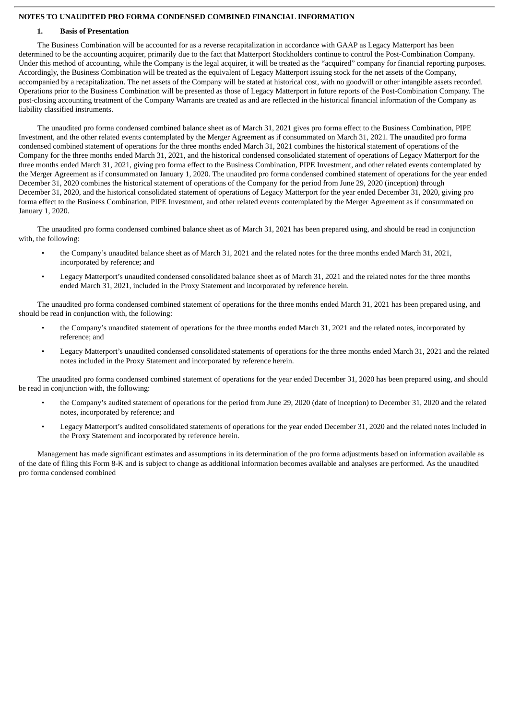# **NOTES TO UNAUDITED PRO FORMA CONDENSED COMBINED FINANCIAL INFORMATION**

# **1. Basis of Presentation**

The Business Combination will be accounted for as a reverse recapitalization in accordance with GAAP as Legacy Matterport has been determined to be the accounting acquirer, primarily due to the fact that Matterport Stockholders continue to control the Post-Combination Company. Under this method of accounting, while the Company is the legal acquirer, it will be treated as the "acquired" company for financial reporting purposes. Accordingly, the Business Combination will be treated as the equivalent of Legacy Matterport issuing stock for the net assets of the Company, accompanied by a recapitalization. The net assets of the Company will be stated at historical cost, with no goodwill or other intangible assets recorded. Operations prior to the Business Combination will be presented as those of Legacy Matterport in future reports of the Post-Combination Company. The post-closing accounting treatment of the Company Warrants are treated as and are reflected in the historical financial information of the Company as liability classified instruments.

The unaudited pro forma condensed combined balance sheet as of March 31, 2021 gives pro forma effect to the Business Combination, PIPE Investment, and the other related events contemplated by the Merger Agreement as if consummated on March 31, 2021. The unaudited pro forma condensed combined statement of operations for the three months ended March 31, 2021 combines the historical statement of operations of the Company for the three months ended March 31, 2021, and the historical condensed consolidated statement of operations of Legacy Matterport for the three months ended March 31, 2021, giving pro forma effect to the Business Combination, PIPE Investment, and other related events contemplated by the Merger Agreement as if consummated on January 1, 2020. The unaudited pro forma condensed combined statement of operations for the year ended December 31, 2020 combines the historical statement of operations of the Company for the period from June 29, 2020 (inception) through December 31, 2020, and the historical consolidated statement of operations of Legacy Matterport for the year ended December 31, 2020, giving pro forma effect to the Business Combination, PIPE Investment, and other related events contemplated by the Merger Agreement as if consummated on January 1, 2020.

The unaudited pro forma condensed combined balance sheet as of March 31, 2021 has been prepared using, and should be read in conjunction with, the following:

- the Company's unaudited balance sheet as of March 31, 2021 and the related notes for the three months ended March 31, 2021, incorporated by reference; and
- Legacy Matterport's unaudited condensed consolidated balance sheet as of March 31, 2021 and the related notes for the three months ended March 31, 2021, included in the Proxy Statement and incorporated by reference herein.

The unaudited pro forma condensed combined statement of operations for the three months ended March 31, 2021 has been prepared using, and should be read in conjunction with, the following:

- the Company's unaudited statement of operations for the three months ended March 31, 2021 and the related notes, incorporated by reference; and
- Legacy Matterport's unaudited condensed consolidated statements of operations for the three months ended March 31, 2021 and the related notes included in the Proxy Statement and incorporated by reference herein.

The unaudited pro forma condensed combined statement of operations for the year ended December 31, 2020 has been prepared using, and should be read in conjunction with, the following:

- the Company's audited statement of operations for the period from June 29, 2020 (date of inception) to December 31, 2020 and the related notes, incorporated by reference; and
- Legacy Matterport's audited consolidated statements of operations for the year ended December 31, 2020 and the related notes included in the Proxy Statement and incorporated by reference herein.

Management has made significant estimates and assumptions in its determination of the pro forma adjustments based on information available as of the date of filing this Form 8-K and is subject to change as additional information becomes available and analyses are performed. As the unaudited pro forma condensed combined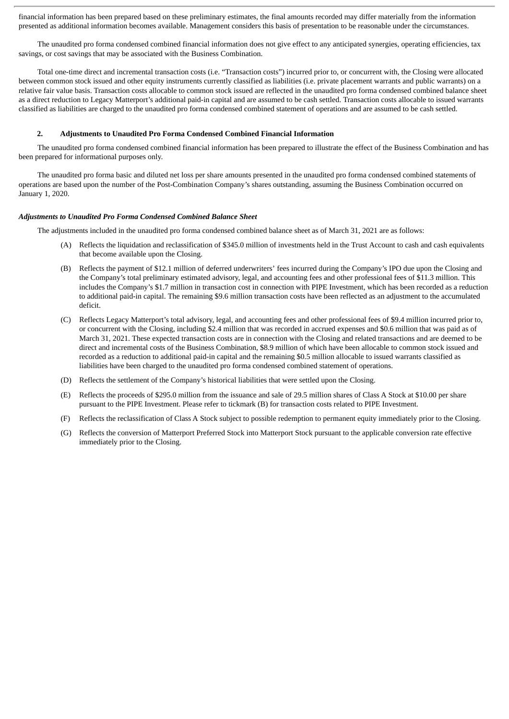financial information has been prepared based on these preliminary estimates, the final amounts recorded may differ materially from the information presented as additional information becomes available. Management considers this basis of presentation to be reasonable under the circumstances.

The unaudited pro forma condensed combined financial information does not give effect to any anticipated synergies, operating efficiencies, tax savings, or cost savings that may be associated with the Business Combination.

Total one-time direct and incremental transaction costs (i.e. "Transaction costs") incurred prior to, or concurrent with, the Closing were allocated between common stock issued and other equity instruments currently classified as liabilities (i.e. private placement warrants and public warrants) on a relative fair value basis. Transaction costs allocable to common stock issued are reflected in the unaudited pro forma condensed combined balance sheet as a direct reduction to Legacy Matterport's additional paid-in capital and are assumed to be cash settled. Transaction costs allocable to issued warrants classified as liabilities are charged to the unaudited pro forma condensed combined statement of operations and are assumed to be cash settled.

### **2. Adjustments to Unaudited Pro Forma Condensed Combined Financial Information**

The unaudited pro forma condensed combined financial information has been prepared to illustrate the effect of the Business Combination and has been prepared for informational purposes only.

The unaudited pro forma basic and diluted net loss per share amounts presented in the unaudited pro forma condensed combined statements of operations are based upon the number of the Post-Combination Company's shares outstanding, assuming the Business Combination occurred on January 1, 2020.

#### *Adjustments to Unaudited Pro Forma Condensed Combined Balance Sheet*

The adjustments included in the unaudited pro forma condensed combined balance sheet as of March 31, 2021 are as follows:

- (A) Reflects the liquidation and reclassification of \$345.0 million of investments held in the Trust Account to cash and cash equivalents that become available upon the Closing.
- (B) Reflects the payment of \$12.1 million of deferred underwriters' fees incurred during the Company's IPO due upon the Closing and the Company's total preliminary estimated advisory, legal, and accounting fees and other professional fees of \$11.3 million. This includes the Company's \$1.7 million in transaction cost in connection with PIPE Investment, which has been recorded as a reduction to additional paid-in capital. The remaining \$9.6 million transaction costs have been reflected as an adjustment to the accumulated deficit.
- (C) Reflects Legacy Matterport's total advisory, legal, and accounting fees and other professional fees of \$9.4 million incurred prior to, or concurrent with the Closing, including \$2.4 million that was recorded in accrued expenses and \$0.6 million that was paid as of March 31, 2021. These expected transaction costs are in connection with the Closing and related transactions and are deemed to be direct and incremental costs of the Business Combination, \$8.9 million of which have been allocable to common stock issued and recorded as a reduction to additional paid-in capital and the remaining \$0.5 million allocable to issued warrants classified as liabilities have been charged to the unaudited pro forma condensed combined statement of operations.
- (D) Reflects the settlement of the Company's historical liabilities that were settled upon the Closing.
- (E) Reflects the proceeds of \$295.0 million from the issuance and sale of 29.5 million shares of Class A Stock at \$10.00 per share pursuant to the PIPE Investment. Please refer to tickmark (B) for transaction costs related to PIPE Investment.
- (F) Reflects the reclassification of Class A Stock subject to possible redemption to permanent equity immediately prior to the Closing.
- (G) Reflects the conversion of Matterport Preferred Stock into Matterport Stock pursuant to the applicable conversion rate effective immediately prior to the Closing.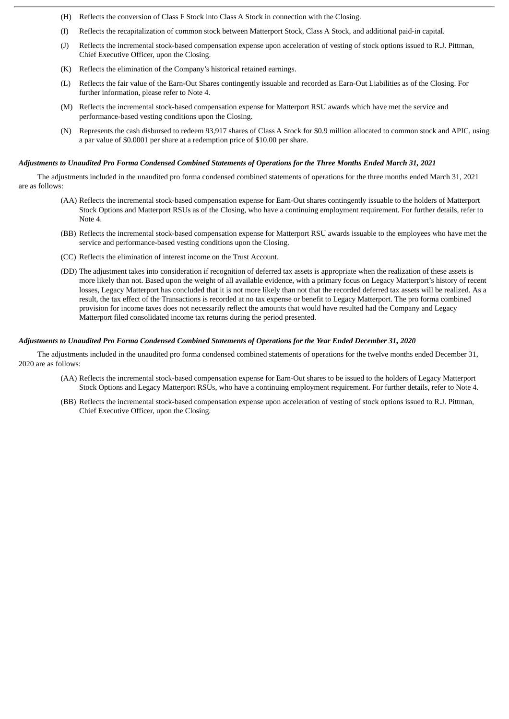- (H) Reflects the conversion of Class F Stock into Class A Stock in connection with the Closing.
- (I) Reflects the recapitalization of common stock between Matterport Stock, Class A Stock, and additional paid-in capital.
- (J) Reflects the incremental stock-based compensation expense upon acceleration of vesting of stock options issued to R.J. Pittman, Chief Executive Officer, upon the Closing.
- (K) Reflects the elimination of the Company's historical retained earnings.
- (L) Reflects the fair value of the Earn-Out Shares contingently issuable and recorded as Earn-Out Liabilities as of the Closing. For further information, please refer to Note 4.
- (M) Reflects the incremental stock-based compensation expense for Matterport RSU awards which have met the service and performance-based vesting conditions upon the Closing.
- (N) Represents the cash disbursed to redeem 93,917 shares of Class A Stock for \$0.9 million allocated to common stock and APIC, using a par value of \$0.0001 per share at a redemption price of \$10.00 per share.

### Adjustments to Unaudited Pro Forma Condensed Combined Statements of Operations for the Three Months Ended March 31, 2021

The adjustments included in the unaudited pro forma condensed combined statements of operations for the three months ended March 31, 2021 are as follows:

- (AA) Reflects the incremental stock-based compensation expense for Earn-Out shares contingently issuable to the holders of Matterport Stock Options and Matterport RSUs as of the Closing, who have a continuing employment requirement. For further details, refer to Note 4.
- (BB) Reflects the incremental stock-based compensation expense for Matterport RSU awards issuable to the employees who have met the service and performance-based vesting conditions upon the Closing.
- (CC) Reflects the elimination of interest income on the Trust Account.
- (DD) The adjustment takes into consideration if recognition of deferred tax assets is appropriate when the realization of these assets is more likely than not. Based upon the weight of all available evidence, with a primary focus on Legacy Matterport's history of recent losses, Legacy Matterport has concluded that it is not more likely than not that the recorded deferred tax assets will be realized. As a result, the tax effect of the Transactions is recorded at no tax expense or benefit to Legacy Matterport. The pro forma combined provision for income taxes does not necessarily reflect the amounts that would have resulted had the Company and Legacy Matterport filed consolidated income tax returns during the period presented.

### Adjustments to Unaudited Pro Forma Condensed Combined Statements of Operations for the Year Ended December 31, 2020

The adjustments included in the unaudited pro forma condensed combined statements of operations for the twelve months ended December 31, 2020 are as follows:

- (AA) Reflects the incremental stock-based compensation expense for Earn-Out shares to be issued to the holders of Legacy Matterport Stock Options and Legacy Matterport RSUs, who have a continuing employment requirement. For further details, refer to Note 4.
- (BB) Reflects the incremental stock-based compensation expense upon acceleration of vesting of stock options issued to R.J. Pittman, Chief Executive Officer, upon the Closing.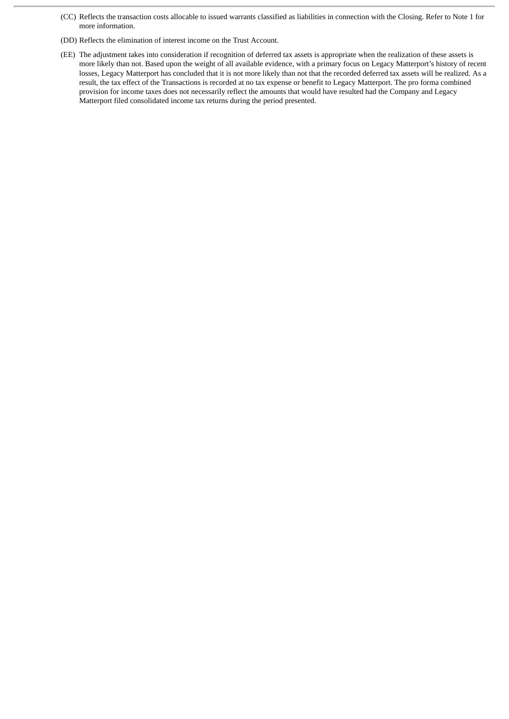- (CC) Reflects the transaction costs allocable to issued warrants classified as liabilities in connection with the Closing. Refer to Note 1 for more information.
- (DD) Reflects the elimination of interest income on the Trust Account.
- (EE) The adjustment takes into consideration if recognition of deferred tax assets is appropriate when the realization of these assets is more likely than not. Based upon the weight of all available evidence, with a primary focus on Legacy Matterport's history of recent losses, Legacy Matterport has concluded that it is not more likely than not that the recorded deferred tax assets will be realized. As a result, the tax effect of the Transactions is recorded at no tax expense or benefit to Legacy Matterport. The pro forma combined provision for income taxes does not necessarily reflect the amounts that would have resulted had the Company and Legacy Matterport filed consolidated income tax returns during the period presented.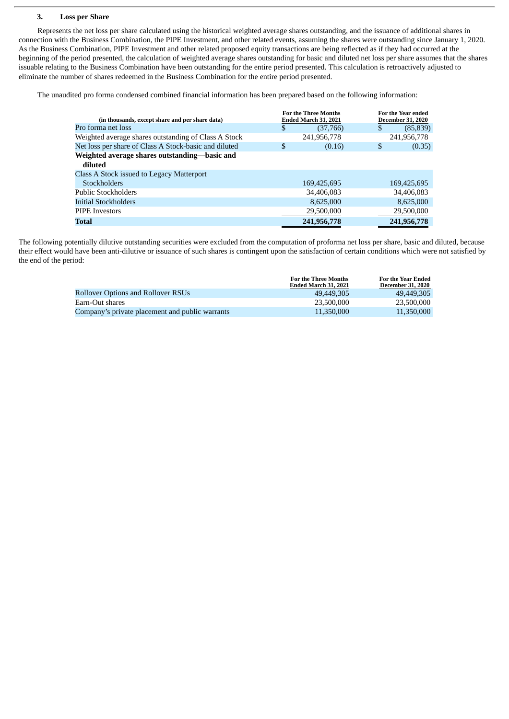## **3. Loss per Share**

Represents the net loss per share calculated using the historical weighted average shares outstanding, and the issuance of additional shares in connection with the Business Combination, the PIPE Investment, and other related events, assuming the shares were outstanding since January 1, 2020. As the Business Combination, PIPE Investment and other related proposed equity transactions are being reflected as if they had occurred at the beginning of the period presented, the calculation of weighted average shares outstanding for basic and diluted net loss per share assumes that the shares issuable relating to the Business Combination have been outstanding for the entire period presented. This calculation is retroactively adjusted to eliminate the number of shares redeemed in the Business Combination for the entire period presented.

The unaudited pro forma condensed combined financial information has been prepared based on the following information:

| (in thousands, except share and per share data)          | <b>For the Three Months</b><br>Ended March 31, 2021 | <b>For the Year ended</b><br><b>December 31, 2020</b> |
|----------------------------------------------------------|-----------------------------------------------------|-------------------------------------------------------|
| Pro forma net loss                                       | \$<br>(37,766)                                      | \$.<br>(85, 839)                                      |
| Weighted average shares outstanding of Class A Stock     | 241,956,778                                         | 241,956,778                                           |
| Net loss per share of Class A Stock-basic and diluted    | \$<br>(0.16)                                        | \$<br>(0.35)                                          |
| Weighted average shares outstanding-basic and<br>diluted |                                                     |                                                       |
| Class A Stock issued to Legacy Matterport                |                                                     |                                                       |
| <b>Stockholders</b>                                      | 169,425,695                                         | 169,425,695                                           |
| <b>Public Stockholders</b>                               | 34,406,083                                          | 34,406,083                                            |
| Initial Stockholders                                     | 8,625,000                                           | 8,625,000                                             |
| <b>PIPE Investors</b>                                    | 29,500,000                                          | 29,500,000                                            |
| <b>Total</b>                                             | 241,956,778                                         | 241,956,778                                           |

The following potentially dilutive outstanding securities were excluded from the computation of proforma net loss per share, basic and diluted, because their effect would have been anti-dilutive or issuance of such shares is contingent upon the satisfaction of certain conditions which were not satisfied by the end of the period:

|                                                 | <b>For the Three Months</b><br>Ended March 31, 2021 | For the Year Ended<br><b>December 31, 2020</b> |
|-------------------------------------------------|-----------------------------------------------------|------------------------------------------------|
| <b>Rollover Options and Rollover RSUs</b>       | 49.449.305                                          | 49.449.305                                     |
| Earn-Out shares                                 | 23,500,000                                          | 23,500,000                                     |
| Company's private placement and public warrants | 11,350,000                                          | 11,350,000                                     |